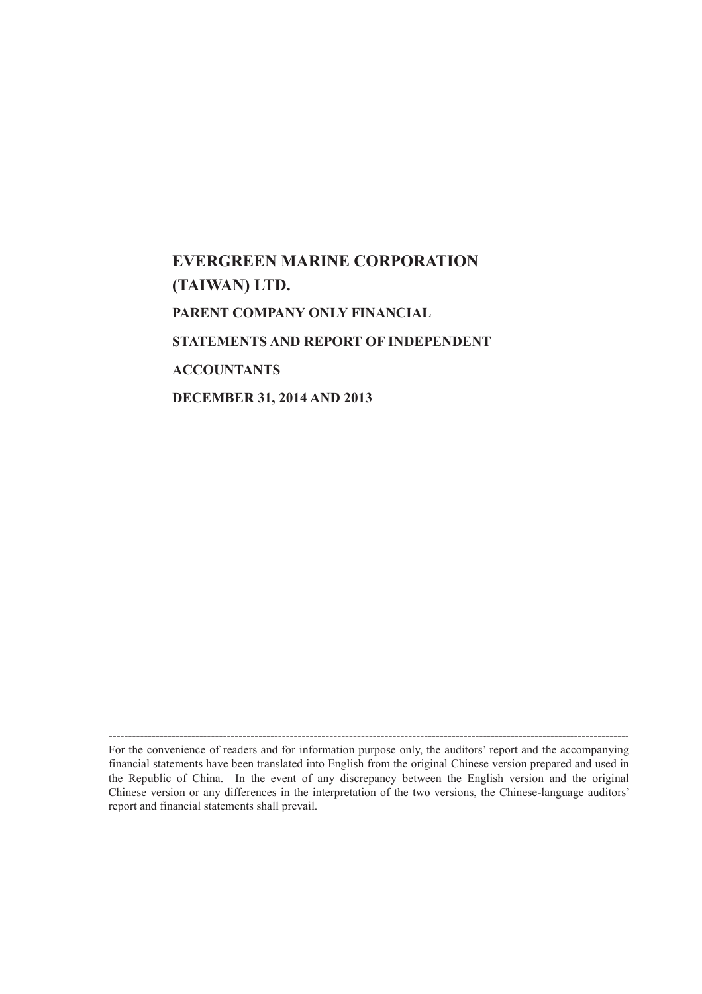# **EVERGREEN MARINE CORPORATION (TAIWAN) LTD. PARENT COMPANY ONLY FINANCIAL STATEMENTS AND REPORT OF INDEPENDENT ACCOUNTANTS DECEMBER 31, 2014 AND 2013**

------------------------------------------------------------------------------------------------------------------------------------ For the convenience of readers and for information purpose only, the auditors' report and the accompanying financial statements have been translated into English from the original Chinese version prepared and used in the Republic of China. In the event of any discrepancy between the English version and the original Chinese version or any differences in the interpretation of the two versions, the Chinese-language auditors' report and financial statements shall prevail.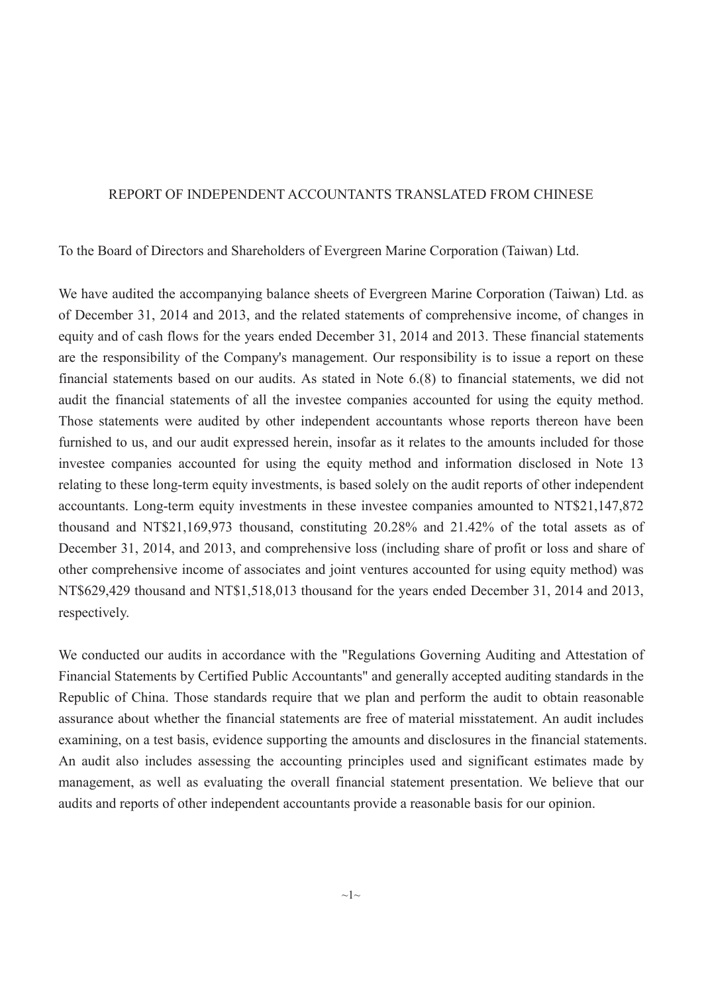#### REPORT OF INDEPENDENT ACCOUNTANTS TRANSLATED FROM CHINESE

To the Board of Directors and Shareholders of Evergreen Marine Corporation (Taiwan) Ltd.

We have audited the accompanying balance sheets of Evergreen Marine Corporation (Taiwan) Ltd. as of December 31, 2014 and 2013, and the related statements of comprehensive income, of changes in equity and of cash flows for the years ended December 31, 2014 and 2013. These financial statements are the responsibility of the Company's management. Our responsibility is to issue a report on these financial statements based on our audits. As stated in Note 6.(8) to financial statements, we did not audit the financial statements of all the investee companies accounted for using the equity method. Those statements were audited by other independent accountants whose reports thereon have been furnished to us, and our audit expressed herein, insofar as it relates to the amounts included for those investee companies accounted for using the equity method and information disclosed in Note 13 relating to these long-term equity investments, is based solely on the audit reports of other independent accountants. Long-term equity investments in these investee companies amounted to NT\$21,147,872 thousand and NT\$21,169,973 thousand, constituting 20.28% and 21.42% of the total assets as of December 31, 2014, and 2013, and comprehensive loss (including share of profit or loss and share of other comprehensive income of associates and joint ventures accounted for using equity method) was NT\$629,429 thousand and NT\$1,518,013 thousand for the years ended December 31, 2014 and 2013, respectively.

We conducted our audits in accordance with the "Regulations Governing Auditing and Attestation of Financial Statements by Certified Public Accountants" and generally accepted auditing standards in the Republic of China. Those standards require that we plan and perform the audit to obtain reasonable assurance about whether the financial statements are free of material misstatement. An audit includes examining, on a test basis, evidence supporting the amounts and disclosures in the financial statements. An audit also includes assessing the accounting principles used and significant estimates made by management, as well as evaluating the overall financial statement presentation. We believe that our audits and reports of other independent accountants provide a reasonable basis for our opinion.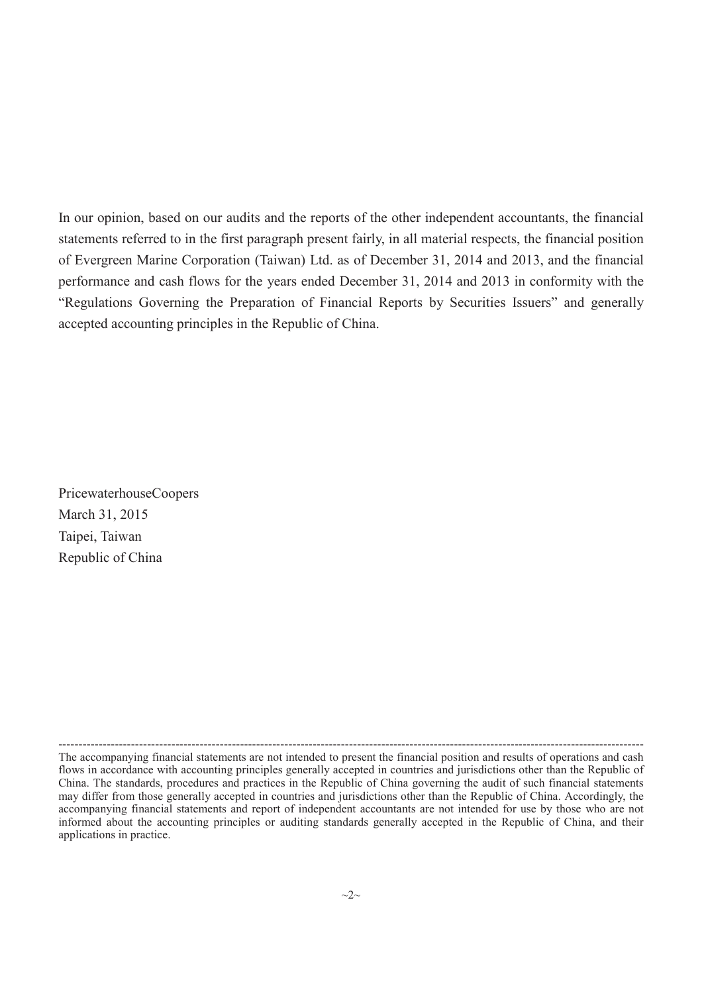In our opinion, based on our audits and the reports of the other independent accountants, the financial statements referred to in the first paragraph present fairly, in all material respects, the financial position of Evergreen Marine Corporation (Taiwan) Ltd. as of December 31, 2014 and 2013, and the financial performance and cash flows for the years ended December 31, 2014 and 2013 in conformity with the "Regulations Governing the Preparation of Financial Reports by Securities Issuers" and generally accepted accounting principles in the Republic of China.

PricewaterhouseCoopers March 31, 2015 Taipei, Taiwan Republic of China

<sup>-------------------------------------------------------------------------------------------------------------------------------------------------</sup> The accompanying financial statements are not intended to present the financial position and results of operations and cash flows in accordance with accounting principles generally accepted in countries and jurisdictions other than the Republic of China. The standards, procedures and practices in the Republic of China governing the audit of such financial statements may differ from those generally accepted in countries and jurisdictions other than the Republic of China. Accordingly, the accompanying financial statements and report of independent accountants are not intended for use by those who are not informed about the accounting principles or auditing standards generally accepted in the Republic of China, and their applications in practice.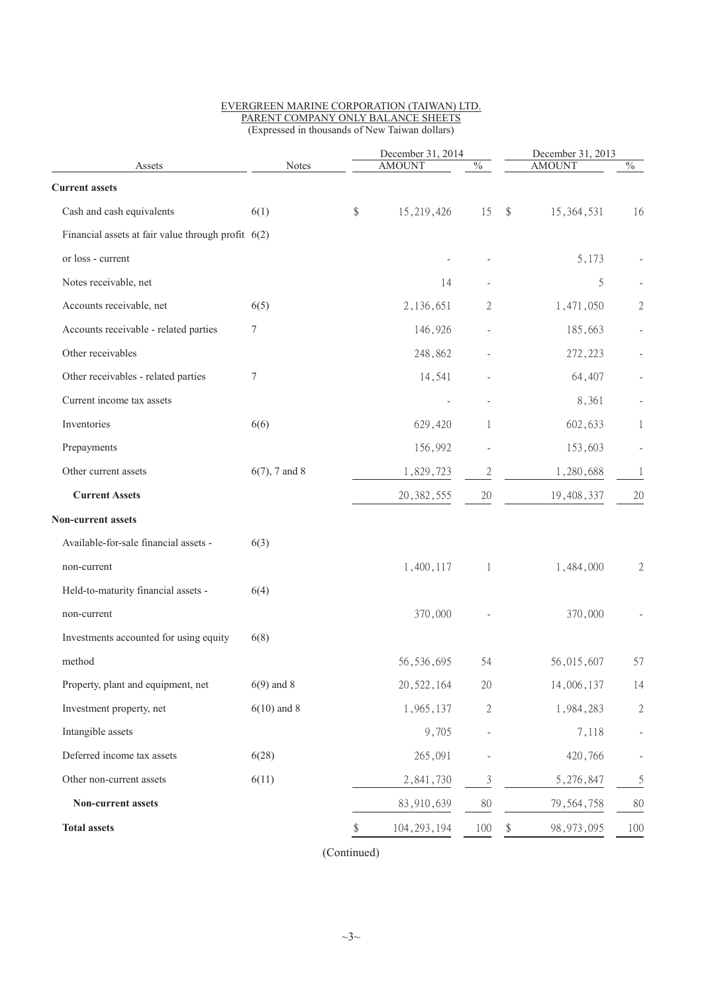| Assets                                               | <b>Notes</b>     | December 31, 2014<br><b>AMOUNT</b> | $\%$                     |                         | December 31, 2013<br><b>AMOUNT</b> | $\frac{0}{6}$  |
|------------------------------------------------------|------------------|------------------------------------|--------------------------|-------------------------|------------------------------------|----------------|
|                                                      |                  |                                    |                          |                         |                                    |                |
| <b>Current assets</b>                                |                  |                                    |                          |                         |                                    |                |
| Cash and cash equivalents                            | 6(1)             | \$<br>15,219,426                   | 15                       | $\sqrt[6]{\frac{1}{2}}$ | 15, 364, 531                       | 16             |
| Financial assets at fair value through profit $6(2)$ |                  |                                    |                          |                         |                                    |                |
| or loss - current                                    |                  |                                    |                          |                         | 5,173                              |                |
| Notes receivable, net                                |                  | 14                                 |                          |                         | 5                                  |                |
| Accounts receivable, net                             | 6(5)             | 2,136,651                          | 2                        |                         | 1,471,050                          | $\mathfrak{2}$ |
| Accounts receivable - related parties                | 7                | 146,926                            |                          |                         | 185,663                            |                |
| Other receivables                                    |                  | 248,862                            |                          |                         | 272,223                            |                |
| Other receivables - related parties                  | 7                | 14,541                             |                          |                         | 64,407                             |                |
| Current income tax assets                            |                  |                                    |                          |                         | 8,361                              |                |
| Inventories                                          | 6(6)             | 629,420                            | 1                        |                         | 602,633                            | 1              |
| Prepayments                                          |                  | 156,992                            | $\overline{\phantom{a}}$ |                         | 153,603                            |                |
| Other current assets                                 | $6(7)$ , 7 and 8 | 1,829,723                          | $\overline{c}$           |                         | 1,280,688                          | 1              |
| <b>Current Assets</b>                                |                  | 20, 382, 555                       | 20                       |                         | 19,408,337                         | 20             |
| Non-current assets                                   |                  |                                    |                          |                         |                                    |                |
| Available-for-sale financial assets -                | 6(3)             |                                    |                          |                         |                                    |                |
| non-current                                          |                  | 1,400,117                          | 1                        |                         | 1,484,000                          | 2              |
| Held-to-maturity financial assets -                  | 6(4)             |                                    |                          |                         |                                    |                |
| non-current                                          |                  | 370,000                            |                          |                         | 370,000                            |                |
| Investments accounted for using equity               | 6(8)             |                                    |                          |                         |                                    |                |
| method                                               |                  | 56, 536, 695                       | 54                       |                         | 56,015,607                         | 57             |
| Property, plant and equipment, net                   | $6(9)$ and 8     | 20, 522, 164                       | 20                       |                         | 14,006,137                         | 14             |
| Investment property, net                             | $6(10)$ and 8    | 1,965,137                          | $\overline{2}$           |                         | 1,984,283                          | $\sqrt{2}$     |
| Intangible assets                                    |                  | 9,705                              |                          |                         | 7,118                              |                |
| Deferred income tax assets                           | 6(28)            | 265,091                            |                          |                         | 420,766                            |                |
| Other non-current assets                             | 6(11)            | 2,841,730                          | 3                        |                         | 5,276,847                          | 5              |
| Non-current assets                                   |                  | 83,910,639                         | 80                       |                         | 79, 564, 758                       | 80             |
|                                                      |                  |                                    |                          |                         |                                    |                |

#### EVERGREEN MARINE CORPORATION (TAIWAN) LTD. PARENT COMPANY ONLY BALANCE SHEETS (Expressed in thousands of New Taiwan dollars)

(Continued)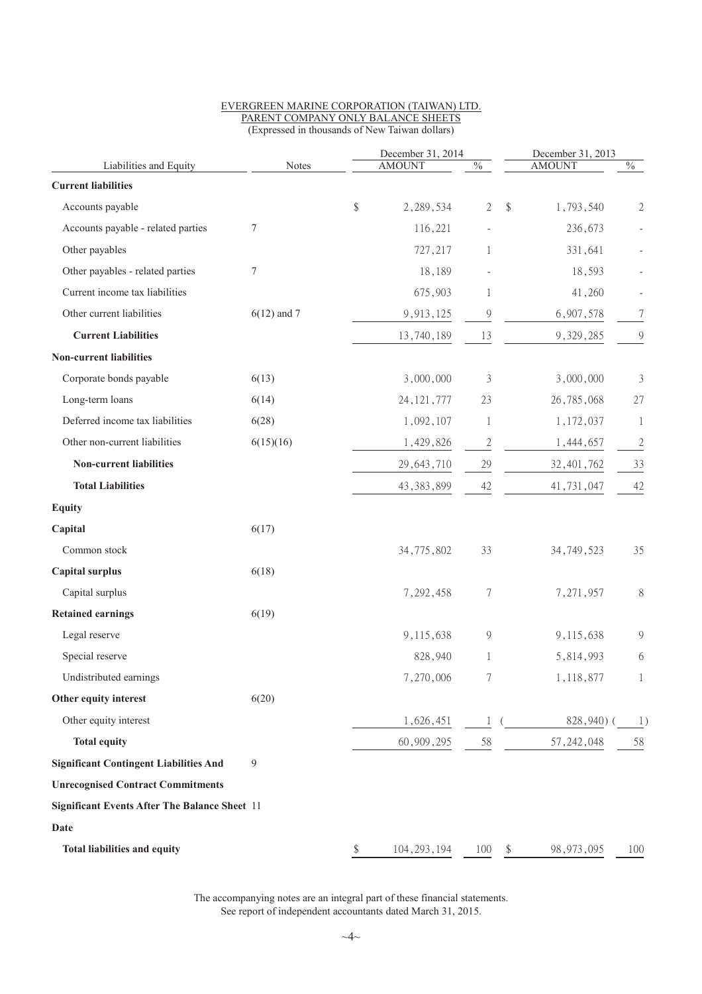|                                                      |               |       | December 31, 2014 |              |                         | December 31, 2013 |                |
|------------------------------------------------------|---------------|-------|-------------------|--------------|-------------------------|-------------------|----------------|
| Liabilities and Equity                               | Notes         |       | <b>AMOUNT</b>     | $\%$         |                         | <b>AMOUNT</b>     | $\%$           |
| <b>Current liabilities</b>                           |               |       |                   |              |                         |                   |                |
| Accounts payable                                     |               | $\$\$ | 2, 289, 534       | $\mathbf{2}$ | $\sqrt[6]{\frac{1}{2}}$ | 1,793,540         | $\overline{2}$ |
| Accounts payable - related parties                   | $\tau$        |       | 116,221           |              |                         | 236,673           |                |
| Other payables                                       |               |       | 727,217           | $\mathbf{1}$ |                         | 331,641           |                |
| Other payables - related parties                     | $\tau$        |       | 18,189            |              |                         | 18,593            |                |
| Current income tax liabilities                       |               |       | 675,903           | 1            |                         | 41,260            |                |
| Other current liabilities                            | $6(12)$ and 7 |       | 9,913,125         | $\theta$     |                         | 6,907,578         | 7              |
| <b>Current Liabilities</b>                           |               |       | 13,740,189        | 13           |                         | 9,329,285         | 9              |
| <b>Non-current liabilities</b>                       |               |       |                   |              |                         |                   |                |
| Corporate bonds payable                              | 6(13)         |       | 3,000,000         | 3            |                         | 3,000,000         | $\mathfrak{Z}$ |
| Long-term loans                                      | 6(14)         |       | 24, 121, 777      | 23           |                         | 26,785,068        | 27             |
| Deferred income tax liabilities                      | 6(28)         |       | 1,092,107         | 1            |                         | 1,172,037         | $\mathbf{1}$   |
| Other non-current liabilities                        | 6(15)(16)     |       | 1,429,826         | $\mathbf{2}$ |                         | 1,444,657         | $\overline{2}$ |
| <b>Non-current liabilities</b>                       |               |       | 29, 643, 710      | 29           |                         | 32, 401, 762      | 33             |
| <b>Total Liabilities</b>                             |               |       | 43, 383, 899      | 42           |                         | 41,731,047        | 42             |
| <b>Equity</b>                                        |               |       |                   |              |                         |                   |                |
| Capital                                              | 6(17)         |       |                   |              |                         |                   |                |
| Common stock                                         |               |       | 34,775,802        | 33           |                         | 34, 749, 523      | 35             |
| <b>Capital surplus</b>                               | 6(18)         |       |                   |              |                         |                   |                |
| Capital surplus                                      |               |       | 7,292,458         | 7            |                         | 7,271,957         | $8\,$          |
| <b>Retained earnings</b>                             | 6(19)         |       |                   |              |                         |                   |                |
| Legal reserve                                        |               |       | 9,115,638         | 9            |                         | 9,115,638         | 9              |
| Special reserve                                      |               |       | 828,940           | 1            |                         | 5,814,993         | 6              |
| Undistributed earnings                               |               |       | 7,270,006         |              |                         | 1,118,877         | $\mathbf{1}$   |
| Other equity interest                                | 6(20)         |       |                   |              |                         |                   |                |
| Other equity interest                                |               |       | 1,626,451         |              | 1(                      | 828,940)(         | 1)             |
| <b>Total equity</b>                                  |               |       | 60,909,295        | 58           |                         | 57, 242, 048      | 58             |
| <b>Significant Contingent Liabilities And</b>        | 9             |       |                   |              |                         |                   |                |
| <b>Unrecognised Contract Commitments</b>             |               |       |                   |              |                         |                   |                |
| <b>Significant Events After The Balance Sheet 11</b> |               |       |                   |              |                         |                   |                |
| Date                                                 |               |       |                   |              |                         |                   |                |
| Total liabilities and equity                         |               | \$    | 104, 293, 194     | 100          |                         | 98, 973, 095      | 100            |
|                                                      |               |       |                   |              |                         |                   |                |

#### EVERGREEN MARINE CORPORATION (TAIWAN) LTD. PARENT COMPANY ONLY BALANCE SHEETS (Expressed in thousands of New Taiwan dollars)

The accompanying notes are an integral part of these financial statements. See report of independent accountants dated March 31, 2015.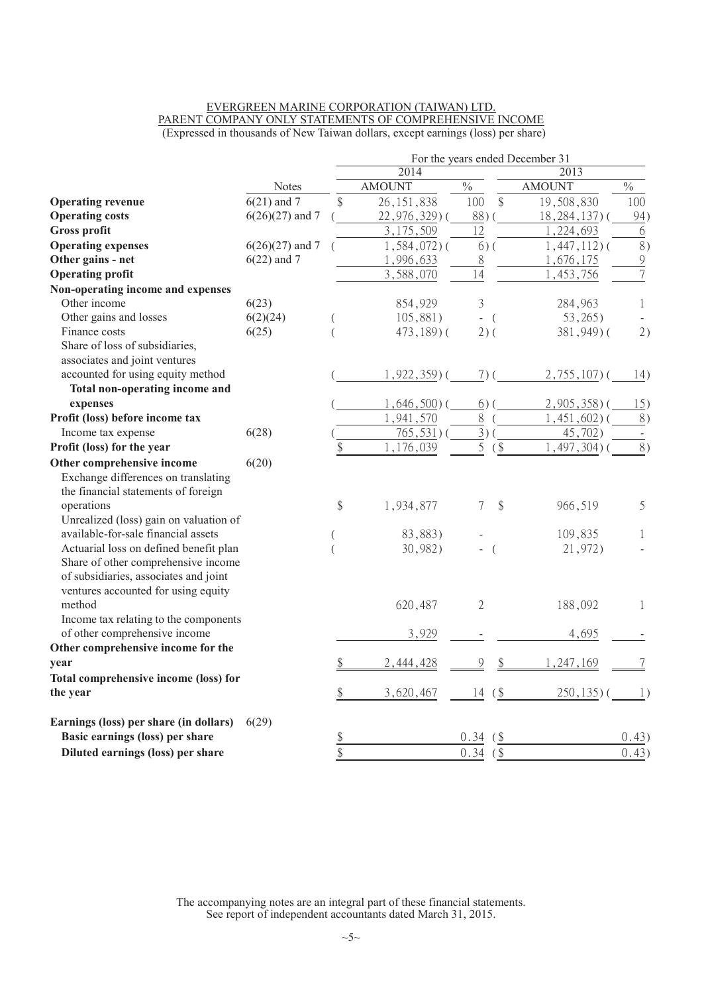#### EVERGREEN MARINE CORPORATION (TAIWAN) LTD. PARENT COMPANY ONLY STATEMENTS OF COMPREHENSIVE INCOME (Expressed in thousands of New Taiwan dollars, except earnings (loss) per share)

|                                        |                   |                 |                 |                |               | For the years ended December 31 |                          |
|----------------------------------------|-------------------|-----------------|-----------------|----------------|---------------|---------------------------------|--------------------------|
|                                        |                   |                 | 2014            |                |               | 2013                            |                          |
|                                        | <b>Notes</b>      |                 | <b>AMOUNT</b>   | $\frac{0}{0}$  |               | <b>AMOUNT</b>                   | $\frac{0}{0}$            |
| <b>Operating revenue</b>               | $6(21)$ and 7     | $\sqrt[6]{}$    | 26, 151, 838    | 100            | $\mathcal{S}$ | 19,508,830                      | 100                      |
| <b>Operating costs</b>                 | $6(26)(27)$ and 7 |                 | 22,976,329)(    | 88)(           |               | $18, 284, 137$ ) (              | 94)                      |
| Gross profit                           |                   |                 | 3,175,509       | 12             |               | 1,224,693                       | 6                        |
| <b>Operating expenses</b>              | $6(26)(27)$ and 7 |                 | $1,584,072$ ) ( | $6)$ (         |               | $1,447,112$ ) (                 | $\overline{8}$ )         |
| Other gains - net                      | $6(22)$ and 7     |                 | 1,996,633       | 8              |               | 1,676,175                       | $\overline{9}$           |
| <b>Operating profit</b>                |                   |                 | 3,588,070       | 14             |               | 1,453,756                       | $\overline{7}$           |
| Non-operating income and expenses      |                   |                 |                 |                |               |                                 |                          |
| Other income                           | 6(23)             |                 | 854,929         | 3              |               | 284,963                         | 1                        |
| Other gains and losses                 | 6(2)(24)          |                 | 105,881)        | $-$ (          |               | 53,265                          |                          |
| Finance costs                          | 6(25)             | $\left($        | 473,189)(       | $2)$ (         |               | 381,949)(                       | 2)                       |
| Share of loss of subsidiaries,         |                   |                 |                 |                |               |                                 |                          |
| associates and joint ventures          |                   |                 |                 |                |               |                                 |                          |
| accounted for using equity method      |                   |                 | $1,922,359$ (   | $7)$ (         |               | $2,755,107$ ) (                 | 14)                      |
| Total non-operating income and         |                   |                 |                 |                |               |                                 |                          |
| expenses                               |                   |                 | $1,646,500$ (   | $6)$ (         |               | $2,905,358$ ) (                 | 15)                      |
| Profit (loss) before income tax        |                   |                 | 1,941,570       | $\,8\,$        |               | $1,451,602$ $()$                | 8)                       |
| Income tax expense                     | 6(28)             |                 | $765,531)$ (    | $3)$ (         |               | 45,702)                         | $\overline{\phantom{a}}$ |
| Profit (loss) for the year             |                   | \$              | ,176,039        | 5              | $($ \$        | $1,497,304$ ) (                 | 8)                       |
| Other comprehensive income             | 6(20)             |                 |                 |                |               |                                 |                          |
| Exchange differences on translating    |                   |                 |                 |                |               |                                 |                          |
| the financial statements of foreign    |                   |                 |                 |                |               |                                 |                          |
| operations                             |                   | \$              | 1,934,877       | 7              | \$            | 966,519                         | 5                        |
| Unrealized (loss) gain on valuation of |                   |                 |                 |                |               |                                 |                          |
| available-for-sale financial assets    |                   |                 | 83,883)         |                |               | 109,835                         | 1                        |
| Actuarial loss on defined benefit plan |                   |                 | 30,982)         |                | $\left($      | 21,972)                         |                          |
| Share of other comprehensive income    |                   |                 |                 |                |               |                                 |                          |
| of subsidiaries, associates and joint  |                   |                 |                 |                |               |                                 |                          |
| ventures accounted for using equity    |                   |                 |                 |                |               |                                 |                          |
| method                                 |                   |                 | 620,487         | $\overline{2}$ |               | 188,092                         | 1                        |
| Income tax relating to the components  |                   |                 |                 |                |               |                                 |                          |
| of other comprehensive income          |                   |                 | 3,929           |                |               | 4,695                           |                          |
| Other comprehensive income for the     |                   |                 |                 |                |               |                                 |                          |
| year                                   |                   | \$              | 2,444,428       | $\mathcal{Q}$  | \$            | 1,247,169                       | 7                        |
| Total comprehensive income (loss) for  |                   |                 |                 |                |               |                                 |                          |
| the year                               |                   | \$              | 3,620,467       | 14             | $($ \$        | $250, 135$ ) (                  |                          |
| Earnings (loss) per share (in dollars) | 6(29)             |                 |                 |                |               |                                 |                          |
| Basic earnings (loss) per share        |                   | $\frac{\$}{\$}$ |                 | 0.34           | $($ \$        |                                 | 0.43)                    |
| Diluted earnings (loss) per share      |                   |                 |                 | 0.34           | $($ \$        |                                 | 0.43)                    |

The accompanying notes are an integral part of these financial statements. See report of independent accountants dated March 31, 2015.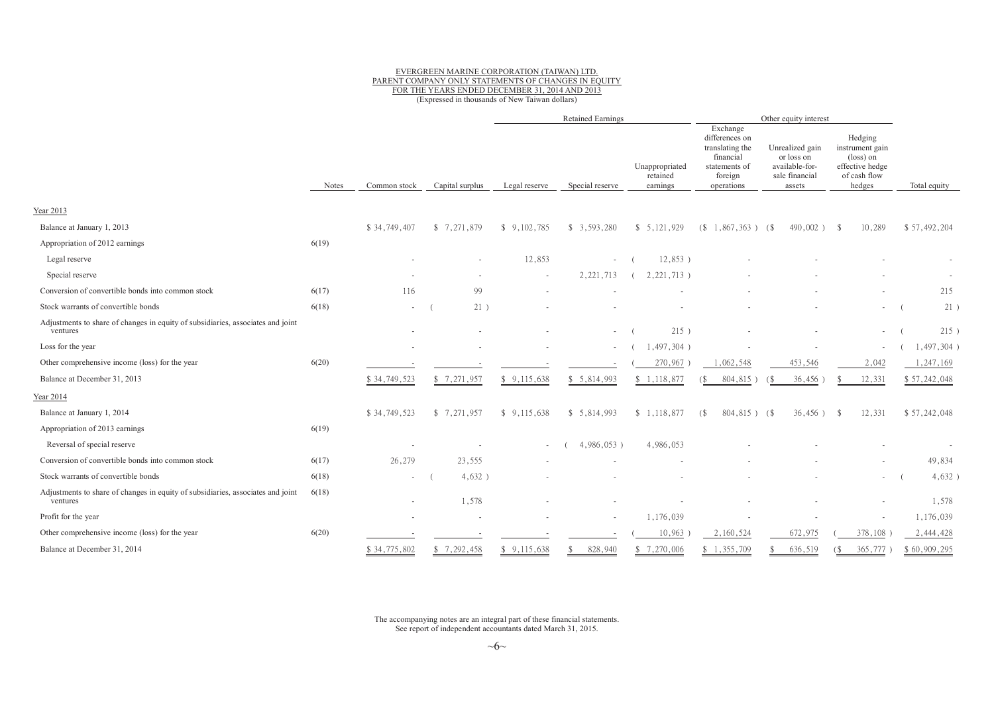#### EVERGREEN MARINE CORPORATION (TAIWAN) LTD. PARENT COMPANY ONLY STATEMENTS OF CHANGES IN EQUITY<br>EQP THE VEADS ENDED DECEMBER 21, 2014, AND 2012 FOR THE YEARS ENDED DECEMBER 31, <sup>2014</sup> AND <sup>2013</sup> (Expressed in thousands of New Taiwan dollars)

|                                                                                             |              |              |                 |               | <b>Retained Earnings</b> |                                        |                                                                                                      | Other equity interest                                                       |                                                                                               |              |
|---------------------------------------------------------------------------------------------|--------------|--------------|-----------------|---------------|--------------------------|----------------------------------------|------------------------------------------------------------------------------------------------------|-----------------------------------------------------------------------------|-----------------------------------------------------------------------------------------------|--------------|
|                                                                                             | <b>Notes</b> | Common stock | Capital surplus | Legal reserve | Special reserve          | Unappropriated<br>retained<br>earnings | Exchange<br>differences on<br>translating the<br>financial<br>statements of<br>foreign<br>operations | Unrealized gain<br>or loss on<br>available-for-<br>sale financial<br>assets | Hedging<br>instrument gain<br>$(\text{loss})$ on<br>effective hedge<br>of cash flow<br>hedges | Total equity |
| Year 2013                                                                                   |              |              |                 |               |                          |                                        |                                                                                                      |                                                                             |                                                                                               |              |
| Balance at January 1, 2013                                                                  |              | \$34,749,407 | \$7,271,879     | \$9,102,785   | \$3,593,280              | \$5,121,929                            | $(S\ 1,867,363)$ $(S$                                                                                | $490,002$ ) \$                                                              | 10,289                                                                                        | \$57,492,204 |
| Appropriation of 2012 earnings                                                              | 6(19)        |              |                 |               |                          |                                        |                                                                                                      |                                                                             |                                                                                               |              |
| Legal reserve                                                                               |              |              |                 | 12,853        |                          | $12,853$ )                             |                                                                                                      |                                                                             |                                                                                               |              |
| Special reserve                                                                             |              |              |                 | $\sim$        | 2, 221, 713              | 2, 221, 713)                           |                                                                                                      |                                                                             |                                                                                               |              |
| Conversion of convertible bonds into common stock                                           | 6(17)        | 116          | 99              |               |                          |                                        |                                                                                                      |                                                                             |                                                                                               | 215          |
| Stock warrants of convertible bonds                                                         | 6(18)        |              | 21)             |               |                          |                                        |                                                                                                      |                                                                             | $\sim$                                                                                        | 21           |
| Adjustments to share of changes in equity of subsidiaries, associates and joint<br>ventures |              |              |                 |               | $\sim 100$               | 215)                                   |                                                                                                      |                                                                             | $\sim$                                                                                        | 215)         |
| Loss for the year                                                                           |              |              |                 |               |                          | $1,497,304$ )                          |                                                                                                      |                                                                             | $\sim$                                                                                        | 1,497,304)   |
| Other comprehensive income (loss) for the year                                              | 6(20)        |              |                 |               |                          | 270,967                                | 1,062,548                                                                                            | 453,546                                                                     | 2,042                                                                                         | 1,247,169    |
| Balance at December 31, 2013                                                                |              | \$34,749,523 | \$7,271,957     | \$9,115,638   | \$5,814,993              | \$1,118,877                            | 804,815)                                                                                             | 36,456                                                                      | 12,331                                                                                        | \$57,242,048 |
| Year 2014                                                                                   |              |              |                 |               |                          |                                        |                                                                                                      |                                                                             |                                                                                               |              |
| Balance at January 1, 2014                                                                  |              | \$34,749,523 | \$7,271,957     | \$9,115,638   | \$5,814,993              | \$1,118,877                            | $804,815$ ) (\$<br>(S <sup>2</sup> )                                                                 | $36,456$ )                                                                  | 12,331<br>$^{\circ}$                                                                          | \$57,242,048 |
| Appropriation of 2013 earnings                                                              | 6(19)        |              |                 |               |                          |                                        |                                                                                                      |                                                                             |                                                                                               |              |
| Reversal of special reserve                                                                 |              |              |                 |               | 4,986,053)               | 4,986,053                              |                                                                                                      |                                                                             |                                                                                               |              |
| Conversion of convertible bonds into common stock                                           | 6(17)        | 26,279       | 23,555          |               |                          |                                        |                                                                                                      |                                                                             |                                                                                               | 49,834       |
| Stock warrants of convertible bonds                                                         | 6(18)        |              | $4,632$ )       |               |                          |                                        |                                                                                                      |                                                                             | $\sim$                                                                                        | 4,632)       |
| Adjustments to share of changes in equity of subsidiaries, associates and joint<br>ventures | 6(18)        |              | 1,578           |               |                          |                                        |                                                                                                      |                                                                             | $\sim$                                                                                        | 1,578        |
| Profit for the year                                                                         |              |              |                 |               |                          | 1,176,039                              |                                                                                                      |                                                                             | $\sim$                                                                                        | 1,176,039    |
| Other comprehensive income (loss) for the year                                              | 6(20)        |              |                 |               |                          | 10,963                                 | 2,160,524                                                                                            | 672,975                                                                     | 378,108                                                                                       | 2,444,428    |
| Balance at December 31, 2014                                                                |              | \$34,775,802 | \$7,292,458     | \$9,115,638   | 828,940<br>\$.           | \$7,270,006                            | \$1,355,709                                                                                          | 636,519                                                                     | 365,777<br>(S                                                                                 | \$60,909,295 |

The accompanying notes are an integral part of these financial statements.<br>See report of independent accountants dated Marsh 21, 2015 See report of independent accountants dated March 31, 2015.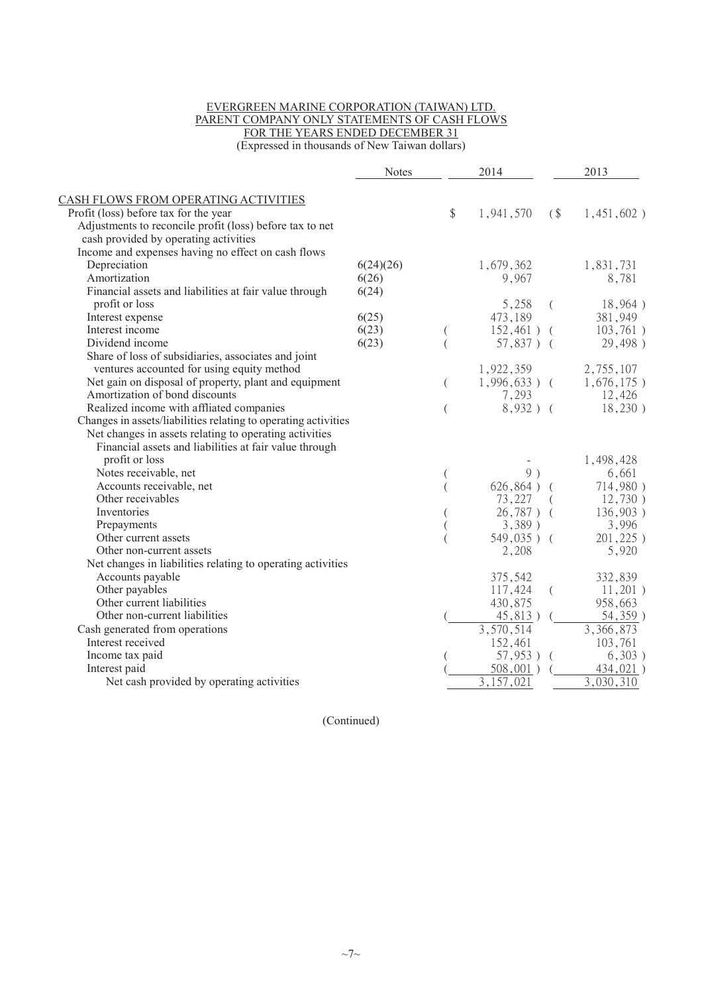#### EVERGREEN MARINE CORPORATION (TAIWAN) LTD. PARENT COMPANY ONLY STATEMENTS OF CASH FLOWS FOR THE YEARS ENDED DECEMBER 31

(Expressed in thousands of New Taiwan dollars)

| CASH FLOWS FROM OPERATING ACTIVITIES<br>Profit (loss) before tax for the year<br>Adjustments to reconcile profit (loss) before tax to net<br>cash provided by operating activities<br>Income and expenses having no effect on cash flows | 6(24)(26)<br>6(26)<br>6(24) | \$       | 1,941,570<br>1,679,362 | (        | $1,451,602$ )             |
|------------------------------------------------------------------------------------------------------------------------------------------------------------------------------------------------------------------------------------------|-----------------------------|----------|------------------------|----------|---------------------------|
|                                                                                                                                                                                                                                          |                             |          |                        |          |                           |
|                                                                                                                                                                                                                                          |                             |          |                        |          |                           |
|                                                                                                                                                                                                                                          |                             |          |                        |          |                           |
|                                                                                                                                                                                                                                          |                             |          |                        |          |                           |
|                                                                                                                                                                                                                                          |                             |          |                        |          |                           |
| Depreciation                                                                                                                                                                                                                             |                             |          |                        |          | 1,831,731                 |
| Amortization                                                                                                                                                                                                                             |                             |          | 9,967                  |          | 8,781                     |
| Financial assets and liabilities at fair value through                                                                                                                                                                                   |                             |          |                        |          |                           |
| profit or loss                                                                                                                                                                                                                           |                             |          | 5,258                  |          | 18,964)                   |
| Interest expense                                                                                                                                                                                                                         | 6(25)                       |          | 473,189                |          | 381,949                   |
| Interest income                                                                                                                                                                                                                          | 6(23)                       | (        | $152,461$ ) (          |          | 103,761)                  |
| Dividend income                                                                                                                                                                                                                          | 6(23)                       |          | $57,837$ ) (           |          | 29,498)                   |
| Share of loss of subsidiaries, associates and joint                                                                                                                                                                                      |                             |          |                        |          |                           |
| ventures accounted for using equity method                                                                                                                                                                                               |                             |          | 1,922,359              |          | 2,755,107                 |
| Net gain on disposal of property, plant and equipment                                                                                                                                                                                    |                             | $\left($ | $1,996,633$ ) (        |          | $1,676,175$ )             |
| Amortization of bond discounts                                                                                                                                                                                                           |                             |          | 7,293                  |          | 12,426                    |
| Realized income with affliated companies                                                                                                                                                                                                 |                             | $\left($ | $8,932$ ) (            |          | 18,230)                   |
| Changes in assets/liabilities relating to operating activities                                                                                                                                                                           |                             |          |                        |          |                           |
| Net changes in assets relating to operating activities                                                                                                                                                                                   |                             |          |                        |          |                           |
| Financial assets and liabilities at fair value through                                                                                                                                                                                   |                             |          |                        |          |                           |
| profit or loss                                                                                                                                                                                                                           |                             |          |                        |          | 1,498,428                 |
| Notes receivable, net                                                                                                                                                                                                                    |                             |          | 9)                     |          | 6,661                     |
| Accounts receivable, net                                                                                                                                                                                                                 |                             |          | $626,864)$ (           |          | 714,980)                  |
| Other receivables                                                                                                                                                                                                                        |                             |          | 73,227                 |          | 12,730)                   |
| Inventories                                                                                                                                                                                                                              |                             |          | $26,787$ ) (           |          | 136,903)                  |
| Prepayments                                                                                                                                                                                                                              |                             |          | $3,389$ )              |          | 3,996                     |
| Other current assets                                                                                                                                                                                                                     |                             |          | $549,035$ ) (          |          | 201,225)                  |
| Other non-current assets                                                                                                                                                                                                                 |                             |          | 2,208                  |          | 5,920                     |
| Net changes in liabilities relating to operating activities                                                                                                                                                                              |                             |          |                        |          |                           |
| Accounts payable                                                                                                                                                                                                                         |                             |          | 375,542                |          | 332,839                   |
| Other payables                                                                                                                                                                                                                           |                             |          | 117,424                | $\left($ | $11,201$ )                |
| Other current liabilities                                                                                                                                                                                                                |                             |          | 430,875                |          | 958,663                   |
| Other non-current liabilities                                                                                                                                                                                                            |                             |          | 45,813)                |          | 54,359)                   |
| Cash generated from operations                                                                                                                                                                                                           |                             |          | $\overline{3,570,514}$ |          | 3,366,873                 |
| Interest received                                                                                                                                                                                                                        |                             |          | 152,461                |          | 103,761                   |
| Income tax paid                                                                                                                                                                                                                          |                             |          | $57,953$ ) (           |          | 6,303)                    |
| Interest paid                                                                                                                                                                                                                            |                             |          | $508,001$ )            |          | 434,021)                  |
| Net cash provided by operating activities                                                                                                                                                                                                |                             |          | 3,157,021              |          | $\overline{3}$ , 030, 310 |

(Continued)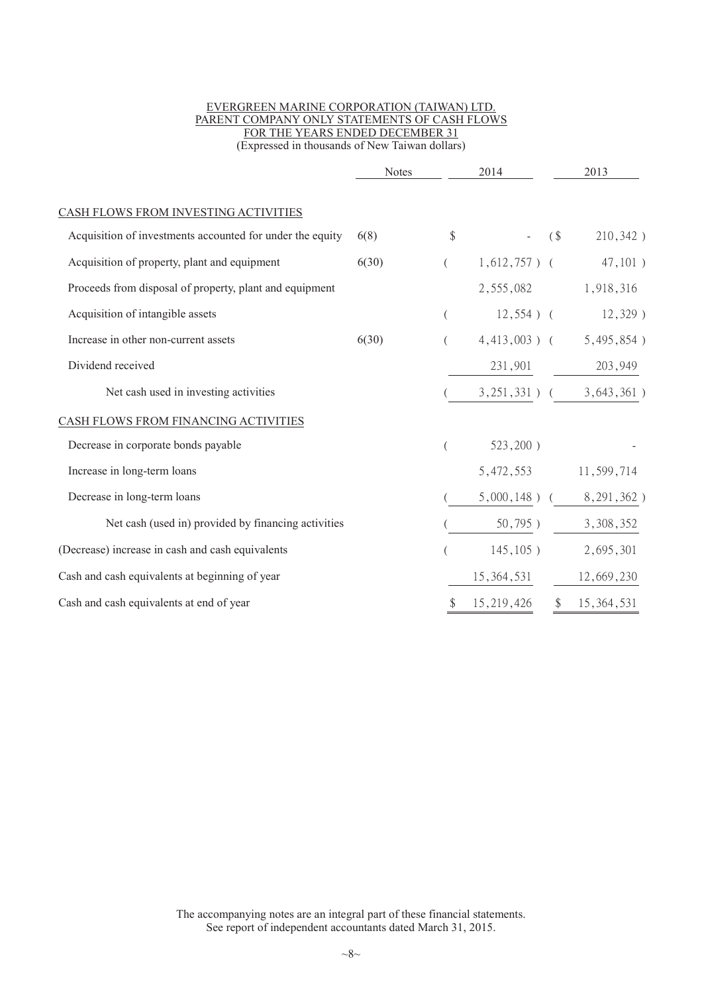#### EVERGREEN MARINE CORPORATION (TAIWAN) LTD. PARENT COMPANY ONLY STATEMENTS OF CASH FLOWS FOR THE YEARS ENDED DECEMBER 31 (Expressed in thousands of New Taiwan dollars)

|                                                           | <b>Notes</b> |    | 2014            |   | 2013          |
|-----------------------------------------------------------|--------------|----|-----------------|---|---------------|
| CASH FLOWS FROM INVESTING ACTIVITIES                      |              |    |                 |   |               |
| Acquisition of investments accounted for under the equity | 6(8)         | \$ |                 | ( | 210,342)      |
| Acquisition of property, plant and equipment              | 6(30)        |    | $1,612,757$ ) ( |   | 47,101)       |
| Proceeds from disposal of property, plant and equipment   |              |    | 2,555,082       |   | 1,918,316     |
| Acquisition of intangible assets                          |              | (  | $12,554$ ) (    |   | $12,329$ )    |
| Increase in other non-current assets                      | 6(30)        |    | $4,413,003$ ) ( |   | 5,495,854)    |
| Dividend received                                         |              |    | 231,901         |   | 203,949       |
| Net cash used in investing activities                     |              |    | $3,251,331$ ) ( |   | $3,643,361$ ) |
| CASH FLOWS FROM FINANCING ACTIVITIES                      |              |    |                 |   |               |
| Decrease in corporate bonds payable                       |              |    | $523,200$ )     |   |               |
| Increase in long-term loans                               |              |    | 5,472,553       |   | 11,599,714    |
| Decrease in long-term loans                               |              |    | $5,000,148$ ) ( |   | 8, 291, 362)  |
| Net cash (used in) provided by financing activities       |              |    | 50,795)         |   | 3,308,352     |
| (Decrease) increase in cash and cash equivalents          |              |    | $145, 105$ )    |   | 2,695,301     |
| Cash and cash equivalents at beginning of year            |              |    | 15, 364, 531    |   | 12,669,230    |
| Cash and cash equivalents at end of year                  |              |    | 15,219,426      |   | \$15,364,531  |
|                                                           |              |    |                 |   |               |

The accompanying notes are an integral part of these financial statements. See report of independent accountants dated March 31, 2015.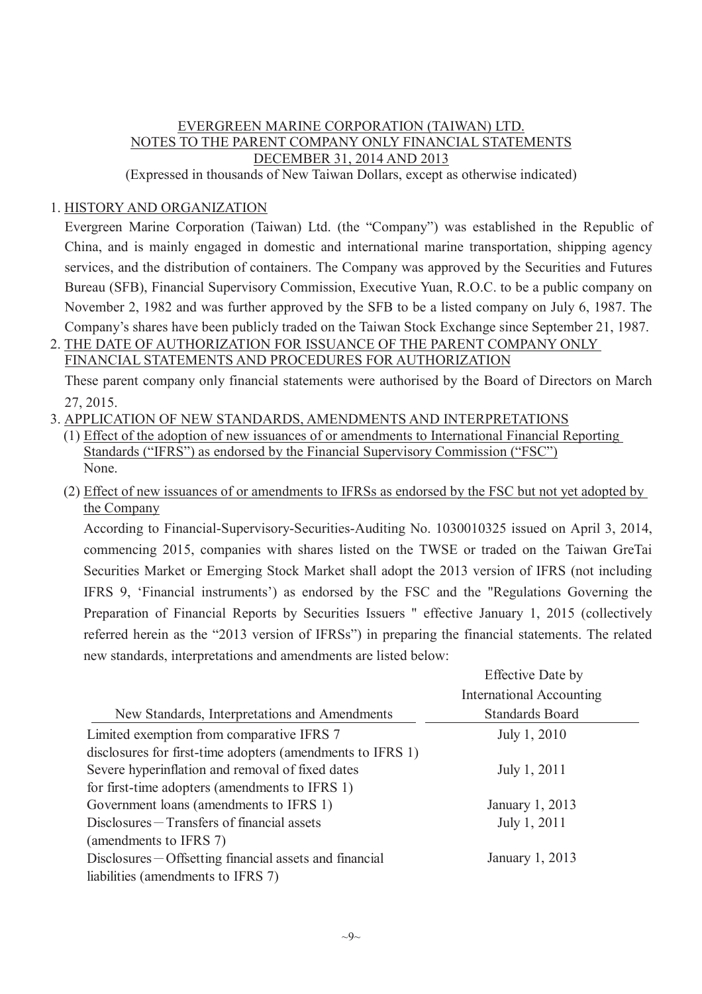# EVERGREEN MARINE CORPORATION (TAIWAN) LTD. NOTES TO THE PARENT COMPANY ONLY FINANCIAL STATEMENTS DECEMBER 31, 2014 AND 2013

(Expressed in thousands of New Taiwan Dollars, except as otherwise indicated)

# 1. HISTORY AND ORGANIZATION

Evergreen Marine Corporation (Taiwan) Ltd. (the "Company") was established in the Republic of China, and is mainly engaged in domestic and international marine transportation, shipping agency services, and the distribution of containers. The Company was approved by the Securities and Futures Bureau (SFB), Financial Supervisory Commission, Executive Yuan, R.O.C. to be a public company on November 2, 1982 and was further approved by the SFB to be a listed company on July 6, 1987. The Company's shares have been publicly traded on the Taiwan Stock Exchange since September 21, 1987.

# 2. THE DATE OF AUTHORIZATION FOR ISSUANCE OF THE PARENT COMPANY ONLY

FINANCIAL STATEMENTS AND PROCEDURES FOR AUTHORIZATION

These parent company only financial statements were authorised by the Board of Directors on March 27, 2015.

# 3. APPLICATION OF NEW STANDARDS, AMENDMENTS AND INTERPRETATIONS

- (1) Effect of the adoption of new issuances of or amendments to International Financial Reporting Standards ("IFRS") as endorsed by the Financial Supervisory Commission ("FSC") None.
- (2) Effect of new issuances of or amendments to IFRSs as endorsed by the FSC but not yet adopted by the Company

According to Financial-Supervisory-Securities-Auditing No. 1030010325 issued on April 3, 2014, commencing 2015, companies with shares listed on the TWSE or traded on the Taiwan GreTai Securities Market or Emerging Stock Market shall adopt the 2013 version of IFRS (not including IFRS 9, 'Financial instruments') as endorsed by the FSC and the "Regulations Governing the Preparation of Financial Reports by Securities Issuers " effective January 1, 2015 (collectively referred herein as the "2013 version of IFRSs") in preparing the financial statements. The related new standards, interpretations and amendments are listed below:

|                                                            | <b>Effective Date by</b>        |
|------------------------------------------------------------|---------------------------------|
|                                                            | <b>International Accounting</b> |
| New Standards, Interpretations and Amendments              | <b>Standards Board</b>          |
| Limited exemption from comparative IFRS 7                  | July 1, 2010                    |
| disclosures for first-time adopters (amendments to IFRS 1) |                                 |
| Severe hyperinflation and removal of fixed dates           | July 1, 2011                    |
| for first-time adopters (amendments to IFRS 1)             |                                 |
| Government loans (amendments to IFRS 1)                    | January 1, 2013                 |
| Disclosures – Transfers of financial assets                | July 1, 2011                    |
| (amendments to IFRS 7)                                     |                                 |
| Disclosures – Offsetting financial assets and financial    | January 1, 2013                 |
| liabilities (amendments to IFRS 7)                         |                                 |
|                                                            |                                 |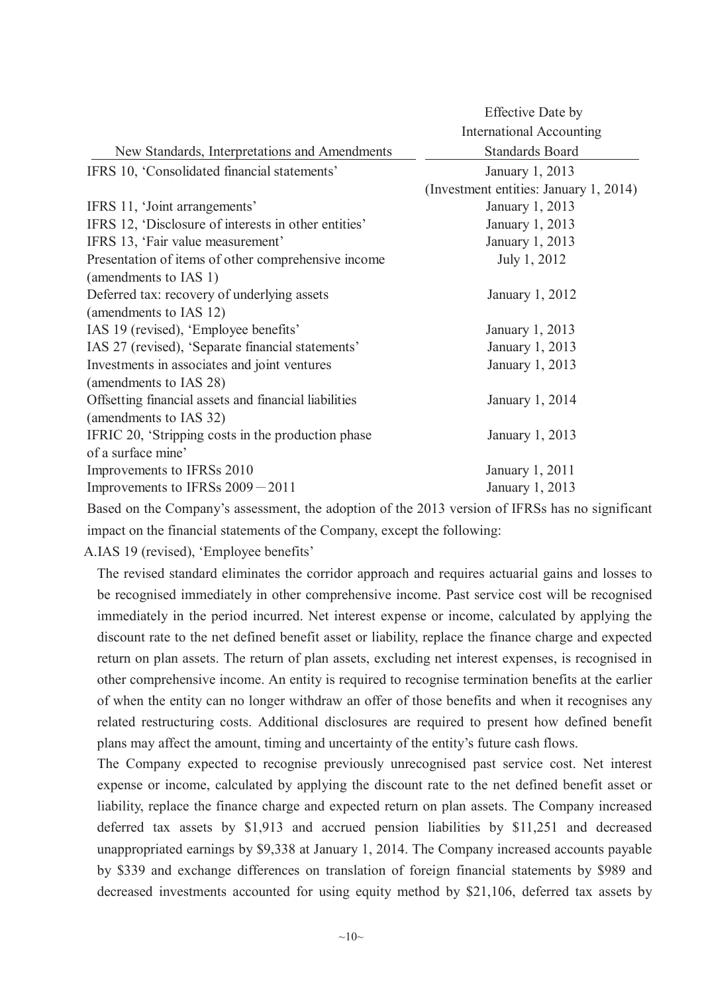|                                                       | Effective Date by                      |
|-------------------------------------------------------|----------------------------------------|
|                                                       | <b>International Accounting</b>        |
| New Standards, Interpretations and Amendments         | <b>Standards Board</b>                 |
| IFRS 10, 'Consolidated financial statements'          | January 1, 2013                        |
|                                                       | (Investment entities: January 1, 2014) |
| IFRS 11, 'Joint arrangements'                         | January 1, 2013                        |
| IFRS 12, 'Disclosure of interests in other entities'  | January 1, 2013                        |
| IFRS 13, 'Fair value measurement'                     | January 1, 2013                        |
| Presentation of items of other comprehensive income   | July 1, 2012                           |
| (amendments to IAS 1)                                 |                                        |
| Deferred tax: recovery of underlying assets           | January 1, 2012                        |
| (amendments to IAS 12)                                |                                        |
| IAS 19 (revised), 'Employee benefits'                 | January 1, 2013                        |
| IAS 27 (revised), 'Separate financial statements'     | January 1, 2013                        |
| Investments in associates and joint ventures          | January 1, 2013                        |
| (amendments to IAS 28)                                |                                        |
| Offsetting financial assets and financial liabilities | January 1, 2014                        |
| (amendments to IAS 32)                                |                                        |
| IFRIC 20, 'Stripping costs in the production phase    | January 1, 2013                        |
| of a surface mine'                                    |                                        |
| Improvements to IFRSs 2010                            | January 1, 2011                        |
| Improvements to IFRSs $2009 - 2011$                   | January 1, 2013                        |
|                                                       |                                        |

Based on the Company's assessment, the adoption of the 2013 version of IFRSs has no significant impact on the financial statements of the Company, except the following:

A.IAS 19 (revised), 'Employee benefits'

The revised standard eliminates the corridor approach and requires actuarial gains and losses to be recognised immediately in other comprehensive income. Past service cost will be recognised immediately in the period incurred. Net interest expense or income, calculated by applying the discount rate to the net defined benefit asset or liability, replace the finance charge and expected return on plan assets. The return of plan assets, excluding net interest expenses, is recognised in other comprehensive income. An entity is required to recognise termination benefits at the earlier of when the entity can no longer withdraw an offer of those benefits and when it recognises any related restructuring costs. Additional disclosures are required to present how defined benefit plans may affect the amount, timing and uncertainty of the entity's future cash flows.

The Company expected to recognise previously unrecognised past service cost. Net interest expense or income, calculated by applying the discount rate to the net defined benefit asset or liability, replace the finance charge and expected return on plan assets. The Company increased deferred tax assets by \$1,913 and accrued pension liabilities by \$11,251 and decreased unappropriated earnings by \$9,338 at January 1, 2014. The Company increased accounts payable by \$339 and exchange differences on translation of foreign financial statements by \$989 and decreased investments accounted for using equity method by \$21,106, deferred tax assets by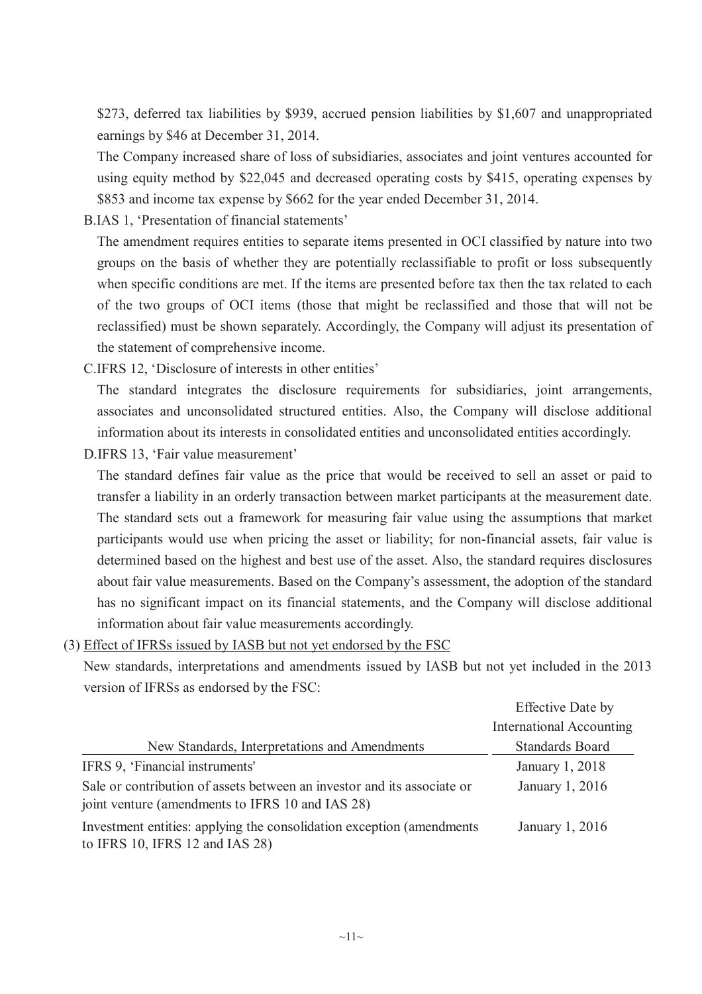\$273, deferred tax liabilities by \$939, accrued pension liabilities by \$1,607 and unappropriated earnings by \$46 at December 31, 2014.

The Company increased share of loss of subsidiaries, associates and joint ventures accounted for using equity method by \$22,045 and decreased operating costs by \$415, operating expenses by \$853 and income tax expense by \$662 for the year ended December 31, 2014.

B.IAS 1, 'Presentation of financial statements'

The amendment requires entities to separate items presented in OCI classified by nature into two groups on the basis of whether they are potentially reclassifiable to profit or loss subsequently when specific conditions are met. If the items are presented before tax then the tax related to each of the two groups of OCI items (those that might be reclassified and those that will not be reclassified) must be shown separately. Accordingly, the Company will adjust its presentation of the statement of comprehensive income.

C.IFRS 12, 'Disclosure of interests in other entities'

The standard integrates the disclosure requirements for subsidiaries, joint arrangements, associates and unconsolidated structured entities. Also, the Company will disclose additional information about its interests in consolidated entities and unconsolidated entities accordingly.

D.IFRS 13, 'Fair value measurement'

The standard defines fair value as the price that would be received to sell an asset or paid to transfer a liability in an orderly transaction between market participants at the measurement date. The standard sets out a framework for measuring fair value using the assumptions that market participants would use when pricing the asset or liability; for non-financial assets, fair value is determined based on the highest and best use of the asset. Also, the standard requires disclosures about fair value measurements. Based on the Company's assessment, the adoption of the standard has no significant impact on its financial statements, and the Company will disclose additional information about fair value measurements accordingly.

(3) Effect of IFRSs issued by IASB but not yet endorsed by the FSC

New standards, interpretations and amendments issued by IASB but not yet included in the 2013 version of IFRSs as endorsed by the FSC:

|                                                                                                                             | <b>Effective Date by</b>        |
|-----------------------------------------------------------------------------------------------------------------------------|---------------------------------|
|                                                                                                                             | <b>International Accounting</b> |
| New Standards, Interpretations and Amendments                                                                               | <b>Standards Board</b>          |
| IFRS 9, 'Financial instruments'                                                                                             | January 1, 2018                 |
| Sale or contribution of assets between an investor and its associate or<br>joint venture (amendments to IFRS 10 and IAS 28) | January 1, 2016                 |
| Investment entities: applying the consolidation exception (amendments)<br>to IFRS 10, IFRS 12 and IAS 28)                   | January 1, 2016                 |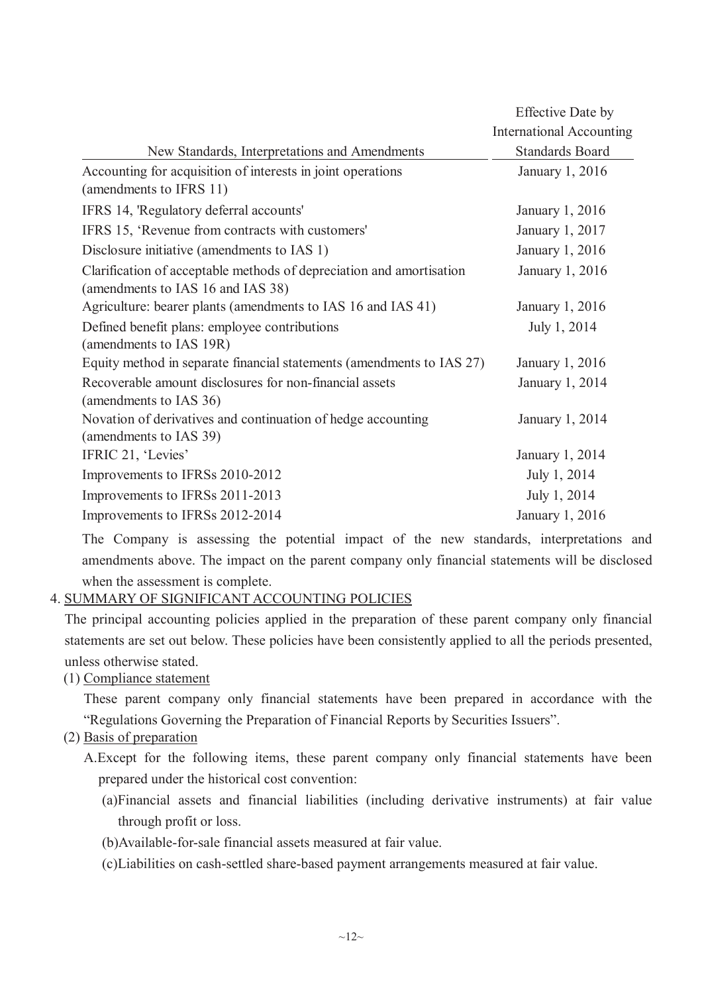|                                                                       | Effective Date by               |
|-----------------------------------------------------------------------|---------------------------------|
|                                                                       | <b>International Accounting</b> |
| New Standards, Interpretations and Amendments                         | <b>Standards Board</b>          |
| Accounting for acquisition of interests in joint operations           | January 1, 2016                 |
| (amendments to IFRS 11)                                               |                                 |
| IFRS 14, 'Regulatory deferral accounts'                               | January 1, 2016                 |
| IFRS 15, 'Revenue from contracts with customers'                      | January 1, 2017                 |
| Disclosure initiative (amendments to IAS 1)                           | January 1, 2016                 |
| Clarification of acceptable methods of depreciation and amortisation  | January 1, 2016                 |
| (amendments to IAS 16 and IAS 38)                                     |                                 |
| Agriculture: bearer plants (amendments to IAS 16 and IAS 41)          | January 1, 2016                 |
| Defined benefit plans: employee contributions                         | July 1, 2014                    |
| (amendments to IAS 19R)                                               |                                 |
| Equity method in separate financial statements (amendments to IAS 27) | January 1, 2016                 |
| Recoverable amount disclosures for non-financial assets               | January 1, 2014                 |
| (amendments to IAS 36)                                                |                                 |
| Novation of derivatives and continuation of hedge accounting          | January 1, 2014                 |
| (amendments to IAS 39)                                                |                                 |
| IFRIC 21, 'Levies'                                                    | January 1, 2014                 |
| Improvements to IFRSs 2010-2012                                       | July 1, 2014                    |
| Improvements to IFRSs 2011-2013                                       | July 1, 2014                    |
| Improvements to IFRSs 2012-2014                                       | January 1, 2016                 |

The Company is assessing the potential impact of the new standards, interpretations and amendments above. The impact on the parent company only financial statements will be disclosed when the assessment is complete.

# 4. SUMMARY OF SIGNIFICANT ACCOUNTING POLICIES

The principal accounting policies applied in the preparation of these parent company only financial statements are set out below. These policies have been consistently applied to all the periods presented, unless otherwise stated.

(1) Compliance statement

These parent company only financial statements have been prepared in accordance with the "Regulations Governing the Preparation of Financial Reports by Securities Issuers".

- (2) Basis of preparation
	- A.Except for the following items, these parent company only financial statements have been prepared under the historical cost convention:
		- (a)Financial assets and financial liabilities (including derivative instruments) at fair value through profit or loss.
		- (b)Available-for-sale financial assets measured at fair value.
		- (c)Liabilities on cash-settled share-based payment arrangements measured at fair value.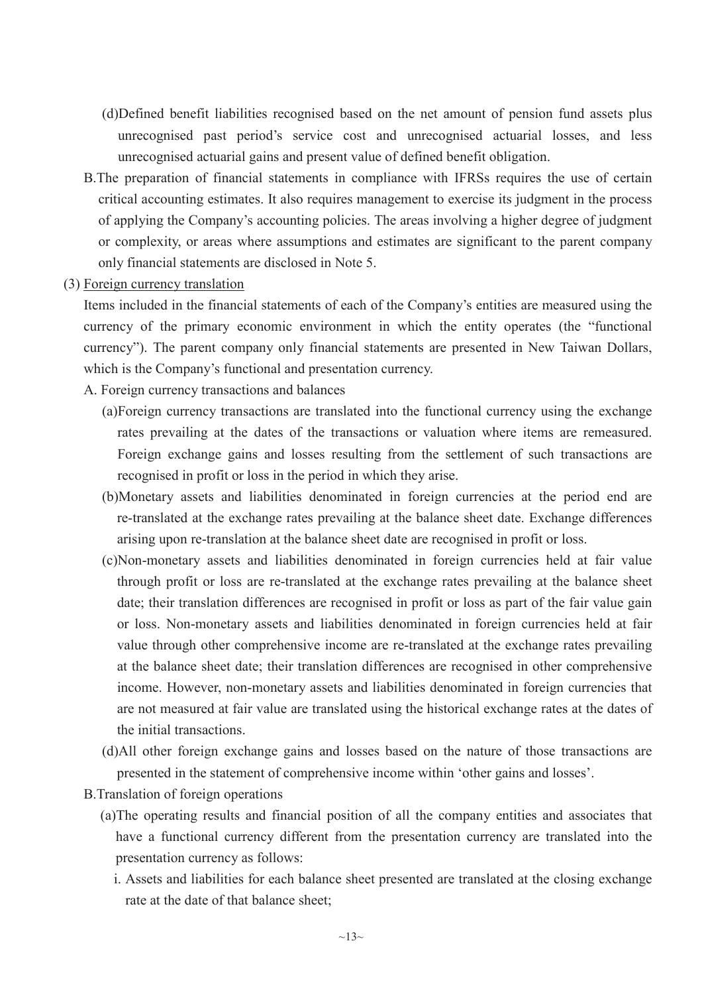- (d)Defined benefit liabilities recognised based on the net amount of pension fund assets plus unrecognised past period's service cost and unrecognised actuarial losses, and less unrecognised actuarial gains and present value of defined benefit obligation.
- B.The preparation of financial statements in compliance with IFRSs requires the use of certain critical accounting estimates. It also requires management to exercise its judgment in the process of applying the Company's accounting policies. The areas involving a higher degree of judgment or complexity, or areas where assumptions and estimates are significant to the parent company only financial statements are disclosed in Note 5.
- (3) Foreign currency translation

Items included in the financial statements of each of the Company's entities are measured using the currency of the primary economic environment in which the entity operates (the "functional currency"). The parent company only financial statements are presented in New Taiwan Dollars, which is the Company's functional and presentation currency.

- A. Foreign currency transactions and balances
	- (a)Foreign currency transactions are translated into the functional currency using the exchange rates prevailing at the dates of the transactions or valuation where items are remeasured. Foreign exchange gains and losses resulting from the settlement of such transactions are recognised in profit or loss in the period in which they arise.
	- (b)Monetary assets and liabilities denominated in foreign currencies at the period end are re-translated at the exchange rates prevailing at the balance sheet date. Exchange differences arising upon re-translation at the balance sheet date are recognised in profit or loss.
	- (c)Non-monetary assets and liabilities denominated in foreign currencies held at fair value through profit or loss are re-translated at the exchange rates prevailing at the balance sheet date; their translation differences are recognised in profit or loss as part of the fair value gain or loss. Non-monetary assets and liabilities denominated in foreign currencies held at fair value through other comprehensive income are re-translated at the exchange rates prevailing at the balance sheet date; their translation differences are recognised in other comprehensive income. However, non-monetary assets and liabilities denominated in foreign currencies that are not measured at fair value are translated using the historical exchange rates at the dates of the initial transactions.
	- (d)All other foreign exchange gains and losses based on the nature of those transactions are presented in the statement of comprehensive income within 'other gains and losses'.
- B.Translation of foreign operations
	- (a)The operating results and financial position of all the company entities and associates that have a functional currency different from the presentation currency are translated into the presentation currency as follows:
		- i. Assets and liabilities for each balance sheet presented are translated at the closing exchange rate at the date of that balance sheet;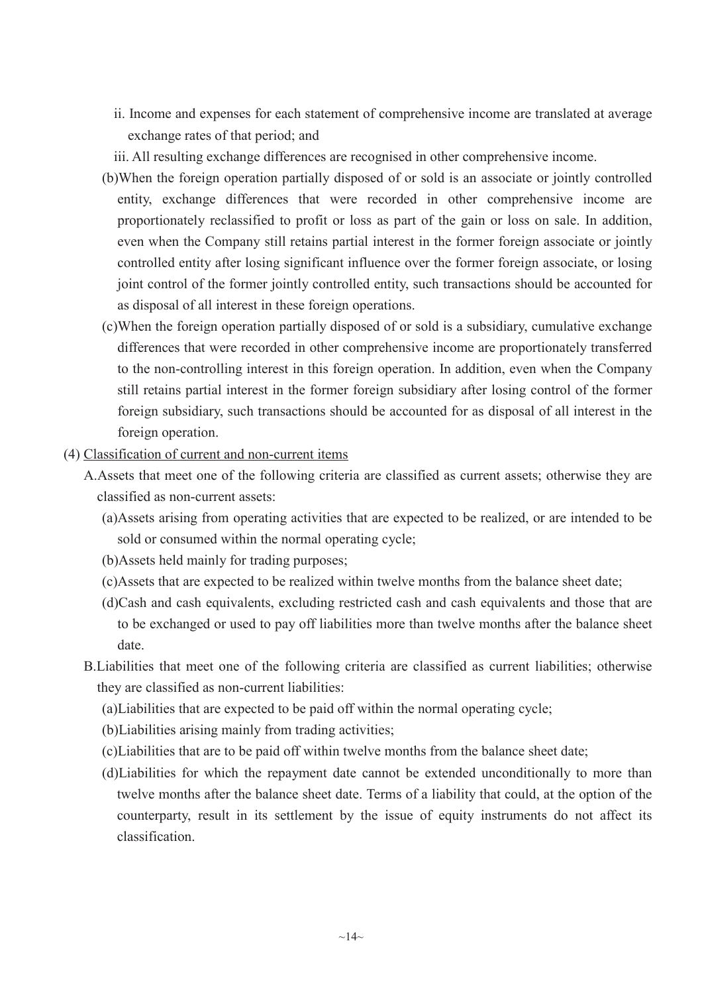- ii. Income and expenses for each statement of comprehensive income are translated at average exchange rates of that period; and
- iii. All resulting exchange differences are recognised in other comprehensive income.
- (b)When the foreign operation partially disposed of or sold is an associate or jointly controlled entity, exchange differences that were recorded in other comprehensive income are proportionately reclassified to profit or loss as part of the gain or loss on sale. In addition, even when the Company still retains partial interest in the former foreign associate or jointly controlled entity after losing significant influence over the former foreign associate, or losing joint control of the former jointly controlled entity, such transactions should be accounted for as disposal of all interest in these foreign operations.
- (c)When the foreign operation partially disposed of or sold is a subsidiary, cumulative exchange differences that were recorded in other comprehensive income are proportionately transferred to the non-controlling interest in this foreign operation. In addition, even when the Company still retains partial interest in the former foreign subsidiary after losing control of the former foreign subsidiary, such transactions should be accounted for as disposal of all interest in the foreign operation.
- (4) Classification of current and non-current items
	- A.Assets that meet one of the following criteria are classified as current assets; otherwise they are classified as non-current assets:
		- (a)Assets arising from operating activities that are expected to be realized, or are intended to be sold or consumed within the normal operating cycle;
		- (b)Assets held mainly for trading purposes;
		- (c)Assets that are expected to be realized within twelve months from the balance sheet date;
		- (d)Cash and cash equivalents, excluding restricted cash and cash equivalents and those that are to be exchanged or used to pay off liabilities more than twelve months after the balance sheet date.
	- B.Liabilities that meet one of the following criteria are classified as current liabilities; otherwise they are classified as non-current liabilities:
		- (a)Liabilities that are expected to be paid off within the normal operating cycle;
		- (b)Liabilities arising mainly from trading activities;
		- (c)Liabilities that are to be paid off within twelve months from the balance sheet date;
		- (d)Liabilities for which the repayment date cannot be extended unconditionally to more than twelve months after the balance sheet date. Terms of a liability that could, at the option of the counterparty, result in its settlement by the issue of equity instruments do not affect its classification.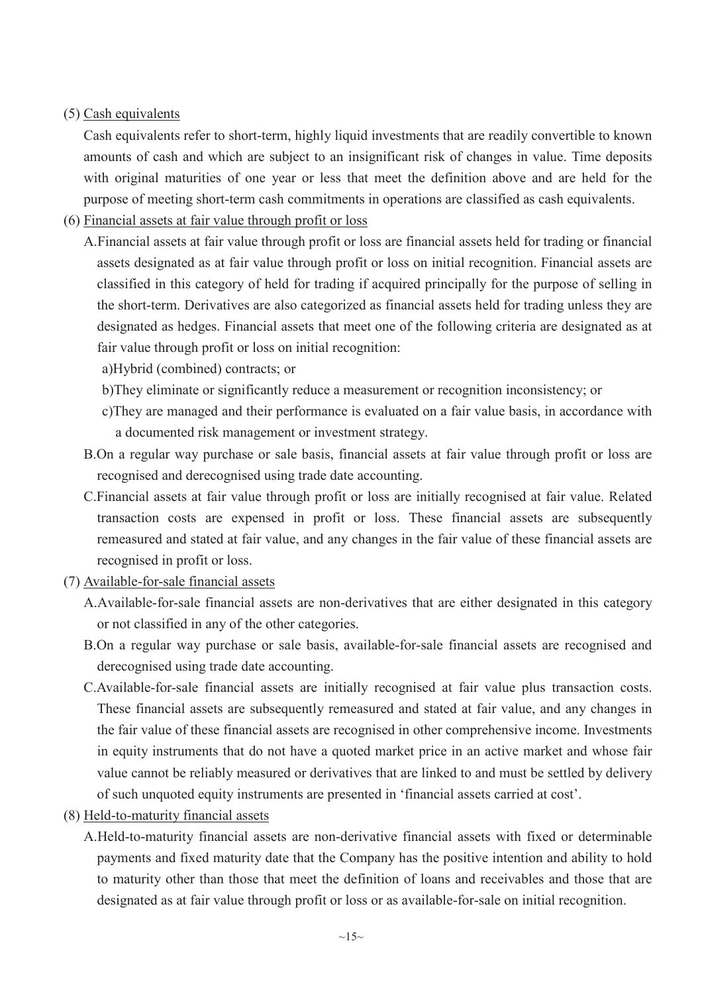## (5) Cash equivalents

Cash equivalents refer to short-term, highly liquid investments that are readily convertible to known amounts of cash and which are subject to an insignificant risk of changes in value. Time deposits with original maturities of one year or less that meet the definition above and are held for the purpose of meeting short-term cash commitments in operations are classified as cash equivalents.

- (6) Financial assets at fair value through profit or loss
	- A.Financial assets at fair value through profit or loss are financial assets held for trading or financial assets designated as at fair value through profit or loss on initial recognition. Financial assets are classified in this category of held for trading if acquired principally for the purpose of selling in the short-term. Derivatives are also categorized as financial assets held for trading unless they are designated as hedges. Financial assets that meet one of the following criteria are designated as at fair value through profit or loss on initial recognition:

a)Hybrid (combined) contracts; or

- b)They eliminate or significantly reduce a measurement or recognition inconsistency; or
- c)They are managed and their performance is evaluated on a fair value basis, in accordance with a documented risk management or investment strategy.
- B.On a regular way purchase or sale basis, financial assets at fair value through profit or loss are recognised and derecognised using trade date accounting.
- C.Financial assets at fair value through profit or loss are initially recognised at fair value. Related transaction costs are expensed in profit or loss. These financial assets are subsequently remeasured and stated at fair value, and any changes in the fair value of these financial assets are recognised in profit or loss.
- (7) Available-for-sale financial assets
	- A.Available-for-sale financial assets are non-derivatives that are either designated in this category or not classified in any of the other categories.
	- B.On a regular way purchase or sale basis, available-for-sale financial assets are recognised and derecognised using trade date accounting.
	- C.Available-for-sale financial assets are initially recognised at fair value plus transaction costs. These financial assets are subsequently remeasured and stated at fair value, and any changes in the fair value of these financial assets are recognised in other comprehensive income. Investments in equity instruments that do not have a quoted market price in an active market and whose fair value cannot be reliably measured or derivatives that are linked to and must be settled by delivery of such unquoted equity instruments are presented in 'financial assets carried at cost'.
- (8) Held-to-maturity financial assets
	- A.Held-to-maturity financial assets are non-derivative financial assets with fixed or determinable payments and fixed maturity date that the Company has the positive intention and ability to hold to maturity other than those that meet the definition of loans and receivables and those that are designated as at fair value through profit or loss or as available-for-sale on initial recognition.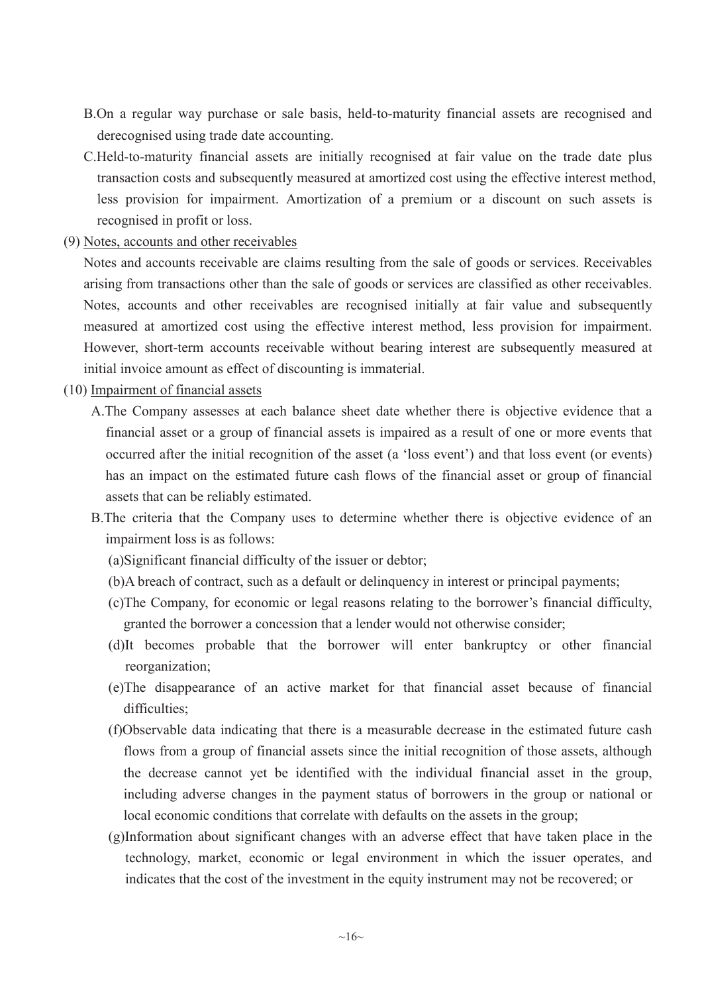- B.On a regular way purchase or sale basis, held-to-maturity financial assets are recognised and derecognised using trade date accounting.
- C.Held-to-maturity financial assets are initially recognised at fair value on the trade date plus transaction costs and subsequently measured at amortized cost using the effective interest method, less provision for impairment. Amortization of a premium or a discount on such assets is recognised in profit or loss.
- (9) Notes, accounts and other receivables

Notes and accounts receivable are claims resulting from the sale of goods or services. Receivables arising from transactions other than the sale of goods or services are classified as other receivables. Notes, accounts and other receivables are recognised initially at fair value and subsequently measured at amortized cost using the effective interest method, less provision for impairment. However, short-term accounts receivable without bearing interest are subsequently measured at initial invoice amount as effect of discounting is immaterial.

- (10) Impairment of financial assets
	- A.The Company assesses at each balance sheet date whether there is objective evidence that a financial asset or a group of financial assets is impaired as a result of one or more events that occurred after the initial recognition of the asset (a 'loss event') and that loss event (or events) has an impact on the estimated future cash flows of the financial asset or group of financial assets that can be reliably estimated.
	- B.The criteria that the Company uses to determine whether there is objective evidence of an impairment loss is as follows:
		- (a)Significant financial difficulty of the issuer or debtor;
		- (b)A breach of contract, such as a default or delinquency in interest or principal payments;
		- (c)The Company, for economic or legal reasons relating to the borrower's financial difficulty, granted the borrower a concession that a lender would not otherwise consider;
		- (d)It becomes probable that the borrower will enter bankruptcy or other financial reorganization;
		- (e)The disappearance of an active market for that financial asset because of financial difficulties;
		- (f)Observable data indicating that there is a measurable decrease in the estimated future cash flows from a group of financial assets since the initial recognition of those assets, although the decrease cannot yet be identified with the individual financial asset in the group, including adverse changes in the payment status of borrowers in the group or national or local economic conditions that correlate with defaults on the assets in the group;
		- (g)Information about significant changes with an adverse effect that have taken place in the technology, market, economic or legal environment in which the issuer operates, and indicates that the cost of the investment in the equity instrument may not be recovered; or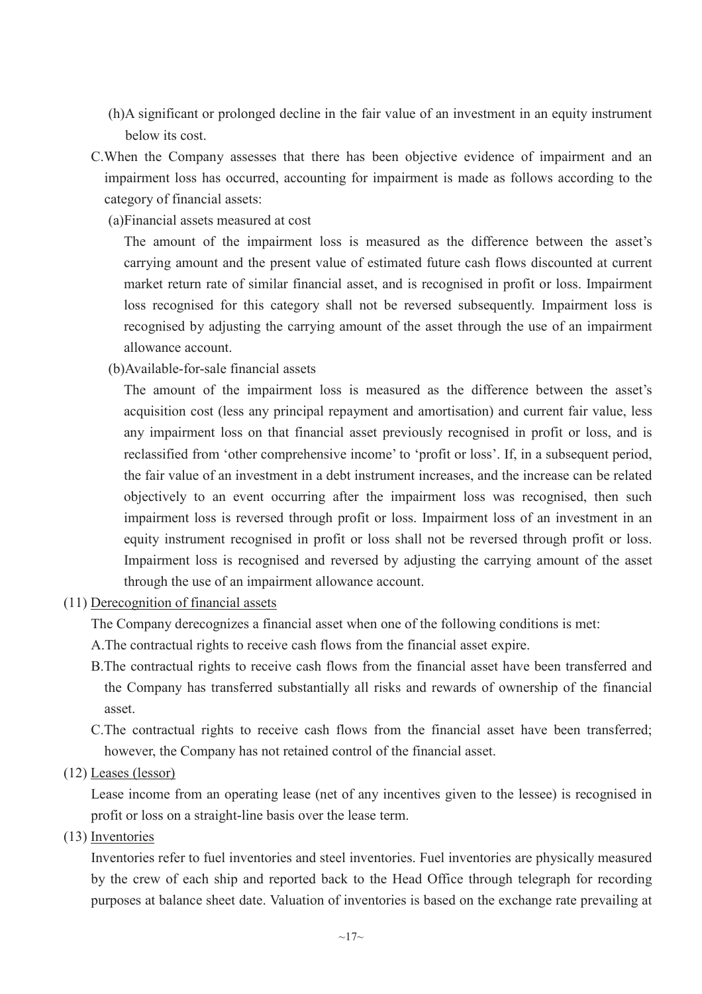- (h)A significant or prolonged decline in the fair value of an investment in an equity instrument below its cost.
- C.When the Company assesses that there has been objective evidence of impairment and an impairment loss has occurred, accounting for impairment is made as follows according to the category of financial assets:
	- (a)Financial assets measured at cost

The amount of the impairment loss is measured as the difference between the asset's carrying amount and the present value of estimated future cash flows discounted at current market return rate of similar financial asset, and is recognised in profit or loss. Impairment loss recognised for this category shall not be reversed subsequently. Impairment loss is recognised by adjusting the carrying amount of the asset through the use of an impairment allowance account.

(b)Available-for-sale financial assets

The amount of the impairment loss is measured as the difference between the asset's acquisition cost (less any principal repayment and amortisation) and current fair value, less any impairment loss on that financial asset previously recognised in profit or loss, and is reclassified from 'other comprehensive income' to 'profit or loss'. If, in a subsequent period, the fair value of an investment in a debt instrument increases, and the increase can be related objectively to an event occurring after the impairment loss was recognised, then such impairment loss is reversed through profit or loss. Impairment loss of an investment in an equity instrument recognised in profit or loss shall not be reversed through profit or loss. Impairment loss is recognised and reversed by adjusting the carrying amount of the asset through the use of an impairment allowance account.

(11) Derecognition of financial assets

The Company derecognizes a financial asset when one of the following conditions is met:

- A.The contractual rights to receive cash flows from the financial asset expire.
- B.The contractual rights to receive cash flows from the financial asset have been transferred and the Company has transferred substantially all risks and rewards of ownership of the financial asset.
- C.The contractual rights to receive cash flows from the financial asset have been transferred; however, the Company has not retained control of the financial asset.
- (12) Leases (lessor)

Lease income from an operating lease (net of any incentives given to the lessee) is recognised in profit or loss on a straight-line basis over the lease term.

(13) Inventories

Inventories refer to fuel inventories and steel inventories. Fuel inventories are physically measured by the crew of each ship and reported back to the Head Office through telegraph for recording purposes at balance sheet date. Valuation of inventories is based on the exchange rate prevailing at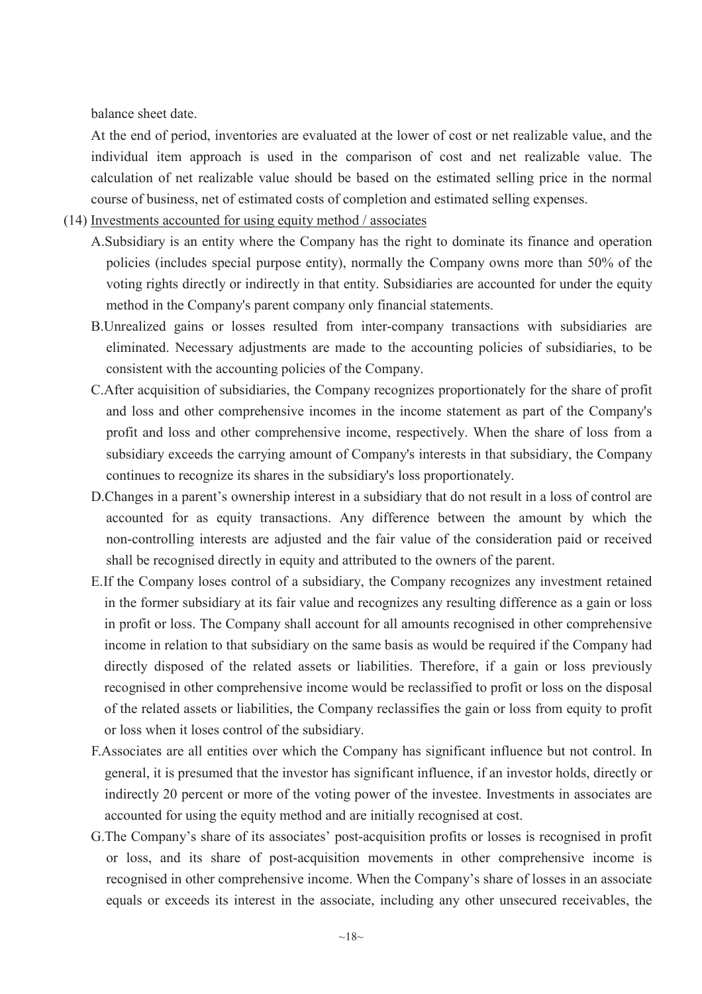balance sheet date.

At the end of period, inventories are evaluated at the lower of cost or net realizable value, and the individual item approach is used in the comparison of cost and net realizable value. The calculation of net realizable value should be based on the estimated selling price in the normal course of business, net of estimated costs of completion and estimated selling expenses.

- (14) Investments accounted for using equity method / associates
	- A.Subsidiary is an entity where the Company has the right to dominate its finance and operation policies (includes special purpose entity), normally the Company owns more than 50% of the voting rights directly or indirectly in that entity. Subsidiaries are accounted for under the equity method in the Company's parent company only financial statements.
	- B.Unrealized gains or losses resulted from inter-company transactions with subsidiaries are eliminated. Necessary adjustments are made to the accounting policies of subsidiaries, to be consistent with the accounting policies of the Company.
	- C.After acquisition of subsidiaries, the Company recognizes proportionately for the share of profit and loss and other comprehensive incomes in the income statement as part of the Company's profit and loss and other comprehensive income, respectively. When the share of loss from a subsidiary exceeds the carrying amount of Company's interests in that subsidiary, the Company continues to recognize its shares in the subsidiary's loss proportionately.
	- D.Changes in a parent's ownership interest in a subsidiary that do not result in a loss of control are accounted for as equity transactions. Any difference between the amount by which the non-controlling interests are adjusted and the fair value of the consideration paid or received shall be recognised directly in equity and attributed to the owners of the parent.
	- E.If the Company loses control of a subsidiary, the Company recognizes any investment retained in the former subsidiary at its fair value and recognizes any resulting difference as a gain or loss in profit or loss. The Company shall account for all amounts recognised in other comprehensive income in relation to that subsidiary on the same basis as would be required if the Company had directly disposed of the related assets or liabilities. Therefore, if a gain or loss previously recognised in other comprehensive income would be reclassified to profit or loss on the disposal of the related assets or liabilities, the Company reclassifies the gain or loss from equity to profit or loss when it loses control of the subsidiary.
	- F.Associates are all entities over which the Company has significant influence but not control. In general, it is presumed that the investor has significant influence, if an investor holds, directly or indirectly 20 percent or more of the voting power of the investee. Investments in associates are accounted for using the equity method and are initially recognised at cost.
	- G.The Company's share of its associates' post-acquisition profits or losses is recognised in profit or loss, and its share of post-acquisition movements in other comprehensive income is recognised in other comprehensive income. When the Company's share of losses in an associate equals or exceeds its interest in the associate, including any other unsecured receivables, the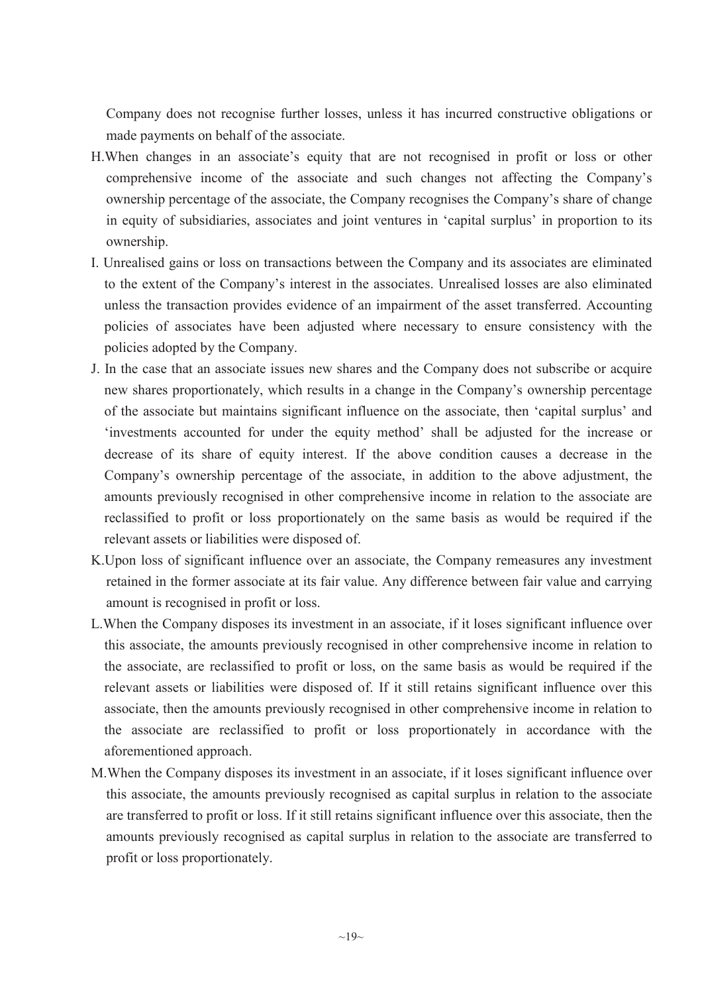Company does not recognise further losses, unless it has incurred constructive obligations or made payments on behalf of the associate.

- H.When changes in an associate's equity that are not recognised in profit or loss or other comprehensive income of the associate and such changes not affecting the Company's ownership percentage of the associate, the Company recognises the Company's share of change in equity of subsidiaries, associates and joint ventures in 'capital surplus' in proportion to its ownership.
- I. Unrealised gains or loss on transactions between the Company and its associates are eliminated to the extent of the Company's interest in the associates. Unrealised losses are also eliminated unless the transaction provides evidence of an impairment of the asset transferred. Accounting policies of associates have been adjusted where necessary to ensure consistency with the policies adopted by the Company.
- J. In the case that an associate issues new shares and the Company does not subscribe or acquire new shares proportionately, which results in a change in the Company's ownership percentage of the associate but maintains significant influence on the associate, then 'capital surplus' and 'investments accounted for under the equity method' shall be adjusted for the increase or decrease of its share of equity interest. If the above condition causes a decrease in the Company's ownership percentage of the associate, in addition to the above adjustment, the amounts previously recognised in other comprehensive income in relation to the associate are reclassified to profit or loss proportionately on the same basis as would be required if the relevant assets or liabilities were disposed of.
- K.Upon loss of significant influence over an associate, the Company remeasures any investment retained in the former associate at its fair value. Any difference between fair value and carrying amount is recognised in profit or loss.
- L.When the Company disposes its investment in an associate, if it loses significant influence over this associate, the amounts previously recognised in other comprehensive income in relation to the associate, are reclassified to profit or loss, on the same basis as would be required if the relevant assets or liabilities were disposed of. If it still retains significant influence over this associate, then the amounts previously recognised in other comprehensive income in relation to the associate are reclassified to profit or loss proportionately in accordance with the aforementioned approach.
- M.When the Company disposes its investment in an associate, if it loses significant influence over this associate, the amounts previously recognised as capital surplus in relation to the associate are transferred to profit or loss. If it still retains significant influence over this associate, then the amounts previously recognised as capital surplus in relation to the associate are transferred to profit or loss proportionately.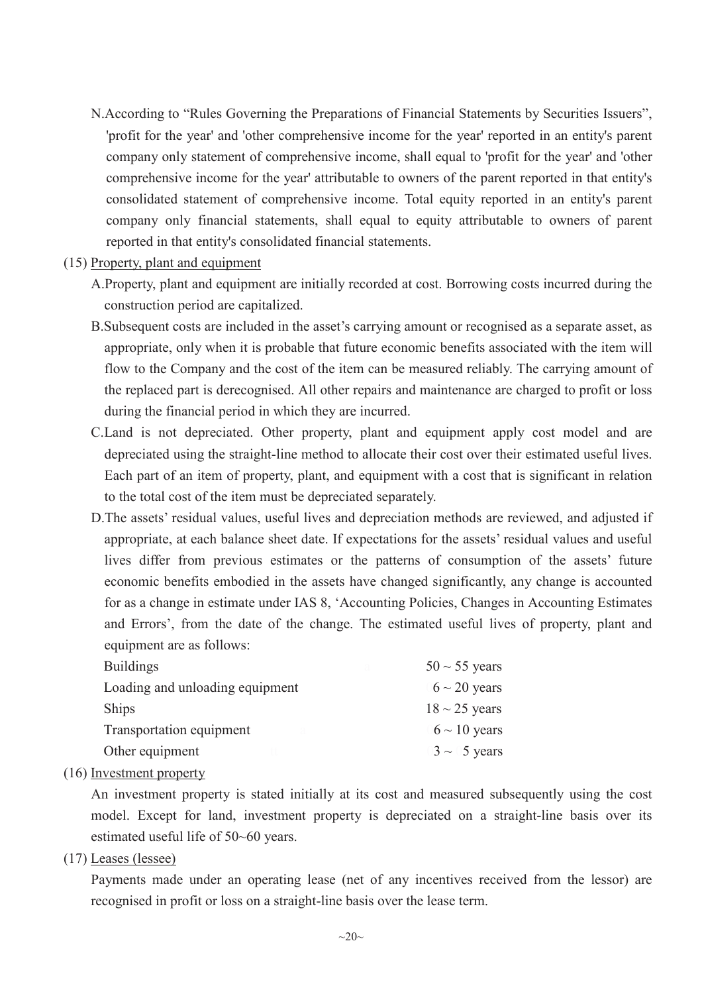- N.According to "Rules Governing the Preparations of Financial Statements by Securities Issuers", 'profit for the year' and 'other comprehensive income for the year' reported in an entity's parent company only statement of comprehensive income, shall equal to 'profit for the year' and 'other comprehensive income for the year' attributable to owners of the parent reported in that entity's consolidated statement of comprehensive income. Total equity reported in an entity's parent company only financial statements, shall equal to equity attributable to owners of parent reported in that entity's consolidated financial statements.
- (15) Property, plant and equipment
	- A.Property, plant and equipment are initially recorded at cost. Borrowing costs incurred during the construction period are capitalized.
	- B.Subsequent costs are included in the asset's carrying amount or recognised as a separate asset, as appropriate, only when it is probable that future economic benefits associated with the item will flow to the Company and the cost of the item can be measured reliably. The carrying amount of the replaced part is derecognised. All other repairs and maintenance are charged to profit or loss during the financial period in which they are incurred.
	- C.Land is not depreciated. Other property, plant and equipment apply cost model and are depreciated using the straight-line method to allocate their cost over their estimated useful lives. Each part of an item of property, plant, and equipment with a cost that is significant in relation to the total cost of the item must be depreciated separately.
	- D.The assets' residual values, useful lives and depreciation methods are reviewed, and adjusted if appropriate, at each balance sheet date. If expectations for the assets' residual values and useful lives differ from previous estimates or the patterns of consumption of the assets' future economic benefits embodied in the assets have changed significantly, any change is accounted for as a change in estimate under IAS 8, 'Accounting Policies, Changes in Accounting Estimates and Errors', from the date of the change. The estimated useful lives of property, plant and equipment are as follows:

| <b>Buildings</b>                | $50 \sim 55$ years |
|---------------------------------|--------------------|
| Loading and unloading equipment | $6 \sim 20$ years  |
| <b>Ships</b>                    | $18 \sim 25$ years |
| Transportation equipment        | $6 \sim 10$ years  |
| Other equipment                 | $3 \sim 5$ years   |

(16) Investment property

An investment property is stated initially at its cost and measured subsequently using the cost model. Except for land, investment property is depreciated on a straight-line basis over its estimated useful life of 50~60 years.

(17) Leases (lessee)

Payments made under an operating lease (net of any incentives received from the lessor) are recognised in profit or loss on a straight-line basis over the lease term.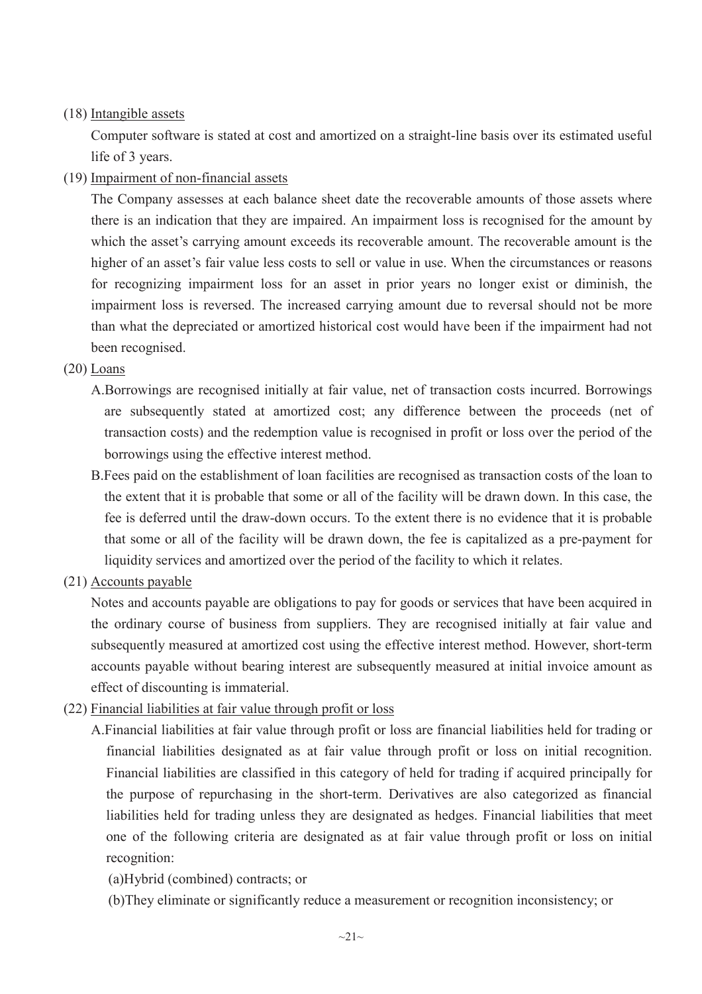## (18) Intangible assets

Computer software is stated at cost and amortized on a straight-line basis over its estimated useful life of 3 years.

(19) Impairment of non-financial assets

The Company assesses at each balance sheet date the recoverable amounts of those assets where there is an indication that they are impaired. An impairment loss is recognised for the amount by which the asset's carrying amount exceeds its recoverable amount. The recoverable amount is the higher of an asset's fair value less costs to sell or value in use. When the circumstances or reasons for recognizing impairment loss for an asset in prior years no longer exist or diminish, the impairment loss is reversed. The increased carrying amount due to reversal should not be more than what the depreciated or amortized historical cost would have been if the impairment had not been recognised.

## (20) Loans

- A.Borrowings are recognised initially at fair value, net of transaction costs incurred. Borrowings are subsequently stated at amortized cost; any difference between the proceeds (net of transaction costs) and the redemption value is recognised in profit or loss over the period of the borrowings using the effective interest method.
- B.Fees paid on the establishment of loan facilities are recognised as transaction costs of the loan to the extent that it is probable that some or all of the facility will be drawn down. In this case, the fee is deferred until the draw-down occurs. To the extent there is no evidence that it is probable that some or all of the facility will be drawn down, the fee is capitalized as a pre-payment for liquidity services and amortized over the period of the facility to which it relates.
- (21) Accounts payable

Notes and accounts payable are obligations to pay for goods or services that have been acquired in the ordinary course of business from suppliers. They are recognised initially at fair value and subsequently measured at amortized cost using the effective interest method. However, short-term accounts payable without bearing interest are subsequently measured at initial invoice amount as effect of discounting is immaterial.

- (22) Financial liabilities at fair value through profit or loss
	- A.Financial liabilities at fair value through profit or loss are financial liabilities held for trading or financial liabilities designated as at fair value through profit or loss on initial recognition. Financial liabilities are classified in this category of held for trading if acquired principally for the purpose of repurchasing in the short-term. Derivatives are also categorized as financial liabilities held for trading unless they are designated as hedges. Financial liabilities that meet one of the following criteria are designated as at fair value through profit or loss on initial recognition:
		- (a)Hybrid (combined) contracts; or
		- (b)They eliminate or significantly reduce a measurement or recognition inconsistency; or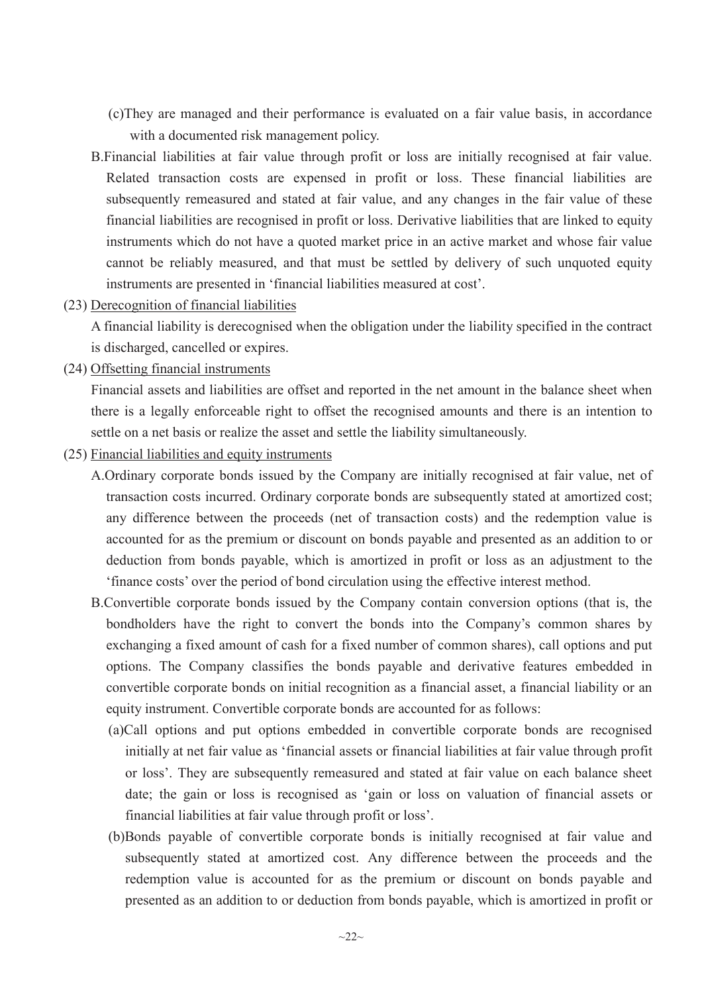- (c)They are managed and their performance is evaluated on a fair value basis, in accordance with a documented risk management policy.
- B.Financial liabilities at fair value through profit or loss are initially recognised at fair value. Related transaction costs are expensed in profit or loss. These financial liabilities are subsequently remeasured and stated at fair value, and any changes in the fair value of these financial liabilities are recognised in profit or loss. Derivative liabilities that are linked to equity instruments which do not have a quoted market price in an active market and whose fair value cannot be reliably measured, and that must be settled by delivery of such unquoted equity instruments are presented in 'financial liabilities measured at cost'.
- (23) Derecognition of financial liabilities

A financial liability is derecognised when the obligation under the liability specified in the contract is discharged, cancelled or expires.

(24) Offsetting financial instruments

Financial assets and liabilities are offset and reported in the net amount in the balance sheet when there is a legally enforceable right to offset the recognised amounts and there is an intention to settle on a net basis or realize the asset and settle the liability simultaneously.

- (25) Financial liabilities and equity instruments
	- A.Ordinary corporate bonds issued by the Company are initially recognised at fair value, net of transaction costs incurred. Ordinary corporate bonds are subsequently stated at amortized cost; any difference between the proceeds (net of transaction costs) and the redemption value is accounted for as the premium or discount on bonds payable and presented as an addition to or deduction from bonds payable, which is amortized in profit or loss as an adjustment to the 'finance costs' over the period of bond circulation using the effective interest method.
	- B.Convertible corporate bonds issued by the Company contain conversion options (that is, the bondholders have the right to convert the bonds into the Company's common shares by exchanging a fixed amount of cash for a fixed number of common shares), call options and put options. The Company classifies the bonds payable and derivative features embedded in convertible corporate bonds on initial recognition as a financial asset, a financial liability or an equity instrument. Convertible corporate bonds are accounted for as follows:
		- (a)Call options and put options embedded in convertible corporate bonds are recognised initially at net fair value as 'financial assets or financial liabilities at fair value through profit or loss'. They are subsequently remeasured and stated at fair value on each balance sheet date; the gain or loss is recognised as 'gain or loss on valuation of financial assets or financial liabilities at fair value through profit or loss'.
		- (b)Bonds payable of convertible corporate bonds is initially recognised at fair value and subsequently stated at amortized cost. Any difference between the proceeds and the redemption value is accounted for as the premium or discount on bonds payable and presented as an addition to or deduction from bonds payable, which is amortized in profit or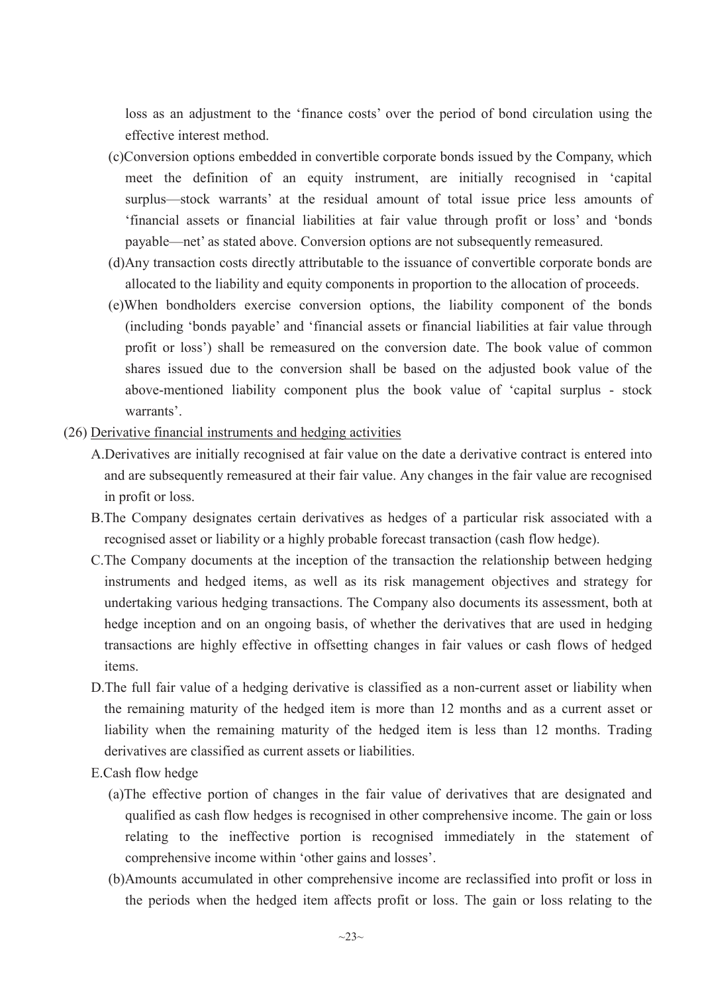loss as an adjustment to the 'finance costs' over the period of bond circulation using the effective interest method.

- (c)Conversion options embedded in convertible corporate bonds issued by the Company, which meet the definition of an equity instrument, are initially recognised in 'capital surplus—stock warrants' at the residual amount of total issue price less amounts of 'financial assets or financial liabilities at fair value through profit or loss' and 'bonds payable—net' as stated above. Conversion options are not subsequently remeasured.
- (d)Any transaction costs directly attributable to the issuance of convertible corporate bonds are allocated to the liability and equity components in proportion to the allocation of proceeds.
- (e)When bondholders exercise conversion options, the liability component of the bonds (including 'bonds payable' and 'financial assets or financial liabilities at fair value through profit or loss') shall be remeasured on the conversion date. The book value of common shares issued due to the conversion shall be based on the adjusted book value of the above-mentioned liability component plus the book value of 'capital surplus - stock warrants'.
- (26) Derivative financial instruments and hedging activities
	- A.Derivatives are initially recognised at fair value on the date a derivative contract is entered into and are subsequently remeasured at their fair value. Any changes in the fair value are recognised in profit or loss.
	- B.The Company designates certain derivatives as hedges of a particular risk associated with a recognised asset or liability or a highly probable forecast transaction (cash flow hedge).
	- C.The Company documents at the inception of the transaction the relationship between hedging instruments and hedged items, as well as its risk management objectives and strategy for undertaking various hedging transactions. The Company also documents its assessment, both at hedge inception and on an ongoing basis, of whether the derivatives that are used in hedging transactions are highly effective in offsetting changes in fair values or cash flows of hedged items.
	- D.The full fair value of a hedging derivative is classified as a non-current asset or liability when the remaining maturity of the hedged item is more than 12 months and as a current asset or liability when the remaining maturity of the hedged item is less than 12 months. Trading derivatives are classified as current assets or liabilities.
	- E.Cash flow hedge
		- (a)The effective portion of changes in the fair value of derivatives that are designated and qualified as cash flow hedges is recognised in other comprehensive income. The gain or loss relating to the ineffective portion is recognised immediately in the statement of comprehensive income within 'other gains and losses'.
		- (b)Amounts accumulated in other comprehensive income are reclassified into profit or loss in the periods when the hedged item affects profit or loss. The gain or loss relating to the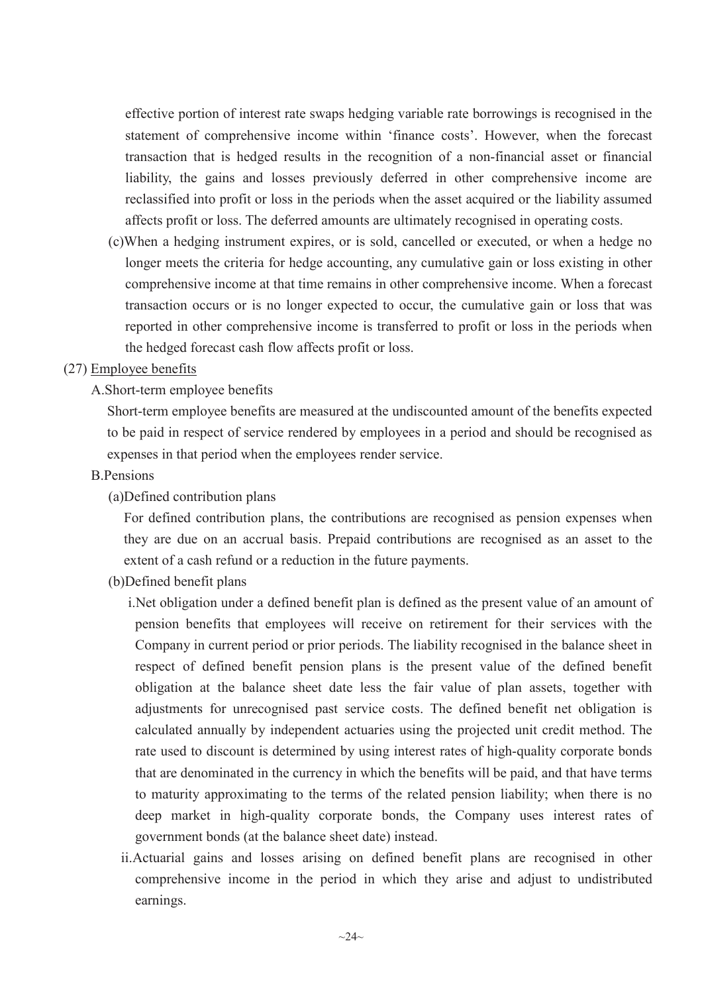effective portion of interest rate swaps hedging variable rate borrowings is recognised in the statement of comprehensive income within 'finance costs'. However, when the forecast transaction that is hedged results in the recognition of a non-financial asset or financial liability, the gains and losses previously deferred in other comprehensive income are reclassified into profit or loss in the periods when the asset acquired or the liability assumed affects profit or loss. The deferred amounts are ultimately recognised in operating costs.

(c)When a hedging instrument expires, or is sold, cancelled or executed, or when a hedge no longer meets the criteria for hedge accounting, any cumulative gain or loss existing in other comprehensive income at that time remains in other comprehensive income. When a forecast transaction occurs or is no longer expected to occur, the cumulative gain or loss that was reported in other comprehensive income is transferred to profit or loss in the periods when the hedged forecast cash flow affects profit or loss.

## (27) Employee benefits

#### A.Short-term employee benefits

Short-term employee benefits are measured at the undiscounted amount of the benefits expected to be paid in respect of service rendered by employees in a period and should be recognised as expenses in that period when the employees render service.

#### B.Pensions

#### (a)Defined contribution plans

For defined contribution plans, the contributions are recognised as pension expenses when they are due on an accrual basis. Prepaid contributions are recognised as an asset to the extent of a cash refund or a reduction in the future payments.

(b)Defined benefit plans

i.Net obligation under a defined benefit plan is defined as the present value of an amount of pension benefits that employees will receive on retirement for their services with the Company in current period or prior periods. The liability recognised in the balance sheet in respect of defined benefit pension plans is the present value of the defined benefit obligation at the balance sheet date less the fair value of plan assets, together with adjustments for unrecognised past service costs. The defined benefit net obligation is calculated annually by independent actuaries using the projected unit credit method. The rate used to discount is determined by using interest rates of high-quality corporate bonds that are denominated in the currency in which the benefits will be paid, and that have terms to maturity approximating to the terms of the related pension liability; when there is no deep market in high-quality corporate bonds, the Company uses interest rates of government bonds (at the balance sheet date) instead.

ii.Actuarial gains and losses arising on defined benefit plans are recognised in other comprehensive income in the period in which they arise and adjust to undistributed earnings.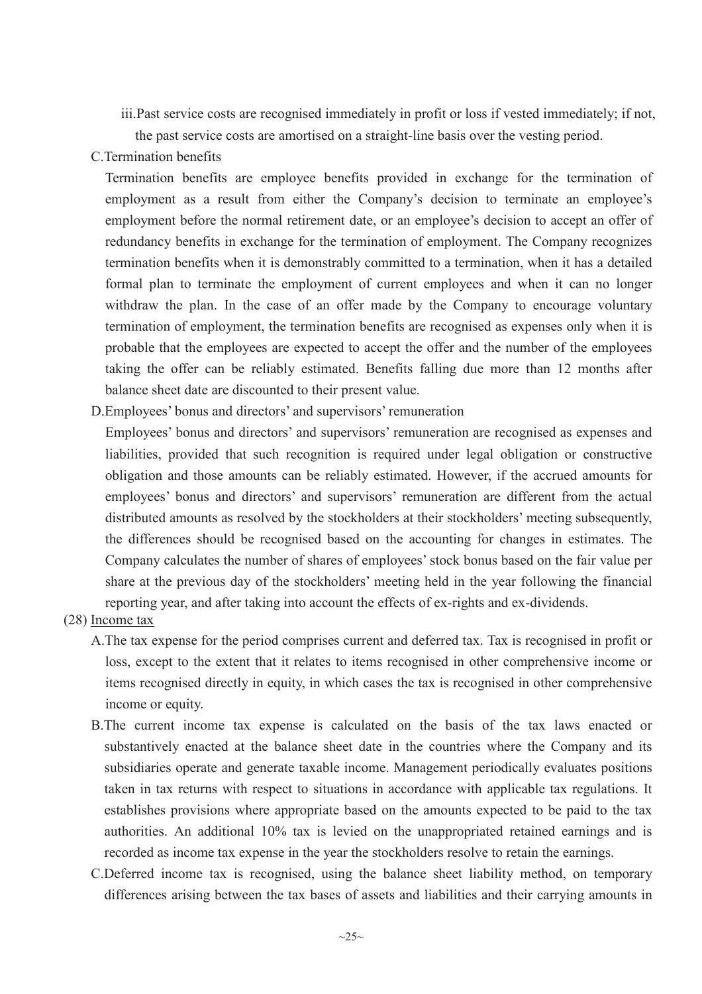iii.Past service costs are recognised immediately in profit or loss if vested immediately; if not,

the past service costs are amortised on a straight-line basis over the vesting period.

# C.Termination benefits

Termination benefits are employee benefits provided in exchange for the termination of employment as a result from either the Company's decision to terminate an employee's employment before the normal retirement date, or an employee's decision to accept an offer of redundancy benefits in exchange for the termination of employment. The Company recognizes termination benefits when it is demonstrably committed to a termination, when it has a detailed formal plan to terminate the employment of current employees and when it can no longer withdraw the plan. In the case of an offer made by the Company to encourage voluntary termination of employment, the termination benefits are recognised as expenses only when it is probable that the employees are expected to accept the offer and the number of the employees taking the offer can be reliably estimated. Benefits falling due more than 12 months after balance sheet date are discounted to their present value.

D.Employees' bonus and directors' and supervisors' remuneration

Employees' bonus and directors' and supervisors' remuneration are recognised as expenses and liabilities, provided that such recognition is required under legal obligation or constructive obligation and those amounts can be reliably estimated. However, if the accrued amounts for employees' bonus and directors' and supervisors' remuneration are different from the actual distributed amounts as resolved by the stockholders at their stockholders' meeting subsequently, the differences should be recognised based on the accounting for changes in estimates. The Company calculates the number of shares of employees' stock bonus based on the fair value per share at the previous day of the stockholders' meeting held in the year following the financial reporting year, and after taking into account the effects of ex-rights and ex-dividends.

## (28) Income tax

- A.The tax expense for the period comprises current and deferred tax. Tax is recognised in profit or loss, except to the extent that it relates to items recognised in other comprehensive income or items recognised directly in equity, in which cases the tax is recognised in other comprehensive income or equity.
- B.The current income tax expense is calculated on the basis of the tax laws enacted or substantively enacted at the balance sheet date in the countries where the Company and its subsidiaries operate and generate taxable income. Management periodically evaluates positions taken in tax returns with respect to situations in accordance with applicable tax regulations. It establishes provisions where appropriate based on the amounts expected to be paid to the tax authorities. An additional 10% tax is levied on the unappropriated retained earnings and is recorded as income tax expense in the year the stockholders resolve to retain the earnings.
- C.Deferred income tax is recognised, using the balance sheet liability method, on temporary differences arising between the tax bases of assets and liabilities and their carrying amounts in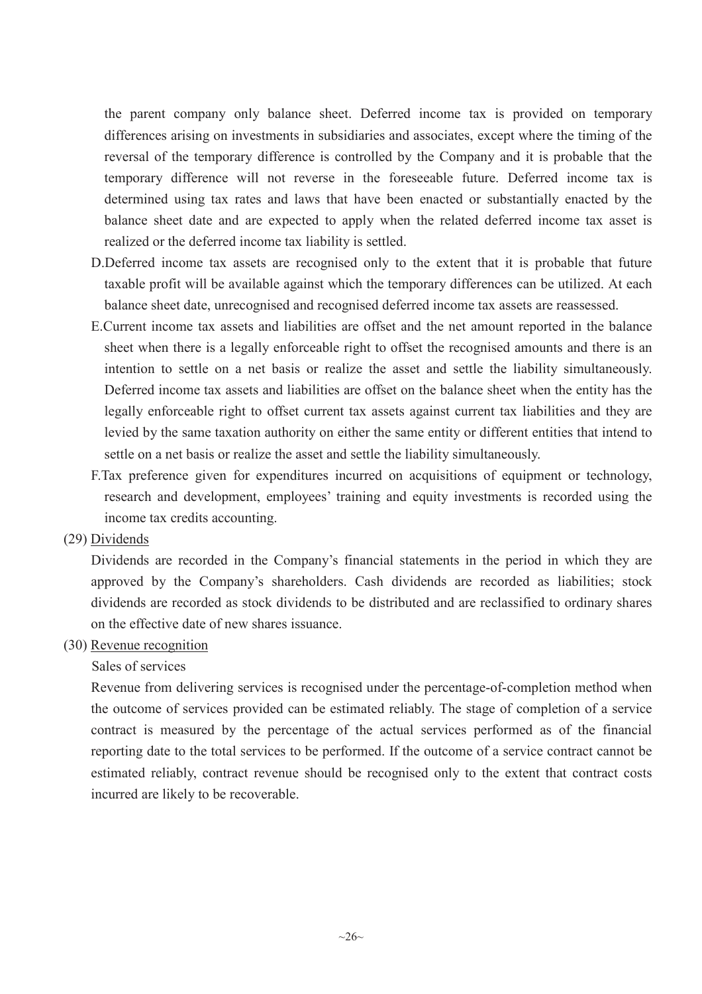the parent company only balance sheet. Deferred income tax is provided on temporary differences arising on investments in subsidiaries and associates, except where the timing of the reversal of the temporary difference is controlled by the Company and it is probable that the temporary difference will not reverse in the foreseeable future. Deferred income tax is determined using tax rates and laws that have been enacted or substantially enacted by the balance sheet date and are expected to apply when the related deferred income tax asset is realized or the deferred income tax liability is settled.

- D.Deferred income tax assets are recognised only to the extent that it is probable that future taxable profit will be available against which the temporary differences can be utilized. At each balance sheet date, unrecognised and recognised deferred income tax assets are reassessed.
- E.Current income tax assets and liabilities are offset and the net amount reported in the balance sheet when there is a legally enforceable right to offset the recognised amounts and there is an intention to settle on a net basis or realize the asset and settle the liability simultaneously. Deferred income tax assets and liabilities are offset on the balance sheet when the entity has the legally enforceable right to offset current tax assets against current tax liabilities and they are levied by the same taxation authority on either the same entity or different entities that intend to settle on a net basis or realize the asset and settle the liability simultaneously.
- F.Tax preference given for expenditures incurred on acquisitions of equipment or technology, research and development, employees' training and equity investments is recorded using the income tax credits accounting.
- (29) Dividends

Dividends are recorded in the Company's financial statements in the period in which they are approved by the Company's shareholders. Cash dividends are recorded as liabilities; stock dividends are recorded as stock dividends to be distributed and are reclassified to ordinary shares on the effective date of new shares issuance.

(30) Revenue recognition

## Sales of services

Revenue from delivering services is recognised under the percentage-of-completion method when the outcome of services provided can be estimated reliably. The stage of completion of a service contract is measured by the percentage of the actual services performed as of the financial reporting date to the total services to be performed. If the outcome of a service contract cannot be estimated reliably, contract revenue should be recognised only to the extent that contract costs incurred are likely to be recoverable.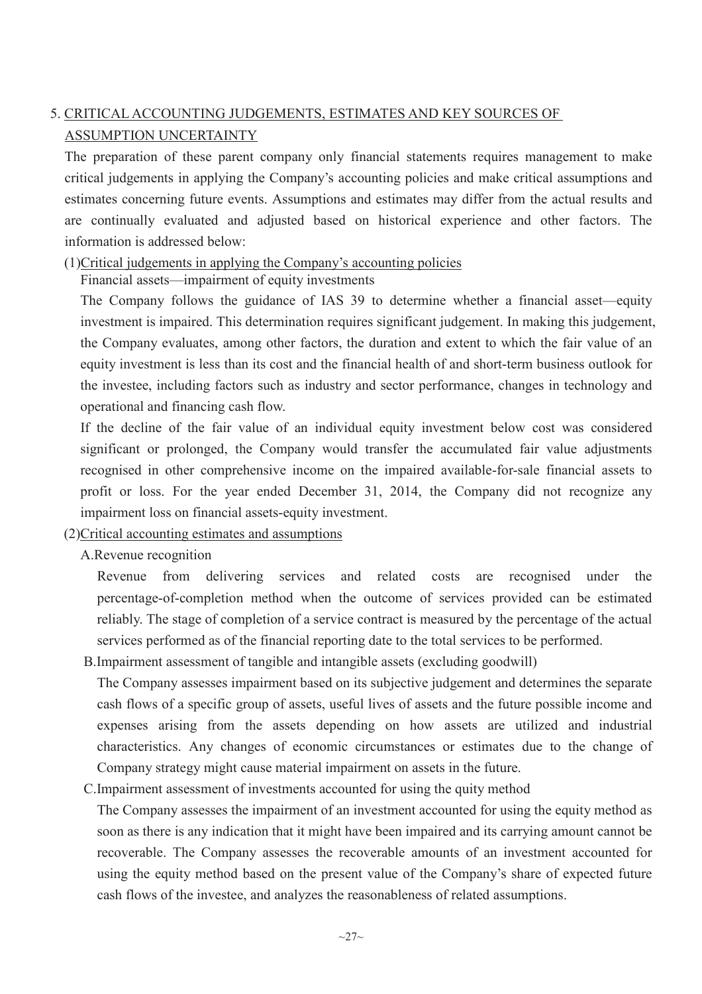# 5. CRITICAL ACCOUNTING JUDGEMENTS, ESTIMATES AND KEY SOURCES OF ASSUMPTION UNCERTAINTY

The preparation of these parent company only financial statements requires management to make critical judgements in applying the Company's accounting policies and make critical assumptions and estimates concerning future events. Assumptions and estimates may differ from the actual results and are continually evaluated and adjusted based on historical experience and other factors. The information is addressed below:

## (1)Critical judgements in applying the Company's accounting policies

Financial assets—impairment of equity investments

The Company follows the guidance of IAS 39 to determine whether a financial asset—equity investment is impaired. This determination requires significant judgement. In making this judgement, the Company evaluates, among other factors, the duration and extent to which the fair value of an equity investment is less than its cost and the financial health of and short-term business outlook for the investee, including factors such as industry and sector performance, changes in technology and operational and financing cash flow.

If the decline of the fair value of an individual equity investment below cost was considered significant or prolonged, the Company would transfer the accumulated fair value adjustments recognised in other comprehensive income on the impaired available-for-sale financial assets to profit or loss. For the year ended December 31, 2014, the Company did not recognize any impairment loss on financial assets-equity investment.

## (2)Critical accounting estimates and assumptions

A.Revenue recognition

Revenue from delivering services and related costs are recognised under the percentage-of-completion method when the outcome of services provided can be estimated reliably. The stage of completion of a service contract is measured by the percentage of the actual services performed as of the financial reporting date to the total services to be performed.

B.Impairment assessment of tangible and intangible assets (excluding goodwill)

The Company assesses impairment based on its subjective judgement and determines the separate cash flows of a specific group of assets, useful lives of assets and the future possible income and expenses arising from the assets depending on how assets are utilized and industrial characteristics. Any changes of economic circumstances or estimates due to the change of Company strategy might cause material impairment on assets in the future.

C.Impairment assessment of investments accounted for using the quity method

The Company assesses the impairment of an investment accounted for using the equity method as soon as there is any indication that it might have been impaired and its carrying amount cannot be recoverable. The Company assesses the recoverable amounts of an investment accounted for using the equity method based on the present value of the Company's share of expected future cash flows of the investee, and analyzes the reasonableness of related assumptions.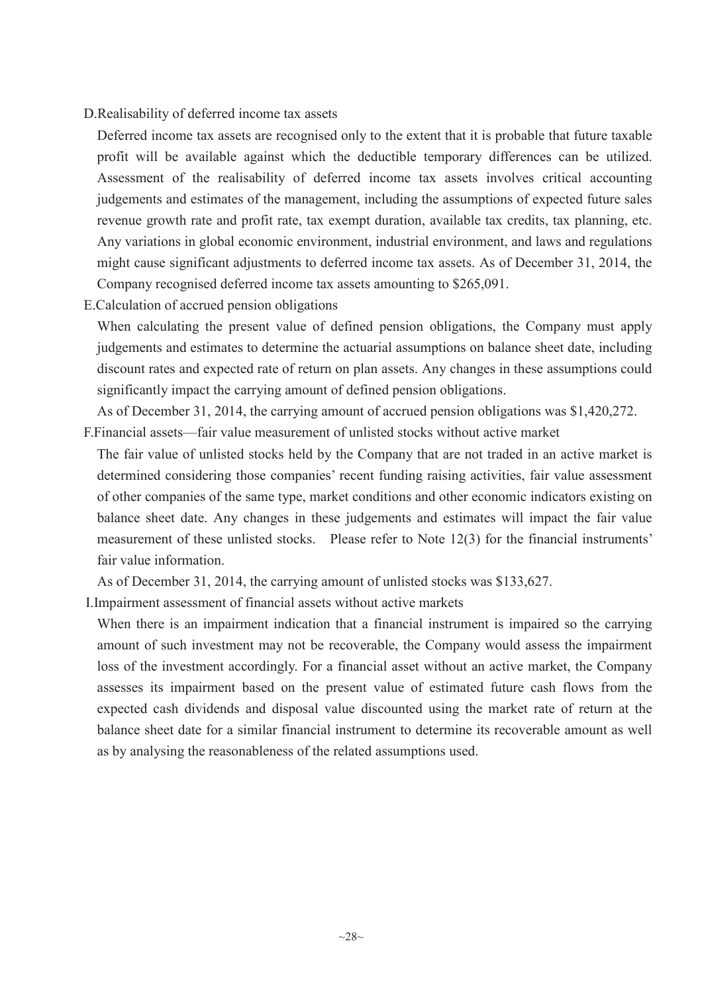#### D.Realisability of deferred income tax assets

Deferred income tax assets are recognised only to the extent that it is probable that future taxable profit will be available against which the deductible temporary differences can be utilized. Assessment of the realisability of deferred income tax assets involves critical accounting judgements and estimates of the management, including the assumptions of expected future sales revenue growth rate and profit rate, tax exempt duration, available tax credits, tax planning, etc. Any variations in global economic environment, industrial environment, and laws and regulations might cause significant adjustments to deferred income tax assets. As of December 31, 2014, the Company recognised deferred income tax assets amounting to \$265,091.

E.Calculation of accrued pension obligations

When calculating the present value of defined pension obligations, the Company must apply judgements and estimates to determine the actuarial assumptions on balance sheet date, including discount rates and expected rate of return on plan assets. Any changes in these assumptions could significantly impact the carrying amount of defined pension obligations.

As of December 31, 2014, the carrying amount of accrued pension obligations was \$1,420,272.

- F.Financial assets—fair value measurement of unlisted stocks without active market
- The fair value of unlisted stocks held by the Company that are not traded in an active market is determined considering those companies' recent funding raising activities, fair value assessment of other companies of the same type, market conditions and other economic indicators existing on balance sheet date. Any changes in these judgements and estimates will impact the fair value measurement of these unlisted stocks. Please refer to Note 12(3) for the financial instruments' fair value information.

As of December 31, 2014, the carrying amount of unlisted stocks was \$133,627.

I.Impairment assessment of financial assets without active markets

When there is an impairment indication that a financial instrument is impaired so the carrying amount of such investment may not be recoverable, the Company would assess the impairment loss of the investment accordingly. For a financial asset without an active market, the Company assesses its impairment based on the present value of estimated future cash flows from the expected cash dividends and disposal value discounted using the market rate of return at the balance sheet date for a similar financial instrument to determine its recoverable amount as well as by analysing the reasonableness of the related assumptions used.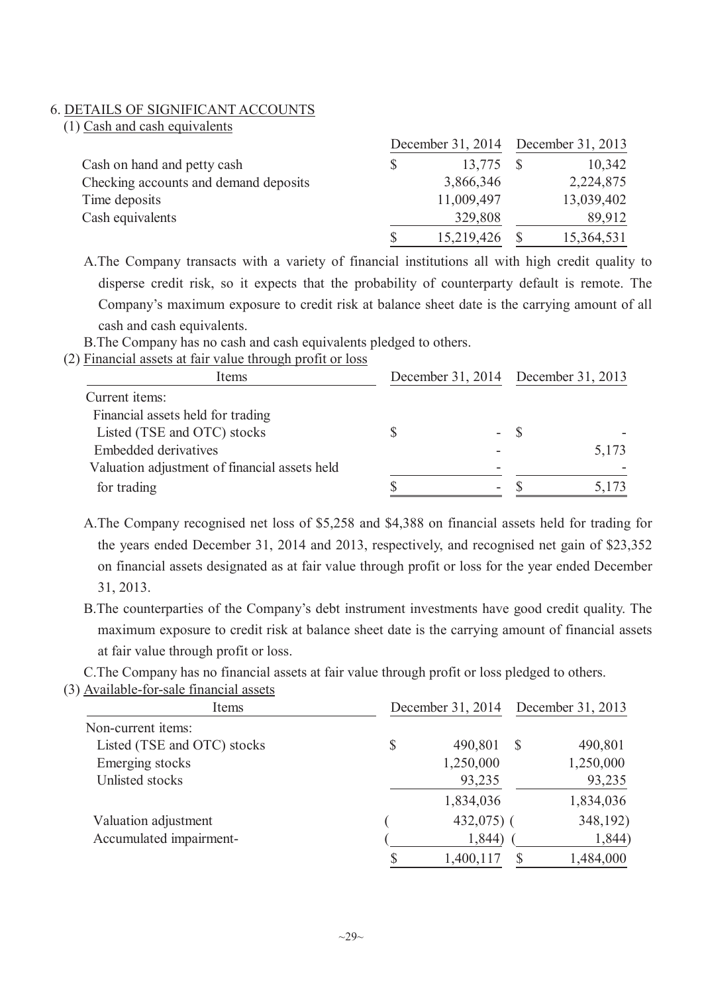#### 6. DETAILS OF SIGNIFICANT ACCOUNTS

| (1) Cash and cash equivalents |
|-------------------------------|
|-------------------------------|

|                                       |   |            | December 31, 2014 December 31, 2013 |            |
|---------------------------------------|---|------------|-------------------------------------|------------|
| Cash on hand and petty cash           | S | 13,775     |                                     | 10,342     |
| Checking accounts and demand deposits |   | 3,866,346  |                                     | 2,224,875  |
| Time deposits                         |   | 11,009,497 |                                     | 13,039,402 |
| Cash equivalents                      |   | 329,808    |                                     | 89,912     |
|                                       |   | 15,219,426 |                                     | 15,364,531 |

A.The Company transacts with a variety of financial institutions all with high credit quality to disperse credit risk, so it expects that the probability of counterparty default is remote. The Company's maximum exposure to credit risk at balance sheet date is the carrying amount of all cash and cash equivalents.

B.The Company has no cash and cash equivalents pledged to others.

(2) Financial assets at fair value through profit or loss

| Items                                         |   |      | December 31, 2014 December 31, 2013 |
|-----------------------------------------------|---|------|-------------------------------------|
| Current items:                                |   |      |                                     |
| Financial assets held for trading             |   |      |                                     |
| Listed (TSE and OTC) stocks                   |   | - \$ |                                     |
| <b>Embedded derivatives</b>                   |   |      | 5,173                               |
| Valuation adjustment of financial assets held |   |      |                                     |
| for trading                                   | - |      |                                     |

A.The Company recognised net loss of \$5,258 and \$4,388 on financial assets held for trading for the years ended December 31, 2014 and 2013, respectively, and recognised net gain of \$23,352 on financial assets designated as at fair value through profit or loss for the year ended December 31, 2013.

B.The counterparties of the Company's debt instrument investments have good credit quality. The maximum exposure to credit risk at balance sheet date is the carrying amount of financial assets at fair value through profit or loss.

C.The Company has no financial assets at fair value through profit or loss pledged to others.

(3) Available-for-sale financial assets

| Items                       | December 31, 2014 |              | December 31, 2013 |  |
|-----------------------------|-------------------|--------------|-------------------|--|
| Non-current items:          |                   |              |                   |  |
| Listed (TSE and OTC) stocks | \$                | 490,801<br>S | 490,801           |  |
| Emerging stocks             |                   | 1,250,000    | 1,250,000         |  |
| Unlisted stocks             |                   | 93,235       | 93,235            |  |
|                             |                   | 1,834,036    | 1,834,036         |  |
| Valuation adjustment        |                   | $432,075$ (  | 348,192)          |  |
| Accumulated impairment-     |                   | 1,844)       | 1,844)            |  |
|                             | \$                | 1,400,117    | 1,484,000         |  |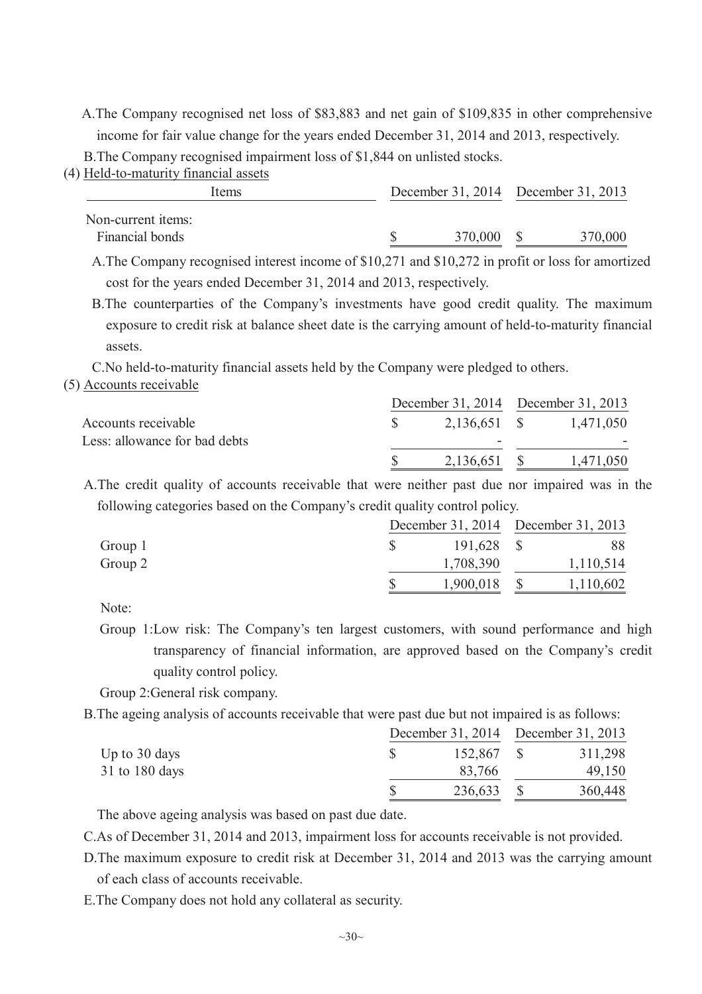A.The Company recognised net loss of \$83,883 and net gain of \$109,835 in other comprehensive income for fair value change for the years ended December 31, 2014 and 2013, respectively.

B.The Company recognised impairment loss of \$1,844 on unlisted stocks.

(4) Held-to-maturity financial assets

| Items              |  | December 31, 2014 December 31, 2013 |         |  |         |
|--------------------|--|-------------------------------------|---------|--|---------|
| Non-current items: |  |                                     |         |  |         |
| Financial bonds    |  |                                     | 370,000 |  | 370,000 |
|                    |  |                                     |         |  |         |

A.The Company recognised interest income of \$10,271 and \$10,272 in profit or loss for amortized cost for the years ended December 31, 2014 and 2013, respectively.

B.The counterparties of the Company's investments have good credit quality. The maximum exposure to credit risk at balance sheet date is the carrying amount of held-to-maturity financial assets.

C.No held-to-maturity financial assets held by the Company were pledged to others.

(5) Accounts receivable

|                               | December 31, 2014 December 31, 2013 |           |
|-------------------------------|-------------------------------------|-----------|
| Accounts receivable           | 2,136,651 \$                        | 1,471,050 |
| Less: allowance for bad debts |                                     |           |
|                               | 2,136,651 \$                        | 1,471,050 |
|                               |                                     |           |

A.The credit quality of accounts receivable that were neither past due nor impaired was in the following categories based on the Company's credit quality control policy.

|         | December 31, 2014 December 31, 2013 |           |  |           |
|---------|-------------------------------------|-----------|--|-----------|
| Group 1 |                                     | 191,628   |  | 88        |
| Group 2 |                                     | 1,708,390 |  | 1,110,514 |
|         |                                     | 1,900,018 |  | 1,110,602 |

Note:

Group 1:Low risk: The Company's ten largest customers, with sound performance and high transparency of financial information, are approved based on the Company's credit quality control policy.

Group 2:General risk company.

B.The ageing analysis of accounts receivable that were past due but not impaired is as follows:

|                  |  |            | December 31, 2014 December 31, 2013 |         |
|------------------|--|------------|-------------------------------------|---------|
| Up to 30 days    |  | 152,867 \$ |                                     | 311,298 |
| $31$ to 180 days |  | 83,766     |                                     | 49,150  |
|                  |  | 236,633    |                                     | 360,448 |

The above ageing analysis was based on past due date.

C.As of December 31, 2014 and 2013, impairment loss for accounts receivable is not provided.

D.The maximum exposure to credit risk at December 31, 2014 and 2013 was the carrying amount of each class of accounts receivable.

E.The Company does not hold any collateral as security.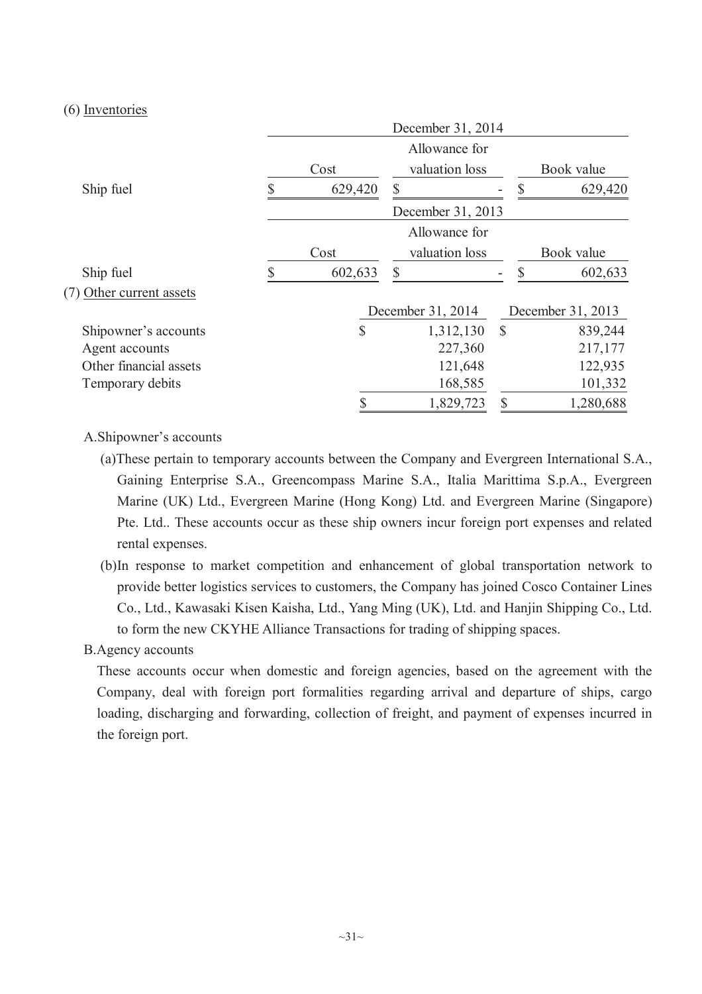(6) Inventories

|                          |    |         | December 31, 2014 |               |                   |
|--------------------------|----|---------|-------------------|---------------|-------------------|
|                          |    | Cost    |                   | Book value    |                   |
|                          |    |         | valuation loss    |               |                   |
| Ship fuel                | \$ | 629,420 | $\mathbb{S}$      | S             | 629,420           |
|                          |    |         | December 31, 2013 |               |                   |
|                          |    |         | Allowance for     |               |                   |
|                          |    | Cost    | valuation loss    |               | Book value        |
| Ship fuel                | S  | 602,633 | $\mathcal{S}$     | S             | 602,633           |
| (7) Other current assets |    |         |                   |               |                   |
|                          |    |         | December 31, 2014 |               | December 31, 2013 |
| Shipowner's accounts     |    | \$      | 1,312,130         | $\mathcal{S}$ | 839,244           |
| Agent accounts           |    |         | 227,360           |               | 217,177           |
| Other financial assets   |    |         | 121,648           |               | 122,935           |
| Temporary debits         |    |         | 168,585           |               | 101,332           |
|                          |    |         | 1,829,723         |               | 1,280,688         |

#### A.Shipowner's accounts

- (a)These pertain to temporary accounts between the Company and Evergreen International S.A., Gaining Enterprise S.A., Greencompass Marine S.A., Italia Marittima S.p.A., Evergreen Marine (UK) Ltd., Evergreen Marine (Hong Kong) Ltd. and Evergreen Marine (Singapore) Pte. Ltd.. These accounts occur as these ship owners incur foreign port expenses and related rental expenses.
- (b)In response to market competition and enhancement of global transportation network to provide better logistics services to customers, the Company has joined Cosco Container Lines Co., Ltd., Kawasaki Kisen Kaisha, Ltd., Yang Ming (UK), Ltd. and Hanjin Shipping Co., Ltd. to form the new CKYHE Alliance Transactions for trading of shipping spaces.

## B.Agency accounts

These accounts occur when domestic and foreign agencies, based on the agreement with the Company, deal with foreign port formalities regarding arrival and departure of ships, cargo loading, discharging and forwarding, collection of freight, and payment of expenses incurred in the foreign port.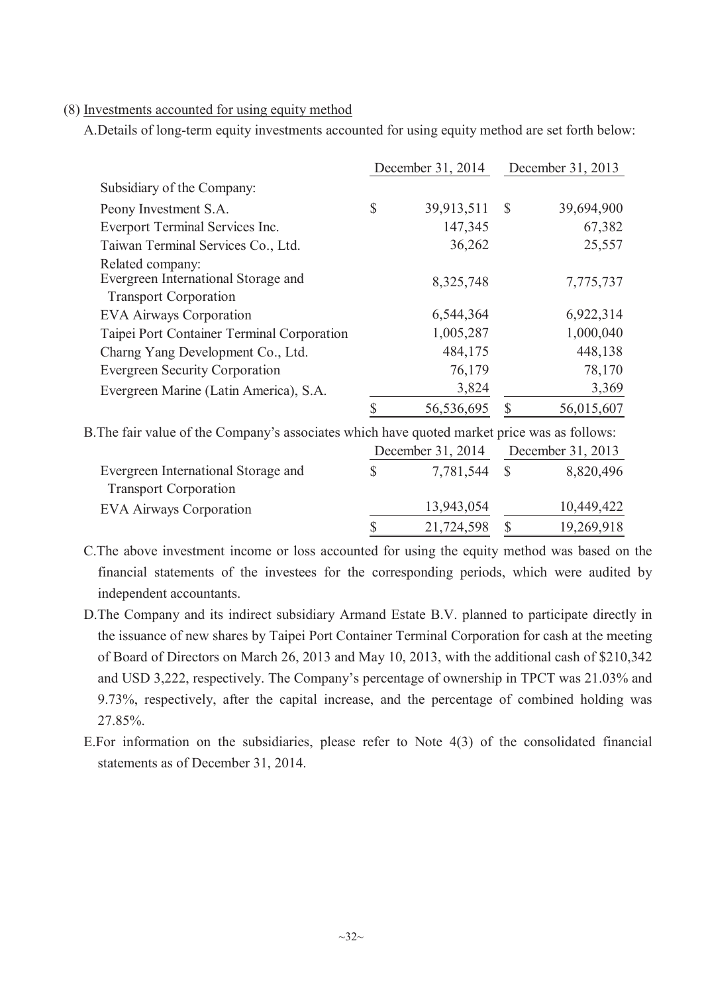#### (8) Investments accounted for using equity method

A.Details of long-term equity investments accounted for using equity method are set forth below:

|                                            | December 31, 2014 |            |               | December 31, 2013 |
|--------------------------------------------|-------------------|------------|---------------|-------------------|
| Subsidiary of the Company:                 |                   |            |               |                   |
| Peony Investment S.A.                      | $\mathbb{S}$      | 39,913,511 | $\mathcal{S}$ | 39,694,900        |
| Everport Terminal Services Inc.            |                   | 147,345    |               | 67,382            |
| Taiwan Terminal Services Co., Ltd.         |                   | 36,262     |               | 25,557            |
| Related company:                           |                   |            |               |                   |
| Evergreen International Storage and        |                   | 8,325,748  |               | 7,775,737         |
| <b>Transport Corporation</b>               |                   |            |               |                   |
| <b>EVA Airways Corporation</b>             |                   | 6,544,364  |               | 6,922,314         |
| Taipei Port Container Terminal Corporation |                   | 1,005,287  |               | 1,000,040         |
| Charng Yang Development Co., Ltd.          |                   | 484,175    |               | 448,138           |
| <b>Evergreen Security Corporation</b>      |                   | 76,179     |               | 78,170            |
| Evergreen Marine (Latin America), S.A.     |                   | 3,824      |               | 3,369             |
|                                            |                   | 56,536,695 | S             | 56,015,607        |
|                                            |                   |            |               |                   |

B.The fair value of the Company's associates which have quoted market price was as follows:

|                                     | December 31, 2014 |            | December 31, 2013 |            |
|-------------------------------------|-------------------|------------|-------------------|------------|
| Evergreen International Storage and |                   | 7,781,544  |                   | 8,820,496  |
| <b>Transport Corporation</b>        |                   |            |                   |            |
| <b>EVA Airways Corporation</b>      |                   | 13,943,054 |                   | 10,449,422 |
|                                     |                   | 21,724,598 |                   | 19,269,918 |

C.The above investment income or loss accounted for using the equity method was based on the financial statements of the investees for the corresponding periods, which were audited by independent accountants.

- D.The Company and its indirect subsidiary Armand Estate B.V. planned to participate directly in the issuance of new shares by Taipei Port Container Terminal Corporation for cash at the meeting of Board of Directors on March 26, 2013 and May 10, 2013, with the additional cash of \$210,342 and USD 3,222, respectively. The Company's percentage of ownership in TPCT was 21.03% and 9.73%, respectively, after the capital increase, and the percentage of combined holding was 27.85%.
- E.For information on the subsidiaries, please refer to Note 4(3) of the consolidated financial statements as of December 31, 2014.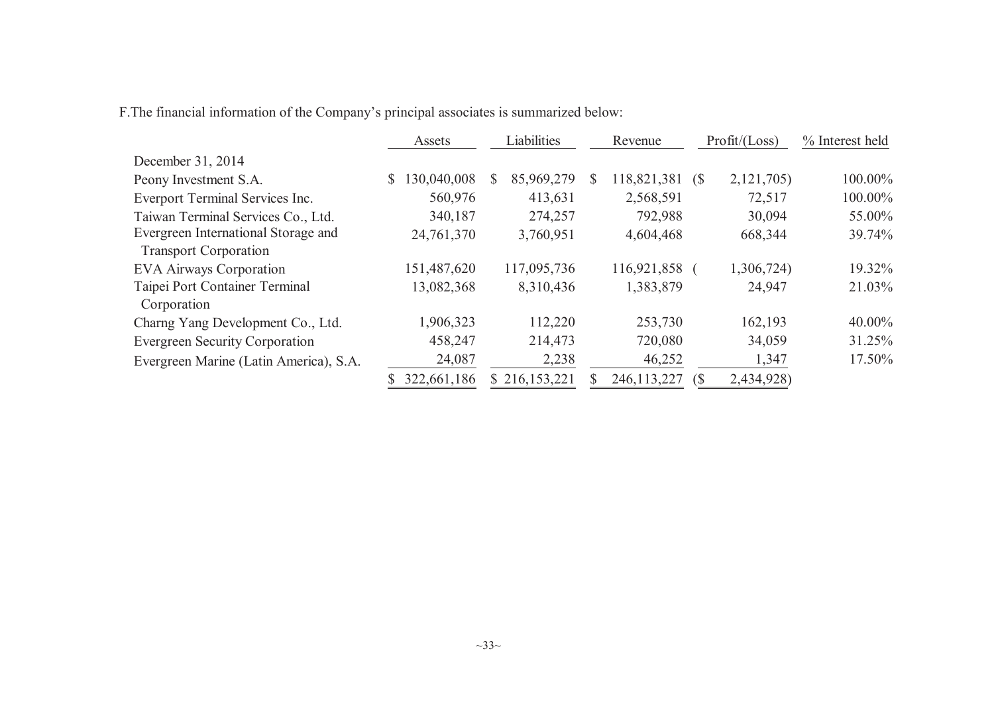F.The financial information of the Company's principal associates is summarized below:

|                                        | Liabilities<br>Revenue<br>Assets |                 | Profit / (Loss)      | % Interest held   |         |
|----------------------------------------|----------------------------------|-----------------|----------------------|-------------------|---------|
| December 31, 2014                      |                                  |                 |                      |                   |         |
| Peony Investment S.A.                  | 130,040,008<br>\$                | 85,969,279<br>S | 118,821,381 (\$<br>S | 2,121,705)        | 100.00% |
| Everport Terminal Services Inc.        | 560,976                          | 413,631         | 2,568,591            | 72,517            | 100.00% |
| Taiwan Terminal Services Co., Ltd.     | 340,187                          | 274,257         | 792,988              | 30,094            | 55.00%  |
| Evergreen International Storage and    | 24,761,370                       | 3,760,951       | 4,604,468            | 668,344           | 39.74%  |
| <b>Transport Corporation</b>           |                                  |                 |                      |                   |         |
| <b>EVA Airways Corporation</b>         | 151,487,620                      | 117,095,736     | 116,921,858          | 1,306,724)        | 19.32%  |
| Taipei Port Container Terminal         | 13,082,368                       | 8,310,436       | 1,383,879            | 24,947            | 21.03%  |
| Corporation                            |                                  |                 |                      |                   |         |
| Charng Yang Development Co., Ltd.      | 1,906,323                        | 112,220         | 253,730              | 162,193           | 40.00%  |
| <b>Evergreen Security Corporation</b>  | 458,247                          | 214,473         | 720,080              | 34,059            | 31.25%  |
| Evergreen Marine (Latin America), S.A. | 24,087                           | 2,238           | 46,252               | 1,347             | 17.50%  |
|                                        | 322,661,186                      | \$216,153,221   | 246, 113, 227        | 2,434,928)<br>(\$ |         |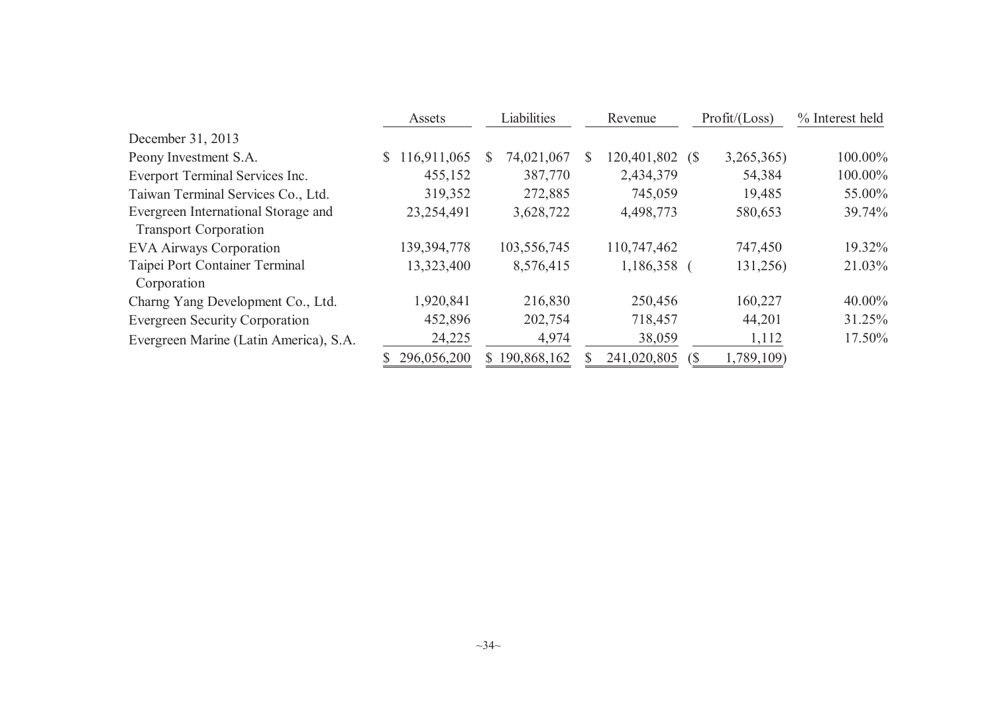|                                        | Assets            | Liabilities     | Revenue              | Profit / (Loss)  | % Interest held |
|----------------------------------------|-------------------|-----------------|----------------------|------------------|-----------------|
| December 31, 2013                      |                   |                 |                      |                  |                 |
| Peony Investment S.A.                  | 116,911,065<br>S. | 74,021,067<br>S | 120,401,802 (\$<br>S | 3,265,365)       | 100.00%         |
| Everport Terminal Services Inc.        | 455,152           | 387,770         | 2,434,379            | 54,384           | 100.00%         |
| Taiwan Terminal Services Co., Ltd.     | 319,352           | 272,885         | 745,059              | 19,485           | 55.00%          |
| Evergreen International Storage and    | 23,254,491        | 3,628,722       | 4,498,773            | 580,653          | 39.74%          |
| <b>Transport Corporation</b>           |                   |                 |                      |                  |                 |
| <b>EVA Airways Corporation</b>         | 139,394,778       | 103,556,745     | 110,747,462          | 747,450          | 19.32%          |
| Taipei Port Container Terminal         | 13,323,400        | 8,576,415       | 1,186,358            | 131,256)         | 21.03%          |
| Corporation                            |                   |                 |                      |                  |                 |
| Charng Yang Development Co., Ltd.      | 1,920,841         | 216,830         | 250,456              | 160,227          | 40.00%          |
| <b>Evergreen Security Corporation</b>  | 452,896           | 202,754         | 718,457              | 44,201           | 31.25%          |
| Evergreen Marine (Latin America), S.A. | 24,225            | 4,974           | 38,059               | 1,112            | 17.50%          |
|                                        | 296,056,200       | 190,868,162     | 241,020,805          | 1,789,109)<br>S. |                 |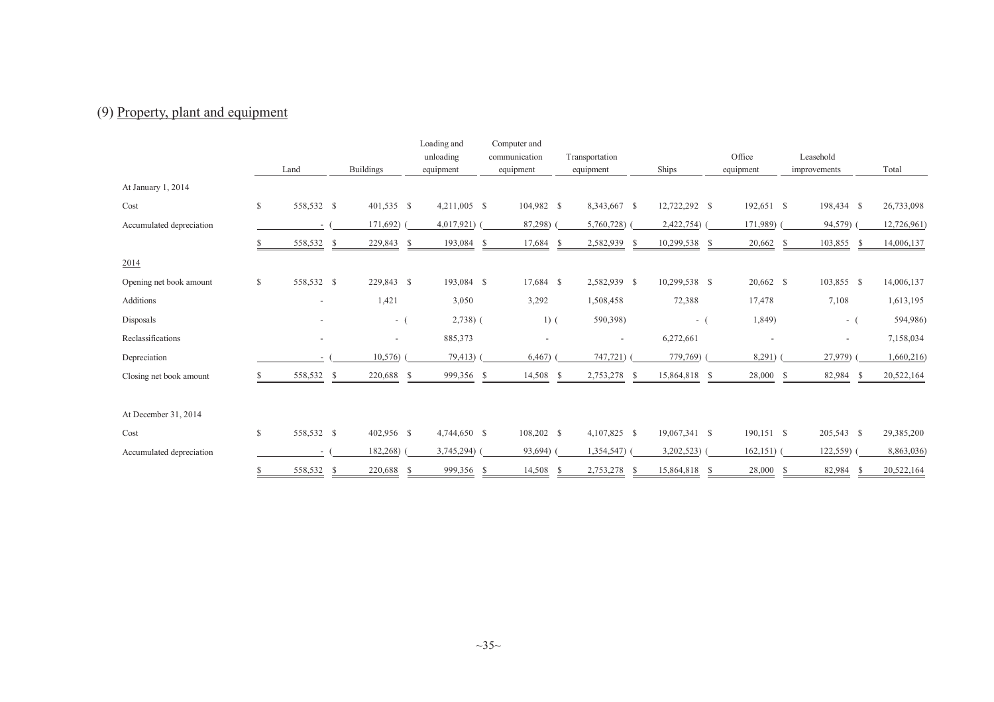# (9) Property, <sup>p</sup>lant and equipment

|                          |              |            |                          |           | Loading and   |               | Computer and |                |                          |               |     |                          |    |                          |  |             |  |
|--------------------------|--------------|------------|--------------------------|-----------|---------------|---------------|--------------|----------------|--------------------------|---------------|-----|--------------------------|----|--------------------------|--|-------------|--|
|                          |              |            |                          | unloading |               | communication |              | Transportation |                          |               |     | Office                   |    | Leasehold                |  |             |  |
|                          |              | Land       | <b>Buildings</b>         |           | equipment     |               | equipment    |                | equipment                | Ships         |     | equipment                |    | improvements             |  | Total       |  |
| At January 1, 2014       |              |            |                          |           |               |               |              |                |                          |               |     |                          |    |                          |  |             |  |
| Cost                     | $\mathbb{S}$ | 558,532 \$ | $401,535$ \$             |           | 4,211,005 \$  |               | 104,982 \$   |                | 8,343,667 \$             | 12,722,292 \$ |     | 192,651 \$               |    | 198,434 \$               |  | 26,733,098  |  |
| Accumulated depreciation |              |            | 171,692)                 |           | $4,017,921$ ( |               | 87,298)      |                | 5,760,728)               | 2,422,754)    |     | 171,989)                 |    | 94,579)                  |  | 12,726,961) |  |
|                          |              | 558,532 \$ | 229,843 \$               |           | 193,084 \$    |               | 17,684       | -S             | 2,582,939<br>-S          | 10,299,538    | - S | 20,662 \$                |    | 103,855<br>-S            |  | 14,006,137  |  |
| 2014                     |              |            |                          |           |               |               |              |                |                          |               |     |                          |    |                          |  |             |  |
| Opening net book amount  | $\mathbb{S}$ | 558,532 \$ | 229,843 \$               |           | 193,084 \$    |               | 17,684 \$    |                | 2,582,939 \$             | 10,299,538 \$ |     | 20,662 \$                |    | 103,855 \$               |  | 14,006,137  |  |
| Additions                |              |            | 1,421                    |           | 3,050         |               | 3,292        |                | 1,508,458                | 72,388        |     | 17,478                   |    | 7,108                    |  | 1,613,195   |  |
| Disposals                |              |            | $-$ (                    |           | $2,738$ ) (   |               | $1)$ (       |                | 590,398)                 | $-$ (         |     | 1,849)                   |    | $-$ (                    |  | 594,986)    |  |
| Reclassifications        |              |            | $\overline{\phantom{0}}$ |           | 885,373       |               |              |                | $\overline{\phantom{a}}$ | 6,272,661     |     | $\overline{\phantom{a}}$ |    | $\overline{\phantom{a}}$ |  | 7,158,034   |  |
| Depreciation             |              |            | 10,576                   |           | 79,413)       |               | 6,467        |                | 747,721)                 | 779,769)      |     | 8,291)                   |    | 27,979)                  |  | 1,660,216)  |  |
| Closing net book amount  |              | 558,532    | 220,688<br>-S            | -S        | 999,356 \$    |               | 14,508       | <sup>\$</sup>  | 2,753,278<br>- S         | 15,864,818    | -S  | 28,000                   | -S | 82,984<br>-S             |  | 20,522,164  |  |
| At December 31, 2014     |              |            |                          |           |               |               |              |                |                          |               |     |                          |    |                          |  |             |  |
| Cost                     | $\mathbb{S}$ | 558,532 \$ | 402,956 \$               |           | 4,744,650 \$  |               | 108,202 \$   |                | 4,107,825 \$             | 19,067,341 \$ |     | 190,151 \$               |    | 205,543 \$               |  | 29,385,200  |  |
| Accumulated depreciation |              |            | 182,268)                 |           | $3,745,294$ ( |               | 93,694)      |                | $1,354,547$ (            | $3,202,523$ ( |     | $162,151)$ (             |    | 122,559)                 |  | 8,863,036)  |  |
|                          | \$           | 558,532 \$ | 220,688 \$               |           | 999,356 \$    |               | 14,508       | - S            | 2,753,278 \$             | 15,864,818 \$ |     | 28,000 \$                |    | 82,984<br>- \$           |  | 20,522,164  |  |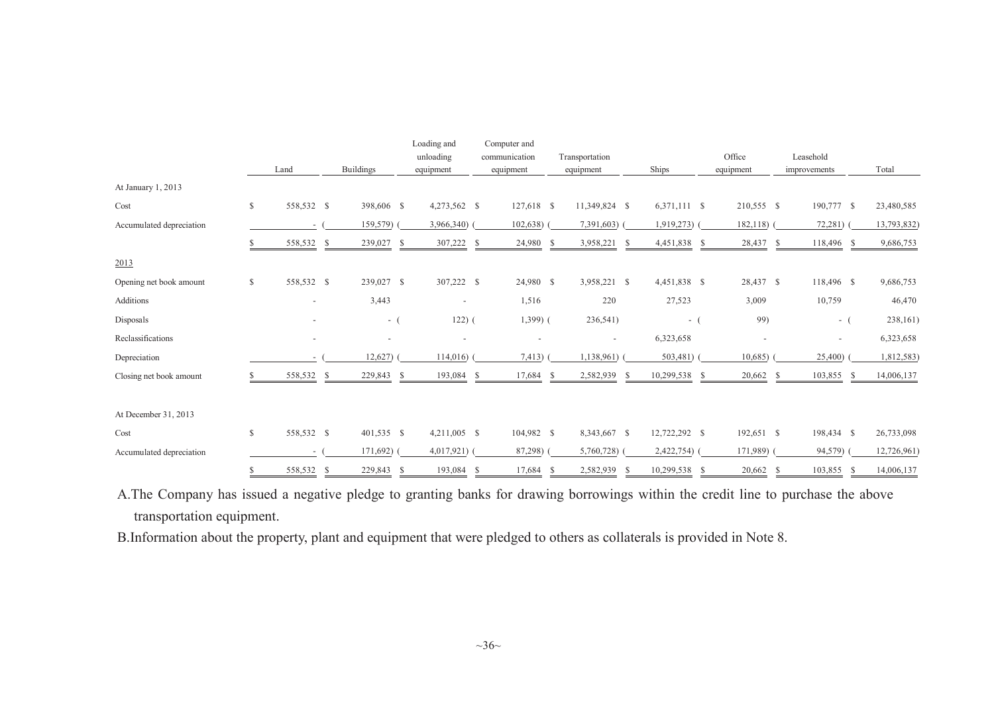|                          |               |            |                              | Loading and              | Computer and             |                            |                     |                          |                          |             |
|--------------------------|---------------|------------|------------------------------|--------------------------|--------------------------|----------------------------|---------------------|--------------------------|--------------------------|-------------|
|                          |               |            |                              | unloading                | communication            | Transportation             |                     | Office                   | Leasehold                |             |
|                          |               | Land       | <b>Buildings</b>             | equipment                | equipment                | equipment                  | Ships               | equipment                | improvements             | Total       |
| At January 1, 2013       |               |            |                              |                          |                          |                            |                     |                          |                          |             |
| Cost                     | $\mathcal{S}$ | 558,532 \$ | 398,606 \$                   | 4,273,562 \$             | $127,618$ \$             | 11,349,824 \$              | 6,371,111 \$        | 210,555 \$               | 190,777 \$               | 23,480,585  |
| Accumulated depreciation |               |            | 159,579)                     | 3,966,340)               | 102,638                  | 7,391,603)                 | 1,919,273)          | 182,118)                 | 72,281)                  | 13,793,832) |
|                          |               | 558,532    | 239,027<br>-S                | 307,222<br>-S            | 24,980<br>-S             | 3,958,221<br>-S            | 4,451,838 \$<br>- S | 28,437 \$                | 118,496 \$               | 9,686,753   |
| 2013                     |               |            |                              |                          |                          |                            |                     |                          |                          |             |
| Opening net book amount  | $\mathbb{S}$  | 558,532 \$ | 239,027 \$                   | 307,222 \$               | 24,980 \$                | 3,958,221 \$               | 4,451,838 \$        | 28,437 \$                | 118,496 \$               | 9,686,753   |
| <b>Additions</b>         |               |            | 3,443                        | $\overline{\phantom{a}}$ | 1,516                    | 220                        | 27,523              | 3,009                    | 10,759                   | 46,470      |
| Disposals                |               |            | $-$ (                        | $122)$ (                 | $1,399$ ) (              | 236,541)                   | $-$ (               | 99)                      | $-$ (                    | 238,161)    |
| Reclassifications        |               |            | $\qquad \qquad \blacksquare$ | $\overline{\phantom{a}}$ | $\overline{\phantom{a}}$ | $\overline{\phantom{a}}$   | 6,323,658           | $\overline{\phantom{a}}$ | $\overline{\phantom{a}}$ | 6,323,658   |
| Depreciation             |               |            | 12,627                       | 114,016                  | 7,413)                   | 1,138,961)                 | 503,481)            | 10,685                   | 25,400)                  | 1,812,583)  |
| Closing net book amount  |               | 558,532    | 229,843<br>-S                | 193,084<br>S             | 17,684<br>-S             | 2,582,939<br><sup>\$</sup> | 10,299,538<br>-S    | 20,662<br>- S            | 103,855<br>-S<br>-S      | 14,006,137  |
| At December 31, 2013     |               |            |                              |                          |                          |                            |                     |                          |                          |             |
| Cost                     | $\mathbb{S}$  | 558,532 \$ | 401,535 \$                   | 4,211,005 \$             | 104,982 \$               | 8,343,667 \$               | 12,722,292 \$       | 192,651 \$               | 198,434 \$               | 26,733,098  |
| Accumulated depreciation |               |            | $171,692$ ) (                | $4,017,921$ (            | 87,298)                  | 5,760,728)                 | 2,422,754)          | 171,989)                 | 94,579)                  | 12,726,961) |
|                          | <b>S</b>      | 558,532    | 229,843 \$<br>- \$           | 193,084                  | 17,684<br>- \$           | 2,582,939 \$<br>- \$       | 10,299,538 \$       | $20,662$ \$              | 103,855<br>-S            | 14,006,137  |

A.The Company has issued <sup>a</sup> negative <sup>p</sup>ledge to granting banks for drawing borrowings within the credit line to purchase the above transportation equipment.

B.Information about the property, <sup>p</sup>lant and equipment that were <sup>p</sup>ledged to others as collaterals is provided in Note 8.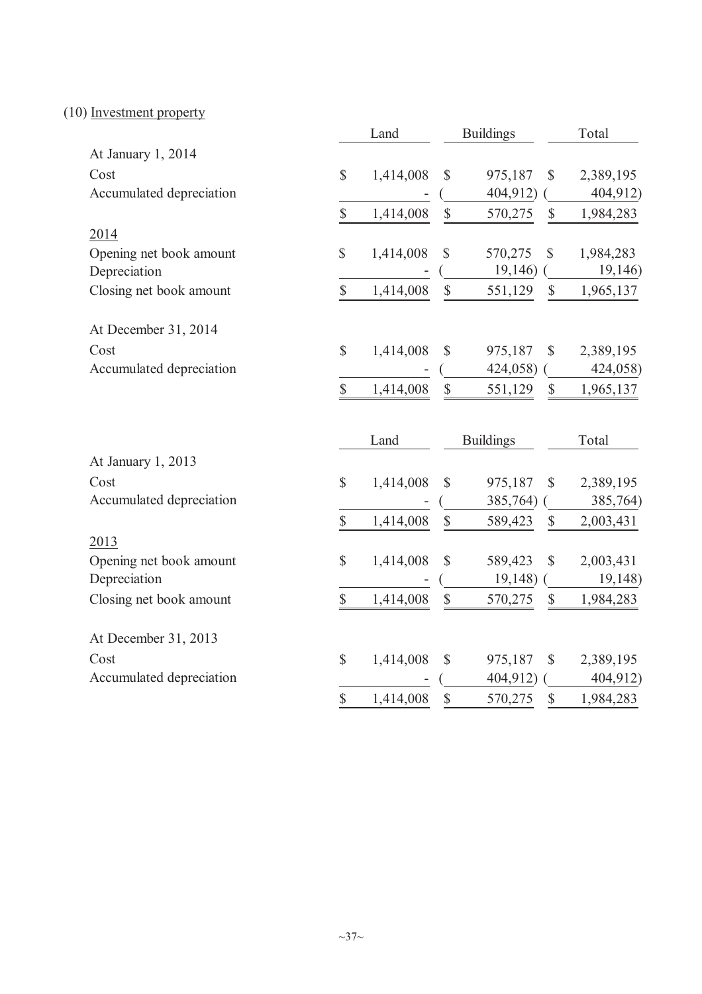(10) Investment property

|                          |               | Land      |               | <b>Buildings</b> |               | Total     |
|--------------------------|---------------|-----------|---------------|------------------|---------------|-----------|
| At January 1, 2014       |               |           |               |                  |               |           |
| Cost                     | $\mathbb{S}$  | 1,414,008 | $\mathbb{S}$  | 975,187          | $\mathbb{S}$  | 2,389,195 |
| Accumulated depreciation |               |           |               | 404,912)         |               | 404,912)  |
|                          | \$            | 1,414,008 | $\mathbb{S}$  | 570,275          | $\mathbb{S}$  | 1,984,283 |
| 2014                     |               |           |               |                  |               |           |
| Opening net book amount  | $\mathcal{S}$ | 1,414,008 | $\mathbb{S}$  | 570,275          | $\mathbb{S}$  | 1,984,283 |
| Depreciation             |               |           |               | 19,146)          |               | 19,146)   |
| Closing net book amount  | $\mathbb{S}$  | 1,414,008 | $\mathbb{S}$  | 551,129          | \$            | 1,965,137 |
| At December 31, 2014     |               |           |               |                  |               |           |
| Cost                     | $\mathbb{S}$  | 1,414,008 | \$            | 975,187          | $\mathbb{S}$  | 2,389,195 |
| Accumulated depreciation |               |           |               | 424,058)         |               | 424,058)  |
|                          | \$            | 1,414,008 | $\mathcal{S}$ | 551,129          | $\mathcal{S}$ | 1,965,137 |
|                          |               | Land      |               | <b>Buildings</b> |               | Total     |
| At January 1, 2013       |               |           |               |                  |               |           |
| Cost                     | $\mathcal{S}$ | 1,414,008 | $\mathcal{S}$ | 975,187          | \$            | 2,389,195 |
| Accumulated depreciation |               |           |               | 385,764)         |               | 385,764)  |
|                          | \$            | 1,414,008 | $\$$          | 589,423          | \$            | 2,003,431 |
| 2013                     |               |           |               |                  |               |           |
| Opening net book amount  | $\mathcal{S}$ | 1,414,008 | $\mathbb{S}$  | 589,423          | \$            | 2,003,431 |
| Depreciation             |               |           |               | 19,148)          |               | 19,148)   |
| Closing net book amount  | $\mathbb{S}$  | 1,414,008 | $\mathbb{S}$  | 570,275          | \$            | 1,984,283 |
| At December 31, 2013     |               |           |               |                  |               |           |
| Cost                     | $\mathbb{S}$  | 1,414,008 | \$            | 975,187          | $\mathbb{S}$  | 2,389,195 |
| Accumulated depreciation |               |           |               | 404,912)         |               | 404,912)  |
|                          | $\mathsf{\$}$ | 1,414,008 | $\mathsf{\$}$ | 570,275          | \$            | 1,984,283 |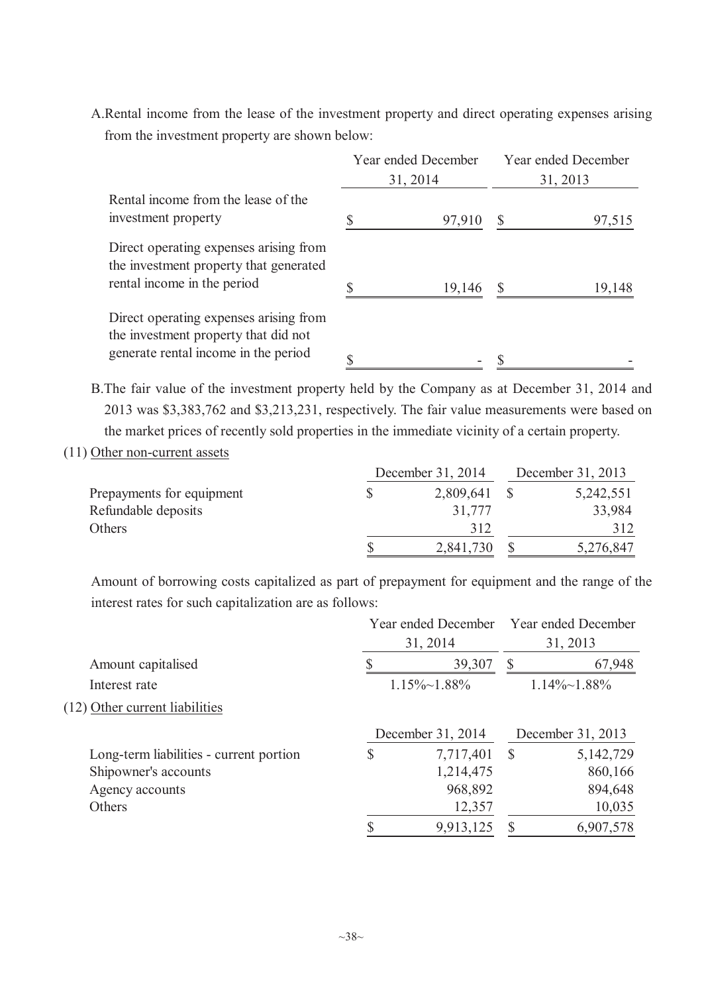A.Rental income from the lease of the investment property and direct operating expenses arising from the investment property are shown below:

|                                                                                                                        | Year ended December |        | Year ended December |        |
|------------------------------------------------------------------------------------------------------------------------|---------------------|--------|---------------------|--------|
|                                                                                                                        | 31, 2014            |        | 31, 2013            |        |
| Rental income from the lease of the<br>investment property                                                             |                     | 97,910 |                     | 97,515 |
| Direct operating expenses arising from<br>the investment property that generated<br>rental income in the period        |                     | 19,146 |                     | 19,148 |
| Direct operating expenses arising from<br>the investment property that did not<br>generate rental income in the period |                     |        |                     |        |

B.The fair value of the investment property held by the Company as at December 31, 2014 and 2013 was \$3,383,762 and \$3,213,231, respectively. The fair value measurements were based on the market prices of recently sold properties in the immediate vicinity of a certain property.

(11) Other non-current assets

|                           | December 31, 2014 | December 31, 2013 |           |
|---------------------------|-------------------|-------------------|-----------|
| Prepayments for equipment | 2,809,641         |                   | 5,242,551 |
| Refundable deposits       | 31.777            |                   | 33,984    |
| Others                    | 312               |                   | 312       |
|                           | 2,841,730         |                   | 5,276,847 |

Amount of borrowing costs capitalized as part of prepayment for equipment and the range of the interest rates for such capitalization are as follows:

|                                         |          | Year ended December Year ended December |               |                      |
|-----------------------------------------|----------|-----------------------------------------|---------------|----------------------|
|                                         | 31, 2014 |                                         |               | 31, 2013             |
| Amount capitalised                      |          | 39,307                                  | S             | 67,948               |
| Interest rate                           |          | $1.15\% \sim 1.88\%$                    |               | $1.14\% \sim 1.88\%$ |
| (12) Other current liabilities          |          |                                         |               |                      |
|                                         |          | December 31, 2014                       |               | December 31, 2013    |
| Long-term liabilities - current portion | \$       | 7,717,401                               | $\mathcal{S}$ | 5,142,729            |
| Shipowner's accounts                    |          | 1,214,475                               |               | 860,166              |
| Agency accounts                         |          | 968,892                                 |               | 894,648              |
| Others                                  |          | 12,357                                  |               | 10,035               |
|                                         |          | 9,913,125                               | S             | 6,907,578            |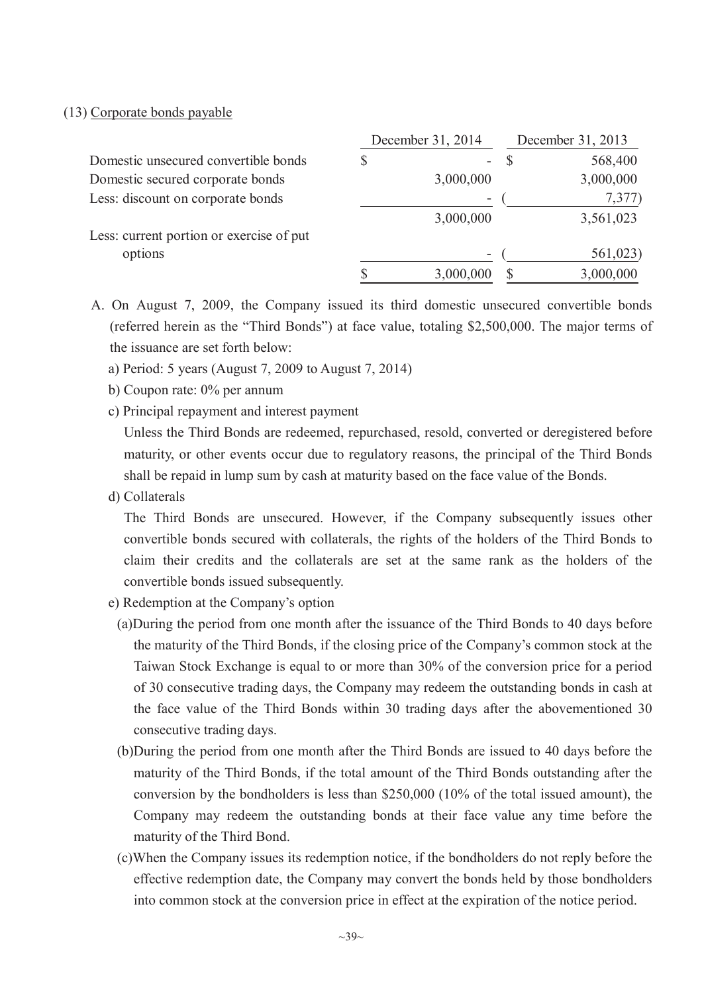#### (13) Corporate bonds payable

|                                          | December 31, 2014 |           | December 31, 2013 |           |  |
|------------------------------------------|-------------------|-----------|-------------------|-----------|--|
| Domestic unsecured convertible bonds     |                   |           |                   | 568,400   |  |
| Domestic secured corporate bonds         |                   | 3,000,000 |                   | 3,000,000 |  |
| Less: discount on corporate bonds        |                   |           |                   | 7,377)    |  |
|                                          |                   | 3,000,000 |                   | 3,561,023 |  |
| Less: current portion or exercise of put |                   |           |                   |           |  |
| options                                  |                   |           |                   | 561,023)  |  |
|                                          |                   | 3,000,000 |                   | 3,000,000 |  |

- A. On August 7, 2009, the Company issued its third domestic unsecured convertible bonds (referred herein as the "Third Bonds") at face value, totaling \$2,500,000. The major terms of the issuance are set forth below:
	- a) Period: 5 years (August 7, 2009 to August 7, 2014)
	- b) Coupon rate: 0% per annum
	- c) Principal repayment and interest payment

Unless the Third Bonds are redeemed, repurchased, resold, converted or deregistered before maturity, or other events occur due to regulatory reasons, the principal of the Third Bonds shall be repaid in lump sum by cash at maturity based on the face value of the Bonds.

d) Collaterals

The Third Bonds are unsecured. However, if the Company subsequently issues other convertible bonds secured with collaterals, the rights of the holders of the Third Bonds to claim their credits and the collaterals are set at the same rank as the holders of the convertible bonds issued subsequently.

- e) Redemption at the Company's option
	- (a)During the period from one month after the issuance of the Third Bonds to 40 days before the maturity of the Third Bonds, if the closing price of the Company's common stock at the Taiwan Stock Exchange is equal to or more than 30% of the conversion price for a period of 30 consecutive trading days, the Company may redeem the outstanding bonds in cash at the face value of the Third Bonds within 30 trading days after the abovementioned 30 consecutive trading days.
	- (b)During the period from one month after the Third Bonds are issued to 40 days before the maturity of the Third Bonds, if the total amount of the Third Bonds outstanding after the conversion by the bondholders is less than \$250,000 (10% of the total issued amount), the Company may redeem the outstanding bonds at their face value any time before the maturity of the Third Bond.
	- (c)When the Company issues its redemption notice, if the bondholders do not reply before the effective redemption date, the Company may convert the bonds held by those bondholders into common stock at the conversion price in effect at the expiration of the notice period.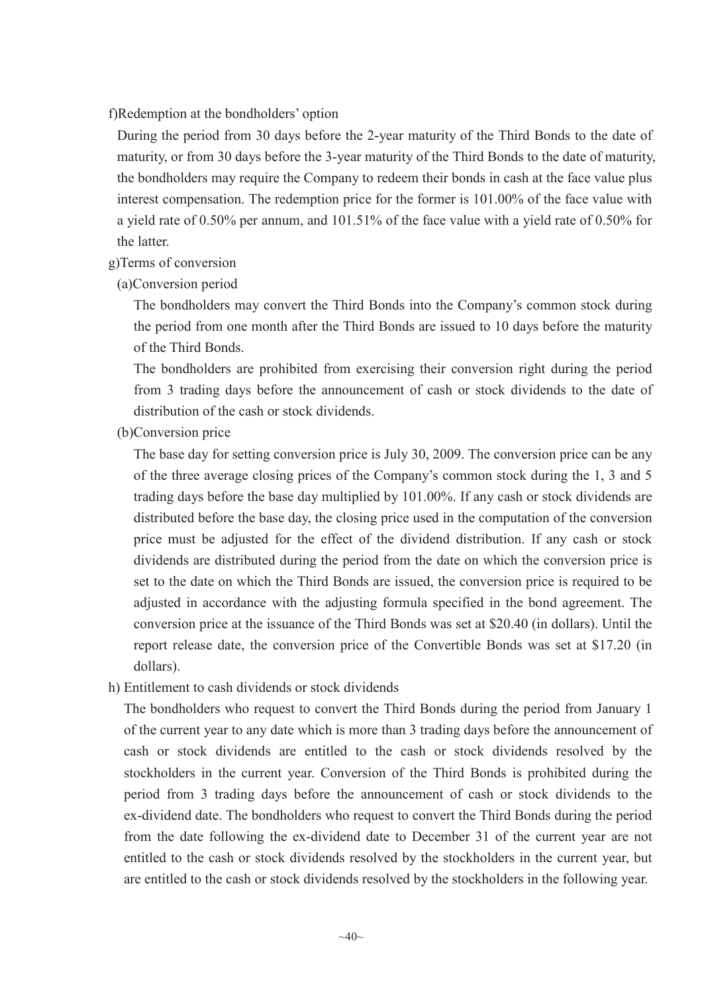#### f)Redemption at the bondholders' option

During the period from 30 days before the 2-year maturity of the Third Bonds to the date of maturity, or from 30 days before the 3-year maturity of the Third Bonds to the date of maturity, the bondholders may require the Company to redeem their bonds in cash at the face value plus interest compensation. The redemption price for the former is 101.00% of the face value with a yield rate of 0.50% per annum, and 101.51% of the face value with a yield rate of 0.50% for the latter.

#### g)Terms of conversion

(a)Conversion period

The bondholders may convert the Third Bonds into the Company's common stock during the period from one month after the Third Bonds are issued to 10 days before the maturity of the Third Bonds.

The bondholders are prohibited from exercising their conversion right during the period from 3 trading days before the announcement of cash or stock dividends to the date of distribution of the cash or stock dividends.

(b)Conversion price

The base day for setting conversion price is July 30, 2009. The conversion price can be any of the three average closing prices of the Company's common stock during the 1, 3 and 5 trading days before the base day multiplied by 101.00%. If any cash or stock dividends are distributed before the base day, the closing price used in the computation of the conversion price must be adjusted for the effect of the dividend distribution. If any cash or stock dividends are distributed during the period from the date on which the conversion price is set to the date on which the Third Bonds are issued, the conversion price is required to be adjusted in accordance with the adjusting formula specified in the bond agreement. The conversion price at the issuance of the Third Bonds was set at \$20.40 (in dollars). Until the report release date, the conversion price of the Convertible Bonds was set at \$17.20 (in dollars).

### h) Entitlement to cash dividends or stock dividends

The bondholders who request to convert the Third Bonds during the period from January 1 of the current year to any date which is more than 3 trading days before the announcement of cash or stock dividends are entitled to the cash or stock dividends resolved by the stockholders in the current year. Conversion of the Third Bonds is prohibited during the period from 3 trading days before the announcement of cash or stock dividends to the ex-dividend date. The bondholders who request to convert the Third Bonds during the period from the date following the ex-dividend date to December 31 of the current year are not entitled to the cash or stock dividends resolved by the stockholders in the current year, but are entitled to the cash or stock dividends resolved by the stockholders in the following year.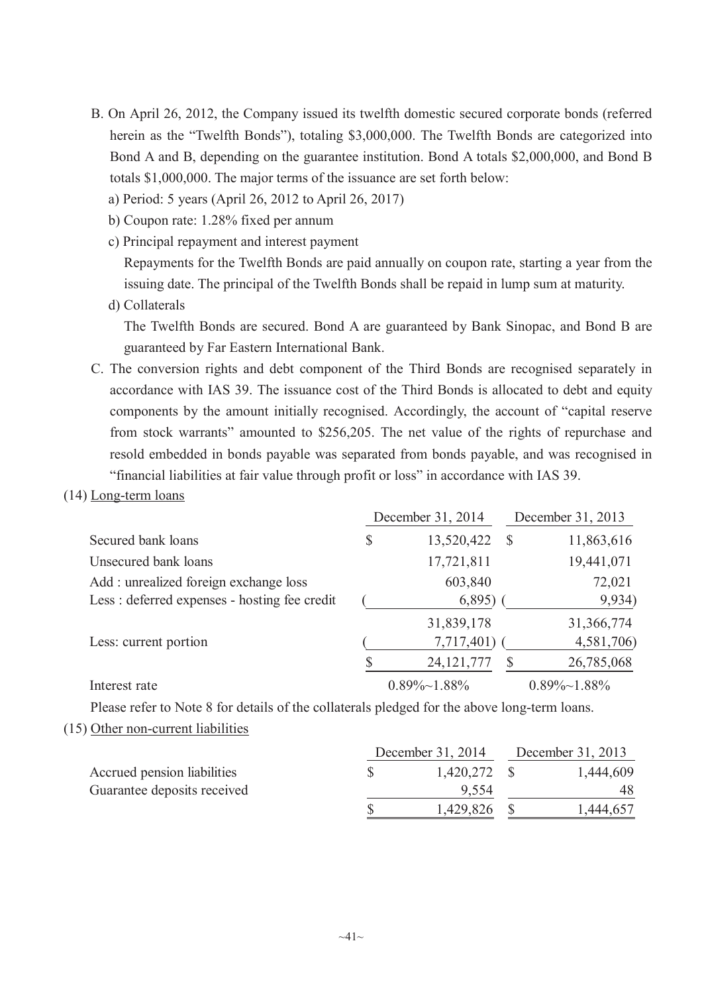- B. On April 26, 2012, the Company issued its twelfth domestic secured corporate bonds (referred herein as the "Twelfth Bonds"), totaling \$3,000,000. The Twelfth Bonds are categorized into Bond A and B, depending on the guarantee institution. Bond A totals \$2,000,000, and Bond B totals \$1,000,000. The major terms of the issuance are set forth below:
	- a) Period: 5 years (April 26, 2012 to April 26, 2017)
	- b) Coupon rate: 1.28% fixed per annum
	- c) Principal repayment and interest payment

Repayments for the Twelfth Bonds are paid annually on coupon rate, starting a year from the issuing date. The principal of the Twelfth Bonds shall be repaid in lump sum at maturity.

d) Collaterals

The Twelfth Bonds are secured. Bond A are guaranteed by Bank Sinopac, and Bond B are guaranteed by Far Eastern International Bank.

- C. The conversion rights and debt component of the Third Bonds are recognised separately in accordance with IAS 39. The issuance cost of the Third Bonds is allocated to debt and equity components by the amount initially recognised. Accordingly, the account of "capital reserve from stock warrants" amounted to \$256,205. The net value of the rights of repurchase and resold embedded in bonds payable was separated from bonds payable, and was recognised in "financial liabilities at fair value through profit or loss" in accordance with IAS 39.
- (14) Long-term loans

|                                               |    | December 31, 2014    |   | December 31, 2013    |  |  |
|-----------------------------------------------|----|----------------------|---|----------------------|--|--|
| Secured bank loans                            | \$ | 13,520,422           | S | 11,863,616           |  |  |
| Unsecured bank loans                          |    | 17,721,811           |   | 19,441,071           |  |  |
| Add: unrealized foreign exchange loss         |    | 603,840              |   | 72,021               |  |  |
| Less : deferred expenses - hosting fee credit |    | 6,895                |   | 9,934)               |  |  |
|                                               |    | 31,839,178           |   | 31,366,774           |  |  |
| Less: current portion                         |    | 7,717,401)           |   | 4,581,706)           |  |  |
|                                               |    | 24, 121, 777         |   | 26,785,068           |  |  |
| Interest rate                                 |    | $0.89\% \sim 1.88\%$ |   | $0.89\% \sim 1.88\%$ |  |  |

Please refer to Note 8 for details of the collaterals pledged for the above long-term loans.

(15) Other non-current liabilities

|                             | December 31, 2014 | December 31, 2013 |           |
|-----------------------------|-------------------|-------------------|-----------|
| Accrued pension liabilities | $1,420,272$ \$    |                   | 1,444,609 |
| Guarantee deposits received | 9.554             |                   | 48        |
|                             | 1,429,826         |                   | 1,444,657 |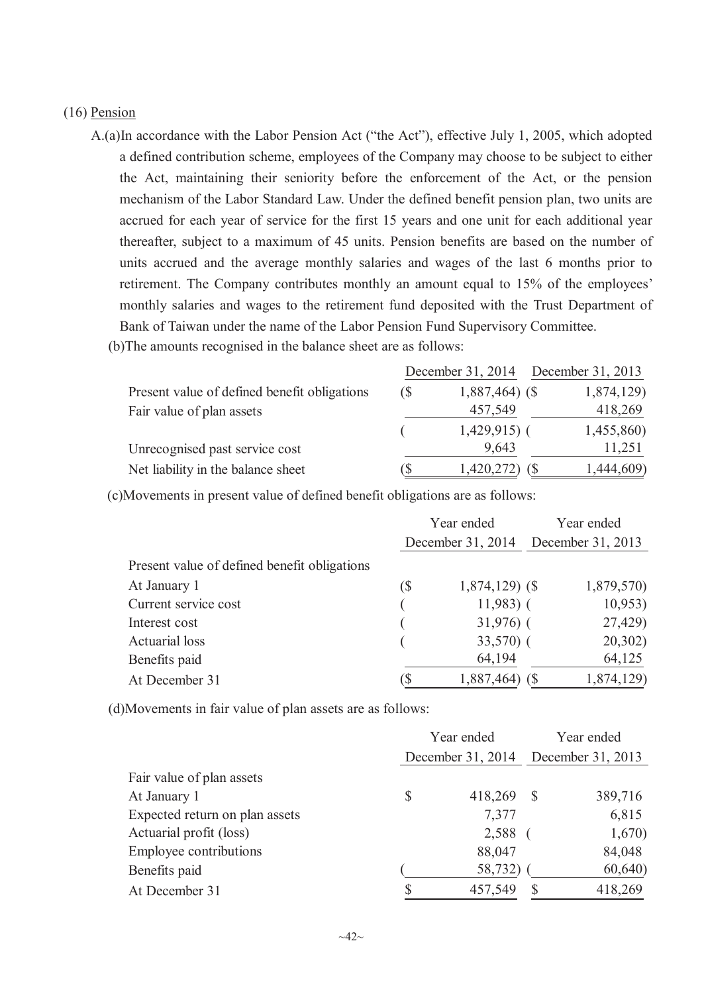#### (16) Pension

A.(a)In accordance with the Labor Pension Act ("the Act"), effective July 1, 2005, which adopted a defined contribution scheme, employees of the Company may choose to be subject to either the Act, maintaining their seniority before the enforcement of the Act, or the pension mechanism of the Labor Standard Law. Under the defined benefit pension plan, two units are accrued for each year of service for the first 15 years and one unit for each additional year thereafter, subject to a maximum of 45 units. Pension benefits are based on the number of units accrued and the average monthly salaries and wages of the last 6 months prior to retirement. The Company contributes monthly an amount equal to 15% of the employees' monthly salaries and wages to the retirement fund deposited with the Trust Department of Bank of Taiwan under the name of the Labor Pension Fund Supervisory Committee.

| (b) The amounts recognised in the balance sheet are as follows: |  |  |
|-----------------------------------------------------------------|--|--|
|                                                                 |  |  |

|                                              |            | December 31, 2014 | December 31, 2013 |
|----------------------------------------------|------------|-------------------|-------------------|
| Present value of defined benefit obligations | $\sqrt{S}$ | $1,887,464$ (\$)  | 1,874,129)        |
| Fair value of plan assets                    |            | 457,549           | 418,269           |
|                                              |            | $1,429,915$ (     | 1,455,860)        |
| Unrecognised past service cost               |            | 9,643             | 11,251            |
| Net liability in the balance sheet           | D          | 1,420,272)        | 1,444,609)        |

(c)Movements in present value of defined benefit obligations are as follows:

|                                              | Year ended                 |                                     | Year ended |            |
|----------------------------------------------|----------------------------|-------------------------------------|------------|------------|
|                                              |                            | December 31, 2014 December 31, 2013 |            |            |
| Present value of defined benefit obligations |                            |                                     |            |            |
| At January 1                                 | $\left( \text{\$} \right)$ | $1,874,129$ (\$)                    |            | 1,879,570) |
| Current service cost                         |                            | $11,983$ (                          |            | 10,953     |
| Interest cost                                |                            | $31,976$ (                          |            | 27,429)    |
| Actuarial loss                               |                            | $33,570$ (                          |            | 20,302)    |
| Benefits paid                                |                            | 64,194                              |            | 64,125     |
| At December 31                               |                            | 1,887,464)                          |            | 1,874,129) |

(d)Movements in fair value of plan assets are as follows:

|                                | Year ended |                   | Year ended   |                   |
|--------------------------------|------------|-------------------|--------------|-------------------|
|                                |            | December 31, 2014 |              | December 31, 2013 |
| Fair value of plan assets      |            |                   |              |                   |
| At January 1                   | \$         | 418,269           | -S           | 389,716           |
| Expected return on plan assets |            | 7,377             |              | 6,815             |
| Actuarial profit (loss)        |            | 2,588             |              | 1,670)            |
| Employee contributions         |            | 88,047            |              | 84,048            |
| Benefits paid                  |            | 58,732)           |              | 60,640            |
| At December 31                 | S          | 457,549           | <sup>S</sup> | 418,269           |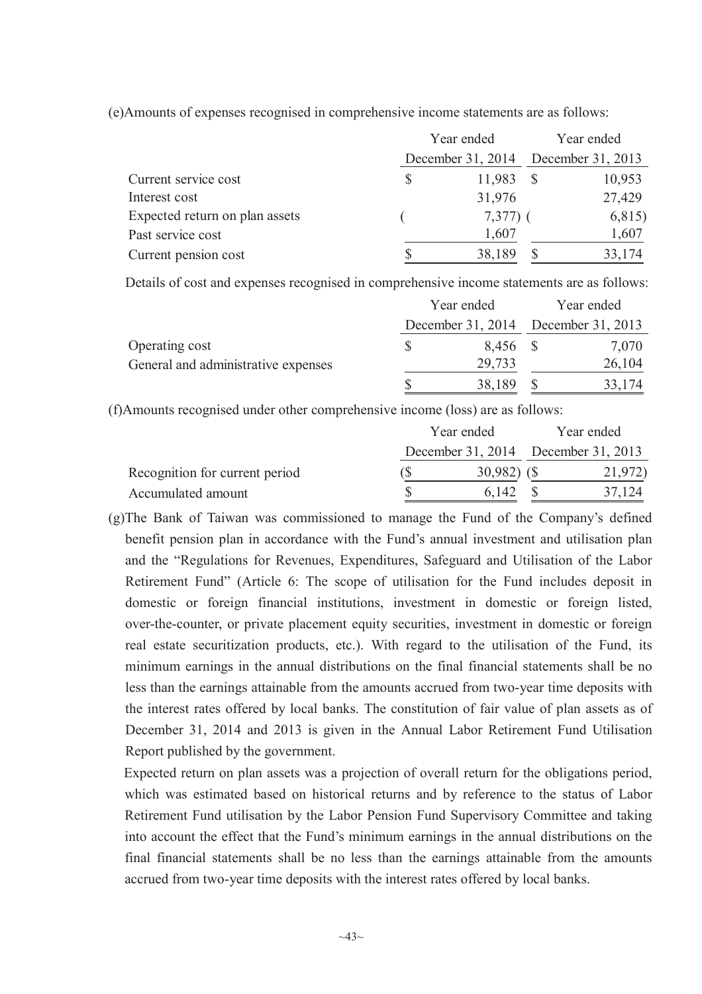|                                | Year ended        | Year ended |                   |  |
|--------------------------------|-------------------|------------|-------------------|--|
|                                | December 31, 2014 |            | December 31, 2013 |  |
| Current service cost           | \$<br>11,983      |            | 10,953            |  |
| Interest cost                  | 31,976            |            | 27,429            |  |
| Expected return on plan assets | $7,377)$ (        |            | 6,815)            |  |
| Past service cost              | 1,607             |            | 1,607             |  |
| Current pension cost           | 38,189            |            | 33,174            |  |

(e)Amounts of expenses recognised in comprehensive income statements are as follows:

Details of cost and expenses recognised in comprehensive income statements are as follows:

|                                     | Year ended |          | Year ended                          |
|-------------------------------------|------------|----------|-------------------------------------|
|                                     |            |          | December 31, 2014 December 31, 2013 |
| Operating cost                      |            | 8,456 \$ | 7,070                               |
| General and administrative expenses |            | 29,733   | 26,104                              |
|                                     | S          | 38,189   | 33,174                              |

(f)Amounts recognised under other comprehensive income (loss) are as follows:

|                                | Year ended                          |  | Year ended |
|--------------------------------|-------------------------------------|--|------------|
|                                | December 31, 2014 December 31, 2013 |  |            |
| Recognition for current period | $30,982)$ (\$)                      |  | 21,972     |
| Accumulated amount             | 6 142                               |  |            |

(g)The Bank of Taiwan was commissioned to manage the Fund of the Company's defined benefit pension plan in accordance with the Fund's annual investment and utilisation plan and the "Regulations for Revenues, Expenditures, Safeguard and Utilisation of the Labor Retirement Fund" (Article 6: The scope of utilisation for the Fund includes deposit in domestic or foreign financial institutions, investment in domestic or foreign listed, over-the-counter, or private placement equity securities, investment in domestic or foreign real estate securitization products, etc.). With regard to the utilisation of the Fund, its minimum earnings in the annual distributions on the final financial statements shall be no less than the earnings attainable from the amounts accrued from two-year time deposits with the interest rates offered by local banks. The constitution of fair value of plan assets as of December 31, 2014 and 2013 is given in the Annual Labor Retirement Fund Utilisation Report published by the government.

Expected return on plan assets was a projection of overall return for the obligations period, which was estimated based on historical returns and by reference to the status of Labor Retirement Fund utilisation by the Labor Pension Fund Supervisory Committee and taking into account the effect that the Fund's minimum earnings in the annual distributions on the final financial statements shall be no less than the earnings attainable from the amounts accrued from two-year time deposits with the interest rates offered by local banks.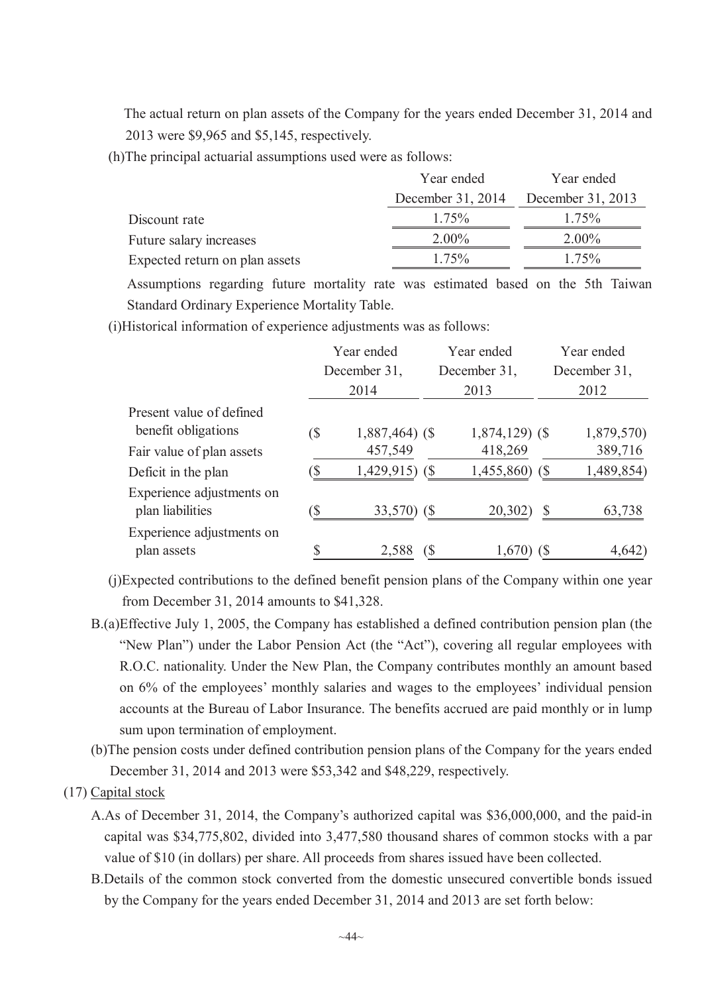The actual return on plan assets of the Company for the years ended December 31, 2014 and 2013 were \$9,965 and \$5,145, respectively.

(h)The principal actuarial assumptions used were as follows:

|                                | Year ended        | Year ended        |
|--------------------------------|-------------------|-------------------|
|                                | December 31, 2014 | December 31, 2013 |
| Discount rate                  | 175%              | 175%              |
| Future salary increases        | $2.00\%$          | $2.00\%$          |
| Expected return on plan assets | 175%              | $1.75\%$          |

Assumptions regarding future mortality rate was estimated based on the 5th Taiwan Standard Ordinary Experience Mortality Table.

(i)Historical information of experience adjustments was as follows:

|                           | Year ended |                  |    | Year ended       |            | Year ended   |  |
|---------------------------|------------|------------------|----|------------------|------------|--------------|--|
|                           |            | December 31,     |    | December 31,     |            | December 31, |  |
|                           |            | 2014             |    | 2013             |            | 2012         |  |
| Present value of defined  |            |                  |    |                  |            |              |  |
| benefit obligations       | (\$        | $1,887,464$ (\$) |    | $1,874,129$ (\$) |            | 1,879,570)   |  |
| Fair value of plan assets |            | 457,549          |    | 418,269          |            | 389,716      |  |
| Deficit in the plan       |            | 1,429,915)       | (S | 1,455,860)       | $\sqrt{S}$ | 1,489,854)   |  |
| Experience adjustments on |            |                  |    |                  |            |              |  |
| plan liabilities          |            | 33,570)          |    | 20,302)          | \$         | 63,738       |  |
| Experience adjustments on |            |                  |    |                  |            |              |  |
| plan assets               |            | 2,588            |    | 1,670            |            | 4,642        |  |

- (j)Expected contributions to the defined benefit pension plans of the Company within one year from December 31, 2014 amounts to \$41,328.
- B.(a)Effective July 1, 2005, the Company has established a defined contribution pension plan (the "New Plan") under the Labor Pension Act (the "Act"), covering all regular employees with R.O.C. nationality. Under the New Plan, the Company contributes monthly an amount based on 6% of the employees' monthly salaries and wages to the employees' individual pension accounts at the Bureau of Labor Insurance. The benefits accrued are paid monthly or in lump sum upon termination of employment.
- (b)The pension costs under defined contribution pension plans of the Company for the years ended December 31, 2014 and 2013 were \$53,342 and \$48,229, respectively.
- (17) Capital stock
	- A.As of December 31, 2014, the Company's authorized capital was \$36,000,000, and the paid-in capital was \$34,775,802, divided into 3,477,580 thousand shares of common stocks with a par value of \$10 (in dollars) per share. All proceeds from shares issued have been collected.
	- B.Details of the common stock converted from the domestic unsecured convertible bonds issued by the Company for the years ended December 31, 2014 and 2013 are set forth below: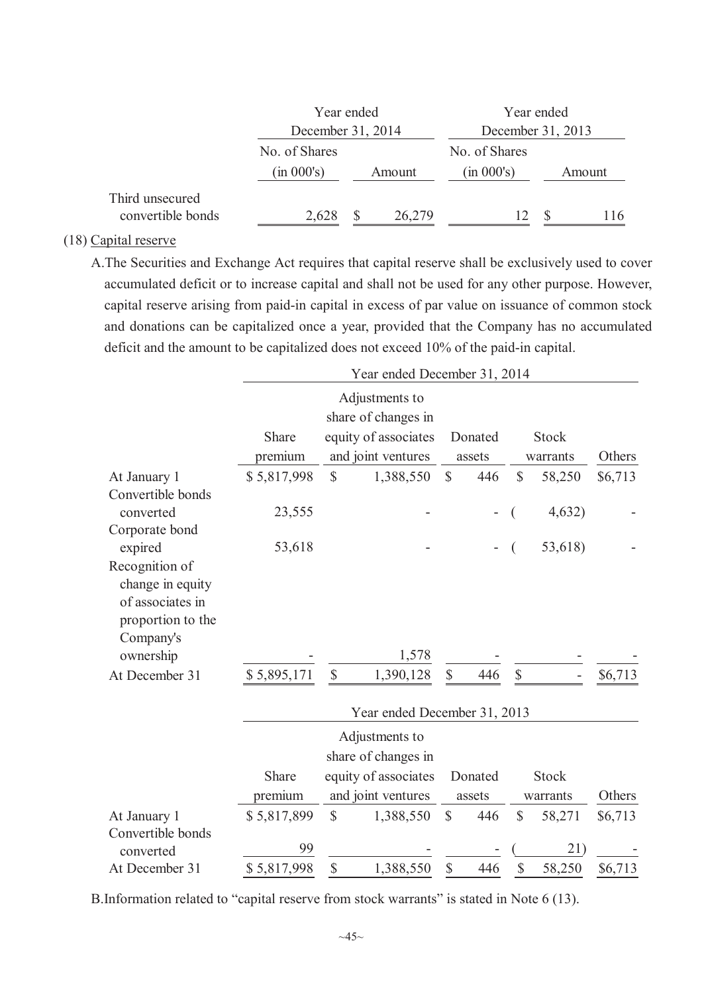|                                      | Year ended        |  |                   | Year ended    |  |        |  |  |
|--------------------------------------|-------------------|--|-------------------|---------------|--|--------|--|--|
|                                      | December 31, 2014 |  | December 31, 2013 |               |  |        |  |  |
|                                      | No. of Shares     |  |                   | No. of Shares |  |        |  |  |
|                                      | (in 000's)        |  | Amount            | (in 000's)    |  | Amount |  |  |
| Third unsecured<br>convertible bonds | 2,628             |  | 26,279            | 12            |  | 116    |  |  |

### (18) Capital reserve

A.The Securities and Exchange Act requires that capital reserve shall be exclusively used to cover accumulated deficit or to increase capital and shall not be used for any other purpose. However, capital reserve arising from paid-in capital in excess of par value on issuance of common stock and donations can be capitalized once a year, provided that the Company has no accumulated deficit and the amount to be capitalized does not exceed 10% of the paid-in capital.

|                                                                                          | Year ended December 31, 2014 |              |                              |              |         |                           |              |         |  |  |
|------------------------------------------------------------------------------------------|------------------------------|--------------|------------------------------|--------------|---------|---------------------------|--------------|---------|--|--|
|                                                                                          |                              |              | Adjustments to               |              |         |                           |              |         |  |  |
|                                                                                          |                              |              | share of changes in          |              |         |                           |              |         |  |  |
|                                                                                          | Share                        |              | equity of associates         |              | Donated |                           | <b>Stock</b> |         |  |  |
|                                                                                          | premium                      |              | and joint ventures           |              | assets  |                           | warrants     | Others  |  |  |
| At January 1                                                                             | \$5,817,998                  | $\mathbb{S}$ | 1,388,550                    | $\mathbb{S}$ | 446     | $\mathsf{\$}$             | 58,250       | \$6,713 |  |  |
| Convertible bonds<br>converted                                                           | 23,555                       |              |                              |              |         |                           | 4,632)       |         |  |  |
| Corporate bond<br>expired                                                                | 53,618                       |              |                              |              |         |                           | 53,618)      |         |  |  |
| Recognition of<br>change in equity<br>of associates in<br>proportion to the<br>Company's |                              |              |                              |              |         |                           |              |         |  |  |
| ownership                                                                                |                              |              | 1,578                        |              |         |                           |              |         |  |  |
| At December 31                                                                           | \$5,895,171                  | $\mathbb{S}$ | 1,390,128                    | $\mathbb{S}$ | 446     | $\boldsymbol{\mathsf{S}}$ |              | \$6,713 |  |  |
|                                                                                          |                              |              | Year ended December 31, 2013 |              |         |                           |              |         |  |  |
|                                                                                          |                              |              | Adjustments to               |              |         |                           |              |         |  |  |
|                                                                                          |                              |              | share of changes in          |              |         |                           |              |         |  |  |
|                                                                                          | Share                        |              | equity of associates         |              | Donated |                           | Stock        |         |  |  |
|                                                                                          | premium                      |              | and joint ventures           |              | assets  |                           | warrants     | Others  |  |  |
| At January 1                                                                             | \$5,817,899                  | $\mathbb{S}$ | 1,388,550                    | \$           | 446     | \$                        | 58,271       | \$6,713 |  |  |
| Convertible bonds<br>converted                                                           | 99                           |              |                              |              |         |                           | 21)          |         |  |  |
| At December 31                                                                           | \$5,817,998                  | \$           | 1,388,550                    | \$           | 446     | \$                        | 58,250       | \$6,713 |  |  |

B.Information related to "capital reserve from stock warrants" is stated in Note 6 (13).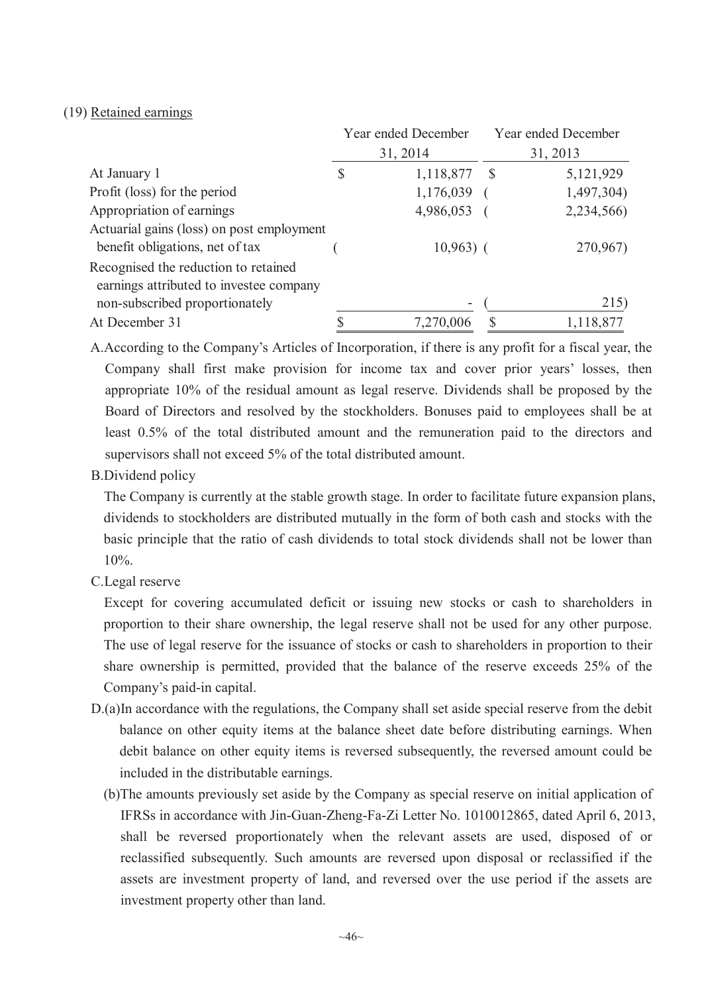#### (19) Retained earnings

|                                                                                 | Year ended December |              | Year ended December |
|---------------------------------------------------------------------------------|---------------------|--------------|---------------------|
|                                                                                 | 31, 2014            |              | 31, 2013            |
| At January 1                                                                    | \$<br>1,118,877     | <sup>S</sup> | 5,121,929           |
| Profit (loss) for the period                                                    | 1,176,039           |              | 1,497,304)          |
| Appropriation of earnings                                                       | 4,986,053           |              | 2,234,566)          |
| Actuarial gains (loss) on post employment                                       |                     |              |                     |
| benefit obligations, net of tax                                                 | $10,963)$ (         |              | 270,967)            |
| Recognised the reduction to retained<br>earnings attributed to investee company |                     |              |                     |
| non-subscribed proportionately                                                  |                     |              | 215)                |
| At December 31                                                                  | 7,270,006           |              | 1,118,877           |

A.According to the Company's Articles of Incorporation, if there is any profit for a fiscal year, the Company shall first make provision for income tax and cover prior years' losses, then appropriate 10% of the residual amount as legal reserve. Dividends shall be proposed by the Board of Directors and resolved by the stockholders. Bonuses paid to employees shall be at least 0.5% of the total distributed amount and the remuneration paid to the directors and supervisors shall not exceed 5% of the total distributed amount.

B.Dividend policy

The Company is currently at the stable growth stage. In order to facilitate future expansion plans, dividends to stockholders are distributed mutually in the form of both cash and stocks with the basic principle that the ratio of cash dividends to total stock dividends shall not be lower than 10%.

C.Legal reserve

Except for covering accumulated deficit or issuing new stocks or cash to shareholders in proportion to their share ownership, the legal reserve shall not be used for any other purpose. The use of legal reserve for the issuance of stocks or cash to shareholders in proportion to their share ownership is permitted, provided that the balance of the reserve exceeds 25% of the Company's paid-in capital.

- D.(a)In accordance with the regulations, the Company shall set aside special reserve from the debit balance on other equity items at the balance sheet date before distributing earnings. When debit balance on other equity items is reversed subsequently, the reversed amount could be included in the distributable earnings.
	- (b)The amounts previously set aside by the Company as special reserve on initial application of IFRSs in accordance with Jin-Guan-Zheng-Fa-Zi Letter No. 1010012865, dated April 6, 2013, shall be reversed proportionately when the relevant assets are used, disposed of or reclassified subsequently. Such amounts are reversed upon disposal or reclassified if the assets are investment property of land, and reversed over the use period if the assets are investment property other than land.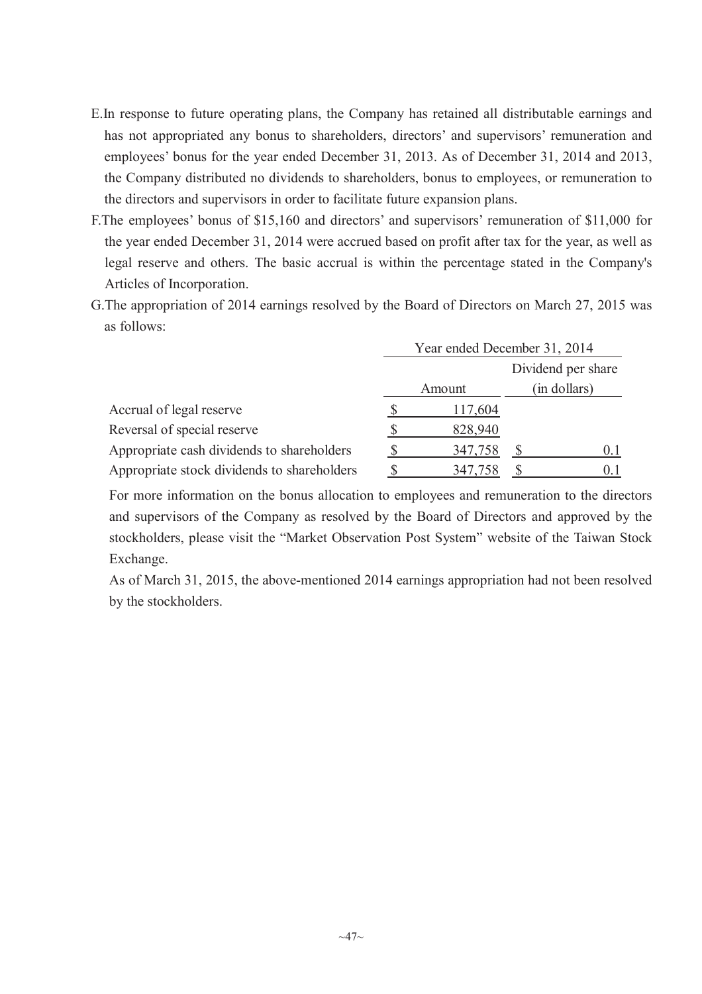- E.In response to future operating plans, the Company has retained all distributable earnings and has not appropriated any bonus to shareholders, directors' and supervisors' remuneration and employees' bonus for the year ended December 31, 2013. As of December 31, 2014 and 2013, the Company distributed no dividends to shareholders, bonus to employees, or remuneration to the directors and supervisors in order to facilitate future expansion plans.
- F.The employees' bonus of \$15,160 and directors' and supervisors' remuneration of \$11,000 for the year ended December 31, 2014 were accrued based on profit after tax for the year, as well as legal reserve and others. The basic accrual is within the percentage stated in the Company's Articles of Incorporation.
- G.The appropriation of 2014 earnings resolved by the Board of Directors on March 27, 2015 was as follows:

|                                             | Year ended December 31, 2014 |         |  |                    |  |  |
|---------------------------------------------|------------------------------|---------|--|--------------------|--|--|
|                                             |                              |         |  | Dividend per share |  |  |
|                                             |                              | Amount  |  | (in dollars)       |  |  |
| Accrual of legal reserve                    |                              | 117,604 |  |                    |  |  |
| Reversal of special reserve                 |                              | 828,940 |  |                    |  |  |
| Appropriate cash dividends to shareholders  |                              | 347,758 |  | 0 I                |  |  |
| Appropriate stock dividends to shareholders |                              | 347,758 |  |                    |  |  |

For more information on the bonus allocation to employees and remuneration to the directors and supervisors of the Company as resolved by the Board of Directors and approved by the stockholders, please visit the "Market Observation Post System" website of the Taiwan Stock Exchange.

As of March 31, 2015, the above-mentioned 2014 earnings appropriation had not been resolved by the stockholders.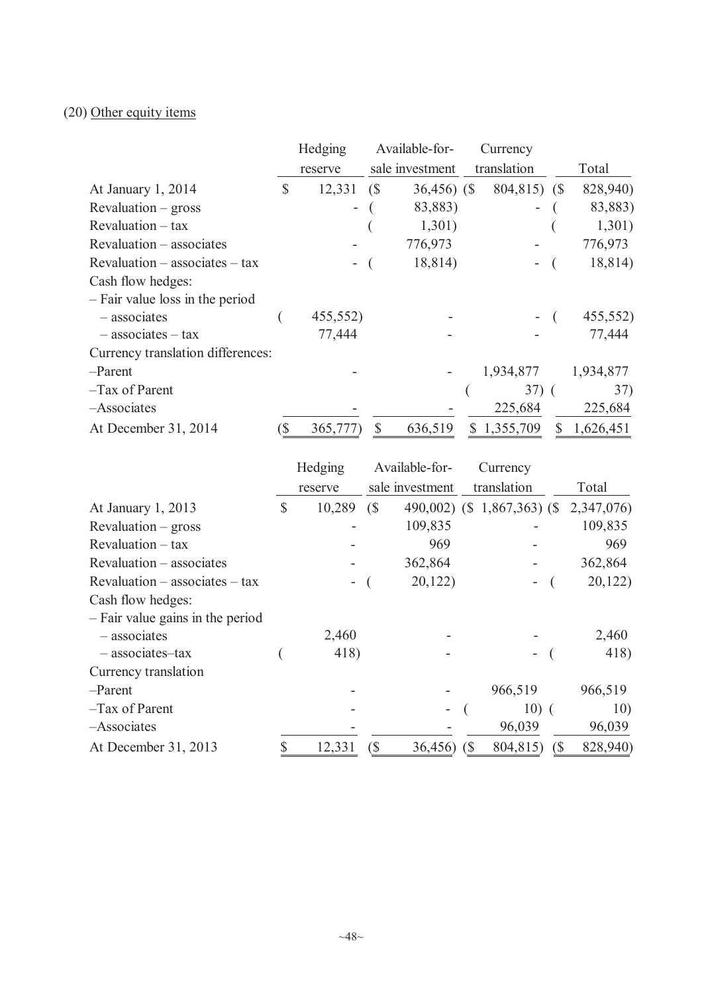# (20) Other equity items

|                                   | Hedging        |               | Available-for-  | Currency                 |   |           |
|-----------------------------------|----------------|---------------|-----------------|--------------------------|---|-----------|
|                                   | reserve        |               | sale investment | translation              |   | Total     |
| At January 1, 2014                | \$<br>12,331   | $\sqrt{S}$    | $36,456$ (\$)   | 804,815) (\$             |   | 828,940)  |
| $Revaluation - gross$             | $\blacksquare$ |               | 83,883)         | $\overline{\phantom{0}}$ |   | 83,883)   |
| $Revaluation - tax$               |                |               | 1,301)          |                          |   | 1,301)    |
| Revaluation – associates          |                |               | 776,973         |                          |   | 776,973   |
| $Revaluation - associates - tax$  |                |               | 18,814)         |                          |   | 18,814)   |
| Cash flow hedges:                 |                |               |                 |                          |   |           |
| - Fair value loss in the period   |                |               |                 |                          |   |           |
| - associates                      | 455,552)       |               |                 |                          |   | 455,552)  |
| $-$ associates $-$ tax            | 77,444         |               |                 |                          |   | 77,444    |
| Currency translation differences: |                |               |                 |                          |   |           |
| -Parent                           |                |               |                 | 1,934,877                |   | 1,934,877 |
| $-Tax$ of Parent                  |                |               |                 | $37)$ (                  |   | 37)       |
| -Associates                       |                |               |                 | 225,684                  |   | 225,684   |
| At December 31, 2014              | 365,777)       | $\mathcal{S}$ | 636,519         | 1,355,709<br>S.          | S | 1,626,451 |

|                                  |              | Hedging<br>Available-for- |                            |                 | Currency                     |                             |            |
|----------------------------------|--------------|---------------------------|----------------------------|-----------------|------------------------------|-----------------------------|------------|
|                                  |              | reserve                   |                            | sale investment |                              | translation                 | Total      |
| At January 1, 2013               | $\mathbb{S}$ | 10,289                    | $\left(\frac{1}{2}\right)$ |                 |                              | 490,002) (\$ 1,867,363) (\$ | 2,347,076) |
| $Revaluation - gross$            |              |                           |                            | 109,835         |                              |                             | 109,835    |
| Revaluation – tax                |              |                           |                            | 969             |                              |                             | 969        |
| Revaluation – associates         |              |                           |                            | 362,864         |                              |                             | 362,864    |
| $Revaluation - associates - tax$ |              |                           |                            | 20,122          |                              |                             | 20,122     |
| Cash flow hedges:                |              |                           |                            |                 |                              |                             |            |
| - Fair value gains in the period |              |                           |                            |                 |                              |                             |            |
| $-$ associates                   |              | 2,460                     |                            |                 |                              |                             | 2,460      |
| - associates-tax                 |              | 418)                      |                            |                 |                              |                             | 418)       |
| Currency translation             |              |                           |                            |                 |                              |                             |            |
| -Parent                          |              |                           |                            |                 |                              | 966,519                     | 966,519    |
| $-Tax$ of Parent                 |              |                           |                            | ۰               |                              | $10)$ (                     | 10)        |
| -Associates                      |              |                           |                            |                 |                              | 96,039                      | 96,039     |
| At December 31, 2013             |              | 12,331                    | (\$                        | 36,456)         | $\left( \mathsf{\$} \right)$ | 804,815)<br>$\sqrt{S}$      | 828,940)   |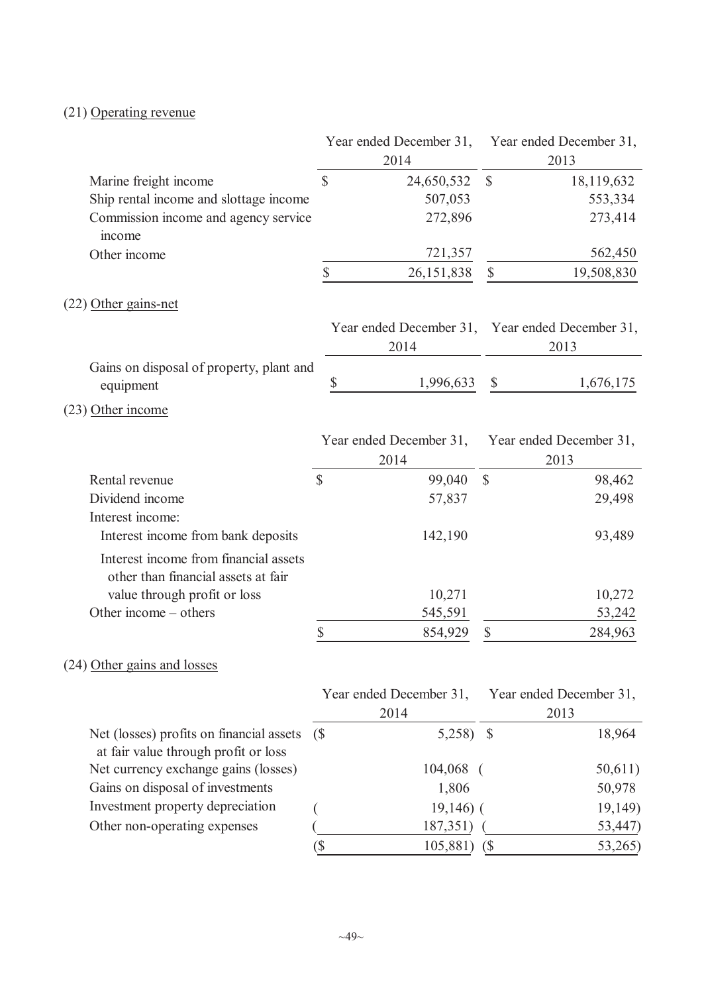# (21) Operating revenue

|                                                                                  |              | Year ended December 31,                                 |               | Year ended December 31,         |
|----------------------------------------------------------------------------------|--------------|---------------------------------------------------------|---------------|---------------------------------|
|                                                                                  |              | 2014                                                    |               | 2013                            |
| Marine freight income                                                            | \$           | 24,650,532                                              | $\mathbb{S}$  | 18,119,632                      |
| Ship rental income and slottage income                                           |              | 507,053                                                 |               | 553,334                         |
| Commission income and agency service<br>income                                   |              | 272,896                                                 |               | 273,414                         |
| Other income                                                                     |              | 721,357                                                 |               | 562,450                         |
|                                                                                  | \$           | 26, 151, 838                                            | \$            | 19,508,830                      |
| $(22)$ Other gains-net                                                           |              |                                                         |               |                                 |
|                                                                                  |              | Year ended December 31, Year ended December 31,<br>2014 |               | 2013                            |
| Gains on disposal of property, plant and<br>equipment                            | \$           | 1,996,633                                               | \$            | 1,676,175                       |
| $(23)$ Other income                                                              |              |                                                         |               |                                 |
|                                                                                  |              | Year ended December 31,<br>2014                         |               | Year ended December 31,<br>2013 |
| Rental revenue                                                                   | $\mathbb{S}$ | 99,040                                                  | $\mathcal{S}$ | 98,462                          |
| Dividend income                                                                  |              | 57,837                                                  |               | 29,498                          |
| Interest income:                                                                 |              |                                                         |               |                                 |
| Interest income from bank deposits                                               |              | 142,190                                                 |               | 93,489                          |
| Interest income from financial assets<br>other than financial assets at fair     |              |                                                         |               |                                 |
| value through profit or loss                                                     |              | 10,271                                                  |               | 10,272                          |
| Other income – others                                                            |              | 545,591                                                 |               | 53,242                          |
|                                                                                  | \$           | 854,929                                                 | \$            | 284,963                         |
| (24) Other gains and losses                                                      |              |                                                         |               |                                 |
|                                                                                  |              | Year ended December 31,                                 |               | Year ended December 31,         |
|                                                                                  |              | 2014                                                    |               | 2013                            |
| Net (losses) profits on financial assets<br>at fair value through profit or loss | (S           | $5,258$ \$                                              |               | 18,964                          |
| Net currency exchange gains (losses)                                             |              | 104,068                                                 |               | 50,611)                         |
| Gains on disposal of investments                                                 |              | 1,806                                                   |               | 50,978                          |
| Investment property depreciation                                                 |              | $19,146$ ) (                                            |               | 19,149)                         |
| Other non-operating expenses                                                     |              | 187,351)                                                |               | (53, 447)                       |
|                                                                                  | (            | 105,881) (\$                                            |               | 53,265)                         |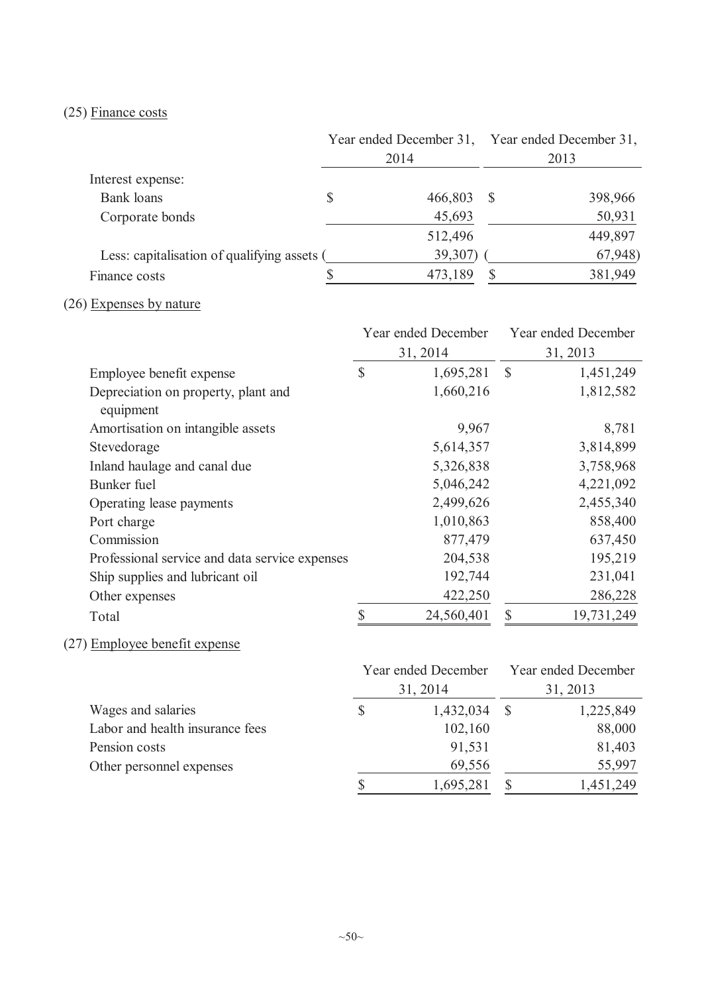# (25) Finance costs

|                                             | Year ended December 31, Year ended December 31, |  |         |
|---------------------------------------------|-------------------------------------------------|--|---------|
|                                             | 2014                                            |  | 2013    |
| Interest expense:                           |                                                 |  |         |
| Bank loans                                  | 466,803                                         |  | 398,966 |
| Corporate bonds                             | 45,693                                          |  | 50,931  |
|                                             | 512,496                                         |  | 449,897 |
| Less: capitalisation of qualifying assets ( | 39,307)                                         |  | 67,948) |
| Finance costs                               | 473,189                                         |  | 381,949 |

# (26) Expenses by nature

|                                                  |               | Year ended December |               | Year ended December |  |
|--------------------------------------------------|---------------|---------------------|---------------|---------------------|--|
|                                                  |               | 31, 2014            | 31, 2013      |                     |  |
| Employee benefit expense                         | $\mathcal{S}$ | 1,695,281           | $\mathcal{S}$ | 1,451,249           |  |
| Depreciation on property, plant and<br>equipment |               | 1,660,216           |               | 1,812,582           |  |
| Amortisation on intangible assets                |               | 9,967               |               | 8,781               |  |
| Stevedorage                                      |               | 5,614,357           |               | 3,814,899           |  |
| Inland haulage and canal due                     |               | 5,326,838           |               | 3,758,968           |  |
| Bunker fuel                                      |               | 5,046,242           |               | 4,221,092           |  |
| Operating lease payments                         |               | 2,499,626           |               | 2,455,340           |  |
| Port charge                                      |               | 1,010,863           |               | 858,400             |  |
| Commission                                       |               | 877,479             |               | 637,450             |  |
| Professional service and data service expenses   |               | 204,538             |               | 195,219             |  |
| Ship supplies and lubricant oil                  |               | 192,744             |               | 231,041             |  |
| Other expenses                                   |               | 422,250             |               | 286,228             |  |
| Total                                            | \$            | 24,560,401          | \$            | 19,731,249          |  |

# (27) Employee benefit expense

|                                 | Year ended December | Year ended December<br>31, 2013 |           |  |
|---------------------------------|---------------------|---------------------------------|-----------|--|
|                                 | 31, 2014            |                                 |           |  |
| Wages and salaries              | 1,432,034           |                                 | 1,225,849 |  |
| Labor and health insurance fees | 102,160             |                                 | 88,000    |  |
| Pension costs                   | 91,531              |                                 | 81,403    |  |
| Other personnel expenses        | 69,556              |                                 | 55,997    |  |
|                                 | 1,695,281           |                                 | 1,451,249 |  |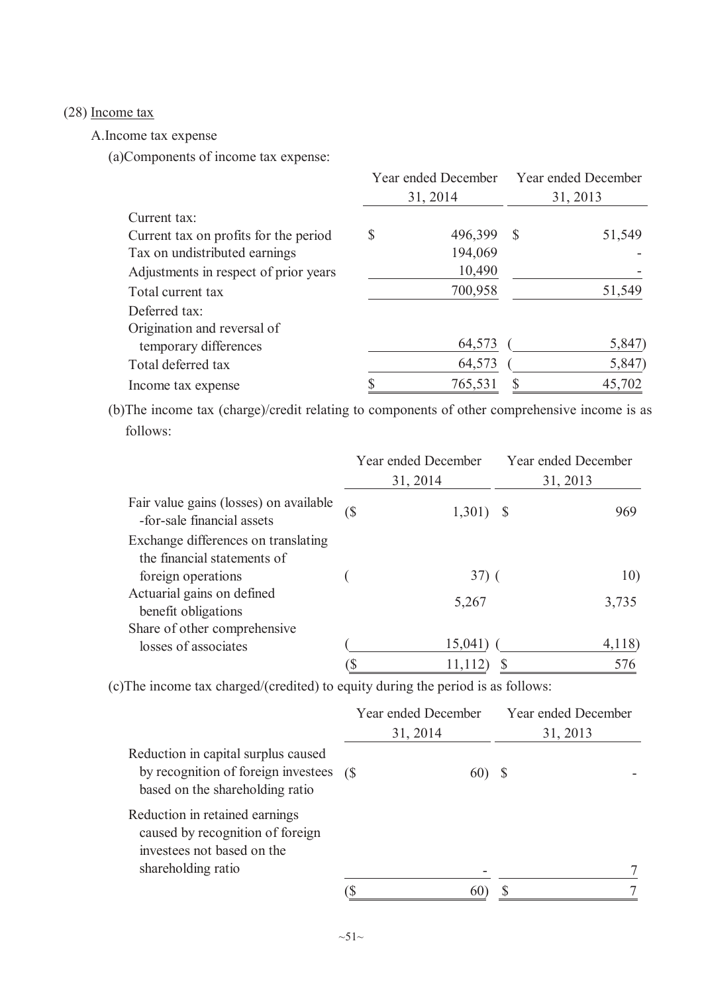# (28) Income tax

A.Income tax expense

(a)Components of income tax expense:

|                                       | Year ended December Year ended December |          |               |        |  |
|---------------------------------------|-----------------------------------------|----------|---------------|--------|--|
|                                       |                                         | 31, 2014 | 31, 2013      |        |  |
| Current tax:                          |                                         |          |               |        |  |
| Current tax on profits for the period | \$                                      | 496,399  | <sup>\$</sup> | 51,549 |  |
| Tax on undistributed earnings         |                                         | 194,069  |               |        |  |
| Adjustments in respect of prior years |                                         | 10,490   |               |        |  |
| Total current tax                     |                                         | 700,958  |               | 51,549 |  |
| Deferred tax:                         |                                         |          |               |        |  |
| Origination and reversal of           |                                         |          |               |        |  |
| temporary differences                 |                                         | 64,573   |               | 5,847) |  |
| Total deferred tax                    |                                         | 64,573   |               | 5,847) |  |
| Income tax expense                    |                                         | 765,531  |               | 45,702 |  |

(b)The income tax (charge)/credit relating to components of other comprehensive income is as follows:

|                                                                      |     | Year ended December | Year ended December |
|----------------------------------------------------------------------|-----|---------------------|---------------------|
|                                                                      |     | 31, 2014            | 31, 2013            |
| Fair value gains (losses) on available<br>-for-sale financial assets | (\$ | 1,301)              | 969                 |
| Exchange differences on translating<br>the financial statements of   |     |                     |                     |
| foreign operations                                                   |     | $37)$ (             | 10)                 |
| Actuarial gains on defined<br>benefit obligations                    |     | 5,267               | 3,735               |
| Share of other comprehensive                                         |     |                     |                     |
| losses of associates                                                 |     | 15,041              | 4,118               |
|                                                                      |     | 11,112)             | 576                 |

(c)The income tax charged/(credited) to equity during the period is as follows:

|                                                                                                                        | Year ended December<br>31, 2014 |              | Year ended December<br>31, 2013 |
|------------------------------------------------------------------------------------------------------------------------|---------------------------------|--------------|---------------------------------|
| Reduction in capital surplus caused<br>by recognition of foreign investees (\$<br>based on the shareholding ratio      |                                 | $60^{\circ}$ |                                 |
| Reduction in retained earnings<br>caused by recognition of foreign<br>investees not based on the<br>shareholding ratio |                                 |              |                                 |
|                                                                                                                        |                                 |              |                                 |
|                                                                                                                        |                                 |              |                                 |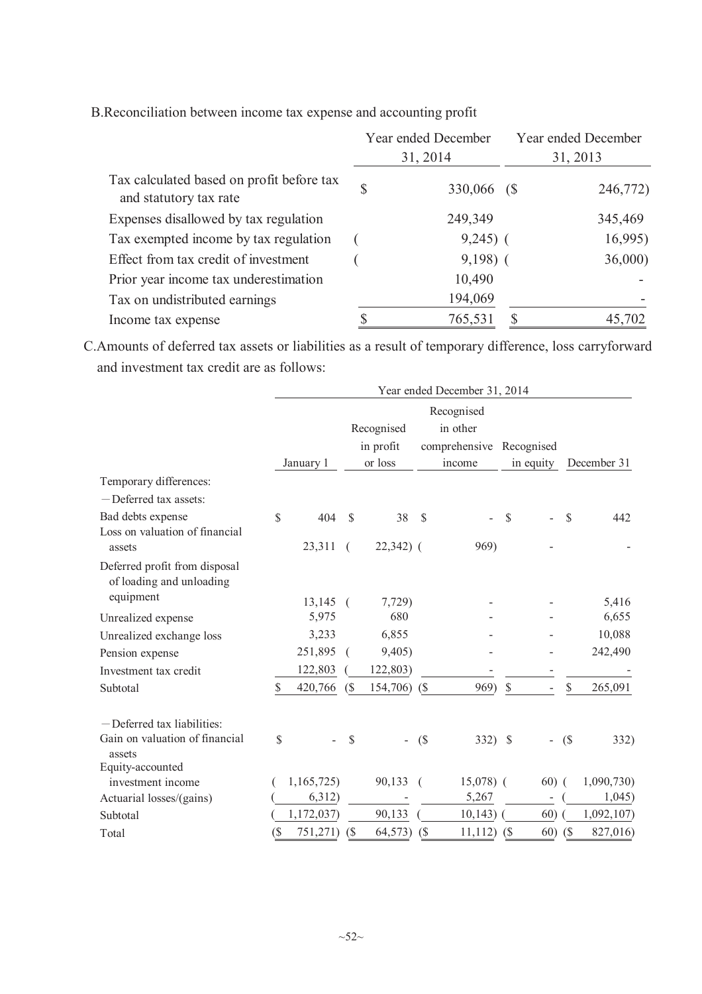|                                                                     | Year ended December |             | Year ended December |          |  |
|---------------------------------------------------------------------|---------------------|-------------|---------------------|----------|--|
|                                                                     |                     | 31, 2014    |                     | 31, 2013 |  |
| Tax calculated based on profit before tax<br>and statutory tax rate | \$                  | 330,066 (\$ |                     | 246,772) |  |
| Expenses disallowed by tax regulation                               |                     | 249,349     |                     | 345,469  |  |
| Tax exempted income by tax regulation                               |                     | $9,245$ (   |                     | 16,995)  |  |
| Effect from tax credit of investment                                |                     | $9,198)$ (  |                     | 36,000   |  |
| Prior year income tax underestimation                               |                     | 10,490      |                     |          |  |
| Tax on undistributed earnings                                       |                     | 194,069     |                     |          |  |
| Income tax expense                                                  |                     | 765,531     |                     | 45,702   |  |

B.Reconciliation between income tax expense and accounting profit

C.Amounts of deferred tax assets or liabilities as a result of temporary difference, loss carryforward and investment tax credit are as follows:

|                                                           | Year ended December 31, 2014 |            |                             |                          |                             |                          |              |                          |             |            |
|-----------------------------------------------------------|------------------------------|------------|-----------------------------|--------------------------|-----------------------------|--------------------------|--------------|--------------------------|-------------|------------|
|                                                           | Recognised                   |            |                             |                          |                             |                          |              |                          |             |            |
|                                                           |                              |            |                             | Recognised               |                             | in other                 |              |                          |             |            |
|                                                           |                              |            |                             | in profit                |                             | comprehensive Recognised |              |                          |             |            |
|                                                           |                              | January 1  | or loss                     |                          |                             | income                   |              | in equity                | December 31 |            |
| Temporary differences:                                    |                              |            |                             |                          |                             |                          |              |                          |             |            |
| -Deferred tax assets:                                     |                              |            |                             |                          |                             |                          |              |                          |             |            |
| Bad debts expense                                         | $\mathbb{S}$                 | 404        | <sup>S</sup>                | 38                       | $\mathcal{S}$               |                          | $\mathbb{S}$ |                          | \$          | 442        |
| Loss on valuation of financial                            |                              |            |                             |                          |                             |                          |              |                          |             |            |
| assets                                                    |                              | 23,311     | $\left($                    | $22,342)$ (              |                             | 969)                     |              |                          |             |            |
| Deferred profit from disposal<br>of loading and unloading |                              |            |                             |                          |                             |                          |              |                          |             |            |
| equipment                                                 |                              | $13,145$ ( |                             | 7,729)                   |                             |                          |              |                          |             | 5,416      |
| Unrealized expense                                        |                              | 5,975      |                             | 680                      |                             |                          |              |                          |             | 6,655      |
| Unrealized exchange loss                                  |                              | 3,233      |                             | 6,855                    |                             |                          |              |                          |             | 10,088     |
| Pension expense                                           |                              | 251,895    | $\overline{ }$              | 9,405)                   |                             |                          |              |                          |             | 242,490    |
| Investment tax credit                                     |                              | 122,803    |                             | 122,803)                 |                             |                          |              |                          |             |            |
| Subtotal                                                  | S                            | 420,766    | (S                          | 154,706)                 | (S                          | 969)                     | $\mathbb{S}$ |                          | \$.         | 265,091    |
| $-$ Deferred tax liabilities:                             |                              |            |                             |                          |                             |                          |              |                          |             |            |
| Gain on valuation of financial<br>assets                  | \$                           |            | \$                          | $\overline{\phantom{0}}$ | (                           | $332)$ \$                |              | $\overline{\phantom{a}}$ | (S)         | 332)       |
| Equity-accounted                                          |                              |            |                             |                          |                             |                          |              |                          |             |            |
| investment income                                         |                              | 1,165,725) |                             | 90,133                   |                             | $15,078$ (               |              | $60)$ (                  |             | 1,090,730  |
| Actuarial losses/(gains)                                  |                              | 6,312)     |                             |                          |                             | 5,267                    |              |                          |             | 1,045)     |
| Subtotal                                                  |                              | 1,172,037) |                             | 90,133                   |                             | 10,143)                  |              | 60)                      |             | 1,092,107) |
| Total                                                     | $(\$\$                       | 751,271)   | $\left( \mathcal{S}\right)$ | 64,573)                  | $\left( \mathcal{S}\right)$ | 11,112)                  | (S           | 60)                      | <b>(S</b>   | 827,016)   |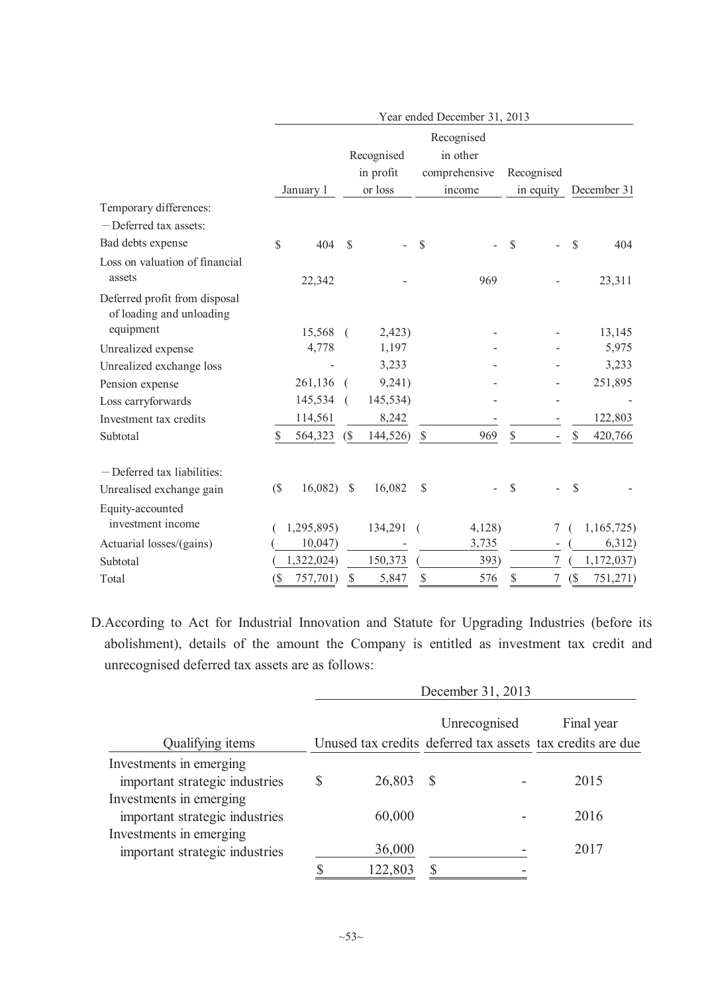|                                                           | Year ended December 31, 2013 |            |                |            |              |                        |      |                          |    |             |
|-----------------------------------------------------------|------------------------------|------------|----------------|------------|--------------|------------------------|------|--------------------------|----|-------------|
|                                                           |                              |            |                | Recognised |              | Recognised<br>in other |      |                          |    |             |
|                                                           |                              |            |                | in profit  |              | comprehensive          |      | Recognised               |    |             |
|                                                           |                              | January 1  |                | or loss    |              | income                 |      | in equity                |    | December 31 |
| Temporary differences:                                    |                              |            |                |            |              |                        |      |                          |    |             |
| - Deferred tax assets:                                    |                              |            |                |            |              |                        |      |                          |    |             |
| Bad debts expense                                         | \$                           | 404        | \$             |            | \$           |                        | \$   |                          | \$ | 404         |
| Loss on valuation of financial                            |                              |            |                |            |              |                        |      |                          |    |             |
| assets                                                    |                              | 22,342     |                |            |              | 969                    |      |                          |    | 23,311      |
| Deferred profit from disposal<br>of loading and unloading |                              |            |                |            |              |                        |      |                          |    |             |
| equipment                                                 |                              | 15,568     | $\left($       | 2,423)     |              |                        |      |                          |    | 13,145      |
| Unrealized expense                                        |                              | 4,778      |                | 1,197      |              |                        |      |                          |    | 5,975       |
| Unrealized exchange loss                                  |                              |            |                | 3,233      |              |                        |      |                          |    | 3,233       |
| Pension expense                                           |                              | 261,136    |                | 9,241)     |              |                        |      |                          |    | 251,895     |
| Loss carryforwards                                        |                              | 145,534    | $\overline{ }$ | 145,534)   |              |                        |      |                          |    |             |
| Investment tax credits                                    |                              | 114,561    |                | 8,242      |              |                        |      |                          |    | 122,803     |
| Subtotal                                                  | S                            | 564,323    | (S             | 144,526)   | $\mathbb{S}$ | 969                    | $\$$ | $\overline{\phantom{0}}$ | \$ | 420,766     |
| -Deferred tax liabilities:                                |                              |            |                |            |              |                        |      |                          |    |             |
| Unrealised exchange gain                                  | $($ \$                       | 16,082)    | $\mathcal{S}$  | 16,082     | \$           |                        | \$   |                          | \$ |             |
| Equity-accounted<br>investment income                     |                              | 1,295,895) |                | 134,291    |              | 4,128                  |      | 7                        |    | 1,165,725)  |
| Actuarial losses/(gains)                                  |                              | 10,047     |                |            |              | 3,735                  |      |                          |    | 6,312)      |
| Subtotal                                                  |                              | 1,322,024) |                | 150,373    |              | 393)                   |      | 7                        |    | 1,172,037)  |
| Total                                                     | $($ \$                       | 757,701)   | \$             | 5,847      | \$           | 576                    | \$   | $\overline{7}$           | (  | 751,271)    |

D.According to Act for Industrial Innovation and Statute for Upgrading Industries (before its abolishment), details of the amount the Company is entitled as investment tax credit and unrecognised deferred tax assets are as follows:

|                                                           | December 31, 2013 |              |              |                                                            |
|-----------------------------------------------------------|-------------------|--------------|--------------|------------------------------------------------------------|
|                                                           |                   |              | Unrecognised | Final year                                                 |
| Qualifying items                                          |                   |              |              | Unused tax credits deferred tax assets tax credits are due |
| Investments in emerging<br>important strategic industries | 26,803            | <sup>S</sup> |              | 2015                                                       |
| Investments in emerging<br>important strategic industries | 60,000            |              |              | 2016                                                       |
| Investments in emerging<br>important strategic industries | 36,000            |              |              | 2017                                                       |
|                                                           | 122,803           |              |              |                                                            |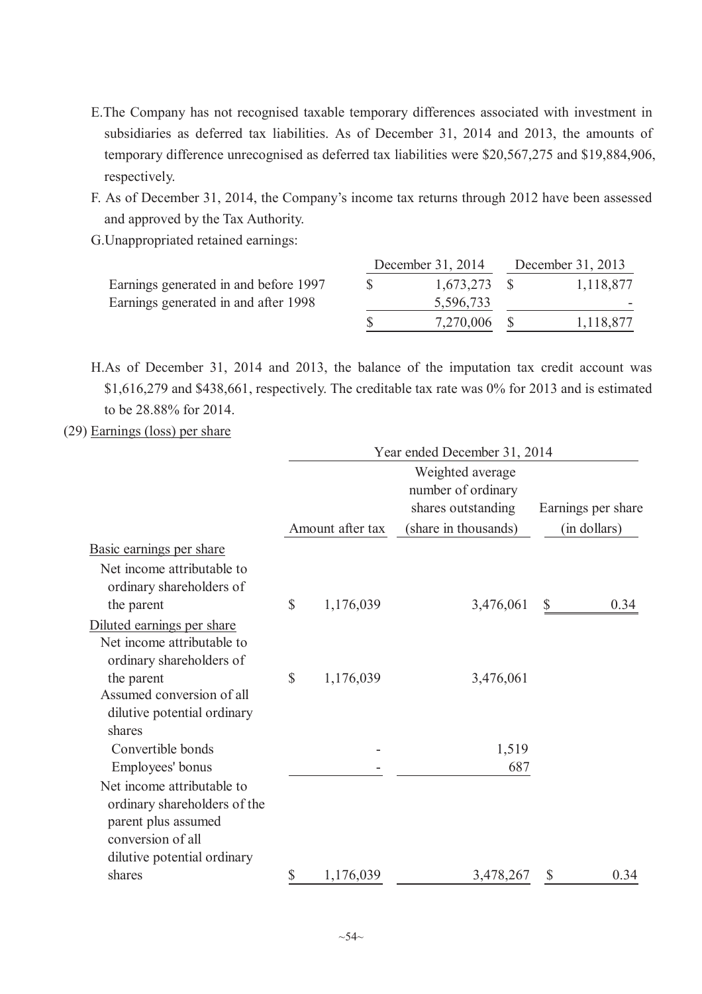- E.The Company has not recognised taxable temporary differences associated with investment in subsidiaries as deferred tax liabilities. As of December 31, 2014 and 2013, the amounts of temporary difference unrecognised as deferred tax liabilities were \$20,567,275 and \$19,884,906, respectively.
- F. As of December 31, 2014, the Company's income tax returns through 2012 have been assessed and approved by the Tax Authority.
- G.Unappropriated retained earnings:

|                                       | December 31, 2014 | December 31, 2013 |           |  |  |
|---------------------------------------|-------------------|-------------------|-----------|--|--|
| Earnings generated in and before 1997 | $1,673,273$ \$    |                   | 1,118,877 |  |  |
| Earnings generated in and after 1998  | 5,596,733         |                   |           |  |  |
|                                       | 7,270,006         |                   | 1,118,877 |  |  |

H.As of December 31, 2014 and 2013, the balance of the imputation tax credit account was \$1,616,279 and \$438,661, respectively. The creditable tax rate was 0% for 2013 and is estimated to be 28.88% for 2014.

#### (29) Earnings (loss) per share

|                                                                                                        | Year ended December 31, 2014 |                  |                                                              |                    |  |  |  |  |
|--------------------------------------------------------------------------------------------------------|------------------------------|------------------|--------------------------------------------------------------|--------------------|--|--|--|--|
|                                                                                                        |                              |                  | Weighted average<br>number of ordinary<br>shares outstanding | Earnings per share |  |  |  |  |
|                                                                                                        |                              | Amount after tax | (share in thousands)                                         | (in dollars)       |  |  |  |  |
| Basic earnings per share                                                                               |                              |                  |                                                              |                    |  |  |  |  |
| Net income attributable to<br>ordinary shareholders of<br>the parent                                   | $\mathbb{S}$                 | 1,176,039        | 3,476,061                                                    | 0.34<br>\$         |  |  |  |  |
| Diluted earnings per share                                                                             |                              |                  |                                                              |                    |  |  |  |  |
| Net income attributable to<br>ordinary shareholders of                                                 |                              |                  |                                                              |                    |  |  |  |  |
| the parent                                                                                             | $\mathbb{S}$                 | 1,176,039        | 3,476,061                                                    |                    |  |  |  |  |
| Assumed conversion of all<br>dilutive potential ordinary                                               |                              |                  |                                                              |                    |  |  |  |  |
| shares<br>Convertible bonds                                                                            |                              |                  | 1,519                                                        |                    |  |  |  |  |
| Employees' bonus                                                                                       |                              |                  | 687                                                          |                    |  |  |  |  |
| Net income attributable to<br>ordinary shareholders of the<br>parent plus assumed<br>conversion of all |                              |                  |                                                              |                    |  |  |  |  |
| dilutive potential ordinary<br>shares                                                                  | \$                           | 1,176,039        | 3,478,267                                                    | 0.34<br>\$         |  |  |  |  |
|                                                                                                        |                              |                  |                                                              |                    |  |  |  |  |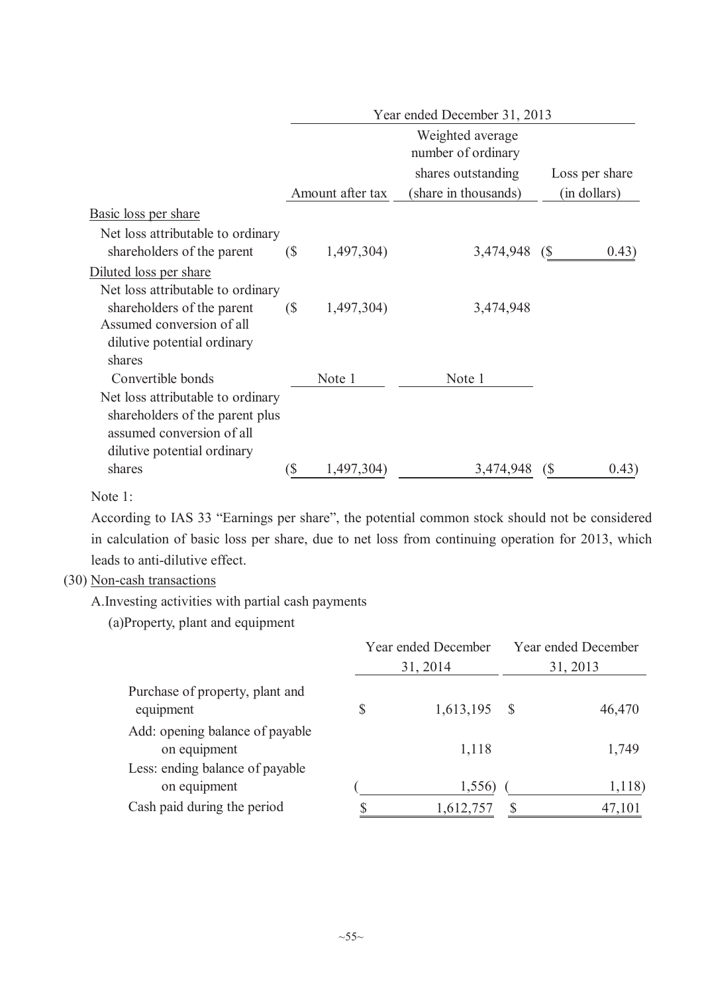|                                                                 | Year ended December 31, 2013 |                  |                                        |                     |
|-----------------------------------------------------------------|------------------------------|------------------|----------------------------------------|---------------------|
|                                                                 |                              |                  | Weighted average<br>number of ordinary |                     |
|                                                                 |                              |                  | shares outstanding                     | Loss per share      |
|                                                                 |                              | Amount after tax | (share in thousands)                   | (in dollars)        |
| Basic loss per share                                            |                              |                  |                                        |                     |
| Net loss attributable to ordinary<br>shareholders of the parent | $\sqrt{S}$                   | 1,497,304)       | 3,474,948                              | 0.43)<br>(S         |
| Diluted loss per share                                          |                              |                  |                                        |                     |
| Net loss attributable to ordinary                               |                              |                  |                                        |                     |
| shareholders of the parent                                      | $\sqrt{S}$                   | 1,497,304)       | 3,474,948                              |                     |
| Assumed conversion of all                                       |                              |                  |                                        |                     |
| dilutive potential ordinary                                     |                              |                  |                                        |                     |
| shares                                                          |                              |                  |                                        |                     |
| Convertible bonds                                               |                              | Note 1           | Note 1                                 |                     |
| Net loss attributable to ordinary                               |                              |                  |                                        |                     |
| shareholders of the parent plus                                 |                              |                  |                                        |                     |
| assumed conversion of all                                       |                              |                  |                                        |                     |
| dilutive potential ordinary                                     |                              |                  |                                        |                     |
| shares                                                          | \$                           | 1,497,304)       | 3,474,948                              | 0.43)<br>$\sqrt{S}$ |

Note 1:

According to IAS 33 "Earnings per share", the potential common stock should not be considered in calculation of basic loss per share, due to net loss from continuing operation for 2013, which leads to anti-dilutive effect.

### (30) Non-cash transactions

A.Investing activities with partial cash payments

(a)Property, plant and equipment

|                                                 | Year ended December<br>31, 2014 |           | Year ended December<br>31, 2013 |        |
|-------------------------------------------------|---------------------------------|-----------|---------------------------------|--------|
| Purchase of property, plant and<br>equipment    | \$                              | 1,613,195 | - \$                            | 46,470 |
| Add: opening balance of payable<br>on equipment |                                 | 1,118     |                                 | 1,749  |
| Less: ending balance of payable<br>on equipment |                                 | 1,556)    |                                 | 1,118) |
| Cash paid during the period                     |                                 | 1,612,757 |                                 | 47,101 |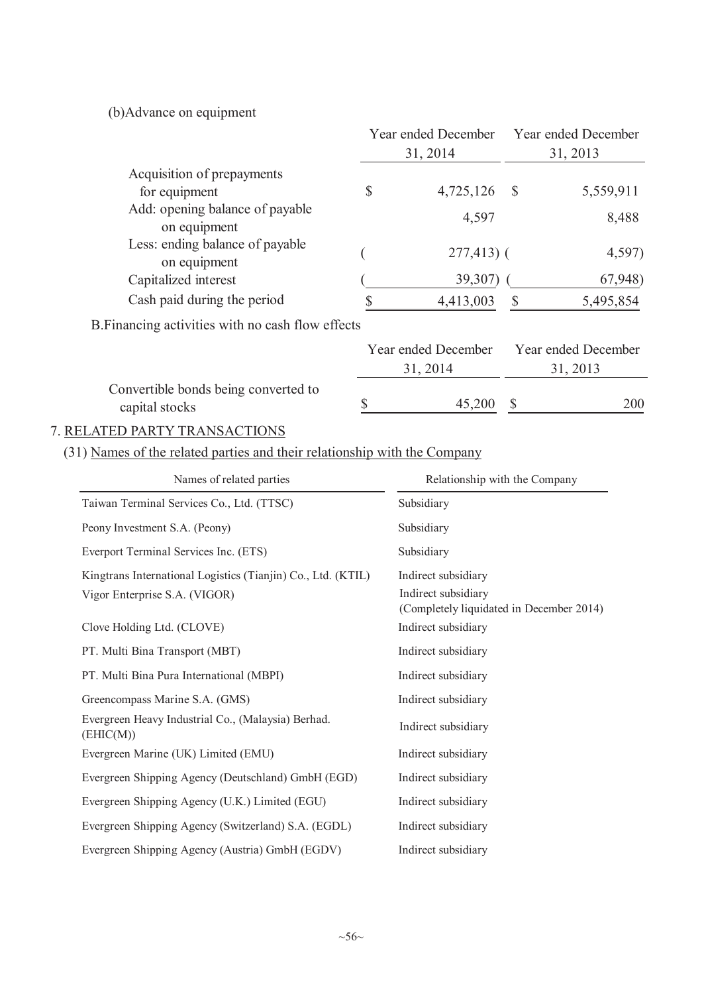(b)Advance on equipment

|                                                                           | Year ended December<br>31, 2014                                 |                           | <b>Year ended December</b><br>31, 2013 |
|---------------------------------------------------------------------------|-----------------------------------------------------------------|---------------------------|----------------------------------------|
| Acquisition of prepayments                                                |                                                                 |                           |                                        |
| for equipment                                                             | \$<br>4,725,126                                                 | $\mathcal{S}$             | 5,559,911                              |
| Add: opening balance of payable<br>on equipment                           | 4,597                                                           |                           | 8,488                                  |
| Less: ending balance of payable<br>on equipment                           | $277,413$ (                                                     |                           | 4,597)                                 |
| Capitalized interest                                                      | 39,307)                                                         |                           | 67,948)                                |
| Cash paid during the period                                               | \$<br>4,413,003                                                 | $\mathcal{S}$             | 5,495,854                              |
| B. Financing activities with no cash flow effects                         |                                                                 |                           |                                        |
|                                                                           | Year ended December<br>31, 2014                                 |                           | Year ended December<br>31, 2013        |
| Convertible bonds being converted to<br>capital stocks                    | \$<br>45,200                                                    | $\boldsymbol{\mathsf{S}}$ | 200                                    |
| 7. RELATED PARTY TRANSACTIONS                                             |                                                                 |                           |                                        |
| (31) Names of the related parties and their relationship with the Company |                                                                 |                           |                                        |
| Names of related parties                                                  | Relationship with the Company                                   |                           |                                        |
| Taiwan Terminal Services Co., Ltd. (TTSC)                                 | Subsidiary                                                      |                           |                                        |
| Peony Investment S.A. (Peony)                                             | Subsidiary                                                      |                           |                                        |
| Everport Terminal Services Inc. (ETS)                                     | Subsidiary                                                      |                           |                                        |
| Kingtrans International Logistics (Tianjin) Co., Ltd. (KTIL)              | Indirect subsidiary                                             |                           |                                        |
| Vigor Enterprise S.A. (VIGOR)                                             | Indirect subsidiary<br>(Completely liquidated in December 2014) |                           |                                        |
| Clove Holding Ltd. (CLOVE)                                                | Indirect subsidiary                                             |                           |                                        |
| PT. Multi Bina Transport (MBT)                                            | Indirect subsidiary                                             |                           |                                        |
| PT. Multi Bina Pura International (MBPI)                                  | Indirect subsidiary                                             |                           |                                        |
| Greencompass Marine S.A. (GMS)                                            | Indirect subsidiary                                             |                           |                                        |
| Evergreen Heavy Industrial Co., (Malaysia) Berhad.<br>(EHIC(M))           | Indirect subsidiary                                             |                           |                                        |
| Evergreen Marine (UK) Limited (EMU)                                       | Indirect subsidiary                                             |                           |                                        |
| Evergreen Shipping Agency (Deutschland) GmbH (EGD)                        | Indirect subsidiary                                             |                           |                                        |
| Evergreen Shipping Agency (U.K.) Limited (EGU)                            | Indirect subsidiary                                             |                           |                                        |
| Evergreen Shipping Agency (Switzerland) S.A. (EGDL)                       | Indirect subsidiary                                             |                           |                                        |
| Evergreen Shipping Agency (Austria) GmbH (EGDV)                           | Indirect subsidiary                                             |                           |                                        |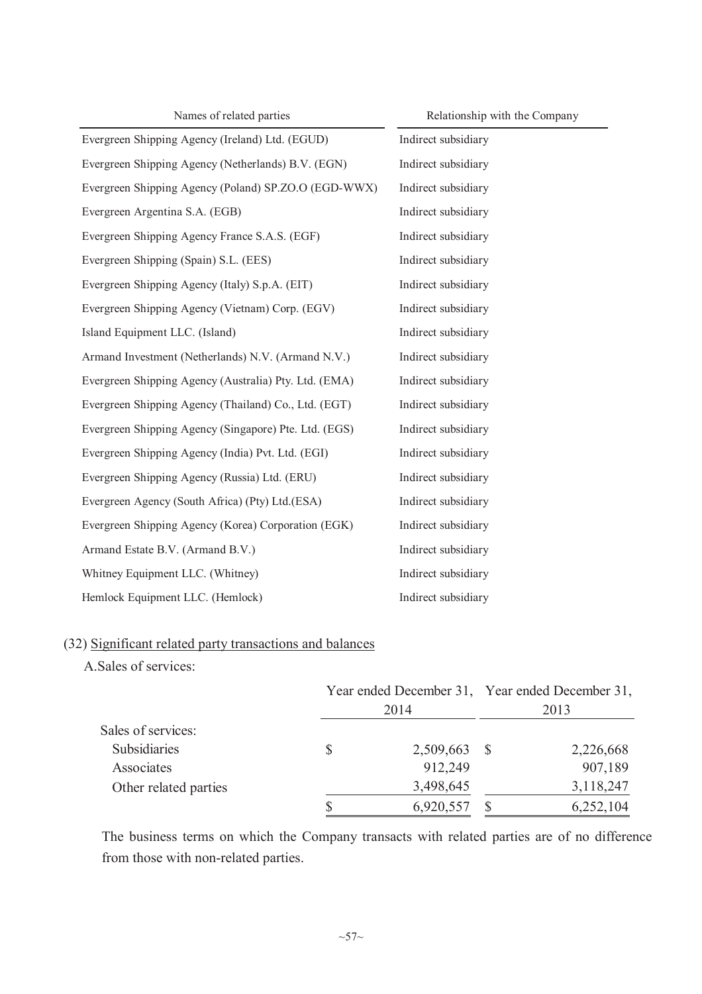| Names of related parties                              | Relationship with the Company |
|-------------------------------------------------------|-------------------------------|
| Evergreen Shipping Agency (Ireland) Ltd. (EGUD)       | Indirect subsidiary           |
| Evergreen Shipping Agency (Netherlands) B.V. (EGN)    | Indirect subsidiary           |
| Evergreen Shipping Agency (Poland) SP.ZO.O (EGD-WWX)  | Indirect subsidiary           |
| Evergreen Argentina S.A. (EGB)                        | Indirect subsidiary           |
| Evergreen Shipping Agency France S.A.S. (EGF)         | Indirect subsidiary           |
| Evergreen Shipping (Spain) S.L. (EES)                 | Indirect subsidiary           |
| Evergreen Shipping Agency (Italy) S.p.A. (EIT)        | Indirect subsidiary           |
| Evergreen Shipping Agency (Vietnam) Corp. (EGV)       | Indirect subsidiary           |
| Island Equipment LLC. (Island)                        | Indirect subsidiary           |
| Armand Investment (Netherlands) N.V. (Armand N.V.)    | Indirect subsidiary           |
| Evergreen Shipping Agency (Australia) Pty. Ltd. (EMA) | Indirect subsidiary           |
| Evergreen Shipping Agency (Thailand) Co., Ltd. (EGT)  | Indirect subsidiary           |
| Evergreen Shipping Agency (Singapore) Pte. Ltd. (EGS) | Indirect subsidiary           |
| Evergreen Shipping Agency (India) Pvt. Ltd. (EGI)     | Indirect subsidiary           |
| Evergreen Shipping Agency (Russia) Ltd. (ERU)         | Indirect subsidiary           |
| Evergreen Agency (South Africa) (Pty) Ltd. (ESA)      | Indirect subsidiary           |
| Evergreen Shipping Agency (Korea) Corporation (EGK)   | Indirect subsidiary           |
| Armand Estate B.V. (Armand B.V.)                      | Indirect subsidiary           |
| Whitney Equipment LLC. (Whitney)                      | Indirect subsidiary           |
| Hemlock Equipment LLC. (Hemlock)                      | Indirect subsidiary           |

# (32) Significant related party transactions and balances

A.Sales of services:

|                       |  | Year ended December 31, Year ended December 31, |  |           |  |
|-----------------------|--|-------------------------------------------------|--|-----------|--|
|                       |  | 2014                                            |  | 2013      |  |
| Sales of services:    |  |                                                 |  |           |  |
| Subsidiaries          |  | 2,509,663 \$                                    |  | 2,226,668 |  |
| Associates            |  | 912,249                                         |  | 907,189   |  |
| Other related parties |  | 3,498,645                                       |  | 3,118,247 |  |
|                       |  | 6,920,557                                       |  | 6,252,104 |  |

The business terms on which the Company transacts with related parties are of no difference from those with non-related parties.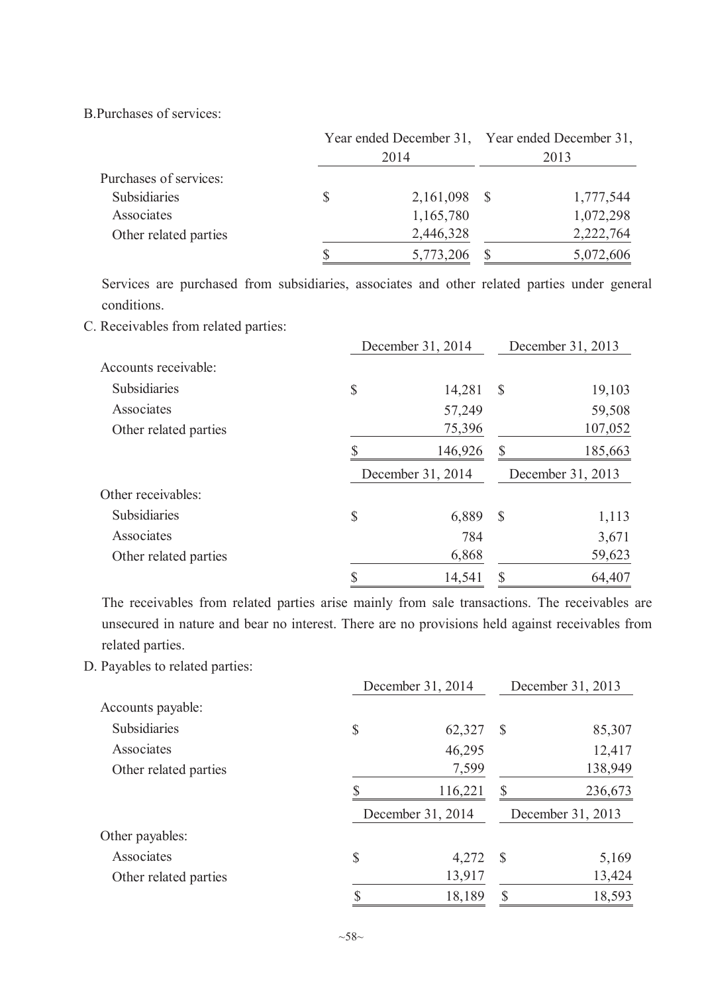B.Purchases of services:

|                        | Year ended December 31, Year ended December 31, |              |  |           |  |
|------------------------|-------------------------------------------------|--------------|--|-----------|--|
|                        |                                                 | 2014         |  | 2013      |  |
| Purchases of services: |                                                 |              |  |           |  |
| Subsidiaries           | \$                                              | 2,161,098 \$ |  | 1,777,544 |  |
| Associates             |                                                 | 1,165,780    |  | 1,072,298 |  |
| Other related parties  |                                                 | 2,446,328    |  | 2,222,764 |  |
|                        |                                                 | 5,773,206    |  | 5,072,606 |  |

Services are purchased from subsidiaries, associates and other related parties under general conditions.

C. Receivables from related parties:

|                       | December 31, 2014 |               | December 31, 2013 |
|-----------------------|-------------------|---------------|-------------------|
| Accounts receivable:  |                   |               |                   |
| <b>Subsidiaries</b>   | \$<br>14,281      | $\mathcal{S}$ | 19,103            |
| Associates            | 57,249            |               | 59,508            |
| Other related parties | 75,396            |               | 107,052           |
|                       | 146,926           | S             | 185,663           |
|                       | December 31, 2014 |               | December 31, 2013 |
| Other receivables:    |                   |               |                   |
| <b>Subsidiaries</b>   |                   |               |                   |
|                       | \$<br>6,889       | $\mathcal{S}$ | 1,113             |
| Associates            | 784               |               | 3,671             |
| Other related parties | 6,868             |               | 59,623            |

The receivables from related parties arise mainly from sale transactions. The receivables are unsecured in nature and bear no interest. There are no provisions held against receivables from related parties.

D. Payables to related parties:

|                       | December 31, 2014 |               | December 31, 2013 |
|-----------------------|-------------------|---------------|-------------------|
| Accounts payable:     |                   |               |                   |
| Subsidiaries          | \$<br>62,327      | $\mathcal{S}$ | 85,307            |
| Associates            | 46,295            |               | 12,417            |
| Other related parties | 7,599             |               | 138,949           |
|                       | 116,221           | \$            | 236,673           |
|                       | December 31, 2014 |               | December 31, 2013 |
| Other payables:       |                   |               |                   |
| Associates            | \$<br>4,272       | $\mathcal{S}$ | 5,169             |
| Other related parties | 13,917            |               | 13,424            |
|                       | \$<br>18,189      | $\mathcal{S}$ | 18,593            |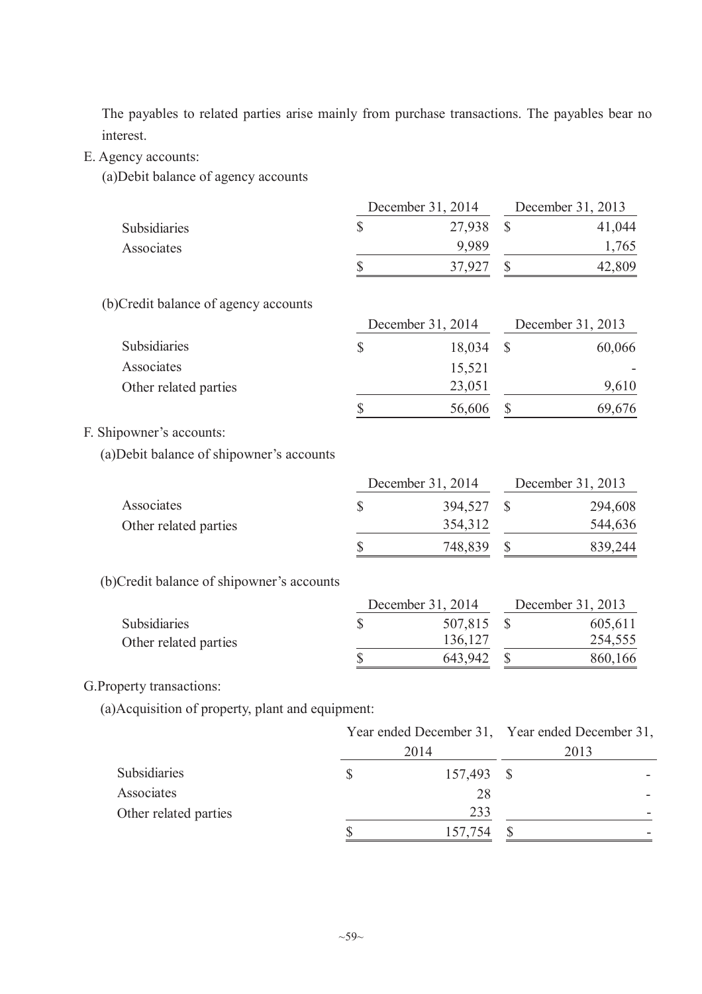The payables to related parties arise mainly from purchase transactions. The payables bear no interest.

- E. Agency accounts:
	- (a)Debit balance of agency accounts

|                                                   |                           | December 31, 2014 |              | December 31, 2013                               |
|---------------------------------------------------|---------------------------|-------------------|--------------|-------------------------------------------------|
| Subsidiaries                                      | \$                        | 27,938            | $\mathbb{S}$ | 41,044                                          |
| Associates                                        |                           | 9,989             |              | 1,765                                           |
|                                                   | \$                        | 37,927            | \$           | 42,809                                          |
| (b)Credit balance of agency accounts              |                           |                   |              |                                                 |
|                                                   |                           | December 31, 2014 |              | December 31, 2013                               |
| Subsidiaries                                      | $\boldsymbol{\mathsf{S}}$ | 18,034            | $\mathbb{S}$ | 60,066                                          |
| Associates                                        |                           | 15,521            |              |                                                 |
| Other related parties                             |                           | 23,051            |              | 9,610                                           |
|                                                   | \$                        | 56,606            | $\mathbb{S}$ | 69,676                                          |
| F. Shipowner's accounts:                          |                           |                   |              |                                                 |
| (a) Debit balance of shipowner's accounts         |                           |                   |              |                                                 |
|                                                   |                           | December 31, 2014 |              | December 31, 2013                               |
| Associates                                        | $\sqrt{\frac{2}{\pi}}$    | 394,527           | $\mathbb{S}$ | 294,608                                         |
| Other related parties                             |                           | 354,312           |              | 544,636                                         |
|                                                   | \$                        | 748,839           | $\mathbb{S}$ | 839,244                                         |
| (b)Credit balance of shipowner's accounts         |                           |                   |              |                                                 |
|                                                   |                           | December 31, 2014 |              | December 31, 2013                               |
| Subsidiaries                                      | \$                        | 507,815           | $\mathbb{S}$ | 605,611                                         |
| Other related parties                             |                           | 136,127           |              | 254,555                                         |
|                                                   | \$                        | 643,942           | $\mathbb{S}$ | 860,166                                         |
| G. Property transactions:                         |                           |                   |              |                                                 |
| (a) Acquisition of property, plant and equipment: |                           |                   |              |                                                 |
|                                                   |                           |                   |              | Year ended December 31, Year ended December 31, |
|                                                   |                           | 2014              |              | 2013                                            |

| <b>Subsidiaries</b>   | 157,493 |                          |
|-----------------------|---------|--------------------------|
| Associates            |         |                          |
| Other related parties | ววว     | $\overline{\phantom{a}}$ |
|                       | 157,754 |                          |
|                       |         |                          |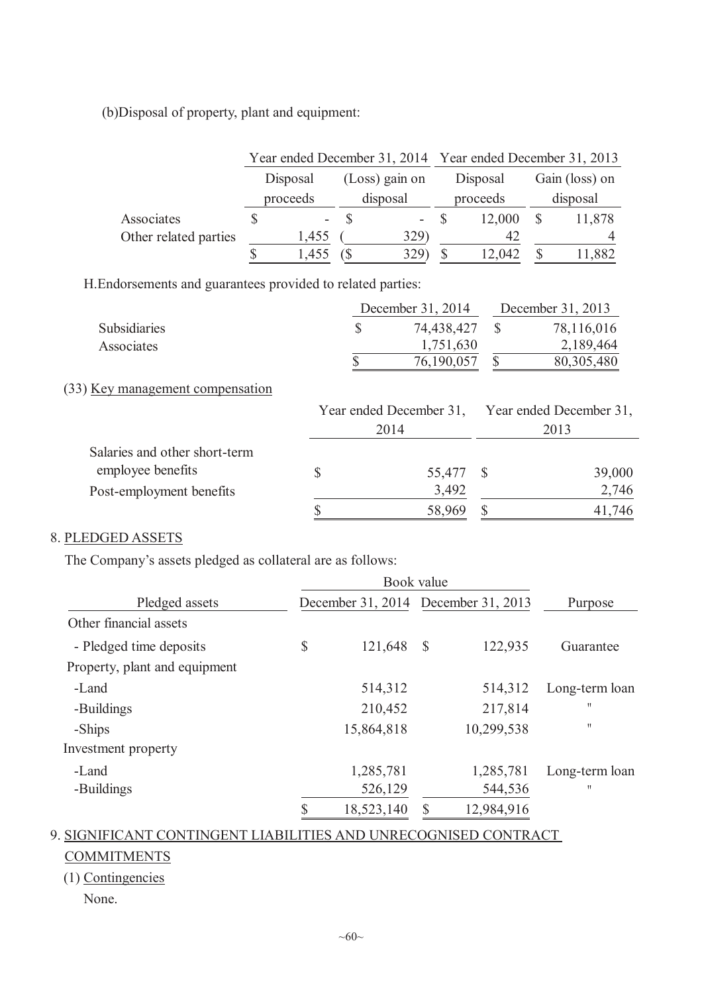(b)Disposal of property, plant and equipment:

|                       |          | Year ended December 31, 2014 Year ended December 31, 2013 |                 |                |
|-----------------------|----------|-----------------------------------------------------------|-----------------|----------------|
|                       | Disposal | (Loss) gain on                                            | Disposal        | Gain (loss) on |
|                       | proceeds | disposal                                                  | proceeds        | disposal       |
| Associates            |          |                                                           | 12,000<br>$- S$ | 11,878         |
| Other related parties | 1,455    | 329)                                                      | 42              |                |
|                       | 1,455    | 329                                                       | 12,042          | 11,882         |

H.Endorsements and guarantees provided to related parties:

|                     | December 31, 2014 | December 31, 2013 |
|---------------------|-------------------|-------------------|
| <b>Subsidiaries</b> | 74,438,427        | 78,116,016        |
| Associates          | 1,751,630         | 2,189,464         |
|                     | 76,190,057        | 80,305,480        |

### (33) Key management compensation

|                               |           | Year ended December 31, Year ended December 31,<br>2013 |        |  |  |
|-------------------------------|-----------|---------------------------------------------------------|--------|--|--|
|                               | 2014      |                                                         |        |  |  |
| Salaries and other short-term |           |                                                         |        |  |  |
| employee benefits             | 55,477 \$ |                                                         | 39,000 |  |  |
| Post-employment benefits      | 3,492     |                                                         | 2,746  |  |  |
|                               | 58,969    |                                                         | 41,746 |  |  |

### 8. PLEDGED ASSETS

The Company's assets pledged as collateral are as follows:

| Pledged assets                |    | December 31, 2014 December 31, 2013 |              |            | Purpose           |
|-------------------------------|----|-------------------------------------|--------------|------------|-------------------|
| Other financial assets        |    |                                     |              |            |                   |
| - Pledged time deposits       | \$ | 121,648                             | $\mathbb{S}$ | 122,935    | Guarantee         |
| Property, plant and equipment |    |                                     |              |            |                   |
| -Land                         |    | 514,312                             |              | 514,312    | Long-term loan    |
| -Buildings                    |    | 210,452                             |              | 217,814    | $^{\prime\prime}$ |
| -Ships                        |    | 15,864,818                          |              | 10,299,538 | П                 |
| Investment property           |    |                                     |              |            |                   |
| -Land                         |    | 1,285,781                           |              | 1,285,781  | Long-term loan    |
| -Buildings                    |    | 526,129                             |              | 544,536    | $^{\dagger}$      |
|                               |    | 18,523,140                          |              | 12,984,916 |                   |

# 9. SIGNIFICANT CONTINGENT LIABILITIES AND UNRECOGNISED CONTRACT

### **COMMITMENTS**

# (1) Contingencies

None.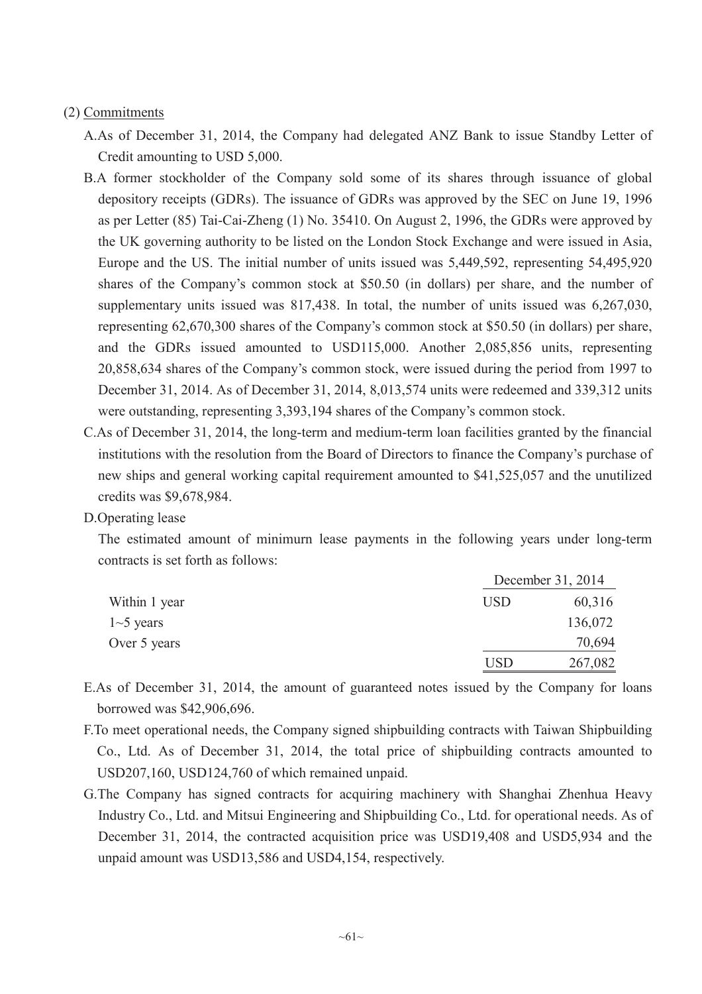#### (2) Commitments

- A.As of December 31, 2014, the Company had delegated ANZ Bank to issue Standby Letter of Credit amounting to USD 5,000.
- B.A former stockholder of the Company sold some of its shares through issuance of global depository receipts (GDRs). The issuance of GDRs was approved by the SEC on June 19, 1996 as per Letter (85) Tai-Cai-Zheng (1) No. 35410. On August 2, 1996, the GDRs were approved by the UK governing authority to be listed on the London Stock Exchange and were issued in Asia, Europe and the US. The initial number of units issued was 5,449,592, representing 54,495,920 shares of the Company's common stock at \$50.50 (in dollars) per share, and the number of supplementary units issued was 817,438. In total, the number of units issued was 6,267,030, representing 62,670,300 shares of the Company's common stock at \$50.50 (in dollars) per share, and the GDRs issued amounted to USD115,000. Another 2,085,856 units, representing 20,858,634 shares of the Company's common stock, were issued during the period from 1997 to December 31, 2014. As of December 31, 2014, 8,013,574 units were redeemed and 339,312 units were outstanding, representing 3,393,194 shares of the Company's common stock.
- C.As of December 31, 2014, the long-term and medium-term loan facilities granted by the financial institutions with the resolution from the Board of Directors to finance the Company's purchase of new ships and general working capital requirement amounted to \$41,525,057 and the unutilized credits was \$9,678,984.

D.Operating lease

The estimated amount of minimurn lease payments in the following years under long-term contracts is set forth as follows:

|               |            | December 31, 2014 |
|---------------|------------|-------------------|
| Within 1 year | USD        | 60,316            |
| $1-5$ years   |            | 136,072           |
| Over 5 years  |            | 70,694            |
|               | <b>USD</b> | 267,082           |

E.As of December 31, 2014, the amount of guaranteed notes issued by the Company for loans borrowed was \$42,906,696.

- F.To meet operational needs, the Company signed shipbuilding contracts with Taiwan Shipbuilding Co., Ltd. As of December 31, 2014, the total price of shipbuilding contracts amounted to USD207,160, USD124,760 of which remained unpaid.
- G.The Company has signed contracts for acquiring machinery with Shanghai Zhenhua Heavy Industry Co., Ltd. and Mitsui Engineering and Shipbuilding Co., Ltd. for operational needs. As of December 31, 2014, the contracted acquisition price was USD19,408 and USD5,934 and the unpaid amount was USD13,586 and USD4,154, respectively.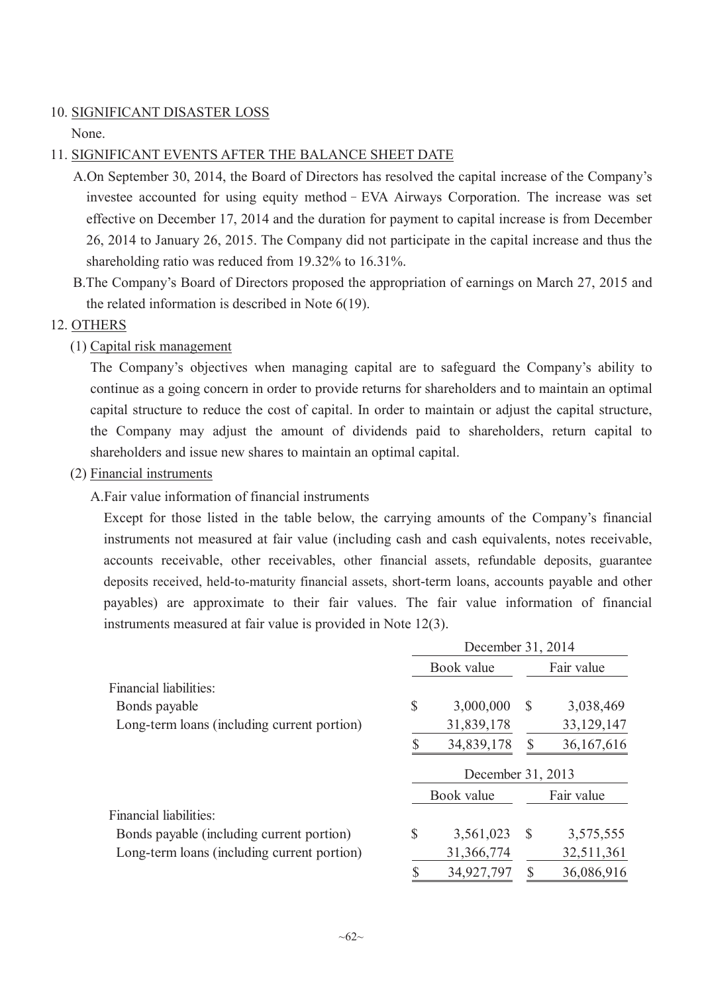#### 10. SIGNIFICANT DISASTER LOSS

None.

### 11. SIGNIFICANT EVENTS AFTER THE BALANCE SHEET DATE

- A.On September 30, 2014, the Board of Directors has resolved the capital increase of the Company's investee accounted for using equity method - EVA Airways Corporation. The increase was set effective on December 17, 2014 and the duration for payment to capital increase is from December 26, 2014 to January 26, 2015. The Company did not participate in the capital increase and thus the shareholding ratio was reduced from 19.32% to 16.31%.
- B.The Company's Board of Directors proposed the appropriation of earnings on March 27, 2015 and the related information is described in Note 6(19).

### 12. OTHERS

### (1) Capital risk management

The Company's objectives when managing capital are to safeguard the Company's ability to continue as a going concern in order to provide returns for shareholders and to maintain an optimal capital structure to reduce the cost of capital. In order to maintain or adjust the capital structure, the Company may adjust the amount of dividends paid to shareholders, return capital to shareholders and issue new shares to maintain an optimal capital.

### (2) Financial instruments

A.Fair value information of financial instruments

Except for those listed in the table below, the carrying amounts of the Company's financial instruments not measured at fair value (including cash and cash equivalents, notes receivable, accounts receivable, other receivables, other financial assets, refundable deposits, guarantee deposits received, held-to-maturity financial assets, short-term loans, accounts payable and other payables) are approximate to their fair values. The fair value information of financial instruments measured at fair value is provided in Note 12(3).

|                                             |              | December 31, 2014 |               |            |
|---------------------------------------------|--------------|-------------------|---------------|------------|
|                                             |              | Book value        |               | Fair value |
| Financial liabilities:                      |              |                   |               |            |
| Bonds payable                               | \$           | 3,000,000         | $\mathcal{S}$ | 3,038,469  |
| Long-term loans (including current portion) |              | 31,839,178        |               | 33,129,147 |
|                                             |              | 34,839,178        | S             | 36,167,616 |
|                                             |              | December 31, 2013 |               |            |
|                                             |              | Book value        |               | Fair value |
| Financial liabilities:                      |              |                   |               |            |
| Bonds payable (including current portion)   | $\mathbb{S}$ | 3,561,023         | -S            | 3,575,555  |
| Long-term loans (including current portion) |              | 31,366,774        |               | 32,511,361 |
|                                             | \$           | 34,927,797        | $\mathbb{S}$  | 36,086,916 |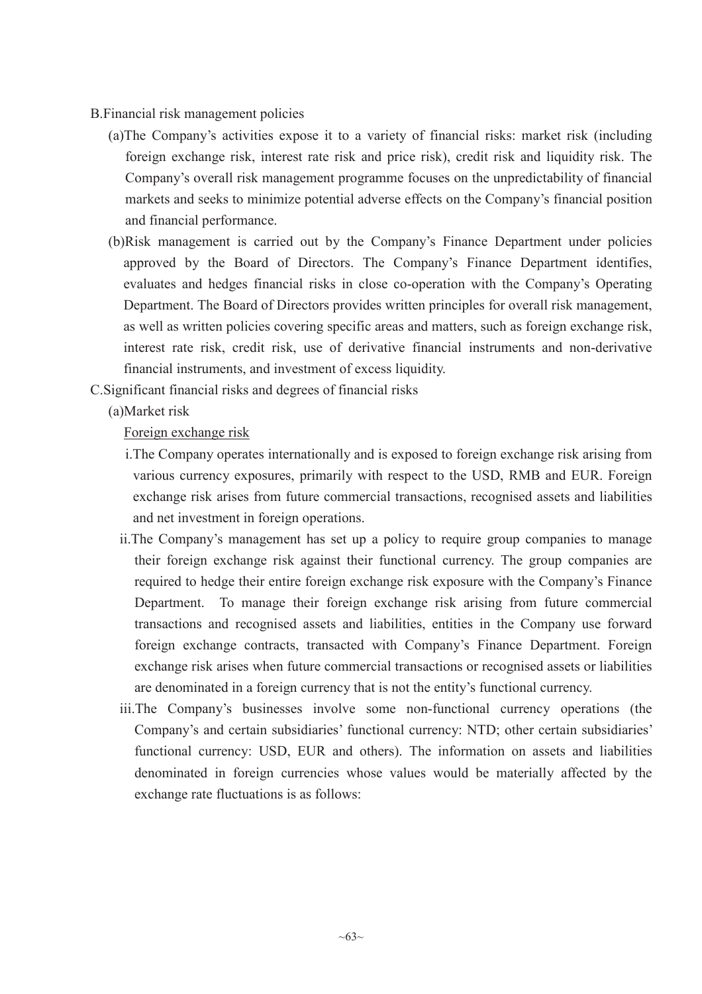- B.Financial risk management policies
	- (a)The Company's activities expose it to a variety of financial risks: market risk (including foreign exchange risk, interest rate risk and price risk), credit risk and liquidity risk. The Company's overall risk management programme focuses on the unpredictability of financial markets and seeks to minimize potential adverse effects on the Company's financial position and financial performance.
	- (b)Risk management is carried out by the Company's Finance Department under policies approved by the Board of Directors. The Company's Finance Department identifies, evaluates and hedges financial risks in close co-operation with the Company's Operating Department. The Board of Directors provides written principles for overall risk management, as well as written policies covering specific areas and matters, such as foreign exchange risk, interest rate risk, credit risk, use of derivative financial instruments and non-derivative financial instruments, and investment of excess liquidity.
- C.Significant financial risks and degrees of financial risks
	- (a)Market risk

### Foreign exchange risk

- i.The Company operates internationally and is exposed to foreign exchange risk arising from various currency exposures, primarily with respect to the USD, RMB and EUR. Foreign exchange risk arises from future commercial transactions, recognised assets and liabilities and net investment in foreign operations.
- ii.The Company's management has set up a policy to require group companies to manage their foreign exchange risk against their functional currency. The group companies are required to hedge their entire foreign exchange risk exposure with the Company's Finance Department. To manage their foreign exchange risk arising from future commercial transactions and recognised assets and liabilities, entities in the Company use forward foreign exchange contracts, transacted with Company's Finance Department. Foreign exchange risk arises when future commercial transactions or recognised assets or liabilities are denominated in a foreign currency that is not the entity's functional currency.
- iii.The Company's businesses involve some non-functional currency operations (the Company's and certain subsidiaries' functional currency: NTD; other certain subsidiaries' functional currency: USD, EUR and others). The information on assets and liabilities denominated in foreign currencies whose values would be materially affected by the exchange rate fluctuations is as follows: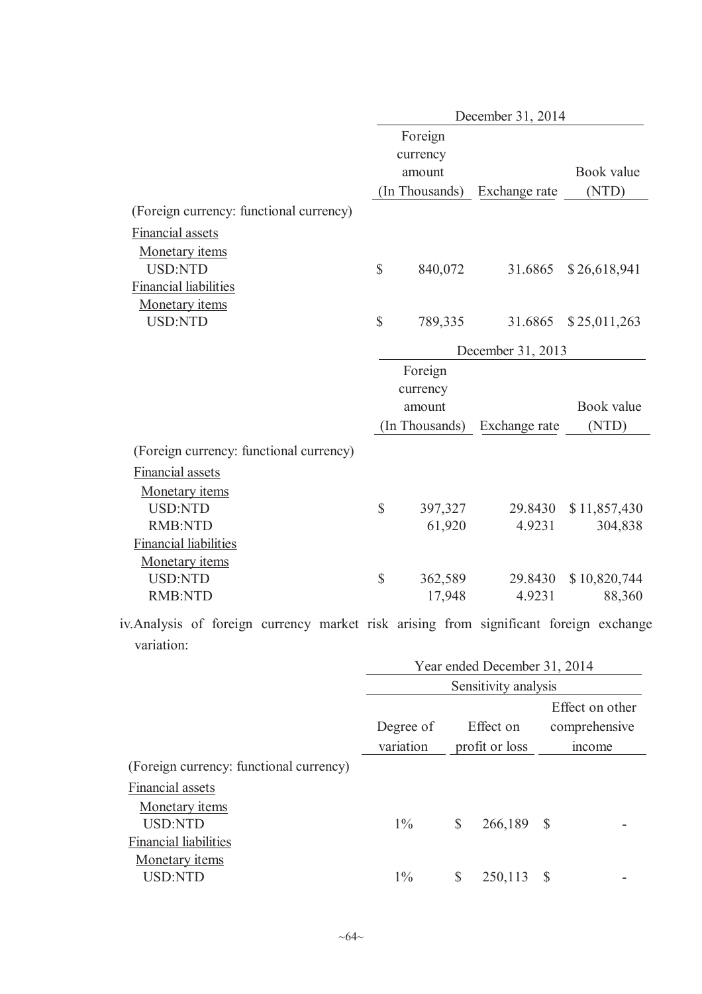|                                                                                        |               |                   |    | December 31, 2014            |               |                        |
|----------------------------------------------------------------------------------------|---------------|-------------------|----|------------------------------|---------------|------------------------|
|                                                                                        |               | Foreign           |    |                              |               |                        |
|                                                                                        |               | currency          |    |                              |               |                        |
|                                                                                        |               | amount            |    |                              |               | Book value             |
|                                                                                        |               |                   |    | (In Thousands) Exchange rate |               | (NTD)                  |
| (Foreign currency: functional currency)                                                |               |                   |    |                              |               |                        |
| <b>Financial assets</b>                                                                |               |                   |    |                              |               |                        |
| Monetary items                                                                         |               |                   |    |                              |               |                        |
| <b>USD:NTD</b>                                                                         | \$            | 840,072           |    | 31.6865                      |               | \$26,618,941           |
| <b>Financial liabilities</b>                                                           |               |                   |    |                              |               |                        |
| Monetary items                                                                         |               |                   |    |                              |               |                        |
| <b>USD:NTD</b>                                                                         | \$            | 789,335           |    | 31.6865                      |               | \$25,011,263           |
|                                                                                        |               |                   |    | December 31, 2013            |               |                        |
|                                                                                        |               | Foreign           |    |                              |               |                        |
|                                                                                        |               | currency          |    |                              |               |                        |
|                                                                                        |               | amount            |    |                              |               | Book value             |
|                                                                                        |               | (In Thousands)    |    | Exchange rate                |               | (NTD)                  |
| (Foreign currency: functional currency)                                                |               |                   |    |                              |               |                        |
| <b>Financial assets</b>                                                                |               |                   |    |                              |               |                        |
| Monetary items                                                                         |               |                   |    |                              |               |                        |
| <b>USD:NTD</b>                                                                         | \$            | 397,327           |    | 29.8430                      |               | \$11,857,430           |
| <b>RMB:NTD</b>                                                                         |               | 61,920            |    | 4.9231                       |               | 304,838                |
| <b>Financial liabilities</b>                                                           |               |                   |    |                              |               |                        |
| Monetary items                                                                         | $\mathsf{\$}$ |                   |    |                              |               |                        |
| <b>USD:NTD</b><br><b>RMB:NTD</b>                                                       |               | 362,589<br>17,948 |    | 29.8430<br>4.9231            |               | \$10,820,744<br>88,360 |
|                                                                                        |               |                   |    |                              |               |                        |
| iv. Analysis of foreign currency market risk arising from significant foreign exchange |               |                   |    |                              |               |                        |
| variation:                                                                             |               |                   |    |                              |               |                        |
|                                                                                        |               |                   |    | Year ended December 31, 2014 |               |                        |
|                                                                                        |               |                   |    | Sensitivity analysis         |               |                        |
|                                                                                        |               |                   |    |                              |               | Effect on other        |
|                                                                                        |               | Degree of         |    | Effect on                    | comprehensive |                        |
|                                                                                        |               | variation         |    | profit or loss               | income        |                        |
| (Foreign currency: functional currency)                                                |               |                   |    |                              |               |                        |
| <b>Financial assets</b>                                                                |               |                   |    |                              |               |                        |
| Monetary items                                                                         |               |                   |    |                              |               |                        |
| <b>USD:NTD</b>                                                                         |               | $1\%$             | \$ | 266,189                      | \$            |                        |
| <b>Financial liabilities</b><br><b>Monetary</b> items                                  |               |                   |    |                              |               |                        |
| <b>USD:NTD</b>                                                                         |               | $1\%$             | \$ | 250,113                      | \$            |                        |
|                                                                                        |               |                   |    |                              |               |                        |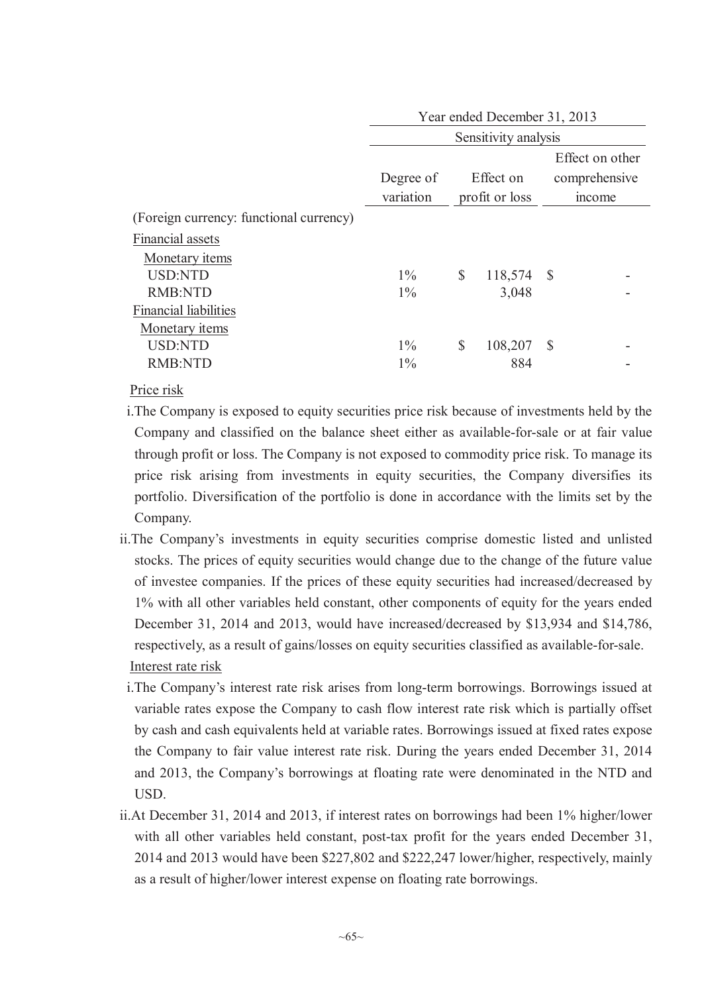|                                         |           |              | Year ended December 31, 2013 |              |  |  |  |
|-----------------------------------------|-----------|--------------|------------------------------|--------------|--|--|--|
|                                         |           |              | Sensitivity analysis         |              |  |  |  |
|                                         |           |              | Effect on other              |              |  |  |  |
|                                         | Degree of | Effect on    |                              |              |  |  |  |
|                                         | variation |              | profit or loss               | mcome        |  |  |  |
| (Foreign currency: functional currency) |           |              |                              |              |  |  |  |
| <b>Financial assets</b>                 |           |              |                              |              |  |  |  |
| Monetary items                          |           |              |                              |              |  |  |  |
| <b>USD:NTD</b>                          | $1\%$     | \$           | 118,574 \$                   |              |  |  |  |
| <b>RMB:NTD</b>                          | $1\%$     |              | 3,048                        |              |  |  |  |
| <b>Financial liabilities</b>            |           |              |                              |              |  |  |  |
| <b>Monetary items</b>                   |           |              |                              |              |  |  |  |
| <b>USD:NTD</b>                          | $1\%$     | $\mathbb{S}$ | 108,207                      | <sup>S</sup> |  |  |  |
| <b>RMB:NTD</b>                          | $1\%$     |              | 884                          |              |  |  |  |
|                                         |           |              |                              |              |  |  |  |

Price risk

- i.The Company is exposed to equity securities price risk because of investments held by the Company and classified on the balance sheet either as available-for-sale or at fair value through profit or loss. The Company is not exposed to commodity price risk. To manage its price risk arising from investments in equity securities, the Company diversifies its portfolio. Diversification of the portfolio is done in accordance with the limits set by the Company.
- ii.The Company's investments in equity securities comprise domestic listed and unlisted stocks. The prices of equity securities would change due to the change of the future value of investee companies. If the prices of these equity securities had increased/decreased by 1% with all other variables held constant, other components of equity for the years ended December 31, 2014 and 2013, would have increased/decreased by \$13,934 and \$14,786, respectively, as a result of gains/losses on equity securities classified as available-for-sale. Interest rate risk
- i.The Company's interest rate risk arises from long-term borrowings. Borrowings issued at variable rates expose the Company to cash flow interest rate risk which is partially offset by cash and cash equivalents held at variable rates. Borrowings issued at fixed rates expose the Company to fair value interest rate risk. During the years ended December 31, 2014 and 2013, the Company's borrowings at floating rate were denominated in the NTD and USD.
- ii.At December 31, 2014 and 2013, if interest rates on borrowings had been 1% higher/lower with all other variables held constant, post-tax profit for the years ended December 31, 2014 and 2013 would have been \$227,802 and \$222,247 lower/higher, respectively, mainly as a result of higher/lower interest expense on floating rate borrowings.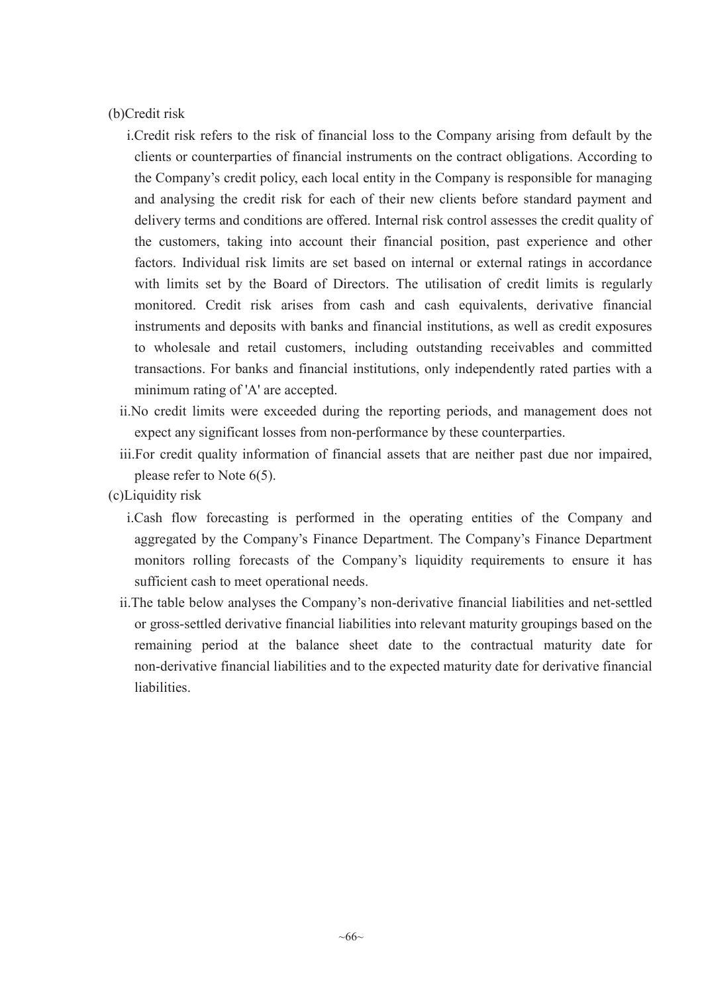(b)Credit risk

- i.Credit risk refers to the risk of financial loss to the Company arising from default by the clients or counterparties of financial instruments on the contract obligations. According to the Company's credit policy, each local entity in the Company is responsible for managing and analysing the credit risk for each of their new clients before standard payment and delivery terms and conditions are offered. Internal risk control assesses the credit quality of the customers, taking into account their financial position, past experience and other factors. Individual risk limits are set based on internal or external ratings in accordance with limits set by the Board of Directors. The utilisation of credit limits is regularly monitored. Credit risk arises from cash and cash equivalents, derivative financial instruments and deposits with banks and financial institutions, as well as credit exposures to wholesale and retail customers, including outstanding receivables and committed transactions. For banks and financial institutions, only independently rated parties with a minimum rating of 'A' are accepted.
- ii.No credit limits were exceeded during the reporting periods, and management does not expect any significant losses from non-performance by these counterparties.
- iii.For credit quality information of financial assets that are neither past due nor impaired, please refer to Note 6(5).
- (c)Liquidity risk
	- i.Cash flow forecasting is performed in the operating entities of the Company and aggregated by the Company's Finance Department. The Company's Finance Department monitors rolling forecasts of the Company's liquidity requirements to ensure it has sufficient cash to meet operational needs.
	- ii.The table below analyses the Company's non-derivative financial liabilities and net-settled or gross-settled derivative financial liabilities into relevant maturity groupings based on the remaining period at the balance sheet date to the contractual maturity date for non-derivative financial liabilities and to the expected maturity date for derivative financial liabilities.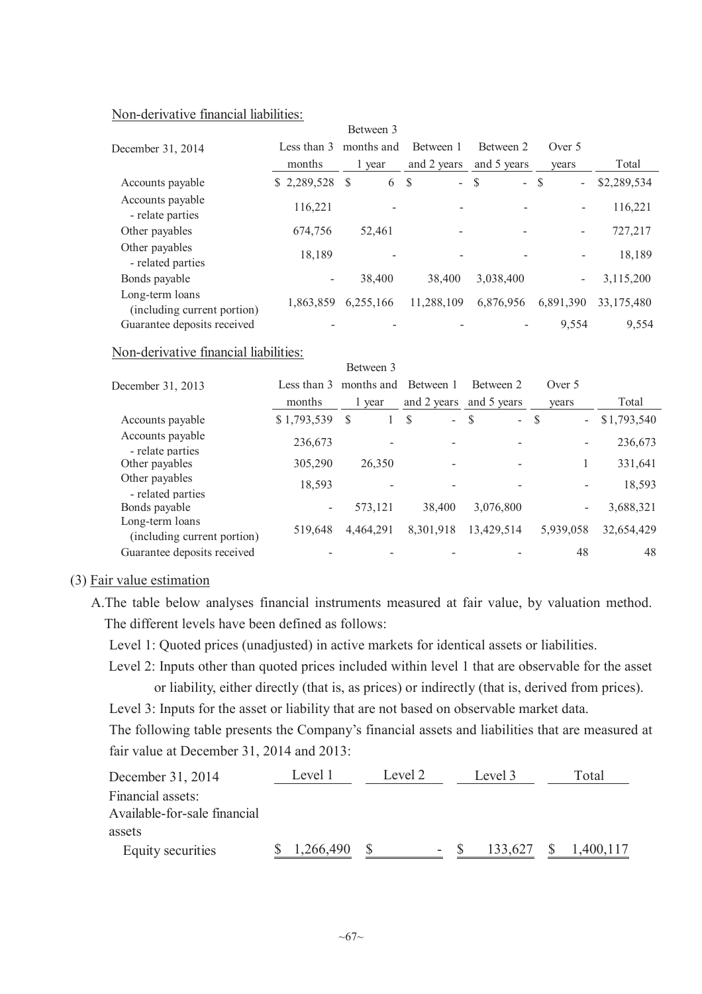#### Non-derivative financial liabilities:

|                                                |             | Between 3  |             |                          |                                |             |  |
|------------------------------------------------|-------------|------------|-------------|--------------------------|--------------------------------|-------------|--|
| December 31, 2014                              | Less than 3 | months and | Between 1   | Between 2                | Over 5                         |             |  |
|                                                | months      | 1 year     | and 2 years | and 5 years              | vears                          | Total       |  |
| Accounts payable                               | \$2,289,528 | S<br>6     | $-$ \$<br>S | $\overline{a}$           | <sup>S</sup><br>$\blacksquare$ | \$2,289,534 |  |
| Accounts payable<br>- relate parties           | 116,221     |            |             |                          | $\overline{a}$                 | 116,221     |  |
| Other payables                                 | 674,756     | 52,461     |             | $\overline{\phantom{a}}$ | $\overline{\phantom{a}}$       | 727,217     |  |
| Other payables<br>- related parties            | 18,189      |            |             |                          |                                | 18,189      |  |
| Bonds payable                                  | -           | 38,400     | 38,400      | 3,038,400                | $\overline{\phantom{a}}$       | 3,115,200   |  |
| Long-term loans<br>(including current portion) | 1,863,859   | 6,255,166  | 11,288,109  | 6,876,956                | 6,891,390                      | 33,175,480  |  |
| Guarantee deposits received                    |             |            |             |                          | 9,554                          | 9.554       |  |

#### Non-derivative financial liabilities:

|                                                |                           | Between 3 |                                 |                                           |                                 |             |
|------------------------------------------------|---------------------------|-----------|---------------------------------|-------------------------------------------|---------------------------------|-------------|
| December 31, 2013                              | months and<br>Less than 3 |           | Between 1                       | Between 2                                 |                                 |             |
|                                                | months                    | 1 year    | and 2 years                     | and 5 years                               | vears                           | Total       |
| Accounts payable                               | \$1,793,539               | \$        | $\mathcal{S}$<br>$\overline{a}$ | <sup>\$</sup><br>$\overline{\phantom{0}}$ | - S<br>$\overline{\phantom{a}}$ | \$1,793,540 |
| Accounts payable<br>- relate parties           | 236,673                   |           |                                 |                                           | $\overline{\phantom{0}}$        | 236,673     |
| Other payables                                 | 305,290                   | 26,350    |                                 |                                           |                                 | 331,641     |
| Other payables<br>- related parties            | 18,593                    |           |                                 |                                           |                                 | 18,593      |
| Bonds payable                                  | Ξ.                        | 573,121   | 38,400                          | 3,076,800                                 | $\overline{\phantom{0}}$        | 3,688,321   |
| Long-term loans<br>(including current portion) | 519,648                   | 4,464,291 | 8,301,918                       | 13,429,514                                | 5,939,058                       | 32,654,429  |
| Guarantee deposits received                    |                           |           |                                 |                                           | 48                              | 48          |

#### (3) Fair value estimation

A.The table below analyses financial instruments measured at fair value, by valuation method. The different levels have been defined as follows:

Level 1: Quoted prices (unadjusted) in active markets for identical assets or liabilities.

Level 2: Inputs other than quoted prices included within level 1 that are observable for the asset or liability, either directly (that is, as prices) or indirectly (that is, derived from prices).

Level 3: Inputs for the asset or liability that are not based on observable market data.

The following table presents the Company's financial assets and liabilities that are measured at fair value at December 31, 2014 and 2013:

| December 31, 2014            | Level 1   | Level 2 |        | Level 3 | Total     |
|------------------------------|-----------|---------|--------|---------|-----------|
| Financial assets:            |           |         |        |         |           |
| Available-for-sale financial |           |         |        |         |           |
| assets                       |           |         |        |         |           |
| Equity securities            | 1,266,490 |         | $\sim$ | 133,627 | 1,400,117 |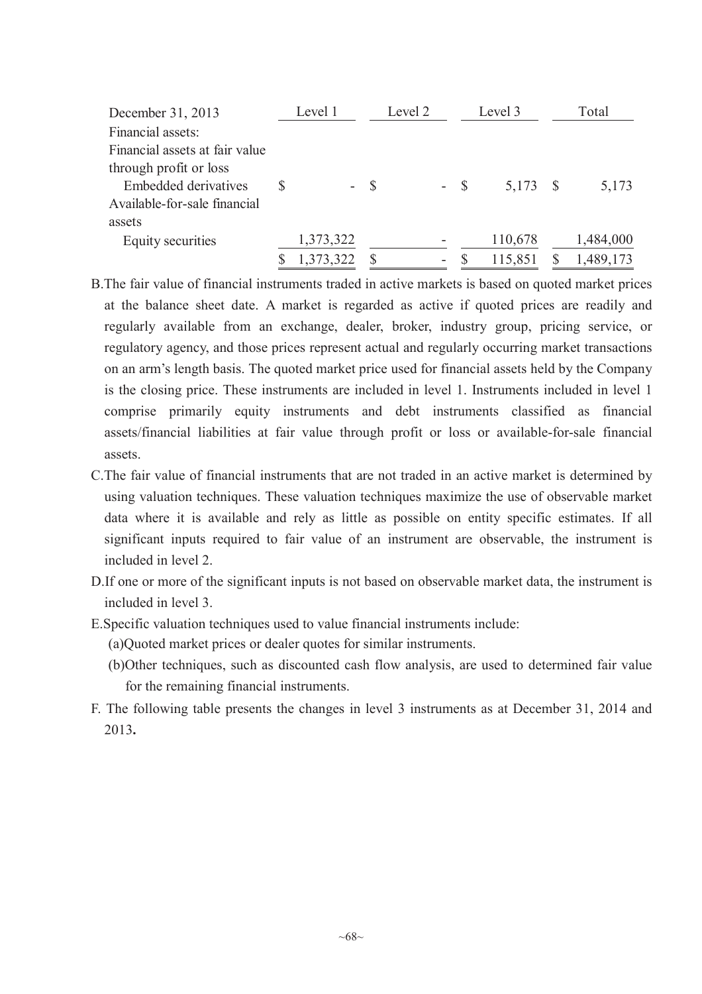| December 31, 2013              |  | Level 1         | Level 2 |  |   |              | Level 3 | Total |           |  |
|--------------------------------|--|-----------------|---------|--|---|--------------|---------|-------|-----------|--|
| Financial assets:              |  |                 |         |  |   |              |         |       |           |  |
| Financial assets at fair value |  |                 |         |  |   |              |         |       |           |  |
| through profit or loss         |  |                 |         |  |   |              |         |       |           |  |
| <b>Embedded derivatives</b>    |  | $\sim$ 10 $\pm$ | -S      |  |   | $-$ \$       | 5,173   |       | 5,173     |  |
| Available-for-sale financial   |  |                 |         |  |   |              |         |       |           |  |
| assets                         |  |                 |         |  |   |              |         |       |           |  |
| Equity securities              |  | 1,373,322       |         |  |   |              | 110,678 |       | 1,484,000 |  |
|                                |  | 1,373,322       |         |  | ۰ | <sup>S</sup> | 115,851 |       | 1,489,173 |  |

- B.The fair value of financial instruments traded in active markets is based on quoted market prices at the balance sheet date. A market is regarded as active if quoted prices are readily and regularly available from an exchange, dealer, broker, industry group, pricing service, or regulatory agency, and those prices represent actual and regularly occurring market transactions on an arm's length basis. The quoted market price used for financial assets held by the Company is the closing price. These instruments are included in level 1. Instruments included in level 1 comprise primarily equity instruments and debt instruments classified as financial assets/financial liabilities at fair value through profit or loss or available-for-sale financial assets.
- C.The fair value of financial instruments that are not traded in an active market is determined by using valuation techniques. These valuation techniques maximize the use of observable market data where it is available and rely as little as possible on entity specific estimates. If all significant inputs required to fair value of an instrument are observable, the instrument is included in level 2.
- D.If one or more of the significant inputs is not based on observable market data, the instrument is included in level 3.
- E.Specific valuation techniques used to value financial instruments include:
	- (a)Quoted market prices or dealer quotes for similar instruments.
	- (b)Other techniques, such as discounted cash flow analysis, are used to determined fair value for the remaining financial instruments.
- F. The following table presents the changes in level 3 instruments as at December 31, 2014 and 2013**.**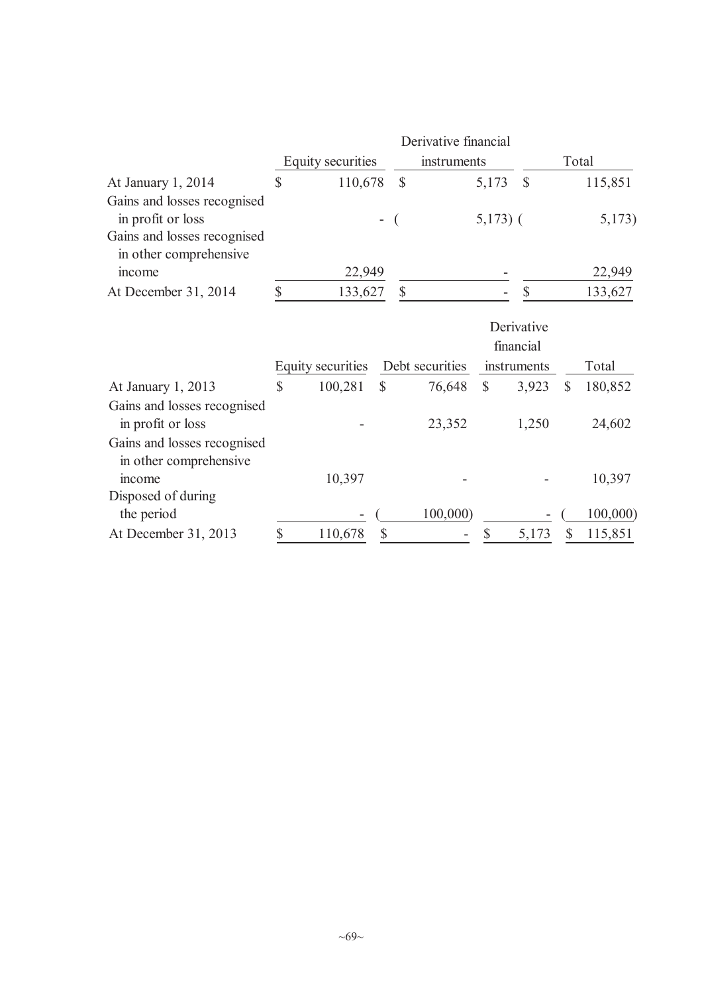|                                                                                 | Derivative financial |                          |                          |                 |               |                         |       |          |  |  |  |  |  |
|---------------------------------------------------------------------------------|----------------------|--------------------------|--------------------------|-----------------|---------------|-------------------------|-------|----------|--|--|--|--|--|
|                                                                                 |                      | <b>Equity securities</b> |                          | instruments     |               |                         | Total |          |  |  |  |  |  |
| At January 1, 2014                                                              | \$<br>110,678        |                          |                          | $\mathbb{S}$    | 5,173         | $\mathcal{S}$           |       | 115,851  |  |  |  |  |  |
| Gains and losses recognised<br>in profit or loss<br>Gains and losses recognised |                      |                          | $\overline{\phantom{0}}$ |                 | $5,173$ ) (   |                         |       | 5,173)   |  |  |  |  |  |
| in other comprehensive                                                          |                      |                          |                          |                 |               |                         |       |          |  |  |  |  |  |
| income                                                                          |                      | 22,949                   |                          |                 |               |                         |       | 22,949   |  |  |  |  |  |
| At December 31, 2014                                                            | \$                   | 133,627                  |                          | \$              |               | \$                      |       | 133,627  |  |  |  |  |  |
|                                                                                 |                      |                          |                          |                 |               | Derivative<br>financial |       |          |  |  |  |  |  |
|                                                                                 |                      | <b>Equity securities</b> |                          | Debt securities |               | instruments             |       | Total    |  |  |  |  |  |
| At January 1, 2013                                                              | \$                   | 100,281                  | \$                       | 76,648          | $\mathcal{S}$ | 3,923                   | \$    | 180,852  |  |  |  |  |  |
| Gains and losses recognised<br>in profit or loss                                |                      |                          |                          | 23,352          |               | 1,250                   |       | 24,602   |  |  |  |  |  |
| Gains and losses recognised<br>in other comprehensive                           |                      |                          |                          |                 |               |                         |       |          |  |  |  |  |  |
| mcome                                                                           |                      | 10,397                   |                          |                 |               |                         |       | 10,397   |  |  |  |  |  |
| Disposed of during                                                              |                      |                          |                          |                 |               |                         |       |          |  |  |  |  |  |
| the period                                                                      |                      |                          |                          | 100,000         |               |                         |       | 100,000) |  |  |  |  |  |
| At December 31, 2013                                                            | \$                   | 110,678                  | \$                       |                 | \$            | 5,173                   | \$    | 115,851  |  |  |  |  |  |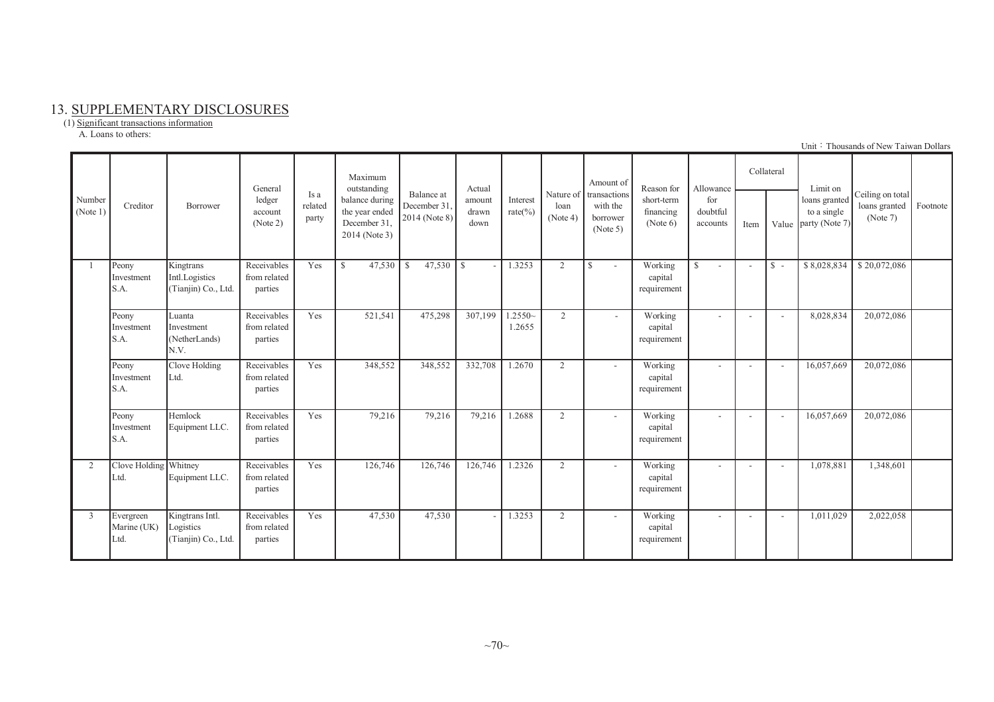#### 13. SUPPLEMENTARY DISCLOSURES

(1) Significant transactions information A. Loans to others:

|                    |                                  | Borrower                                            | General<br>ledger<br>account<br>(Note 2) |                          | Maximum<br>outstanding                                            |                                            |                         | Actual                   |                  | Amount of                                                  | Reason for                          | Allowance                   |                | Collateral               | Limit on                                       |                                               |          |
|--------------------|----------------------------------|-----------------------------------------------------|------------------------------------------|--------------------------|-------------------------------------------------------------------|--------------------------------------------|-------------------------|--------------------------|------------------|------------------------------------------------------------|-------------------------------------|-----------------------------|----------------|--------------------------|------------------------------------------------|-----------------------------------------------|----------|
| Number<br>(Note 1) | Creditor                         |                                                     |                                          | Is a<br>related<br>party | balance during<br>the year ended<br>December 31,<br>2014 (Note 3) | Balance at<br>December 31<br>2014 (Note 8) | amount<br>drawn<br>down | Interest<br>rate $(\% )$ | loan<br>(Note 4) | Nature of transactions<br>with the<br>borrower<br>(Note 5) | short-term<br>financing<br>(Note 6) | for<br>doubtful<br>accounts | Value<br>Item  |                          | loans granted<br>to a single<br>party (Note 7) | Ceiling on total<br>loans granted<br>(Note 7) | Footnote |
|                    | Peony<br>Investment<br>S.A.      | Kingtrans<br>Intl.Logistics<br>(Tianjin) Co., Ltd.  | Receivables<br>from related<br>parties   | Yes                      | $\mathbb{S}$<br>47,530                                            | 47,530<br>$\mathbf{s}$                     | l S                     | 1.3253                   | 2                | S.<br>$\sim$                                               | Working<br>capital<br>requirement   | <sup>S</sup><br>$\sim$      | $\overline{a}$ | $S -$                    | \$8,028,834                                    | \$20,072,086                                  |          |
|                    | Peony<br>Investment<br>S.A.      | Luanta<br>Investment<br>(NetherLands)<br>N.V.       | Receivables<br>from related<br>parties   | Yes                      | 521,541                                                           | 475,298                                    | 307,199                 | $.2550-$<br>1.2655       | 2                | $\overline{\phantom{a}}$                                   | Working<br>capital<br>requirement   |                             |                | $\overline{\phantom{a}}$ | 8,028,834                                      | 20,072,086                                    |          |
|                    | Peony<br>Investment<br>S.A.      | Clove Holding<br>Ltd.                               | Receivables<br>from related<br>parties   | Yes                      | 348,552                                                           | 348,552                                    | 332,708                 | 1.2670                   | 2                | $\overline{\phantom{a}}$                                   | Working<br>capital<br>requirement   |                             |                | $\overline{\phantom{a}}$ | 16,057,669                                     | 20,072,086                                    |          |
|                    | Peony<br>Investment<br>S.A.      | Hemlock<br>Equipment LLC.                           | Receivables<br>from related<br>parties   | Yes                      | 79,216                                                            | 79,216                                     | 79,216                  | 1.2688                   | 2                | $\overline{\phantom{a}}$                                   | Working<br>capital<br>requirement   |                             |                | $\overline{\phantom{a}}$ | 16,057,669                                     | 20,072,086                                    |          |
| $\mathcal{D}$      | Clove Holding Whitney<br>Ltd.    | Equipment LLC.                                      | Receivables<br>from related<br>parties   | Yes                      | 126,746                                                           | 126,746                                    | 126,746                 | 1.2326                   | 2                | $\overline{\phantom{a}}$                                   | Working<br>capital<br>requirement   |                             |                | $\overline{\phantom{a}}$ | 1,078,881                                      | 1,348,601                                     |          |
| 3                  | Evergreen<br>Marine (UK)<br>Ltd. | Kingtrans Intl.<br>Logistics<br>(Tianjin) Co., Ltd. | Receivables<br>from related<br>parties   | Yes                      | 47,530                                                            | 47,530                                     |                         | 1.3253                   | 2                | $\sim$                                                     | Working<br>capital<br>requirement   | $\overline{\phantom{a}}$    |                | $\overline{\phantom{a}}$ | 1,011,029                                      | 2,022,058                                     |          |

Unit: Thousands of New Taiwan Dollars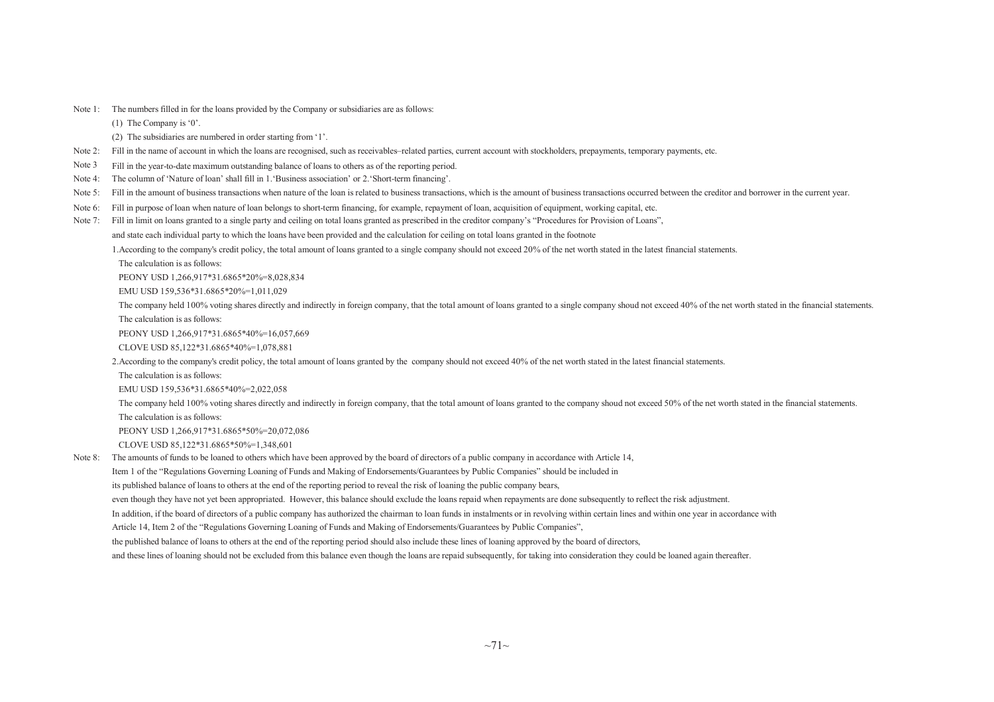Note 1: The numbers filled in for the loans provided by the Company or subsidiaries are as follows:

(1) The Company is '0'.

- (2) The subsidiaries are numbered in order starting from '1'.
- Note 2: Fill in the name of account in which the loans are recognised, such as receivables–related parties, current account with stockholders, prepayments, temporary payments, etc.<br>Note 3 Fill in the vear-to-date maximum o
- Note 3 Fill in the year-to-date maximum outstanding balance of loans to others as of the reporting period.<br>Note 4: The column of 'Nature of loan' shall fill in 1. 'Business association' or 2. 'Short-term financing'.
- The column of 'Nature of loan' shall fill in 1. Business association' or 2. 'Short-term financing'.
- Note 5: Fill in the amount of business transactions when nature of the loan is related to business transactions, which is the amount of business transactions occurred between the creditor and borrower in the current year.
- Note 6: Fill in purpose of loan when nature of loan belongs to short-term financing, for example, repayment of loan, acquisition of equipment, working capital, etc.
- Note 7: Fill in limit on loans granted to a single party and ceiling on total loans granted as prescribed in the creditor company's "Procedures for Provision of Loans",

and state each individual party to which the loans have been provided and the calculation for ceiling on total loans granted in the footnote

1.According to the company's credit policy, the total amount of loans granted to <sup>a</sup> single company should not exceed 20% of the net worth stated in the latest financial statements.

The calculation is as follows:

PEONY USD 1,266,917\*31.6865\*20%=8,028,834

EMU USD 159,536\*31.6865\*20%=1,011,029

The company held 100% voting shares directly and indirectly in foreign company, that the total amount of loans granted to a single company shoud not exceed 40% of the net worth stated in the financial statements. The calculation is as follows:

PEONY USD 1,266,917\*31.6865\*40%=16,057,669

CLOVE USD 85,122\*31.6865\*40%=1,078,881

2.According to the company's credit policy, the total amount of loans granted by the company should not exceed 40% of the net worth stated in the latest financial statements.

The calculation is as follows:

EMU USD 159,536\*31.6865\*40%=2,022,058

The company held 100% voting shares directly and indirectly in foreign company, that the total amount of loans granted to the company shoud not exceed 50% of the net worth stated in the financial statements.

The calculation is as follows:

PEONY USD 1,266,917\*31.6865\*50%=20,072,086

CLOVE USD 85,122\*31.6865\*50%=1,348,601

Note 8: The amounts of funds to be loaned to others which have been approved by the board of directors of <sup>a</sup> public company in accordance with Article 14,

Item <sup>1</sup> of the "Regulations Governing Loaning of Funds and Making of Endorsements/Guarantees by Public Companies" should be included in

its published balance of loans to others at the end of the reporting period to reveal the risk of loaning the public company bears,

even though they have not ye<sup>t</sup> been appropriated. However, this balance should exclude the loans repaid when repayments are done subsequently to reflect the risk adjustment.

In addition, if the board of directors of a public company has authorized the chairman to loan funds in instalments or in revolving within certain lines and within one year in accordance with

Article 14, Item <sup>2</sup> of the "Regulations Governing Loaning of Funds and Making of Endorsements/Guarantees by Public Companies",

the published balance of loans to others at the end of the reporting period should also include these lines of loaning approved by the board of directors,

and these lines of loaning should not be excluded from this balance even though the loans are repaid subsequently, for taking into consideration they could be loaned again thereafter.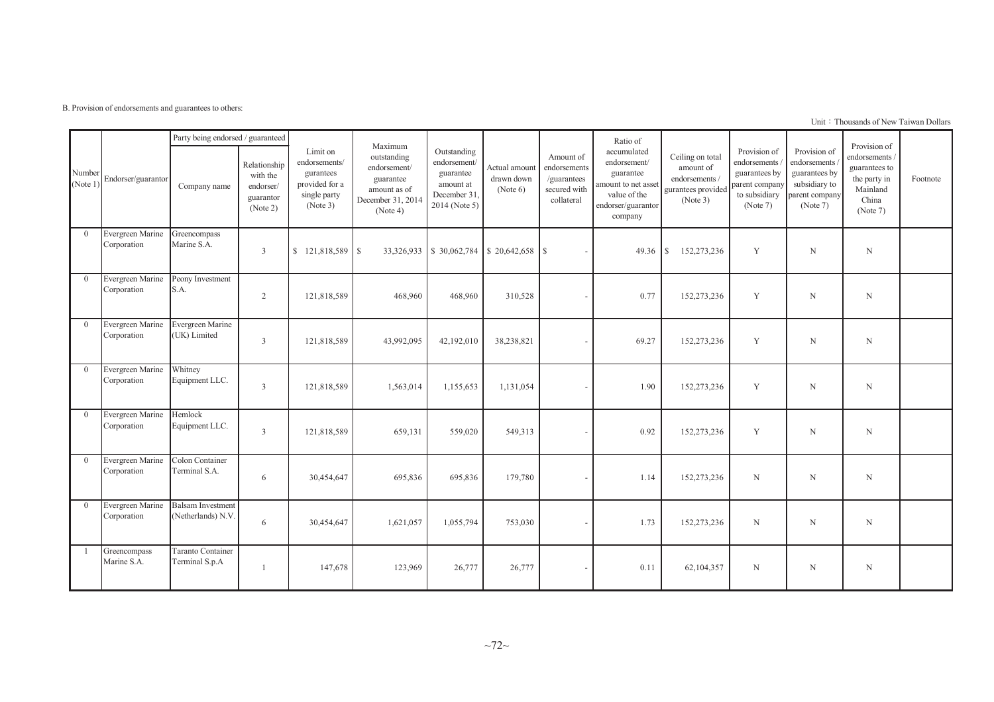B. Provision of endorsements and guarantees to others:

Unit: Thousands of New Taiwan Dollars

|                  |                                 | Party being endorsed / guaranteed              |                                                                |                                                                                      | Maximum                                                                                   |                                                                                       |                                           |                                                                        | Ratio of                                                                                                         |                                                                                  |                                                                                              |                                                                                              | Provision of                                                                     |          |
|------------------|---------------------------------|------------------------------------------------|----------------------------------------------------------------|--------------------------------------------------------------------------------------|-------------------------------------------------------------------------------------------|---------------------------------------------------------------------------------------|-------------------------------------------|------------------------------------------------------------------------|------------------------------------------------------------------------------------------------------------------|----------------------------------------------------------------------------------|----------------------------------------------------------------------------------------------|----------------------------------------------------------------------------------------------|----------------------------------------------------------------------------------|----------|
| Number<br>Note 1 | Endorser/guarantor              | Company name                                   | Relationship<br>with the<br>endorser/<br>guarantor<br>(Note 2) | Limit on<br>endorsements/<br>gurantees<br>provided for a<br>single party<br>(Note 3) | outstanding<br>endorsement/<br>guarantee<br>amount as of<br>December 31, 2014<br>(Note 4) | Outstanding<br>endorsement/<br>guarantee<br>amount at<br>December 31<br>2014 (Note 5) | Actual amount<br>drawn down<br>(Note 6)   | Amount of<br>endorsements<br>/guarantees<br>secured with<br>collateral | accumulated<br>endorsement/<br>guarantee<br>amount to net asset<br>value of the<br>endorser/guarantor<br>company | Ceiling on total<br>amount of<br>endorsements/<br>gurantees provided<br>(Note 3) | Provision of<br>endorsements<br>guarantees by<br>parent company<br>to subsidiary<br>(Note 7) | Provision of<br>endorsements<br>guarantees by<br>subsidiary to<br>parent company<br>(Note 7) | endorsements /<br>guarantees to<br>the party in<br>Mainland<br>China<br>(Note 7) | Footnote |
| $\Omega$         | Evergreen Marine<br>Corporation | Greencompass<br>Marine S.A.                    | 3                                                              |                                                                                      |                                                                                           |                                                                                       | 33,326,933 \$ 30,062,784 \$ 20,642,658 \$ |                                                                        | 49.36                                                                                                            | 152,273,236<br><sup>S</sup>                                                      | Y                                                                                            | N                                                                                            | N                                                                                |          |
| $\theta$         | Evergreen Marine<br>Corporation | Peony Investment<br>S.A.                       | $\overline{2}$                                                 | 121,818,589                                                                          | 468,960                                                                                   | 468,960                                                                               | 310,528                                   |                                                                        | 0.77                                                                                                             | 152,273,236                                                                      | Y                                                                                            | N                                                                                            | $\mathbf N$                                                                      |          |
| $\theta$         | Evergreen Marine<br>Corporation | Evergreen Marine<br>(UK) Limited               | $\mathfrak{Z}$                                                 | 121,818,589                                                                          | 43,992,095                                                                                | 42,192,010                                                                            | 38,238,821                                |                                                                        | 69.27                                                                                                            | 152,273,236                                                                      | Y                                                                                            | N                                                                                            | $\mathbf N$                                                                      |          |
| $\Omega$         | Evergreen Marine<br>Corporation | Whitney<br>Equipment LLC.                      | 3                                                              | 121,818,589                                                                          | 1,563,014                                                                                 | 1,155,653                                                                             | 1,131,054                                 |                                                                        | 1.90                                                                                                             | 152,273,236                                                                      | Y                                                                                            | N                                                                                            | $\mathbf N$                                                                      |          |
| $\theta$         | Evergreen Marine<br>Corporation | Hemlock<br>Equipment LLC.                      | $\mathfrak{Z}$                                                 | 121,818,589                                                                          | 659,131                                                                                   | 559,020                                                                               | 549,313                                   |                                                                        | 0.92                                                                                                             | 152,273,236                                                                      | Y                                                                                            | N                                                                                            | $\mathbf N$                                                                      |          |
| $\theta$         | Evergreen Marine<br>Corporation | Colon Container<br>Terminal S.A.               | 6                                                              | 30,454,647                                                                           | 695,836                                                                                   | 695,836                                                                               | 179,780                                   |                                                                        | 1.14                                                                                                             | 152,273,236                                                                      | N                                                                                            | N                                                                                            | $\mathbf N$                                                                      |          |
| $\theta$         | Evergreen Marine<br>Corporation | <b>Balsam Investment</b><br>(Netherlands) N.V. | 6                                                              | 30,454,647                                                                           | 1,621,057                                                                                 | 1,055,794                                                                             | 753,030                                   |                                                                        | 1.73                                                                                                             | 152,273,236                                                                      | $\mathbf N$                                                                                  | $\mathbf N$                                                                                  | $\mathbf N$                                                                      |          |
| $\overline{1}$   | Greencompass<br>Marine S.A.     | Taranto Container<br>Terminal S.p.A            |                                                                | 147,678                                                                              | 123,969                                                                                   | 26,777                                                                                | 26,777                                    |                                                                        | 0.11                                                                                                             | 62,104,357                                                                       | N                                                                                            | N                                                                                            | N                                                                                |          |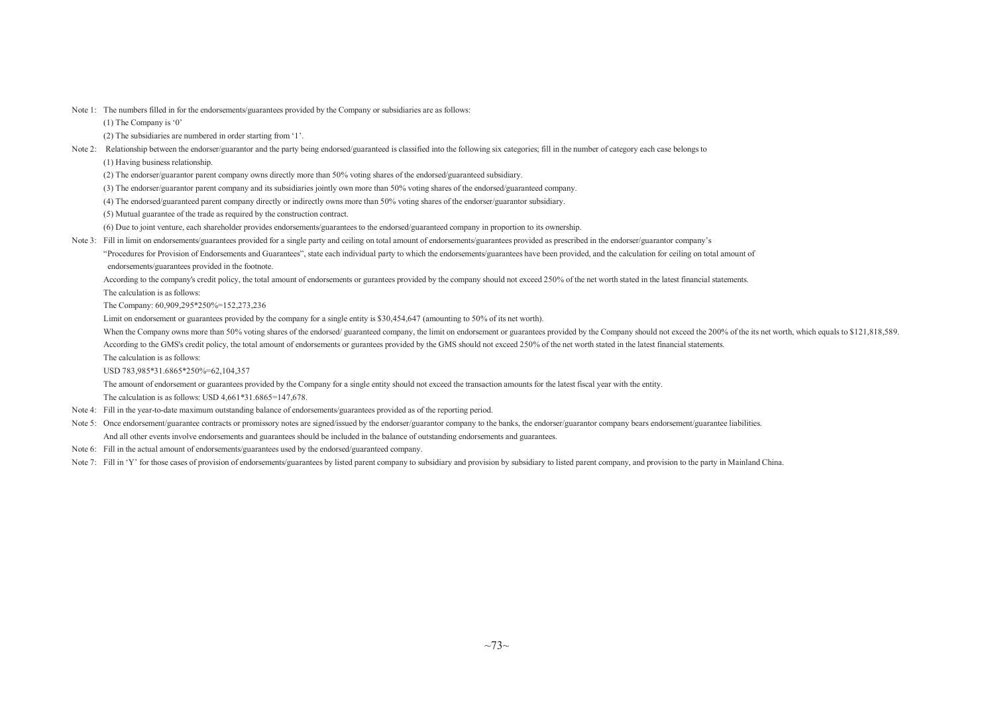Note 1: The numbers filled in for the endorsements/guarantees provided by the Company or subsidiaries are as follows:

(1) The Company is '0'

(2) The subsidiaries are numbered in order starting from '1'.

- Note 2: Relationship between the endorser/guarantor and the party being endorsed/guaranteed is classified into the following six categories; fill in the number of category each case belongs to
	- (1) Having business relationship.

(2) The endorser/guarantor parent company owns directly more than 50% voting shares of the endorsed/guaranteed subsidiary.

(3) The endorser/guarantor parent company and its subsidiaries jointly own more than 50% voting shares of the endorsed/guaranteed company.

(4) The endorsed/guaranteed parent company directly or indirectly owns more than 50% voting shares of the endorser/guarantor subsidiary.

(5) Mutual guarantee of the trade as required by the construction contract.

(6) Due to joint venture, each shareholder provides endorsements/guarantees to the endorsed/guaranteed company in proportion to its ownership.

Note 3: Fill in limit on endorsements/guarantees provided for a single party and ceiling on total amount of endorsements/guarantees provided as prescribed in the endorser/guarantor company's

"Procedures for Provision of Endorsements and Guarantees", state each individual party to which the endorsements/guarantees have been provided, and the calculation for ceiling on total amount of endorsements/guarantees provided in the footnote.

According to the company's credit policy, the total amount of endorsements or gurantees provided by the company should not exceed 250% of the net worth stated in the latest financial statements.

The calculation is as follows:

The Company: 60,909,295\*250%=152,273,236

Limit on endorsement or guarantees provided by the company for <sup>a</sup> single entity is \$30,454,647 (amounting to 50% of its net worth).

- When the Company owns more than 50% voting shares of the endorsed/ guaranteed company, the limit on endorsement or guarantees provided by the Company should not exceed the 200% of the its net worth, which equals to \$121,81 According to the GMS's credit policy, the total amount of endorsements or gurantees provided by the GMS should not exceed 250% of the net worth stated in the latest financial statements.
- The calculation is as follows:

USD 783,985\*31.6865\*250%=62,104,357

The amount of endorsement or guarantees provided by the Company for <sup>a</sup> single entity should not exceed the transaction amounts for the latest fiscal year with the entity.

The calculation is as follows: USD 4,661\*31.6865=147,678.

- Note 4: Fill in the year-to-date maximum outstanding balance of endorsements/guarantees provided as of the reporting period.
- Note 5: Once endorsement/guarantee contracts or promissory notes are signed/issued by the endorser/guarantor company to the banks, the endorser/guarantor company bears endorsement/guarantee liabilities. And all other events involve endorsements and guarantees should be included in the balance of outstanding endorsements and guarantees.
- Note 6: Fill in the actual amount of endorsements/guarantees used by the endorsed/guaranteed company.
- Note 7: Fill in 'Y' for those cases of provision of endorsements/guarantees by listed parent company to subsidiary and provision by subsidiary to listed parent company, and provision to the party in Mainland China.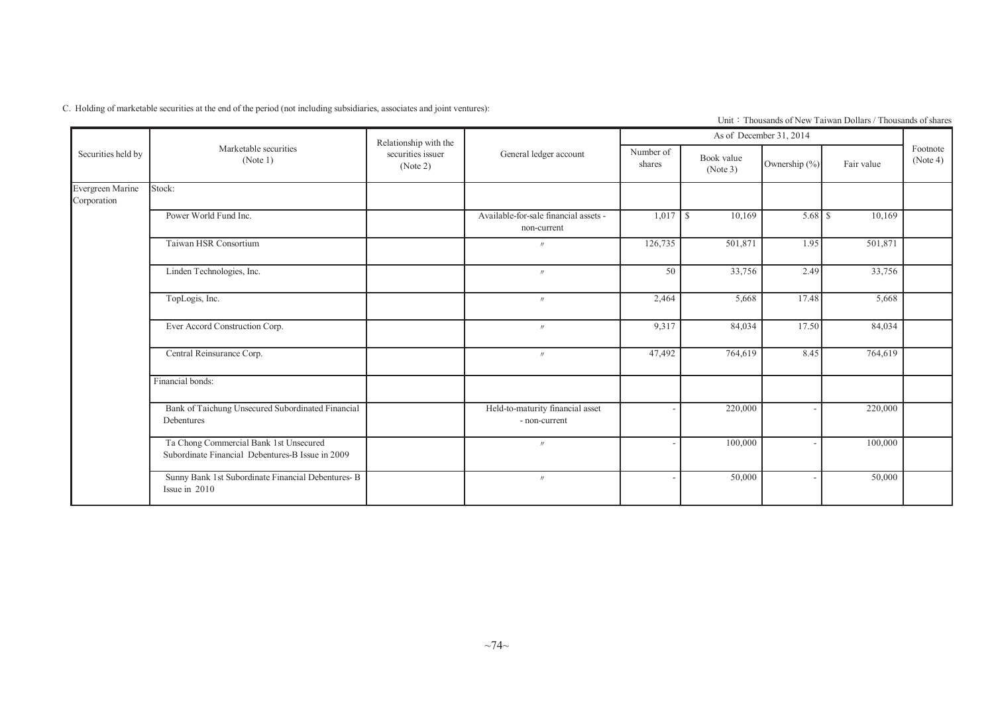C. Holding of marketable securities at the end of the period (not including subsidiaries, associates and joint ventures):

|                                 |                                                                                            | Relationship with the         |                                                      |                     |                        | As of December 31, 2014 |                                                                                             |                      |
|---------------------------------|--------------------------------------------------------------------------------------------|-------------------------------|------------------------------------------------------|---------------------|------------------------|-------------------------|---------------------------------------------------------------------------------------------|----------------------|
| Securities held by              | Marketable securities<br>(Note 1)                                                          | securities issuer<br>(Note 2) | General ledger account                               | Number of<br>shares | Book value<br>(Note 3) | Ownership (%)           | Fair value                                                                                  | Footnote<br>(Note 4) |
| Evergreen Marine<br>Corporation | Stock:                                                                                     |                               |                                                      |                     |                        |                         |                                                                                             |                      |
|                                 | Power World Fund Inc.                                                                      |                               | Available-for-sale financial assets -<br>non-current |                     | 10,169                 |                         | 10,169                                                                                      |                      |
|                                 | Taiwan HSR Consortium                                                                      |                               | $\prime$                                             | 126,735             | 501,871                |                         | 501,871                                                                                     |                      |
|                                 | Linden Technologies, Inc.                                                                  |                               | $\prime\prime$                                       | 50                  | 33,756                 |                         | 33,756                                                                                      |                      |
|                                 | TopLogis, Inc.                                                                             |                               | $^{\prime\prime}$                                    | 2,464               | 5,668                  | 17.48                   | 1.95<br>2.49<br>5,668<br>17.50<br>84,034<br>764,619<br>8.45<br>220,000<br>100,000<br>50,000 |                      |
|                                 | Ever Accord Construction Corp.                                                             |                               | $\prime\prime$                                       | 9,317               | 84,034                 |                         |                                                                                             |                      |
|                                 | Central Reinsurance Corp.                                                                  |                               | $\prime\prime$                                       | 47,492              | 764,619                |                         |                                                                                             |                      |
|                                 | Financial bonds:                                                                           |                               |                                                      |                     |                        |                         |                                                                                             |                      |
|                                 | Bank of Taichung Unsecured Subordinated Financial<br>Debentures                            |                               | Held-to-maturity financial asset<br>- non-current    |                     | 220,000                |                         |                                                                                             |                      |
|                                 | Ta Chong Commercial Bank 1st Unsecured<br>Subordinate Financial Debentures-B Issue in 2009 |                               | $^{\prime\prime}$                                    |                     | 100,000                |                         |                                                                                             |                      |
|                                 | Sunny Bank 1st Subordinate Financial Debentures-B<br>Issue in 2010                         |                               | $\prime\prime$                                       |                     | 50,000                 |                         |                                                                                             |                      |

Unit: Thousands of New Taiwan Dollars / Thousands of shares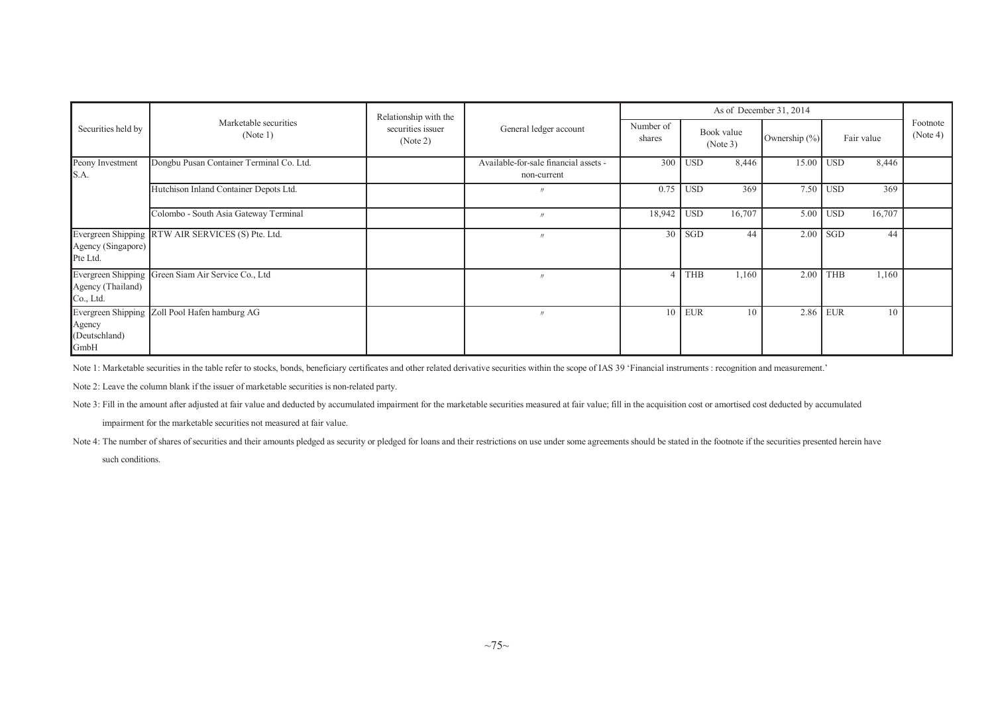|                                 |                                                    | Relationship with the         |                                                      |                     |            |                        | As of December 31, 2014 |            |            |                      |
|---------------------------------|----------------------------------------------------|-------------------------------|------------------------------------------------------|---------------------|------------|------------------------|-------------------------|------------|------------|----------------------|
| Securities held by              | Marketable securities<br>(Note 1)                  | securities issuer<br>(Note 2) | General ledger account                               | Number of<br>shares |            | Book value<br>(Note 3) | Ownership (%)           |            | Fair value | Footnote<br>(Note 4) |
| Peony Investment<br>S.A.        | Dongbu Pusan Container Terminal Co. Ltd.           |                               | Available-for-sale financial assets -<br>non-current |                     | $300$ USD  | 8,446                  | 15.00 USD               |            | 8,446      |                      |
|                                 | Hutchison Inland Container Depots Ltd.             |                               | $^{\prime\prime}$                                    |                     | $0.75$ USD | 369                    |                         | 7.50 USD   | 369        |                      |
|                                 | Colombo - South Asia Gateway Terminal              |                               |                                                      | 18,942 USD          |            | 16,707                 |                         | $5.00$ USD | 16,707     |                      |
| Agency (Singapore)<br>Pte Ltd.  | Evergreen Shipping RTW AIR SERVICES (S) Pte. Ltd.  |                               | $^{\prime\prime}$                                    | 30                  | SGD        | 44                     | 2.00                    | <b>SGD</b> | 44         |                      |
| Agency (Thailand)<br>Co., Ltd.  | Evergreen Shipping Green Siam Air Service Co., Ltd |                               |                                                      |                     | THB        | 1,160                  | 2.00                    | <b>THB</b> | 1,160      |                      |
| Agency<br>(Deutschland)<br>GmbH | Evergreen Shipping Zoll Pool Hafen hamburg AG      |                               |                                                      | 10                  | <b>EUR</b> | 10                     |                         | 2.86 EUR   | 10         |                      |

Note 1: Marketable securities in the table refer to stocks, bonds, beneficiary certificates and other related derivative securities within the scope of IAS 39 'Financial instruments : recognition and measurement.'

Note 2: Leave the column blank if the issuer of marketable securities is non-related party.

Note 3: Fill in the amount after adjusted at fair value and deducted by accumulated impairment for the marketable securities measured at fair value; fill in the acquisition cost or amortised cost deducted by accumulated

impairment for the marketable securities not measured at fair value.

Note 4: The number of shares of securities and their amounts pledged as security or pledged for loans and their restrictions on use under some agreements should be stated in the footnote if the securities presented herein such conditions.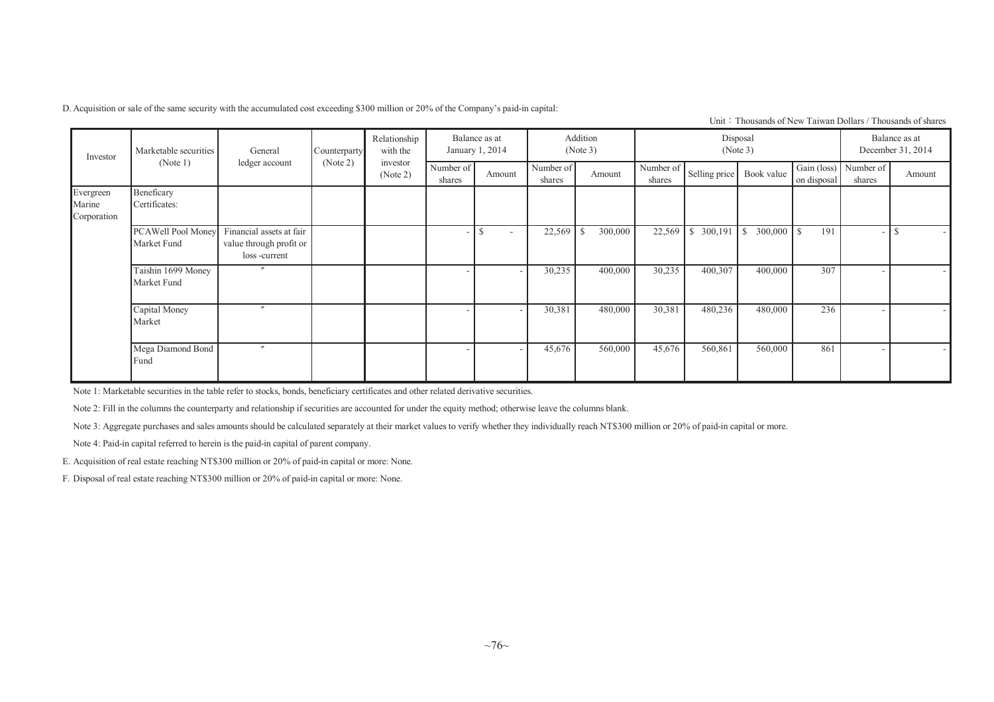D.Acquisition or sale of the same security with the accumulated cost exceeding \$300 million or 20% of the Company's paid-in capital:

Unit: Thousands of New Taiwan Dollars / Thousands of shares

| Investor                           | Marketable securities             | General                                                             | Counterparty | Relationship<br>with the |                     | Balance as at<br>January 1, 2014 |                     | Addition<br>(Note 3) |                     |            | Disposal<br>(Note 3)     |                            |                     | Balance as at<br>December 31, 2014 |
|------------------------------------|-----------------------------------|---------------------------------------------------------------------|--------------|--------------------------|---------------------|----------------------------------|---------------------|----------------------|---------------------|------------|--------------------------|----------------------------|---------------------|------------------------------------|
|                                    | (Note 1)                          | ledger account                                                      | (Note 2)     | investor<br>(Note 2)     | Number of<br>shares | Amount                           | Number of<br>shares | Amount               | Number of<br>shares |            | Selling price Book value | Gain (loss)<br>on disposal | Number of<br>shares | Amount                             |
| Evergreen<br>Marine<br>Corporation | Beneficary<br>Certificates:       |                                                                     |              |                          |                     |                                  |                     |                      |                     |            |                          |                            |                     |                                    |
|                                    | PCAWell Pool Money<br>Market Fund | Financial assets at fair<br>value through profit or<br>loss-current |              |                          | - 1                 | \$<br>$\sim$                     | 22,569              | 300,000              | 22,569              | \$ 300,191 | $\mathbf{I}$             | 191                        |                     | $\sim$                             |
|                                    | Taishin 1699 Money<br>Market Fund | $\prime\prime$                                                      |              |                          |                     |                                  | 30,235              | 400,000              | 30,235              | 400,307    | 400,000                  | 307                        |                     |                                    |
|                                    | Capital Money<br>Market           | $\overline{v}$                                                      |              |                          |                     | $\overline{\phantom{a}}$         | 30,381              | 480,000              | 30,381              | 480,236    | 480,000                  | 236                        |                     |                                    |
|                                    | Mega Diamond Bond<br>Fund         | $^{\prime\prime}$                                                   |              |                          |                     |                                  | 45,676              | 560,000              | 45,676              | 560,861    | 560,000                  | 861                        |                     |                                    |

Note 1: Marketable securities in the table refer to stocks, bonds, beneficiary certificates and other related derivative securities.

Note 2: Fill in the columns the counterparty and relationship if securities are accounted for under the equity method; otherwise leave the columns blank.

Note 3: Aggregate purchases and sales amounts should be calculated separately at their market values to verify whether they individually reach NT\$300 million or 20% of paid-in capital or more.

Note 4: Paid-in capital referred to herein is the paid-in capital of paren<sup>t</sup> company.

E. Acquisition of real estate reaching NT\$300 million or 20% of paid-in capital or more: None.

F. Disposal of real estate reaching NT\$300 million or 20% of paid-in capital or more: None.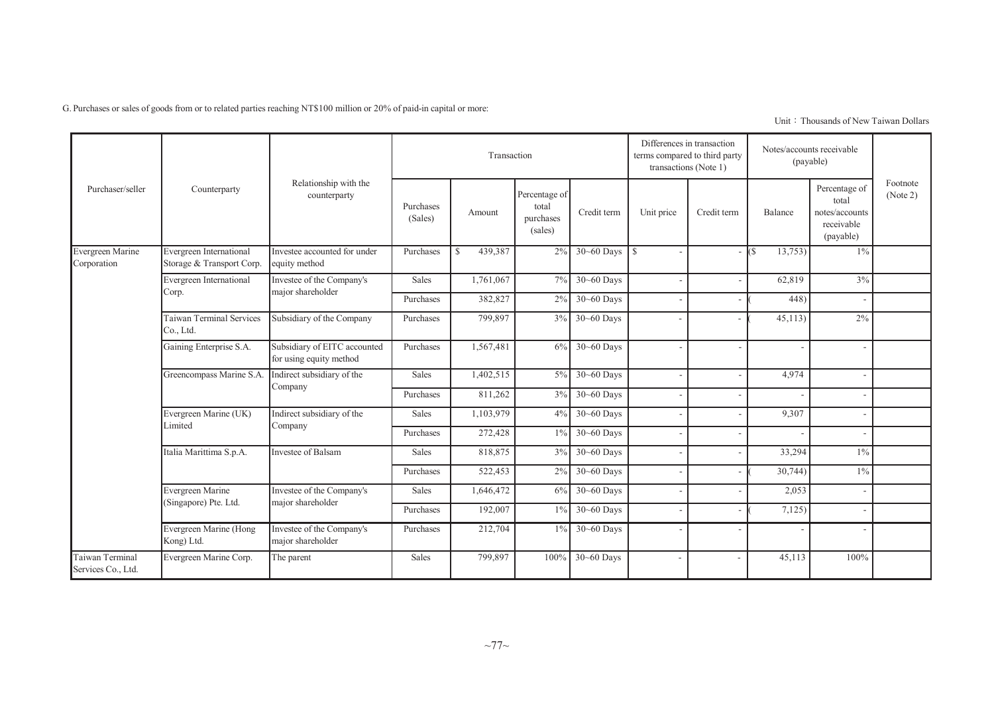G. Purchases or sales of goods from or to related parties reaching NT\$100 million or 20% of paid-in capital or more:

Unit: Thousands of New Taiwan Dollars

|                                       |                                                      |                                                         |                      | Transaction              |                                                |                |               | Differences in transaction<br>terms compared to third party<br>transactions (Note 1) |                 | Notes/accounts receivable<br>(payable)                              |                      |
|---------------------------------------|------------------------------------------------------|---------------------------------------------------------|----------------------|--------------------------|------------------------------------------------|----------------|---------------|--------------------------------------------------------------------------------------|-----------------|---------------------------------------------------------------------|----------------------|
| Purchaser/seller                      | Counterparty                                         | Relationship with the<br>counterparty                   | Purchases<br>(Sales) | Amount                   | Percentage of<br>total<br>purchases<br>(sales) | Credit term    | Unit price    | Credit term                                                                          | Balance         | Percentage of<br>total<br>notes/accounts<br>receivable<br>(payable) | Footnote<br>(Note 2) |
| Evergreen Marine<br>Corporation       | Evergreen International<br>Storage & Transport Corp. | Investee accounted for under<br>equity method           | Purchases            | 439,387<br><sup>\$</sup> | 2%                                             | $30 - 60$ Days | $\mathcal{S}$ |                                                                                      | 13,753)<br>l(\$ | $1\%$                                                               |                      |
|                                       | Evergreen International                              | Investee of the Company's                               | Sales                | 1,761,067                | 7%                                             | $30 - 60$ Days |               | ۰                                                                                    | 62,819          | 3%                                                                  |                      |
|                                       | Corp.                                                | major shareholder                                       | Purchases            | 382,827                  | 2%                                             | 30~60 Days     |               |                                                                                      | 448)            |                                                                     |                      |
|                                       | <b>Taiwan Terminal Services</b><br>Co., Ltd.         | Subsidiary of the Company                               | Purchases            | 799,897                  | 3%                                             | $30 - 60$ Days |               |                                                                                      | 45,113          | $2\%$                                                               |                      |
|                                       | Gaining Enterprise S.A.                              | Subsidiary of EITC accounted<br>for using equity method | Purchases            | 1,567,481                | 6%                                             | 30~60 Days     |               |                                                                                      |                 |                                                                     |                      |
|                                       | Greencompass Marine S.A.                             | Indirect subsidiary of the                              | Sales                | 1,402,515                | $5\%$                                          | $30 - 60$ Days |               | ٠                                                                                    | 4,974           |                                                                     |                      |
|                                       |                                                      | Company                                                 | Purchases            | 811,262                  | 3%                                             | 30~60 Days     |               |                                                                                      |                 |                                                                     |                      |
|                                       | Evergreen Marine (UK)                                | Indirect subsidiary of the                              | Sales                | 1,103,979                | $4\%$                                          | $30 - 60$ Days |               |                                                                                      | 9,307           |                                                                     |                      |
|                                       | Limited                                              | Company                                                 | Purchases            | 272,428                  | 1%                                             | 30~60 Days     |               |                                                                                      |                 |                                                                     |                      |
|                                       | Italia Marittima S.p.A.                              | Investee of Balsam                                      | Sales                | 818,875                  | 3%                                             | 30~60 Days     |               | ٠                                                                                    | 33,294          | $1\%$                                                               |                      |
|                                       |                                                      |                                                         | Purchases            | 522,453                  | 2%                                             | 30~60 Days     |               |                                                                                      | 30,744)         | $1\%$                                                               |                      |
|                                       | Evergreen Marine                                     | Investee of the Company's                               | Sales                | 1,646,472                | 6%                                             | 30~60 Days     |               |                                                                                      | 2,053           |                                                                     |                      |
|                                       | (Singapore) Pte. Ltd.                                | major shareholder                                       | Purchases            | 192,007                  | $1\%$                                          | $30 - 60$ Days |               |                                                                                      | 7,125)          |                                                                     |                      |
|                                       | Evergreen Marine (Hong<br>Kong) Ltd.                 | Investee of the Company's<br>major shareholder          | Purchases            | 212,704                  | $1\%$                                          | $30 - 60$ Days |               |                                                                                      |                 |                                                                     |                      |
| Taiwan Terminal<br>Services Co., Ltd. | Evergreen Marine Corp.                               | The parent                                              | <b>Sales</b>         | 799,897                  | 100%                                           | $30 - 60$ Days |               |                                                                                      | 45,113          | 100%                                                                |                      |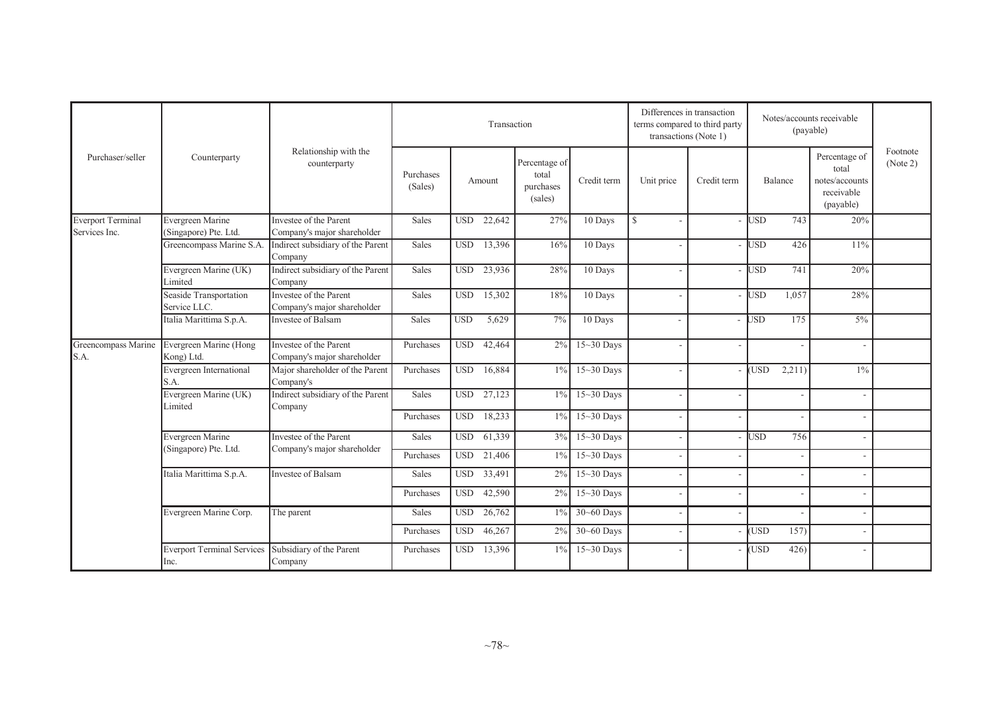|                          |                                                          |                                                                       |                      |            | Transaction |                                                |                  | Differences in transaction<br>transactions (Note 1) | terms compared to third party |            |         | Notes/accounts receivable<br>(payable)                              |                      |
|--------------------------|----------------------------------------------------------|-----------------------------------------------------------------------|----------------------|------------|-------------|------------------------------------------------|------------------|-----------------------------------------------------|-------------------------------|------------|---------|---------------------------------------------------------------------|----------------------|
| Purchaser/seller         | Counterparty                                             | Relationship with the<br>counterparty                                 | Purchases<br>(Sales) |            | Amount      | Percentage of<br>total<br>purchases<br>(sales) | Credit term      | Unit price                                          | Credit term                   |            | Balance | Percentage of<br>total<br>notes/accounts<br>receivable<br>(payable) | Footnote<br>(Note 2) |
| <b>Everport Terminal</b> | Evergreen Marine                                         | Investee of the Parent                                                | Sales                | <b>USD</b> | 22,642      | 27%                                            | 10 Days          | $\mathbb{S}$                                        |                               | <b>USD</b> | 743     | 20%                                                                 |                      |
| Services Inc.            | (Singapore) Pte. Ltd.                                    | Company's major shareholder                                           |                      |            |             |                                                |                  |                                                     |                               |            |         |                                                                     |                      |
|                          |                                                          | Greencompass Marine S.A. Indirect subsidiary of the Parent<br>Company | Sales                | <b>USD</b> | 13,396      | 16%                                            | $10$ Days        |                                                     |                               | <b>USD</b> | 426     | 11%                                                                 |                      |
|                          | Evergreen Marine (UK)<br>Limited                         | Indirect subsidiary of the Parent<br>Company                          | Sales                | <b>USD</b> | 23,936      | 28%                                            | 10 Days          |                                                     |                               | <b>USD</b> | 741     | 20%                                                                 |                      |
|                          | Seaside Transportation<br>Service LLC.                   | Investee of the Parent<br>Company's major shareholder                 | Sales                | <b>USD</b> | 15,302      | 18%                                            | 10 Days          |                                                     |                               | <b>USD</b> | 1,057   | 28%                                                                 |                      |
|                          | Italia Marittima S.p.A.                                  | Investee of Balsam                                                    | Sales                | <b>USD</b> | 5,629       | $7\%$                                          | 10 Days          |                                                     |                               | <b>JSD</b> | 175     | $5\%$                                                               |                      |
| S.A.                     | Greencompass Marine Evergreen Marine (Hong<br>Kong) Ltd. | Investee of the Parent<br>Company's major shareholder                 | Purchases            | <b>USD</b> | 42,464      | $2\%$                                          | $15-30$ Days     |                                                     |                               |            |         |                                                                     |                      |
|                          | Evergreen International<br>S.A.                          | Major shareholder of the Parent<br>Company's                          | Purchases            | <b>USD</b> | 16,884      | $1\%$                                          | $15-30$ Days     |                                                     |                               | <b>USD</b> | 2,211)  | $1\%$                                                               |                      |
|                          | Evergreen Marine (UK)<br>Limited                         | Indirect subsidiary of the Parent<br>Company                          | Sales                | <b>USD</b> | 27,123      | $1\%$                                          | $15 - 30$ Days   |                                                     |                               |            |         |                                                                     |                      |
|                          |                                                          |                                                                       | Purchases            | <b>USD</b> | 18,233      | $1\%$                                          | $15-30$ Days     |                                                     |                               |            |         |                                                                     |                      |
|                          | Evergreen Marine                                         | Investee of the Parent                                                | Sales                | <b>USD</b> | 61,339      |                                                | $3\%$ 15~30 Days |                                                     |                               | <b>USD</b> | 756     |                                                                     |                      |
|                          | (Singapore) Pte. Ltd.                                    | Company's major shareholder                                           | Purchases            | <b>USD</b> | 21,406      | $1\%$                                          | $15-30$ Days     |                                                     |                               |            |         |                                                                     |                      |
|                          | Italia Marittima S.p.A.                                  | Investee of Balsam                                                    | Sales                | <b>USD</b> | 33,491      | $2\%$                                          | $15~30$ Days     |                                                     |                               |            |         |                                                                     |                      |
|                          |                                                          |                                                                       | Purchases            | <b>USD</b> | 42,590      | $2\%$                                          | $15-30$ Days     |                                                     |                               |            |         |                                                                     |                      |
|                          | Evergreen Marine Corp.                                   | The parent                                                            | Sales                | <b>USD</b> | 26,762      | 1%                                             | 30~60 Days       |                                                     |                               |            |         |                                                                     |                      |
|                          |                                                          |                                                                       | Purchases            | <b>USD</b> | 46,267      | 2%                                             | 30~60 Days       |                                                     |                               | <b>USD</b> | 157)    |                                                                     |                      |
|                          | <b>Everport Terminal Services</b><br>Inc.                | Subsidiary of the Parent<br>Company                                   | Purchases            |            | USD 13,396  |                                                | $1\%$ 15~30 Days |                                                     |                               | <b>USD</b> | 426)    |                                                                     |                      |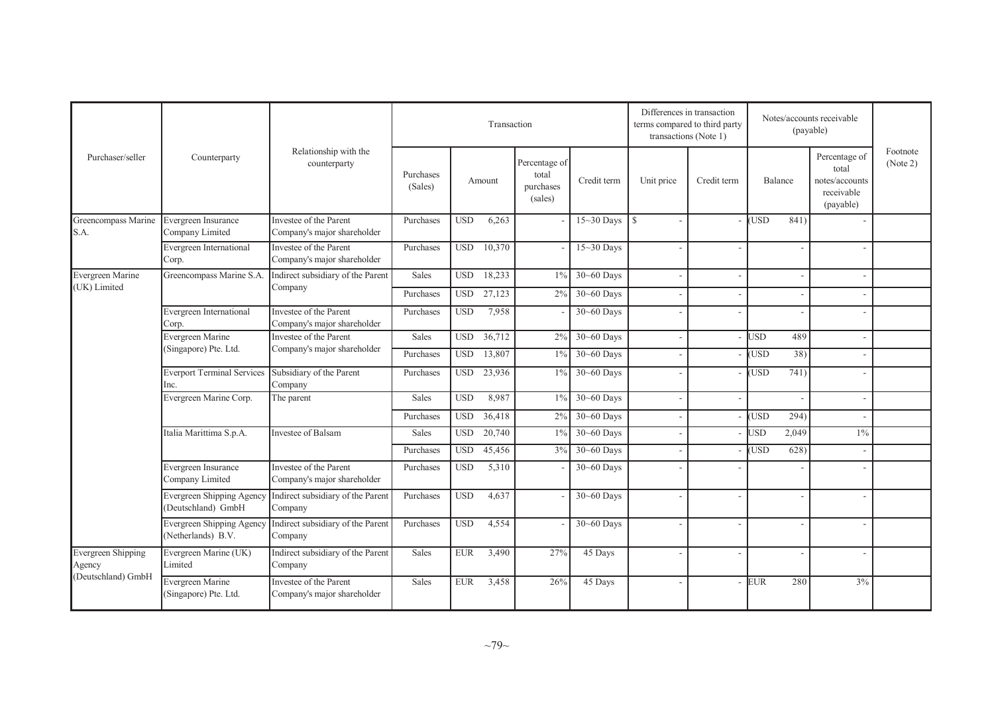|                              |                                                             |                                                                        |                      |              | Transaction |                                                |                | Differences in transaction<br>terms compared to third party<br>transactions (Note 1) |             |            |         | Notes/accounts receivable<br>(payable)                              |                      |
|------------------------------|-------------------------------------------------------------|------------------------------------------------------------------------|----------------------|--------------|-------------|------------------------------------------------|----------------|--------------------------------------------------------------------------------------|-------------|------------|---------|---------------------------------------------------------------------|----------------------|
| Purchaser/seller             | Counterparty                                                | Relationship with the<br>counterparty                                  | Purchases<br>(Sales) |              | Amount      | Percentage of<br>total<br>purchases<br>(sales) | Credit term    | Unit price                                                                           | Credit term |            | Balance | Percentage of<br>total<br>notes/accounts<br>receivable<br>(payable) | Footnote<br>(Note 2) |
| Greencompass Marine<br>S.A.  | Evergreen Insurance<br>Company Limited                      | Investee of the Parent<br>Company's major shareholder                  | Purchases            | <b>USD</b>   | 6,263       |                                                | $15-30$ Days   | $\mathbb{S}$                                                                         |             | (USD       | 841)    |                                                                     |                      |
|                              | Evergreen International<br>Corp.                            | Investee of the Parent<br>Company's major shareholder                  | Purchases            | <b>USD</b>   | 10,370      |                                                | $15-30$ Days   |                                                                                      |             |            |         |                                                                     |                      |
| Evergreen Marine             | Greencompass Marine S.A.                                    | Indirect subsidiary of the Parent                                      | Sales                | <b>USD</b>   | 18,233      | $1\%$                                          | 30~60 Days     |                                                                                      |             |            |         |                                                                     |                      |
| (UK) Limited                 |                                                             | Company                                                                | Purchases            | <b>USD</b>   | 27,123      | 2%                                             | $30 - 60$ Days |                                                                                      |             |            |         |                                                                     |                      |
|                              | Evergreen International<br>Corp.                            | Investee of the Parent<br>Company's major shareholder                  | Purchases            | <b>USD</b>   | 7,958       |                                                | $30 - 60$ Days |                                                                                      |             |            |         |                                                                     |                      |
|                              | Evergreen Marine                                            | Investee of the Parent                                                 | Sales                | <b>USD</b>   | 36,712      | 2%                                             | $30 - 60$ Days |                                                                                      |             | <b>USD</b> | 489     |                                                                     |                      |
|                              | (Singapore) Pte. Ltd.                                       | Company's major shareholder                                            | Purchases            | <b>USD</b>   | 13,807      | $1\%$                                          | 30~60 Days     |                                                                                      |             | (USD       | 38)     |                                                                     |                      |
|                              | Everport Terminal Services Subsidiary of the Parent<br>Inc. | Company                                                                | Purchases            | <b>USD</b>   | 23,936      | $1\%$                                          | $30 - 60$ Days |                                                                                      |             | (USD       | 741)    |                                                                     |                      |
|                              | Evergreen Marine Corp.                                      | The parent                                                             | Sales                | <b>USD</b>   | 8.987       | $1\%$                                          | 30~60 Days     |                                                                                      |             |            |         |                                                                     |                      |
|                              |                                                             |                                                                        | Purchases            | <b>USD</b>   | 36,418      | 2%                                             | 30~60 Days     |                                                                                      |             | (USD       | 294)    |                                                                     |                      |
|                              | Italia Marittima S.p.A.                                     | Investee of Balsam                                                     | Sales                | $_{\rm USD}$ | 20,740      | $1\%$                                          | 30~60 Days     |                                                                                      |             | <b>JSD</b> | 2,049   | $1\%$                                                               |                      |
|                              |                                                             |                                                                        | Purchases            | <b>USD</b>   | 45,456      | 3%                                             | 30~60 Days     |                                                                                      |             | (USD       | 628)    |                                                                     |                      |
|                              | Evergreen Insurance<br>Company Limited                      | Investee of the Parent<br>Company's major shareholder                  | Purchases            | <b>USD</b>   | 5,310       |                                                | $30 - 60$ Days |                                                                                      |             |            |         |                                                                     |                      |
|                              | (Deutschland) GmbH                                          | Evergreen Shipping Agency Indirect subsidiary of the Parent<br>Company | Purchases            | <b>USD</b>   | 4,637       |                                                | $30 - 60$ Days |                                                                                      |             |            |         |                                                                     |                      |
|                              | (Netherlands) B.V.                                          | Evergreen Shipping Agency Indirect subsidiary of the Parent<br>Company | Purchases            | <b>USD</b>   | 4,554       |                                                | $30 - 60$ Days |                                                                                      |             |            |         |                                                                     |                      |
| Evergreen Shipping<br>Agency | Evergreen Marine (UK)<br>Limited                            | Indirect subsidiary of the Parent<br>Company                           | Sales                | ${\rm EUR}$  | 3,490       | 27%                                            | 45 Days        |                                                                                      |             |            |         |                                                                     |                      |
| (Deutschland) GmbH           | Evergreen Marine<br>(Singapore) Pte. Ltd.                   | Investee of the Parent<br>Company's major shareholder                  | Sales                | <b>EUR</b>   | 3,458       | 26%                                            | 45 Days        |                                                                                      |             | <b>EUR</b> | 280     | 3%                                                                  |                      |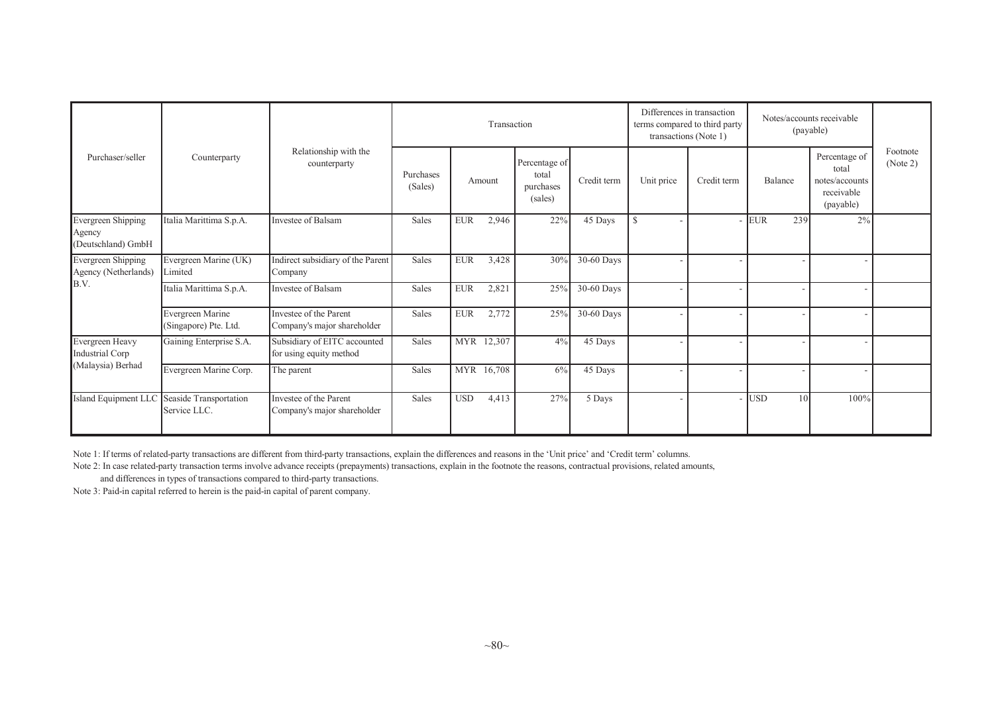|                                                           |                                                             |                                                         |                      |            | Transaction |                                                |             |              | Differences in transaction<br>terms compared to third party<br>transactions (Note 1) |                         | Notes/accounts receivable<br>(payable)                              |                      |
|-----------------------------------------------------------|-------------------------------------------------------------|---------------------------------------------------------|----------------------|------------|-------------|------------------------------------------------|-------------|--------------|--------------------------------------------------------------------------------------|-------------------------|---------------------------------------------------------------------|----------------------|
| Purchaser/seller                                          | Counterparty                                                | Relationship with the<br>counterparty                   | Purchases<br>(Sales) |            | Amount      | Percentage of<br>total<br>purchases<br>(sales) | Credit term | Unit price   | Credit term                                                                          | Balance                 | Percentage of<br>total<br>notes/accounts<br>receivable<br>(payable) | Footnote<br>(Note 2) |
| <b>Evergreen Shipping</b><br>Agency<br>(Deutschland) GmbH | Italia Marittima S.p.A.                                     | Investee of Balsam                                      | Sales                | <b>EUR</b> | 2,946       | 22%                                            | 45 Days     | $\mathbb{S}$ |                                                                                      | EUR <sup>.</sup><br>239 | 2%                                                                  |                      |
| Evergreen Shipping<br>Agency (Netherlands)                | Evergreen Marine (UK)<br>Limited                            | Indirect subsidiary of the Parent<br>Company            | Sales                | <b>EUR</b> | 3,428       | 30%                                            | 30-60 Days  |              |                                                                                      |                         |                                                                     |                      |
| B.V.                                                      | Italia Marittima S.p.A.                                     | Investee of Balsam                                      | Sales                | <b>EUR</b> | 2,821       | 25%                                            | 30-60 Days  |              |                                                                                      |                         |                                                                     |                      |
|                                                           | Evergreen Marine<br>(Singapore) Pte. Ltd.                   | Investee of the Parent<br>Company's major shareholder   | Sales                | <b>EUR</b> | 2,772       | 25%                                            | 30-60 Days  |              |                                                                                      |                         |                                                                     |                      |
| Evergreen Heavy<br>Industrial Corp                        | Gaining Enterprise S.A.                                     | Subsidiary of EITC accounted<br>for using equity method | Sales                |            | MYR 12,307  | 4%                                             | 45 Days     |              |                                                                                      |                         |                                                                     |                      |
| (Malaysia) Berhad                                         | Evergreen Marine Corp.                                      | The parent                                              | Sales                |            | MYR 16,708  | 6%                                             | 45 Days     |              |                                                                                      |                         |                                                                     |                      |
|                                                           | Island Equipment LLC Seaside Transportation<br>Service LLC. | Investee of the Parent<br>Company's major shareholder   | Sales                | <b>USD</b> | 4,413       | 27%                                            | 5 Days      |              |                                                                                      | - IUSD<br>10            | 100%                                                                |                      |

Note 1: If terms of related-party transactions are different from third-party transactions, explain the differences and reasons in the 'Unit price' and 'Credit term' columns.

Note 2: In case related-party transaction terms involve advance receipts (prepayments) transactions, explain in the footnote the reasons, contractual provisions, related amounts,

and differences in types of transactions compared to third-party transactions.

Note 3: Paid-in capital referred to herein is the paid-in capital of parent company.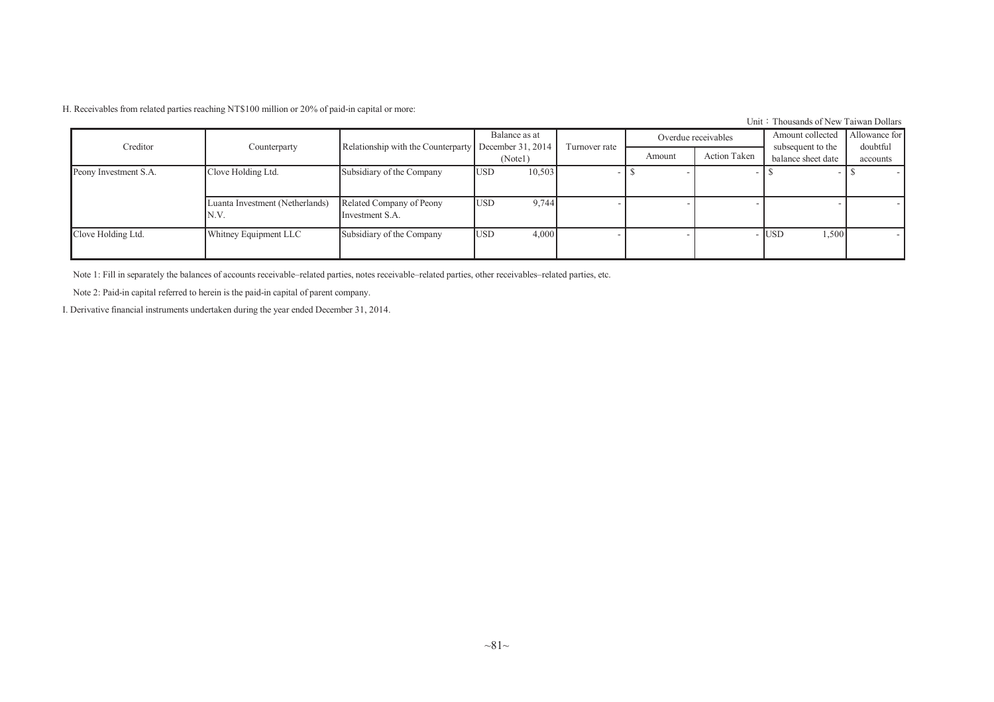H. Receivables from related parties reaching NT\$100 million or 20% of paid-in capital or more:

Unit: Thousands of New Taiwan Dollars

| Creditor              |                                         |                                             | Balance as at                |               |        | Overdue receivables | Amount collected                        | Allowance for            |
|-----------------------|-----------------------------------------|---------------------------------------------|------------------------------|---------------|--------|---------------------|-----------------------------------------|--------------------------|
|                       | Counterparty                            | Relationship with the Counterparty          | December 31, 2014<br>(Note1) | Turnover rate | Amount | <b>Action Taken</b> | subsequent to the<br>balance sheet date | doubtful<br>accounts     |
| Peony Investment S.A. | Clove Holding Ltd.                      | Subsidiary of the Company                   | 10,503<br><b>USD</b>         |               |        |                     |                                         | $\overline{\phantom{0}}$ |
|                       | Luanta Investment (Netherlands)<br>N.V. | Related Company of Peony<br>Investment S.A. | 9,744<br><b>USD</b>          |               |        |                     |                                         |                          |
| Clove Holding Ltd.    | Whitney Equipment LLC                   | Subsidiary of the Company                   | 4,000<br><b>USD</b>          |               |        |                     | 1,500<br><b>USD</b>                     | $\overline{\phantom{a}}$ |

Note 1: Fill in separately the balances of accounts receivable–related parties, notes receivable–related parties, other receivables–related parties, etc.

Note 2: Paid-in capital referred to herein is the paid-in capital of parent company.

I. Derivative financial instruments undertaken during the year ended December 31, 2014.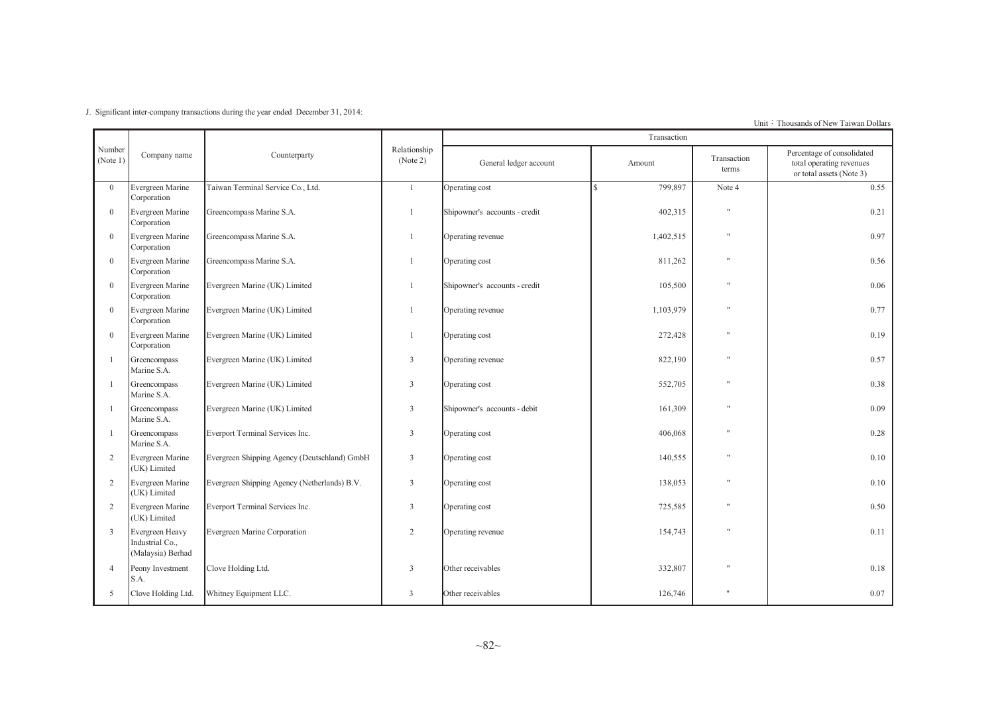J. Significant inter-company transactions during the year ended December 31, 2014:

Unit: Thousands of New Taiwan Dollars

|                    |                                                         |                                              |                          |                               | Transaction              |                      |                                                                                    |
|--------------------|---------------------------------------------------------|----------------------------------------------|--------------------------|-------------------------------|--------------------------|----------------------|------------------------------------------------------------------------------------|
| Number<br>(Note 1) | Company name                                            | Counterparty                                 | Relationship<br>(Note 2) | General ledger account        | Amount                   | Transaction<br>terms | Percentage of consolidated<br>total operating revenues<br>or total assets (Note 3) |
| $\overline{0}$     | Evergreen Marine<br>Corporation                         | Taiwan Terminal Service Co., Ltd.            | $\mathbf{1}$             | Operating cost                | 799,897<br>$\mathcal{S}$ | Note 4               | 0.55                                                                               |
| $\overline{0}$     | Evergreen Marine<br>Corporation                         | Greencompass Marine S.A.                     | $\mathbf{1}$             | Shipowner's accounts - credit | 402,315                  | $\pmb{\mathsf{H}}$   | 0.21                                                                               |
| $\overline{0}$     | Evergreen Marine<br>Corporation                         | Greencompass Marine S.A.                     |                          | Operating revenue             | 1,402,515                | $\mathbf{H}$         | 0.97                                                                               |
| $\overline{0}$     | Evergreen Marine<br>Corporation                         | Greencompass Marine S.A.                     | $\mathbf{1}$             | Operating cost                | 811,262                  | $\mathbf{H}$         | 0.56                                                                               |
| $\overline{0}$     | Evergreen Marine<br>Corporation                         | Evergreen Marine (UK) Limited                |                          | Shipowner's accounts - credit | 105,500                  | $\mathbf{H}$         | 0.06                                                                               |
| $\mathbf{0}$       | Evergreen Marine<br>Corporation                         | Evergreen Marine (UK) Limited                |                          | Operating revenue             | 1,103,979                | $\mathbf{H}$         | 0.77                                                                               |
| $\overline{0}$     | Evergreen Marine<br>Corporation                         | Evergreen Marine (UK) Limited                | $\mathbf{1}$             | Operating cost                | 272,428                  | $\mathbf{H}$         | 0.19                                                                               |
|                    | Greencompass<br>Marine S.A.                             | Evergreen Marine (UK) Limited                | 3                        | Operating revenue             | 822,190                  | $\mathbf{H}$         | 0.57                                                                               |
|                    | Greencompass<br>Marine S.A.                             | Evergreen Marine (UK) Limited                | 3                        | Operating cost                | 552,705                  | $\mathbf{H}$         | 0.38                                                                               |
|                    | Greencompass<br>Marine S.A.                             | Evergreen Marine (UK) Limited                | 3                        | Shipowner's accounts - debit  | 161,309                  | $\mathbf{H}$         | 0.09                                                                               |
|                    | Greencompass<br>Marine S.A.                             | Everport Terminal Services Inc.              | 3                        | Operating cost                | 406,068                  |                      | 0.28                                                                               |
| 2                  | Evergreen Marine<br>(UK) Limited                        | Evergreen Shipping Agency (Deutschland) GmbH | 3                        | Operating cost                | 140,555                  | $\mathbf{H}$         | 0.10                                                                               |
| 2                  | Evergreen Marine<br>(UK) Limited                        | Evergreen Shipping Agency (Netherlands) B.V. | 3                        | Operating cost                | 138,053                  | $^{\dagger}$         | 0.10                                                                               |
| 2                  | Evergreen Marine<br>(UK) Limited                        | Everport Terminal Services Inc.              | 3                        | Operating cost                | 725,585                  | $\mathbf{H}$         | 0.50                                                                               |
| 3                  | Evergreen Heavy<br>Industrial Co.,<br>(Malaysia) Berhad | Evergreen Marine Corporation                 | $\overline{2}$           | Operating revenue             | 154,743                  | $\mathbf{u}$         | 0.11                                                                               |
| $\overline{4}$     | Peony Investment<br>S.A.                                | Clove Holding Ltd.                           | 3                        | Other receivables             | 332,807                  | $\mathbf{H}$         | 0.18                                                                               |
| 5                  | Clove Holding Ltd.                                      | Whitney Equipment LLC.                       | $\overline{3}$           | Other receivables             | 126,746                  | Ħ                    | 0.07                                                                               |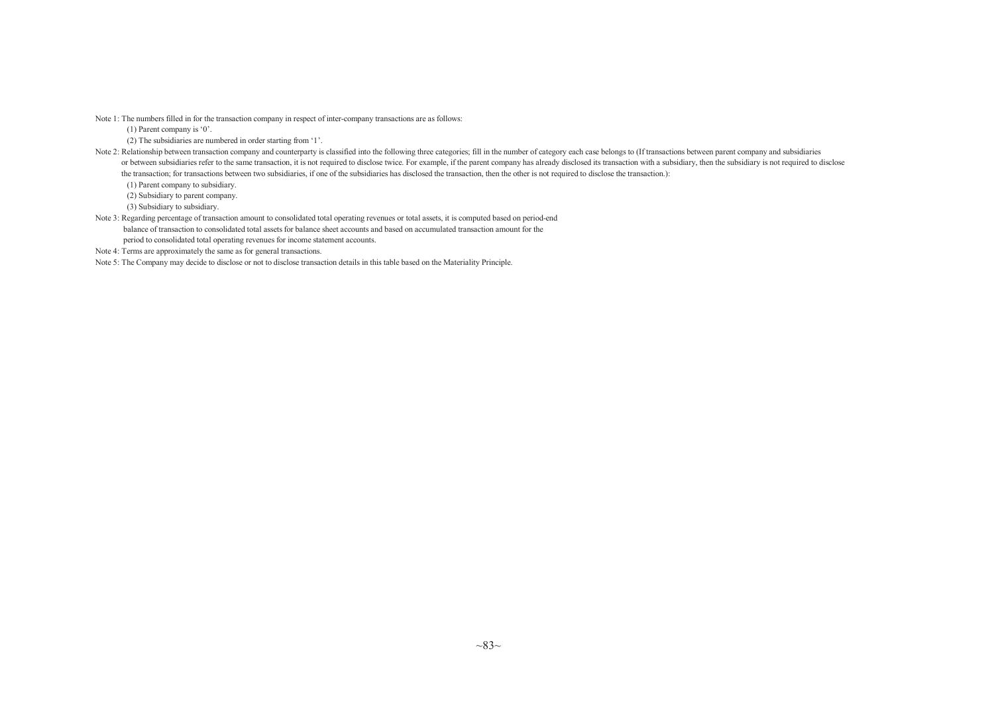Note 1: The numbers filled in for the transaction company in respec<sup>t</sup> of inter-company transactions are as follows:

(1) Parent company is '0'.

(2) The subsidiaries are numbered in order starting from '1'.

Note 2: Relationship between transaction company and counterparty is classified into the following three categories; fill in the number of category each case belongs to (If transactions between parent company and subsidiar or between subsidiaries refer to the same transaction, it is not required to disclose twice. For example, if the parent company has already disclosed its transaction with a subsidiary, then the subsidiary is not required t the transaction; for transactions between two subsidiaries, if one of the subsidiaries has disclosed the transaction, then the other is not required to disclose the transaction.):

(1) Parent company to subsidiary.

(2) Subsidiary to parent company.

(3) Subsidiary to subsidiary.

Note 3: Regarding percentage of transaction amount to consolidated total operating revenues or total assets, it is computed based on period-end balance of transaction to consolidated total assets for balance sheet accounts and based on accumulated transaction amount for the period to consolidated total operating revenues for income statement accounts.

Note 4: Terms are approximately the same as for genera<sup>l</sup> transactions.

Note 5: The Company may decide to disclose or not to disclose transaction details in this table based on the Materiality Principle.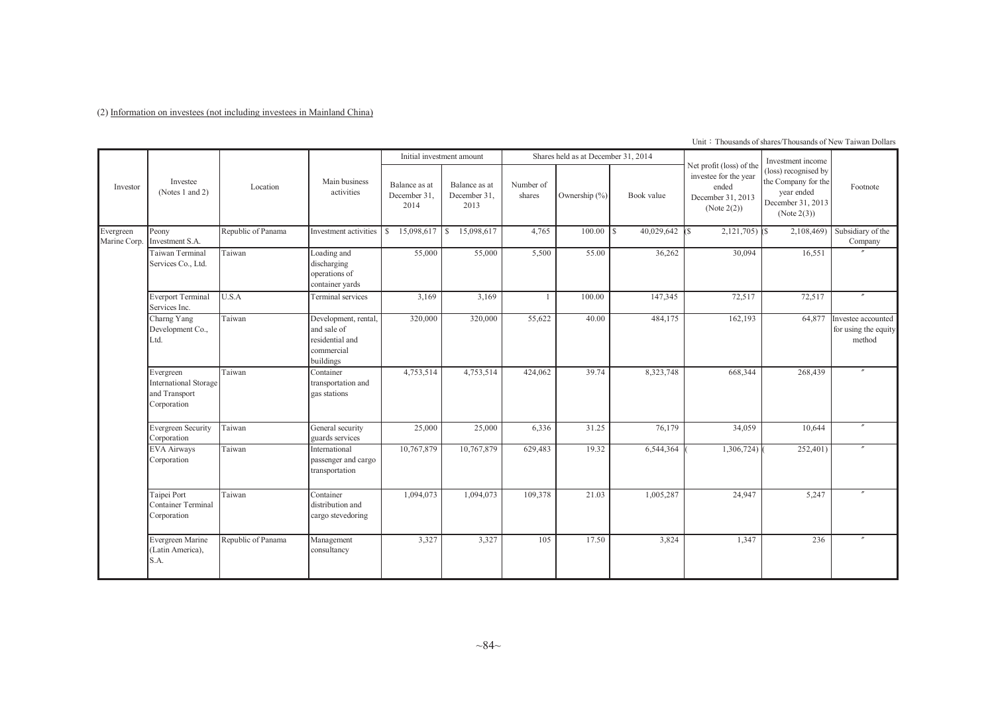(2) Information on investees (not including investees in Mainland China)

|                           |                                                                    |                    |                                                                                   |                                       | Initial investment amount             |                     | Shares held as at December 31, 2014 |                  |                                                                                                | Investment income                                                                             |                                                      |
|---------------------------|--------------------------------------------------------------------|--------------------|-----------------------------------------------------------------------------------|---------------------------------------|---------------------------------------|---------------------|-------------------------------------|------------------|------------------------------------------------------------------------------------------------|-----------------------------------------------------------------------------------------------|------------------------------------------------------|
| Investor                  | Investee<br>(Notes 1 and 2)                                        | Location           | Main business<br>activities                                                       | Balance as at<br>December 31.<br>2014 | Balance as at<br>December 31,<br>2013 | Number of<br>shares | Ownership $(\% )$                   | Book value       | Net profit (loss) of the<br>investee for the year<br>ended<br>December 31, 2013<br>(Note 2(2)) | (loss) recognised by<br>the Company for the<br>year ended<br>December 31, 2013<br>(Note 2(3)) | Footnote                                             |
| Evergreen<br>Marine Corp. | Peony<br>Investment S.A.                                           | Republic of Panama | Investment activities                                                             | 15,098,617<br>S.                      | 15,098,617<br>S                       | 4,765               | 100.00                              | 40,029,642<br>1s | $2,121,705$ $\sqrt{\$}$                                                                        | 2,108,469)                                                                                    | Subsidiary of the<br>Company                         |
|                           | Taiwan Terminal<br>Services Co., Ltd.                              | Taiwan             | Loading and<br>discharging<br>operations of<br>container yards                    | 55,000                                | 55,000                                | 5,500               | 55.00                               | 36,262           | 30,094                                                                                         | 16,551                                                                                        |                                                      |
|                           | <b>Everport Terminal</b><br>Services Inc.                          | U.S.A              | Terminal services                                                                 | 3,169                                 | 3,169                                 |                     | 100.00                              | 147,345          | 72,517                                                                                         | 72,517                                                                                        |                                                      |
|                           | Charng Yang<br>Development Co.,<br>Ltd.                            | Taiwan             | Development, rental,<br>and sale of<br>residential and<br>commercial<br>buildings | 320,000                               | 320,000                               | 55,622              | 40.00                               | 484,175          | 162,193                                                                                        | 64,877                                                                                        | Investee accounted<br>for using the equity<br>method |
|                           | Evergreen<br>International Storage<br>and Transport<br>Corporation | Taiwan             | Container<br>transportation and<br>gas stations                                   | 4,753,514                             | 4,753,514                             | 424,062             | 39.74                               | 8,323,748        | 668,344                                                                                        | 268,439                                                                                       |                                                      |
|                           | Evergreen Security<br>Corporation                                  | Taiwan             | General security<br>guards services                                               | 25,000                                | 25,000                                | 6,336               | 31.25                               | 76,179           | 34,059                                                                                         | 10,644                                                                                        |                                                      |
|                           | <b>EVA Airways</b><br>Corporation                                  | Taiwan             | International<br>passenger and cargo<br>transportation                            | 10,767,879                            | 10,767,879                            | 629,483             | 19.32                               | 6,544,364        | 1,306,724)                                                                                     | 252,401)                                                                                      |                                                      |
|                           | Taipei Port<br><b>Container Terminal</b><br>Corporation            | Taiwan             | Container<br>distribution and<br>cargo stevedoring                                | 1,094,073                             | 1,094,073                             | 109,378             | 21.03                               | 1,005,287        | 24,947                                                                                         | 5,247                                                                                         |                                                      |
|                           | Evergreen Marine<br>(Latin America),<br>S.A.                       | Republic of Panama | Management<br>consultancy                                                         | 3,327                                 | 3,327                                 | 105                 | 17.50                               | 3,824            | 1,347                                                                                          | 236                                                                                           |                                                      |

Unit: Thousands of shares/Thousands of New Taiwan Dollars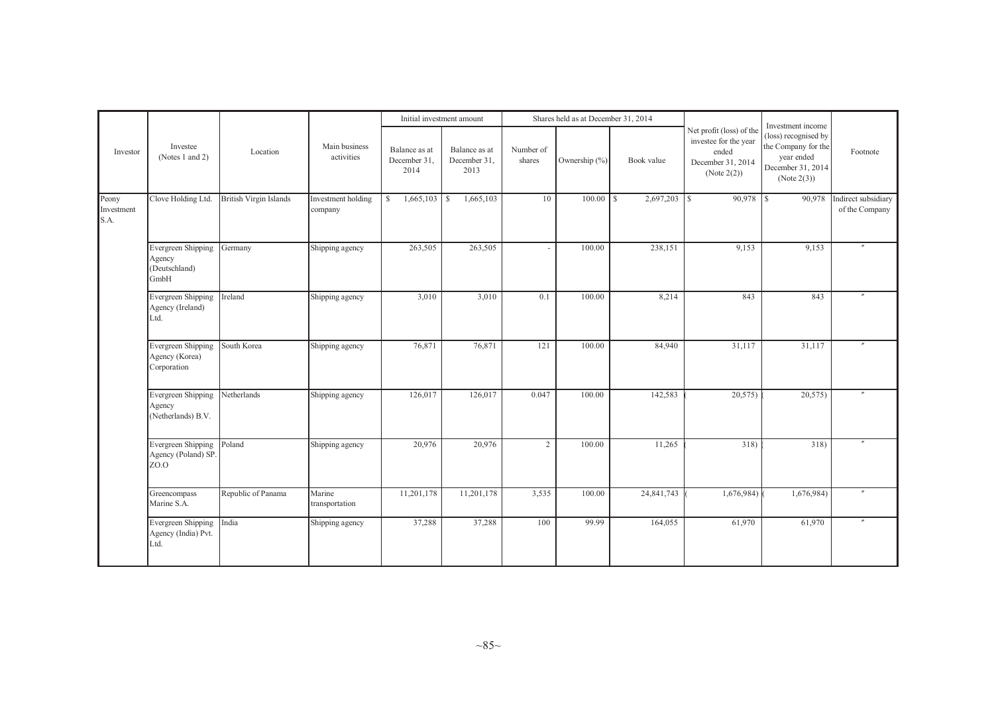|                             |                                                       |                        |                               | Initial investment amount             |                                       |                     | Shares held as at December 31, 2014 |            |                                                                                                |                                                                                                                    |                                       |
|-----------------------------|-------------------------------------------------------|------------------------|-------------------------------|---------------------------------------|---------------------------------------|---------------------|-------------------------------------|------------|------------------------------------------------------------------------------------------------|--------------------------------------------------------------------------------------------------------------------|---------------------------------------|
| Investor                    | Investee<br>(Notes 1 and 2)                           | Location               | Main business<br>activities   | Balance as at<br>December 31,<br>2014 | Balance as at<br>December 31,<br>2013 | Number of<br>shares | Ownership (%)                       | Book value | Net profit (loss) of the<br>investee for the year<br>ended<br>December 31, 2014<br>(Note 2(2)) | Investment income<br>(loss) recognised by<br>the Company for the<br>year ended<br>December 31, 2014<br>(Note 2(3)) | Footnote                              |
| Peony<br>Investment<br>S.A. | Clove Holding Ltd.                                    | British Virgin Islands | Investment holding<br>company | $\mathbb{S}$<br>1,665,103             | 1,665,103<br>l s                      | 10                  |                                     | 2,697,203  | 1s                                                                                             | 90,978                                                                                                             | Indirect subsidiary<br>of the Company |
|                             | Evergreen Shipping<br>Agency<br>(Deutschland)<br>GmbH | Germany                | Shipping agency               | 263,505                               | 263,505                               |                     | 100.00                              | 238,151    | 9,153                                                                                          | 9,153                                                                                                              |                                       |
|                             | Evergreen Shipping<br>Agency (Ireland)<br>Ltd.        | Ireland                | Shipping agency               | 3,010                                 | 3,010                                 | 0.1                 | 100.00                              | 8,214      | 843                                                                                            | 843                                                                                                                | $\theta$                              |
|                             | Evergreen Shipping<br>Agency (Korea)<br>Corporation   | South Korea            | Shipping agency               | 76,871                                | 76,871                                | 121                 | 100.00                              | 84,940     | 31,117                                                                                         | 31,117                                                                                                             | $^{\prime\prime}$                     |
|                             | Evergreen Shipping<br>Agency<br>(Netherlands) B.V.    | Netherlands            | Shipping agency               | 126,017                               | 126,017                               | 0.047               | 100.00                              | 142,583    | 20,575                                                                                         | 20,575                                                                                                             | $^{\prime\prime}$                     |
|                             | Evergreen Shipping<br>Agency (Poland) SP.<br>ZO.O     | Poland                 | Shipping agency               | 20,976                                | 20,976                                | $\overline{2}$      | 100.00                              | 11,265     | 318)                                                                                           | 318)                                                                                                               |                                       |
|                             | Greencompass<br>Marine S.A.                           | Republic of Panama     | Marine<br>transportation      | 11,201,178                            | 11,201,178                            | 3,535               | 100.00                              | 24,841,743 | 1,676,984)                                                                                     | 1,676,984)                                                                                                         | $^{\prime\prime}$                     |
|                             | Evergreen Shipping<br>Agency (India) Pvt.<br>Ltd.     | India                  | Shipping agency               | 37,288                                | 37,288                                | 100                 | 99.99                               | 164,055    | 61,970                                                                                         | 61,970                                                                                                             | $\prime\prime$                        |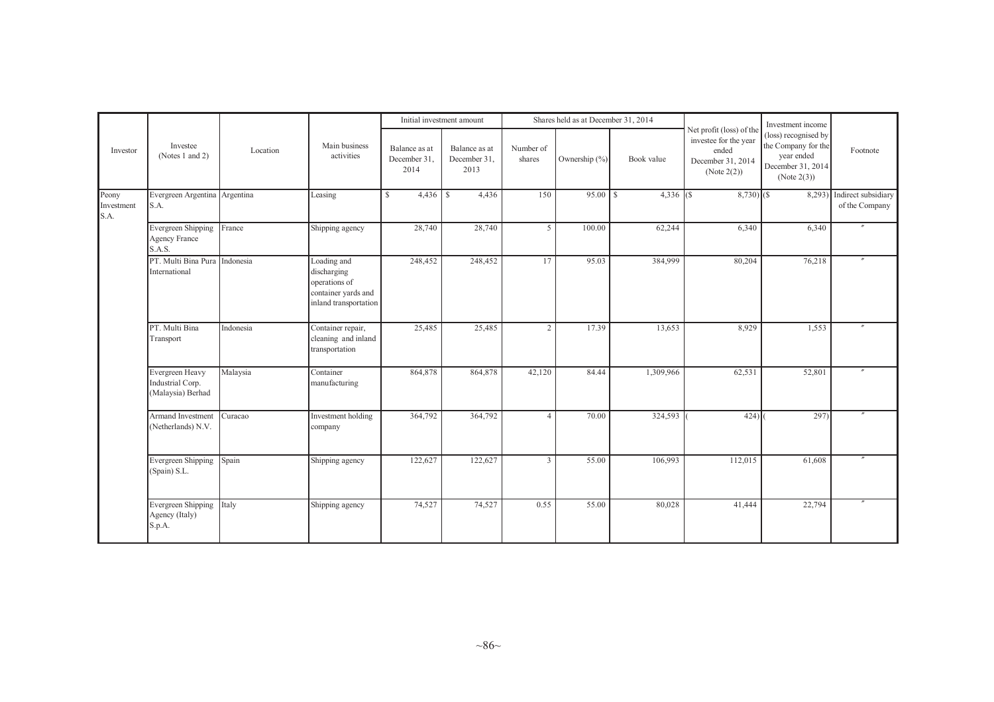|                             | Investee<br>(Notes 1 and 2)                              |           | Main business<br>activities                                                                 | Initial investment amount             |                                       | Shares held as at December 31, 2014 |               |              |                                                                                                | Investment income                                                                             |                                              |
|-----------------------------|----------------------------------------------------------|-----------|---------------------------------------------------------------------------------------------|---------------------------------------|---------------------------------------|-------------------------------------|---------------|--------------|------------------------------------------------------------------------------------------------|-----------------------------------------------------------------------------------------------|----------------------------------------------|
| Investor                    |                                                          | Location  |                                                                                             | Balance as at<br>December 31.<br>2014 | Balance as at<br>December 31,<br>2013 | Number of<br>shares                 | Ownership (%) | Book value   | Net profit (loss) of the<br>investee for the year<br>ended<br>December 31, 2014<br>(Note 2(2)) | (loss) recognised by<br>the Company for the<br>year ended<br>December 31, 2014<br>(Note 2(3)) | Footnote                                     |
| Peony<br>Investment<br>S.A. | Evergreen Argentina Argentina<br>S.A.                    |           | Leasing                                                                                     | $\mathbb{S}$<br>4,436                 | 4,436<br>l S                          | 150                                 |               | $4,336$ (\$) | $8,730$ (\$)                                                                                   |                                                                                               | 8,293) Indirect subsidiary<br>of the Company |
|                             | Evergreen Shipping<br><b>Agency France</b><br>S.A.S.     | France    | Shipping agency                                                                             | 28,740                                | 28,740                                | 5                                   | 100.00        | 62,244       | 6,340                                                                                          | 6,340                                                                                         |                                              |
|                             | PT. Multi Bina Pura Indonesia<br>International           |           | Loading and<br>discharging<br>operations of<br>container yards and<br>inland transportation | 248,452                               | 248,452                               | 17                                  | 95.03         | 384,999      | 80,204                                                                                         | 76,218                                                                                        |                                              |
|                             | PT. Multi Bina<br>Transport                              | Indonesia | Container repair,<br>cleaning and inland<br>transportation                                  | 25,485                                | 25,485                                | 2 <sup>1</sup>                      | 17.39         | 13,653       | 8,929                                                                                          | 1,553                                                                                         |                                              |
|                             | Evergreen Heavy<br>Industrial Corp.<br>(Malaysia) Berhad | Malaysia  | Container<br>manufacturing                                                                  | 864,878                               | 864,878                               | 42,120                              | 84.44         | 1,309,966    | 62,531                                                                                         | 52,801                                                                                        |                                              |
|                             | Armand Investment<br>(Netherlands) N.V.                  | Curacao   | Investment holding<br>company                                                               | 364,792                               | 364,792                               | $\Delta$                            | 70.00         | 324,593      | 424                                                                                            | 297)                                                                                          |                                              |
|                             | Evergreen Shipping<br>(Spain) S.L.                       | Spain     | Shipping agency                                                                             | 122,627                               | 122,627                               | $\overline{3}$                      | 55.00         | 106,993      | 112,015                                                                                        | 61,608                                                                                        |                                              |
|                             | Evergreen Shipping<br>Agency (Italy)<br>S.p.A.           | Italy     | Shipping agency                                                                             | 74,527                                | 74,527                                | 0.55                                | 55.00         | 80,028       | 41,444                                                                                         | 22,794                                                                                        |                                              |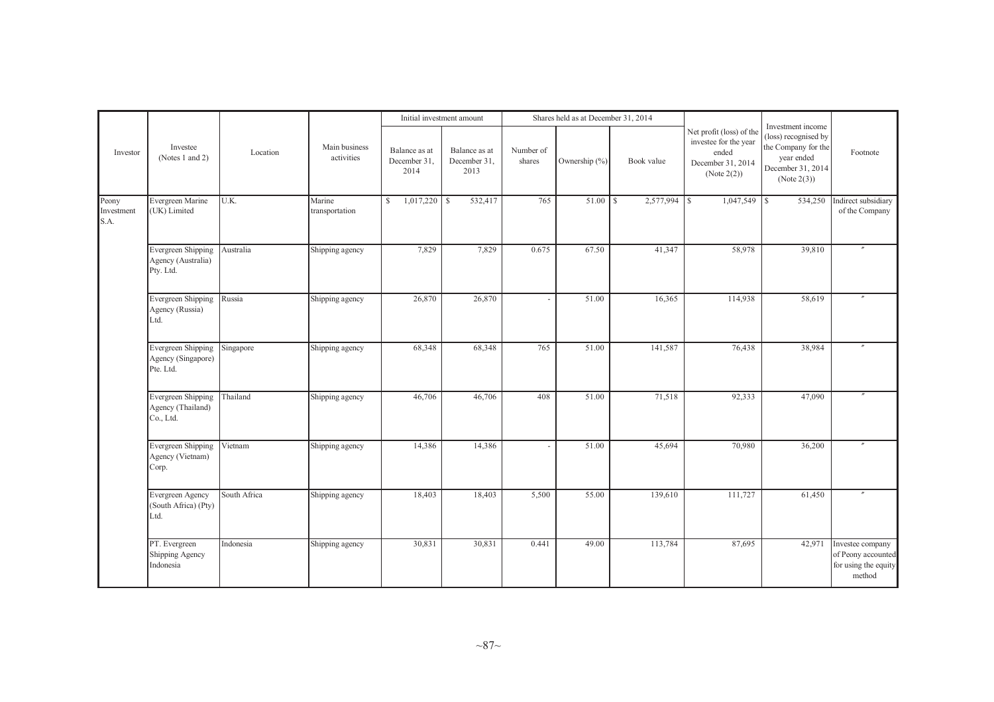|                             |                                                       |              |                             |                                       | Initial investment amount             |                     | Shares held as at December 31, 2014 |            |                                                                                                   |                                                                                                                    |                                                                          |
|-----------------------------|-------------------------------------------------------|--------------|-----------------------------|---------------------------------------|---------------------------------------|---------------------|-------------------------------------|------------|---------------------------------------------------------------------------------------------------|--------------------------------------------------------------------------------------------------------------------|--------------------------------------------------------------------------|
| Investor                    | Investee<br>(Notes 1 and 2)                           | Location     | Main business<br>activities | Balance as at<br>December 31,<br>2014 | Balance as at<br>December 31,<br>2013 | Number of<br>shares | Ownership (%)                       | Book value | Net profit (loss) of the<br>investee for the year<br>ended<br>December 31, 2014<br>(Note $2(2)$ ) | Investment income<br>(loss) recognised by<br>the Company for the<br>year ended<br>December 31, 2014<br>(Note 2(3)) | Footnote                                                                 |
| Peony<br>Investment<br>S.A. | Evergreen Marine<br>(UK) Limited                      | U.K.         | Marine<br>transportation    | 1,017,220<br>S                        | 532,417<br><sup>\$</sup>              | 765                 |                                     |            |                                                                                                   | 534,250                                                                                                            | Indirect subsidiary<br>of the Company                                    |
|                             | Evergreen Shipping<br>Agency (Australia)<br>Pty. Ltd. | Australia    | Shipping agency             | 7,829                                 | 7,829                                 | 0.675               | 67.50                               | 41,347     | 58,978                                                                                            | 39,810                                                                                                             |                                                                          |
|                             | Evergreen Shipping<br>Agency (Russia)<br>Ltd.         | Russia       | Shipping agency             | 26,870                                | 26,870                                |                     | 51.00                               | 16,365     | 114,938                                                                                           | 58,619                                                                                                             |                                                                          |
|                             | Evergreen Shipping<br>Agency (Singapore)<br>Pte. Ltd. | Singapore    | Shipping agency             | 68,348                                | 68,348                                | 765                 | 51.00                               | 141,587    | 76,438                                                                                            | 38,984                                                                                                             |                                                                          |
|                             | Evergreen Shipping<br>Agency (Thailand)<br>Co., Ltd.  | Thailand     | Shipping agency             | 46,706                                | 46,706                                | 408                 | 51.00                               | 71,518     | 92,333                                                                                            | 47,090                                                                                                             |                                                                          |
|                             | Evergreen Shipping<br>Agency (Vietnam)<br>Corp.       | Vietnam      | Shipping agency             | 14,386                                | 14,386                                |                     | 51.00                               | 45,694     | 70,980                                                                                            | 36,200                                                                                                             |                                                                          |
|                             | Evergreen Agency<br>(South Africa) (Pty)<br>Ltd.      | South Africa | Shipping agency             | 18,403                                | 18,403                                | 5,500               | 55.00                               | 139,610    | 111,727                                                                                           | 61,450                                                                                                             |                                                                          |
|                             | PT. Evergreen<br>Shipping Agency<br>Indonesia         | Indonesia    | Shipping agency             | 30,831                                | 30,831                                | 0.441               | 49.00                               | 113,784    | 87,695                                                                                            | 42,971                                                                                                             | Investee company<br>of Peony accounted<br>for using the equity<br>method |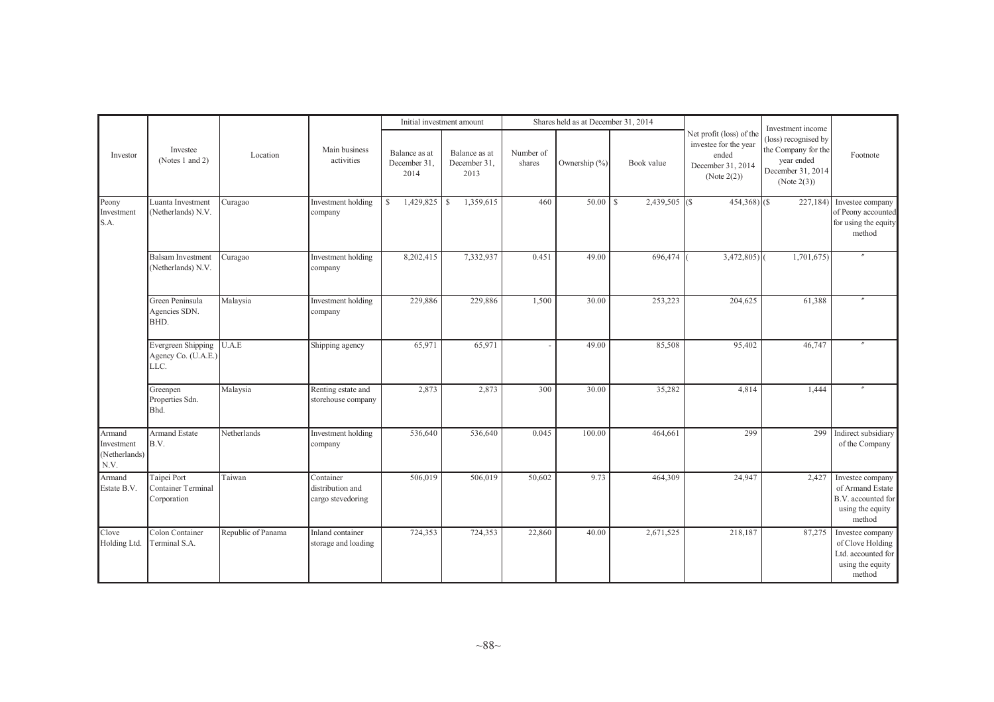|                                               |                                                         |                    |                                                    | Initial investment amount             |                                       |                     | Shares held as at December 31, 2014 |                  |                                                                                                | Investment income                                                                             |                                                                                          |
|-----------------------------------------------|---------------------------------------------------------|--------------------|----------------------------------------------------|---------------------------------------|---------------------------------------|---------------------|-------------------------------------|------------------|------------------------------------------------------------------------------------------------|-----------------------------------------------------------------------------------------------|------------------------------------------------------------------------------------------|
| Investor                                      | Investee<br>(Notes 1 and 2)                             | Location           | Main business<br>activities                        | Balance as at<br>December 31,<br>2014 | Balance as at<br>December 31,<br>2013 | Number of<br>shares | Ownership (%)                       | Book value       | Net profit (loss) of the<br>investee for the year<br>ended<br>December 31, 2014<br>(Note 2(2)) | (loss) recognised by<br>the Company for the<br>year ended<br>December 31, 2014<br>(Note 2(3)) | Footnote                                                                                 |
| Peony<br>Investment<br>S.A.                   | Luanta Investment<br>(Netherlands) N.V.                 | Curagao            | Investment holding<br>company                      | $1,429,825$ \$<br>S.                  | 1,359,615                             | 460                 |                                     | $2,439,505$ (\$) | $454,368$ (\$)                                                                                 | 227,184)                                                                                      | Investee company<br>of Peony accounted<br>for using the equity<br>method                 |
|                                               | <b>Balsam Investment</b><br>(Netherlands) N.V.          | Curagao            | Investment holding<br>company                      | 8,202,415                             | 7,332,937                             | 0.451               | 49.00                               | 696,474          | 3,472,805                                                                                      | 1,701,675                                                                                     |                                                                                          |
|                                               | Green Peninsula<br>Agencies SDN.<br>BHD.                | Malaysia           | Investment holding<br>company                      | 229,886                               | 229,886                               | 1,500               | 30.00                               | 253,223          | 204,625                                                                                        | 61,388                                                                                        |                                                                                          |
|                                               | Evergreen Shipping<br>Agency Co. (U.A.E.)<br>LLC.       | U.A.E              | Shipping agency                                    | 65,971                                | 65,971                                |                     | 49.00                               | 85,508           | 95,402                                                                                         | 46,747                                                                                        |                                                                                          |
|                                               | Greenpen<br>Properties Sdn.<br>Bhd.                     | Malaysia           | Renting estate and<br>storehouse company           | 2,873                                 | 2,873                                 | 300                 | 30.00                               | 35,282           | 4,814                                                                                          | 1,444                                                                                         |                                                                                          |
| Armand<br>Investment<br>(Netherlands)<br>N.V. | <b>Armand Estate</b><br>B.V.                            | Netherlands        | Investment holding<br>company                      | 536,640                               | 536,640                               | 0.045               | 100.00                              | 464,661          | 299                                                                                            | 299                                                                                           | Indirect subsidiary<br>of the Company                                                    |
| Armand<br>Estate B.V.                         | Taipei Port<br><b>Container Terminal</b><br>Corporation | Taiwan             | Container<br>distribution and<br>cargo stevedoring | 506,019                               | 506,019                               | 50,602              | 9.73                                | 464,309          | 24,947                                                                                         | 2,427                                                                                         | Investee company<br>of Armand Estate<br>B.V. accounted for<br>using the equity<br>method |
| Clove<br>Holding Ltd.                         | Colon Container<br>Terminal S.A.                        | Republic of Panama | Inland container<br>storage and loading            | 724,353                               | 724,353                               | 22,860              | 40.00                               | 2,671,525        | 218,187                                                                                        | 87,275                                                                                        | Investee company<br>of Clove Holding<br>Ltd. accounted for<br>using the equity<br>method |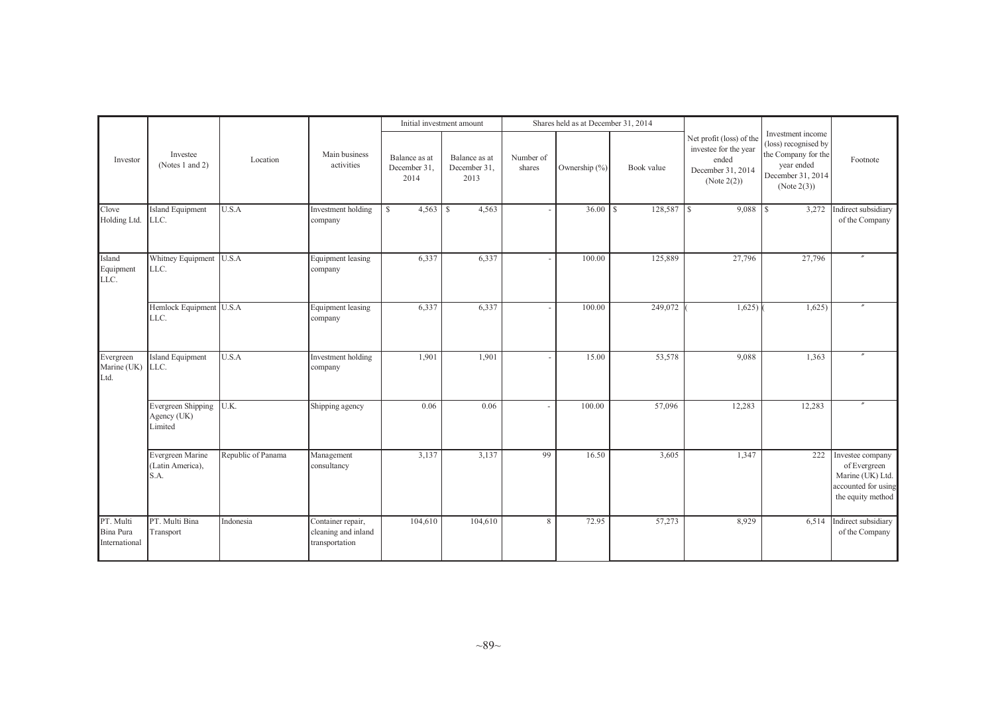|                                         |                                              |                    |                                                            |                                       | Initial investment amount             |                     | Shares held as at December 31, 2014 |            |                                                                                                |                                                                                                                    |                                                                                                  |
|-----------------------------------------|----------------------------------------------|--------------------|------------------------------------------------------------|---------------------------------------|---------------------------------------|---------------------|-------------------------------------|------------|------------------------------------------------------------------------------------------------|--------------------------------------------------------------------------------------------------------------------|--------------------------------------------------------------------------------------------------|
| Investor                                | Investee<br>(Notes 1 and 2)                  | Location           | Main business<br>activities                                | Balance as at<br>December 31,<br>2014 | Balance as at<br>December 31,<br>2013 | Number of<br>shares | Ownership $(\%)$                    | Book value | Net profit (loss) of the<br>investee for the year<br>ended<br>December 31, 2014<br>(Note 2(2)) | Investment income<br>(loss) recognised by<br>the Company for the<br>year ended<br>December 31, 2014<br>(Note 2(3)) | Footnote                                                                                         |
| Clove<br>Holding Ltd.                   | Island Equipment<br>LLC.                     | U.S.A              | Investment holding<br>company                              | $\mathbb{S}$<br>4,563                 | 4,563<br>l s                          |                     |                                     | 128,587    | 9,088<br>$\mathsf{I}$                                                                          | 3,272<br><sup>1</sup> s                                                                                            | Indirect subsidiary<br>of the Company                                                            |
| Island<br>Equipment<br>LLC.             | Whitney Equipment<br>LLC.                    | U.S.A              | <b>Equipment</b> leasing<br>company                        | 6,337                                 | 6,337                                 |                     | 100.00                              | 125,889    | 27,796                                                                                         | 27,796                                                                                                             |                                                                                                  |
|                                         | Hemlock Equipment U.S.A<br>LLC.              |                    | <b>Equipment</b> leasing<br>company                        | 6,337                                 | 6,337                                 |                     | 100.00                              | 249,072    | 1,625                                                                                          | 1,625                                                                                                              |                                                                                                  |
| Evergreen<br>Marine (UK)<br>Ltd.        | <b>Island Equipment</b><br>LLC.              | U.S.A              | Investment holding<br>company                              | 1,901                                 | 1,901                                 |                     | 15.00                               | 53,578     | 9,088                                                                                          | 1,363                                                                                                              |                                                                                                  |
|                                         | Evergreen Shipping<br>Agency (UK)<br>Limited | U.K.               | Shipping agency                                            | 0.06                                  | 0.06                                  |                     | 100.00                              | 57,096     | 12,283                                                                                         | 12,283                                                                                                             | $^{\prime\prime}$                                                                                |
|                                         | Evergreen Marine<br>(Latin America),<br>S.A. | Republic of Panama | Management<br>consultancy                                  | 3,137                                 | 3,137                                 | 99                  | 16.50                               | 3,605      | 1,347                                                                                          | 222                                                                                                                | Investee company<br>of Evergreen<br>Marine (UK) Ltd.<br>accounted for using<br>the equity method |
| PT. Multi<br>Bina Pura<br>International | PT. Multi Bina<br>Transport                  | Indonesia          | Container repair,<br>cleaning and inland<br>transportation | 104,610                               | 104,610                               | 8                   | 72.95                               | 57,273     | 8,929                                                                                          | 6,514                                                                                                              | Indirect subsidiary<br>of the Company                                                            |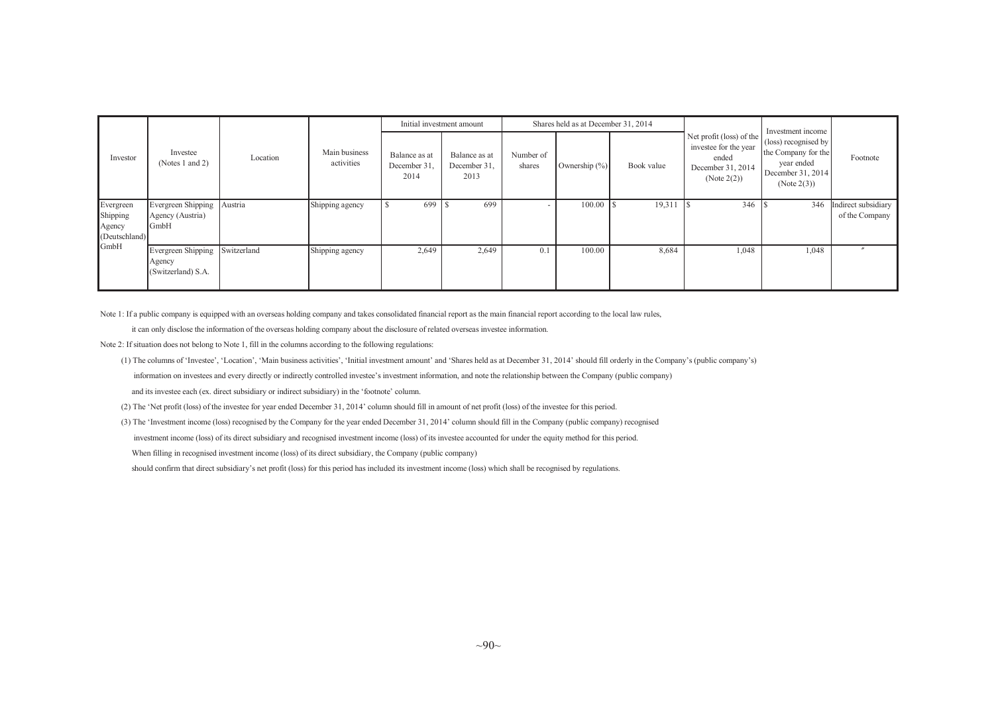|                                 |                                                    |             |                             |                                       | Initial investment amount             |                     | Shares held as at December 31, 2014 |            |                                                                                                   | Investment income                                                                             |                                       |
|---------------------------------|----------------------------------------------------|-------------|-----------------------------|---------------------------------------|---------------------------------------|---------------------|-------------------------------------|------------|---------------------------------------------------------------------------------------------------|-----------------------------------------------------------------------------------------------|---------------------------------------|
| Investor                        | Investee<br>(Notes 1 and 2)                        | Location    | Main business<br>activities | Balance as at<br>December 31.<br>2014 | Balance as at<br>December 31,<br>2013 | Number of<br>shares | Ownership $(\% )$                   | Book value | Net profit (loss) of the<br>investee for the year<br>ended<br>December 31, 2014<br>(Note $2(2)$ ) | (loss) recognised by<br>the Company for the<br>vear ended<br>December 31, 2014<br>(Note 2(3)) | Footnote                              |
| Evergreen<br>Shipping<br>Agency | Evergreen Shipping<br>Agency (Austria)<br>GmbH     | Austria     | Shipping agency             | 699                                   | 699                                   |                     | 100.00                              | 19,311     | 346                                                                                               | 346                                                                                           | Indirect subsidiary<br>of the Company |
| (Deutschland)                   |                                                    |             |                             |                                       |                                       |                     |                                     |            |                                                                                                   |                                                                                               |                                       |
| GmbH                            | Evergreen Shipping<br>Agency<br>(Switzerland) S.A. | Switzerland | Shipping agency             | 2,649                                 | 2,649                                 | $\overline{0}$ .    | 100.00                              | 8,684      | 1,048                                                                                             | 1,048                                                                                         |                                       |

Note 1: If a public company is equipped with an overseas holding company and takes consolidated financial report as the main financial report according to the local law rules,

it can only disclose the information of the overseas holding company about the disclosure of related overseas investee information.

Note 2: If situation does not belong to Note 1, fill in the columns according to the following regulations:

- (1) The columns of 'Investee', 'Location', 'Main business activities', 'Initial investment amount' and 'Shares held as at December 31, 2014' should fill orderly in the Company's (public company's) information on investees and every directly or indirectly controlled investee's investment information, and note the relationship between the Company (public company) and its investee each (ex. direct subsidiary or indirect subsidiary) in the 'footnote' column.
- (2) The 'Net profit (loss) of the investee for year ended December 31, 2014' column should fill in amount of net profit (loss) of the investee for this period.

(3) The 'Investment income (loss) recognised by the Company for the year ended December 31, 2014' column should fill in the Company (public company) recognised investment income (loss) of its direct subsidiary and recognised investment income (loss) of its investee accounted for under the equity method for this period. When filling in recognised investment income (loss) of its direct subsidiary, the Company (public company) should confirm that direct subsidiary's net profit (loss) for this period has included its investment income (loss) which shall be recognised by regulations.